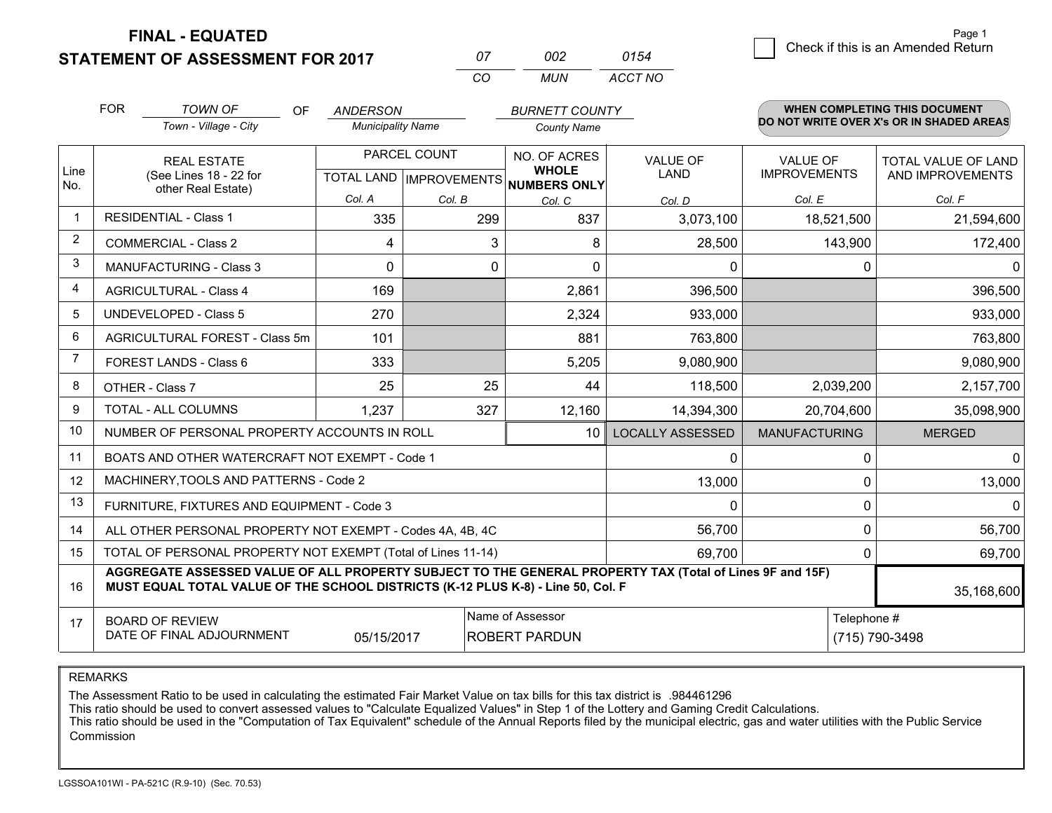**STATEMENT OF ASSESSMENT FOR 2017** 

**FINAL - EQUATED**

|      | <b>FOR</b>                                   | <b>TOWN OF</b><br>OF                                                                                                                                                                         | <b>ANDERSON</b>          |                                          | <b>BURNETT COUNTY</b>        |                                |                                        | WHEN COMPLETING THIS DOCUMENT            |
|------|----------------------------------------------|----------------------------------------------------------------------------------------------------------------------------------------------------------------------------------------------|--------------------------|------------------------------------------|------------------------------|--------------------------------|----------------------------------------|------------------------------------------|
|      |                                              | Town - Village - City                                                                                                                                                                        | <b>Municipality Name</b> |                                          | <b>County Name</b>           |                                |                                        | DO NOT WRITE OVER X's OR IN SHADED AREAS |
| Line | <b>REAL ESTATE</b><br>(See Lines 18 - 22 for |                                                                                                                                                                                              |                          | PARCEL COUNT                             | NO. OF ACRES<br><b>WHOLE</b> | <b>VALUE OF</b><br><b>LAND</b> | <b>VALUE OF</b><br><b>IMPROVEMENTS</b> | TOTAL VALUE OF LAND                      |
| No.  | other Real Estate)                           |                                                                                                                                                                                              |                          | TOTAL LAND   IMPROVEMENTS   NUMBERS ONLY |                              |                                | AND IMPROVEMENTS                       |                                          |
| -1   |                                              | <b>RESIDENTIAL - Class 1</b>                                                                                                                                                                 | Col. A                   | Col. B                                   | Col. C                       | Col. D                         | Col. E                                 | Col. F                                   |
|      |                                              |                                                                                                                                                                                              | 335                      | 299                                      | 837                          | 3,073,100                      | 18,521,500                             | 21,594,600                               |
| 2    |                                              | <b>COMMERCIAL - Class 2</b>                                                                                                                                                                  | 4                        | 3                                        | 8                            | 28,500                         | 143,900                                | 172,400                                  |
| 3    |                                              | MANUFACTURING - Class 3                                                                                                                                                                      | $\Omega$                 | $\mathbf 0$                              | $\Omega$                     | $\mathbf{0}$                   | $\Omega$                               | $\mathbf{0}$                             |
| 4    |                                              | <b>AGRICULTURAL - Class 4</b>                                                                                                                                                                | 169                      |                                          | 2,861                        | 396,500                        |                                        | 396,500                                  |
| 5    |                                              | UNDEVELOPED - Class 5                                                                                                                                                                        | 270                      |                                          | 2,324                        | 933,000                        |                                        | 933,000                                  |
| 6    |                                              | AGRICULTURAL FOREST - Class 5m                                                                                                                                                               | 101                      |                                          | 881                          | 763,800                        |                                        | 763,800                                  |
| 7    |                                              | FOREST LANDS - Class 6                                                                                                                                                                       | 333                      |                                          | 5,205                        | 9,080,900                      |                                        | 9,080,900                                |
| 8    |                                              | OTHER - Class 7                                                                                                                                                                              | 25                       | 25                                       | 44                           | 118,500                        | 2,039,200                              | 2,157,700                                |
| 9    |                                              | TOTAL - ALL COLUMNS                                                                                                                                                                          | 1,237                    | 327                                      | 12,160                       | 14,394,300                     | 20,704,600                             | 35,098,900                               |
| 10   |                                              | NUMBER OF PERSONAL PROPERTY ACCOUNTS IN ROLL                                                                                                                                                 |                          |                                          | 10 <sup>1</sup>              | <b>LOCALLY ASSESSED</b>        | <b>MANUFACTURING</b>                   | <b>MERGED</b>                            |
| 11   |                                              | BOATS AND OTHER WATERCRAFT NOT EXEMPT - Code 1                                                                                                                                               |                          |                                          |                              | 0                              | 0                                      | $\mathbf{0}$                             |
| 12   |                                              | MACHINERY, TOOLS AND PATTERNS - Code 2                                                                                                                                                       |                          |                                          |                              | 13,000                         | $\Omega$                               | 13,000                                   |
| 13   |                                              | FURNITURE, FIXTURES AND EQUIPMENT - Code 3                                                                                                                                                   |                          |                                          |                              | $\Omega$                       | $\Omega$                               | $\Omega$                                 |
| 14   |                                              | ALL OTHER PERSONAL PROPERTY NOT EXEMPT - Codes 4A, 4B, 4C                                                                                                                                    |                          |                                          |                              | 56,700                         | 0                                      | 56,700                                   |
| 15   |                                              | TOTAL OF PERSONAL PROPERTY NOT EXEMPT (Total of Lines 11-14)                                                                                                                                 |                          |                                          | 69,700                       | $\Omega$                       | 69,700                                 |                                          |
| 16   |                                              | AGGREGATE ASSESSED VALUE OF ALL PROPERTY SUBJECT TO THE GENERAL PROPERTY TAX (Total of Lines 9F and 15F)<br>MUST EQUAL TOTAL VALUE OF THE SCHOOL DISTRICTS (K-12 PLUS K-8) - Line 50, Col. F |                          |                                          |                              |                                |                                        | 35,168,600                               |
| 17   |                                              | <b>BOARD OF REVIEW</b>                                                                                                                                                                       |                          |                                          | Name of Assessor             |                                | Telephone #                            |                                          |
|      |                                              | DATE OF FINAL ADJOURNMENT                                                                                                                                                                    | 05/15/2017               |                                          | ROBERT PARDUN                |                                |                                        | (715) 790-3498                           |

*CO*

REMARKS

The Assessment Ratio to be used in calculating the estimated Fair Market Value on tax bills for this tax district is .984461296<br>This ratio should be used to convert assessed values to "Calculate Equalized Values" in Step 1 Commission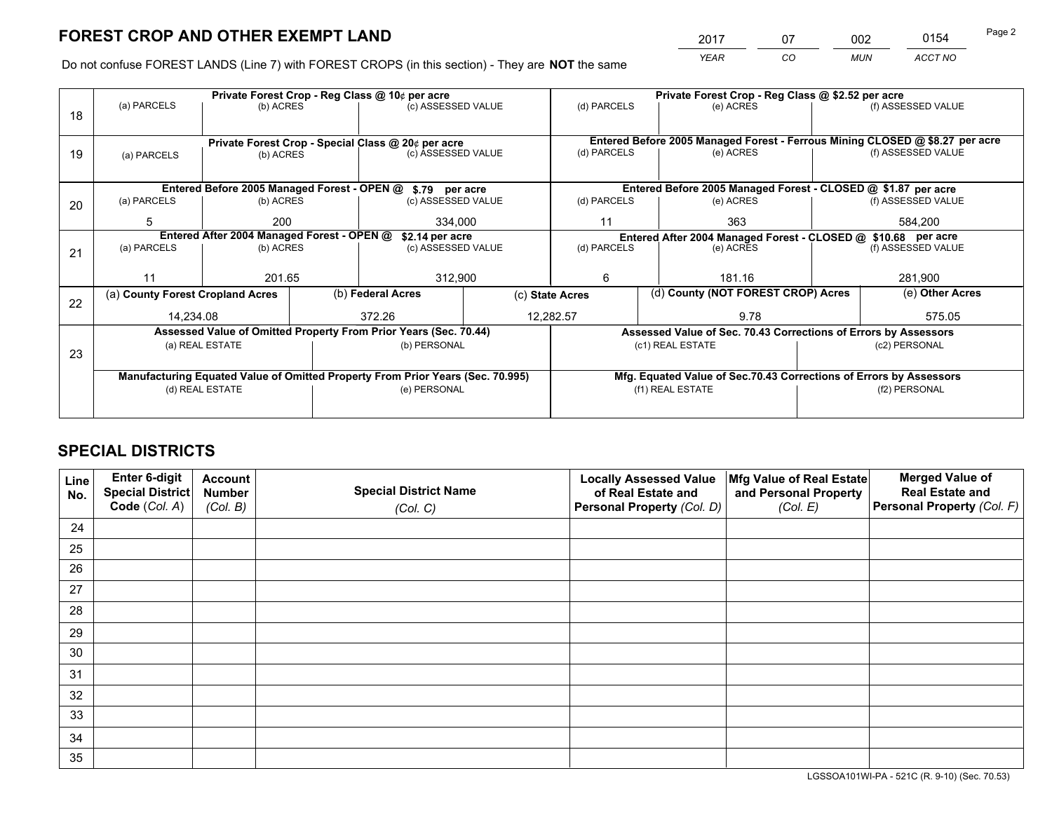*YEAR CO MUN ACCT NO* <sup>2017</sup> <sup>07</sup> <sup>002</sup> <sup>0154</sup>

Do not confuse FOREST LANDS (Line 7) with FOREST CROPS (in this section) - They are **NOT** the same

|    |                                                                                |                 |  | Private Forest Crop - Reg Class @ 10¢ per acre                   |                                                                              | Private Forest Crop - Reg Class @ \$2.52 per acre                  |  |                                                                 |         |                    |
|----|--------------------------------------------------------------------------------|-----------------|--|------------------------------------------------------------------|------------------------------------------------------------------------------|--------------------------------------------------------------------|--|-----------------------------------------------------------------|---------|--------------------|
| 18 | (a) PARCELS                                                                    | (b) ACRES       |  | (c) ASSESSED VALUE                                               |                                                                              | (d) PARCELS                                                        |  | (e) ACRES                                                       |         | (f) ASSESSED VALUE |
|    |                                                                                |                 |  |                                                                  |                                                                              |                                                                    |  |                                                                 |         |                    |
|    | Private Forest Crop - Special Class @ 20¢ per acre                             |                 |  |                                                                  | Entered Before 2005 Managed Forest - Ferrous Mining CLOSED @ \$8.27 per acre |                                                                    |  |                                                                 |         |                    |
| 19 | (a) PARCELS                                                                    | (b) ACRES       |  | (c) ASSESSED VALUE                                               |                                                                              | (d) PARCELS                                                        |  | (e) ACRES                                                       |         | (f) ASSESSED VALUE |
|    |                                                                                |                 |  |                                                                  |                                                                              |                                                                    |  |                                                                 |         |                    |
|    |                                                                                |                 |  | Entered Before 2005 Managed Forest - OPEN @ \$.79 per acre       |                                                                              |                                                                    |  | Entered Before 2005 Managed Forest - CLOSED @ \$1.87 per acre   |         |                    |
| 20 | (a) PARCELS                                                                    | (b) ACRES       |  | (c) ASSESSED VALUE                                               |                                                                              | (d) PARCELS                                                        |  | (e) ACRES                                                       |         | (f) ASSESSED VALUE |
|    | 5                                                                              | 200             |  | 334.000                                                          |                                                                              | 11                                                                 |  | 363                                                             | 584,200 |                    |
|    | Entered After 2004 Managed Forest - OPEN @<br>\$2.14 per acre                  |                 |  |                                                                  | Entered After 2004 Managed Forest - CLOSED @ \$10.68 per acre                |                                                                    |  |                                                                 |         |                    |
| 21 | (a) PARCELS                                                                    | (b) ACRES       |  | (c) ASSESSED VALUE                                               |                                                                              | (d) PARCELS                                                        |  | (e) ACRES                                                       |         | (f) ASSESSED VALUE |
|    |                                                                                |                 |  |                                                                  |                                                                              |                                                                    |  |                                                                 |         |                    |
|    | 11                                                                             | 201.65          |  | 312,900                                                          |                                                                              | 6                                                                  |  | 181.16                                                          |         | 281,900            |
| 22 | (a) County Forest Cropland Acres                                               |                 |  | (b) Federal Acres                                                |                                                                              | (c) State Acres                                                    |  | (d) County (NOT FOREST CROP) Acres                              |         | (e) Other Acres    |
|    | 14,234.08                                                                      |                 |  | 372.26                                                           |                                                                              | 12,282.57<br>9.78                                                  |  |                                                                 |         | 575.05             |
|    |                                                                                |                 |  | Assessed Value of Omitted Property From Prior Years (Sec. 70.44) |                                                                              |                                                                    |  | Assessed Value of Sec. 70.43 Corrections of Errors by Assessors |         |                    |
| 23 |                                                                                | (a) REAL ESTATE |  | (b) PERSONAL                                                     |                                                                              |                                                                    |  | (c1) REAL ESTATE                                                |         | (c2) PERSONAL      |
|    |                                                                                |                 |  |                                                                  |                                                                              |                                                                    |  |                                                                 |         |                    |
|    | Manufacturing Equated Value of Omitted Property From Prior Years (Sec. 70.995) |                 |  |                                                                  |                                                                              | Mfg. Equated Value of Sec.70.43 Corrections of Errors by Assessors |  |                                                                 |         |                    |
|    | (d) REAL ESTATE                                                                |                 |  | (e) PERSONAL                                                     |                                                                              | (f1) REAL ESTATE                                                   |  | (f2) PERSONAL                                                   |         |                    |
|    |                                                                                |                 |  |                                                                  |                                                                              |                                                                    |  |                                                                 |         |                    |

## **SPECIAL DISTRICTS**

| Line<br>No. | Enter 6-digit<br>Special District<br>Code (Col. A) | <b>Account</b><br><b>Number</b><br>(Col. B) | <b>Special District Name</b><br>(Col. C) | <b>Locally Assessed Value</b><br>of Real Estate and<br>Personal Property (Col. D) | Mfg Value of Real Estate<br>and Personal Property<br>(Col. E) | <b>Merged Value of</b><br><b>Real Estate and</b><br>Personal Property (Col. F) |
|-------------|----------------------------------------------------|---------------------------------------------|------------------------------------------|-----------------------------------------------------------------------------------|---------------------------------------------------------------|--------------------------------------------------------------------------------|
| 24          |                                                    |                                             |                                          |                                                                                   |                                                               |                                                                                |
| 25          |                                                    |                                             |                                          |                                                                                   |                                                               |                                                                                |
| 26          |                                                    |                                             |                                          |                                                                                   |                                                               |                                                                                |
| 27          |                                                    |                                             |                                          |                                                                                   |                                                               |                                                                                |
| 28          |                                                    |                                             |                                          |                                                                                   |                                                               |                                                                                |
| 29          |                                                    |                                             |                                          |                                                                                   |                                                               |                                                                                |
| 30          |                                                    |                                             |                                          |                                                                                   |                                                               |                                                                                |
| 31          |                                                    |                                             |                                          |                                                                                   |                                                               |                                                                                |
| 32          |                                                    |                                             |                                          |                                                                                   |                                                               |                                                                                |
| 33          |                                                    |                                             |                                          |                                                                                   |                                                               |                                                                                |
| 34          |                                                    |                                             |                                          |                                                                                   |                                                               |                                                                                |
| 35          |                                                    |                                             |                                          |                                                                                   |                                                               |                                                                                |

LGSSOA101WI-PA - 521C (R. 9-10) (Sec. 70.53)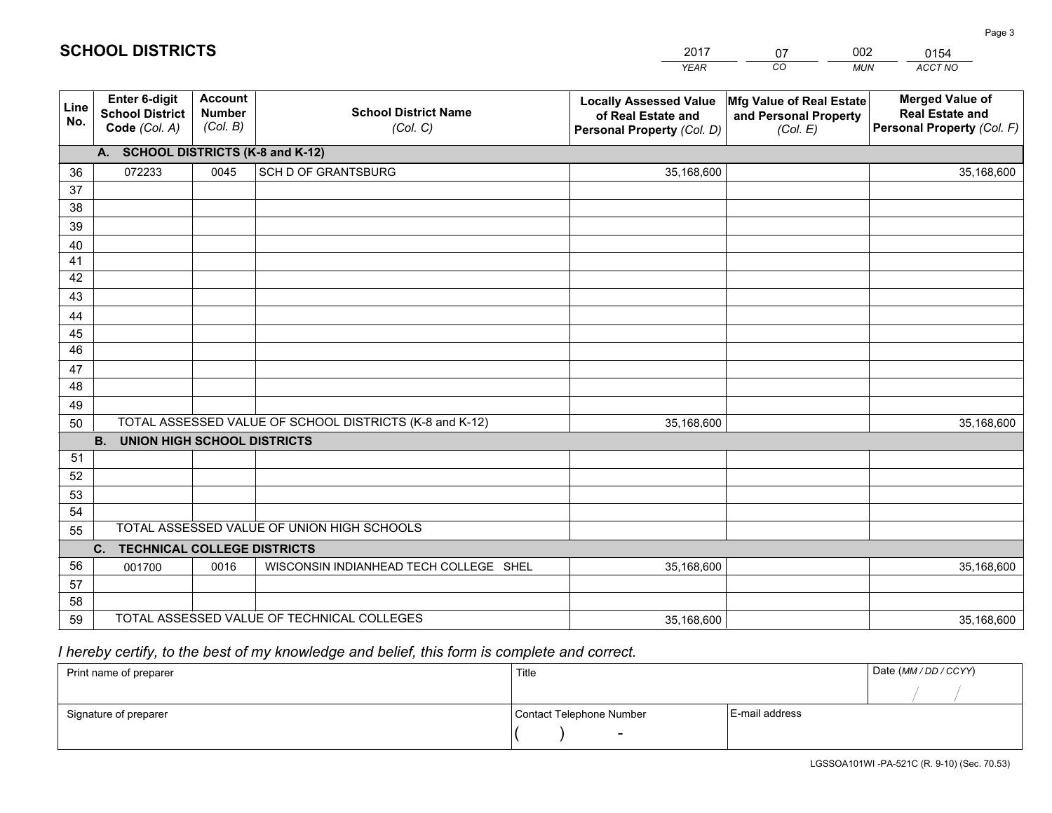|             |                                                          |                                             |                                                         | <b>YEAR</b>                                                                       | CO<br><b>MUN</b>                                              | ACCT NO                                                                        |
|-------------|----------------------------------------------------------|---------------------------------------------|---------------------------------------------------------|-----------------------------------------------------------------------------------|---------------------------------------------------------------|--------------------------------------------------------------------------------|
| Line<br>No. | Enter 6-digit<br><b>School District</b><br>Code (Col. A) | <b>Account</b><br><b>Number</b><br>(Col. B) | <b>School District Name</b><br>(Col. C)                 | <b>Locally Assessed Value</b><br>of Real Estate and<br>Personal Property (Col. D) | Mfg Value of Real Estate<br>and Personal Property<br>(Col. E) | <b>Merged Value of</b><br><b>Real Estate and</b><br>Personal Property (Col. F) |
|             | A. SCHOOL DISTRICTS (K-8 and K-12)                       |                                             |                                                         |                                                                                   |                                                               |                                                                                |
| 36          | 072233                                                   | 0045                                        | SCH D OF GRANTSBURG                                     | 35,168,600                                                                        |                                                               | 35,168,600                                                                     |
| 37          |                                                          |                                             |                                                         |                                                                                   |                                                               |                                                                                |
| 38          |                                                          |                                             |                                                         |                                                                                   |                                                               |                                                                                |
| 39          |                                                          |                                             |                                                         |                                                                                   |                                                               |                                                                                |
| 40          |                                                          |                                             |                                                         |                                                                                   |                                                               |                                                                                |
| 41          |                                                          |                                             |                                                         |                                                                                   |                                                               |                                                                                |
| 42          |                                                          |                                             |                                                         |                                                                                   |                                                               |                                                                                |
| 43          |                                                          |                                             |                                                         |                                                                                   |                                                               |                                                                                |
| 44          |                                                          |                                             |                                                         |                                                                                   |                                                               |                                                                                |
| 45<br>46    |                                                          |                                             |                                                         |                                                                                   |                                                               |                                                                                |
|             |                                                          |                                             |                                                         |                                                                                   |                                                               |                                                                                |
| 47<br>48    |                                                          |                                             |                                                         |                                                                                   |                                                               |                                                                                |
| 49          |                                                          |                                             |                                                         |                                                                                   |                                                               |                                                                                |
| 50          |                                                          |                                             | TOTAL ASSESSED VALUE OF SCHOOL DISTRICTS (K-8 and K-12) | 35,168,600                                                                        |                                                               | 35,168,600                                                                     |
|             | <b>B.</b><br><b>UNION HIGH SCHOOL DISTRICTS</b>          |                                             |                                                         |                                                                                   |                                                               |                                                                                |
| 51          |                                                          |                                             |                                                         |                                                                                   |                                                               |                                                                                |
| 52          |                                                          |                                             |                                                         |                                                                                   |                                                               |                                                                                |
| 53          |                                                          |                                             |                                                         |                                                                                   |                                                               |                                                                                |
| 54          |                                                          |                                             |                                                         |                                                                                   |                                                               |                                                                                |
| 55          |                                                          |                                             | TOTAL ASSESSED VALUE OF UNION HIGH SCHOOLS              |                                                                                   |                                                               |                                                                                |
|             | <b>TECHNICAL COLLEGE DISTRICTS</b><br>C.                 |                                             |                                                         |                                                                                   |                                                               |                                                                                |
| 56          | 001700                                                   | 0016                                        | WISCONSIN INDIANHEAD TECH COLLEGE SHEL                  | 35,168,600                                                                        |                                                               | 35,168,600                                                                     |
| 57          |                                                          |                                             |                                                         |                                                                                   |                                                               |                                                                                |
| 58          |                                                          |                                             |                                                         |                                                                                   |                                                               |                                                                                |
| 59          |                                                          |                                             | TOTAL ASSESSED VALUE OF TECHNICAL COLLEGES              | 35,168,600                                                                        |                                                               | 35,168,600                                                                     |

2017

07

002

# *I hereby certify, to the best of my knowledge and belief, this form is complete and correct.*

**SCHOOL DISTRICTS**

| Print name of preparer | Title                    |                | Date (MM / DD / CCYY) |
|------------------------|--------------------------|----------------|-----------------------|
|                        |                          |                |                       |
| Signature of preparer  | Contact Telephone Number | E-mail address |                       |
|                        | $\overline{\phantom{0}}$ |                |                       |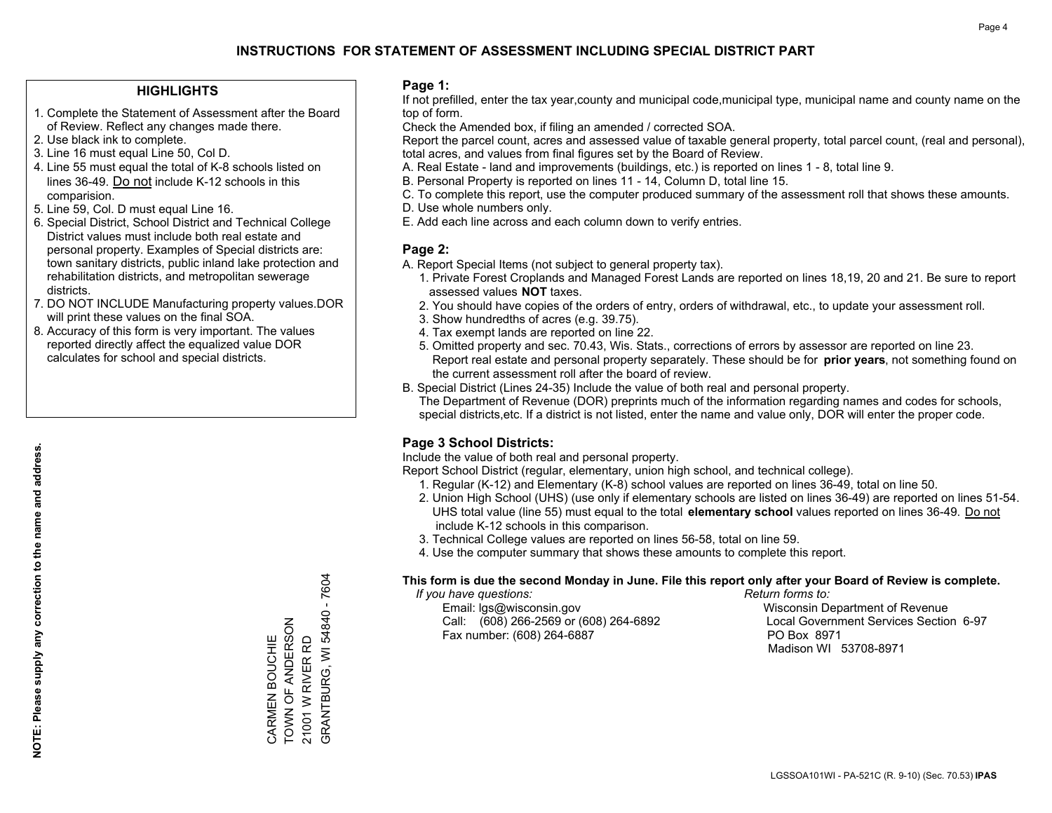### **HIGHLIGHTS**

- 1. Complete the Statement of Assessment after the Board of Review. Reflect any changes made there.
- 2. Use black ink to complete.
- 3. Line 16 must equal Line 50, Col D.
- 4. Line 55 must equal the total of K-8 schools listed on lines 36-49. Do not include K-12 schools in this comparision.
- 5. Line 59, Col. D must equal Line 16.
- 6. Special District, School District and Technical College District values must include both real estate and personal property. Examples of Special districts are: town sanitary districts, public inland lake protection and rehabilitation districts, and metropolitan sewerage districts.
- 7. DO NOT INCLUDE Manufacturing property values.DOR will print these values on the final SOA.

CARMEN BOUCHIE TOWN OF ANDERSON 21001 W RIVER RD

CARMEN BOUCHIE<br>TOWN OF ANDERSON

GRANTBURG, WI 54840 - 7604

GRANTBURG, WI 54840 - 7604

21001 W RIVER RD

 8. Accuracy of this form is very important. The values reported directly affect the equalized value DOR calculates for school and special districts.

### **Page 1:**

 If not prefilled, enter the tax year,county and municipal code,municipal type, municipal name and county name on the top of form.

Check the Amended box, if filing an amended / corrected SOA.

 Report the parcel count, acres and assessed value of taxable general property, total parcel count, (real and personal), total acres, and values from final figures set by the Board of Review.

- A. Real Estate land and improvements (buildings, etc.) is reported on lines 1 8, total line 9.
- B. Personal Property is reported on lines 11 14, Column D, total line 15.
- C. To complete this report, use the computer produced summary of the assessment roll that shows these amounts.
- D. Use whole numbers only.
- E. Add each line across and each column down to verify entries.

### **Page 2:**

- A. Report Special Items (not subject to general property tax).
- 1. Private Forest Croplands and Managed Forest Lands are reported on lines 18,19, 20 and 21. Be sure to report assessed values **NOT** taxes.
- 2. You should have copies of the orders of entry, orders of withdrawal, etc., to update your assessment roll.
	- 3. Show hundredths of acres (e.g. 39.75).
- 4. Tax exempt lands are reported on line 22.
- 5. Omitted property and sec. 70.43, Wis. Stats., corrections of errors by assessor are reported on line 23. Report real estate and personal property separately. These should be for **prior years**, not something found on the current assessment roll after the board of review.
- B. Special District (Lines 24-35) Include the value of both real and personal property.
- The Department of Revenue (DOR) preprints much of the information regarding names and codes for schools, special districts,etc. If a district is not listed, enter the name and value only, DOR will enter the proper code.

## **Page 3 School Districts:**

Include the value of both real and personal property.

Report School District (regular, elementary, union high school, and technical college).

- 1. Regular (K-12) and Elementary (K-8) school values are reported on lines 36-49, total on line 50.
- 2. Union High School (UHS) (use only if elementary schools are listed on lines 36-49) are reported on lines 51-54. UHS total value (line 55) must equal to the total **elementary school** values reported on lines 36-49. Do notinclude K-12 schools in this comparison.
- 3. Technical College values are reported on lines 56-58, total on line 59.
- 4. Use the computer summary that shows these amounts to complete this report.

#### **This form is due the second Monday in June. File this report only after your Board of Review is complete.**

 *If you have questions: Return forms to:*

 Email: lgs@wisconsin.gov Wisconsin Department of RevenueCall:  $(608)$  266-2569 or  $(608)$  264-6892 Fax number: (608) 264-6887 PO Box 8971

Local Government Services Section 6-97 Madison WI 53708-8971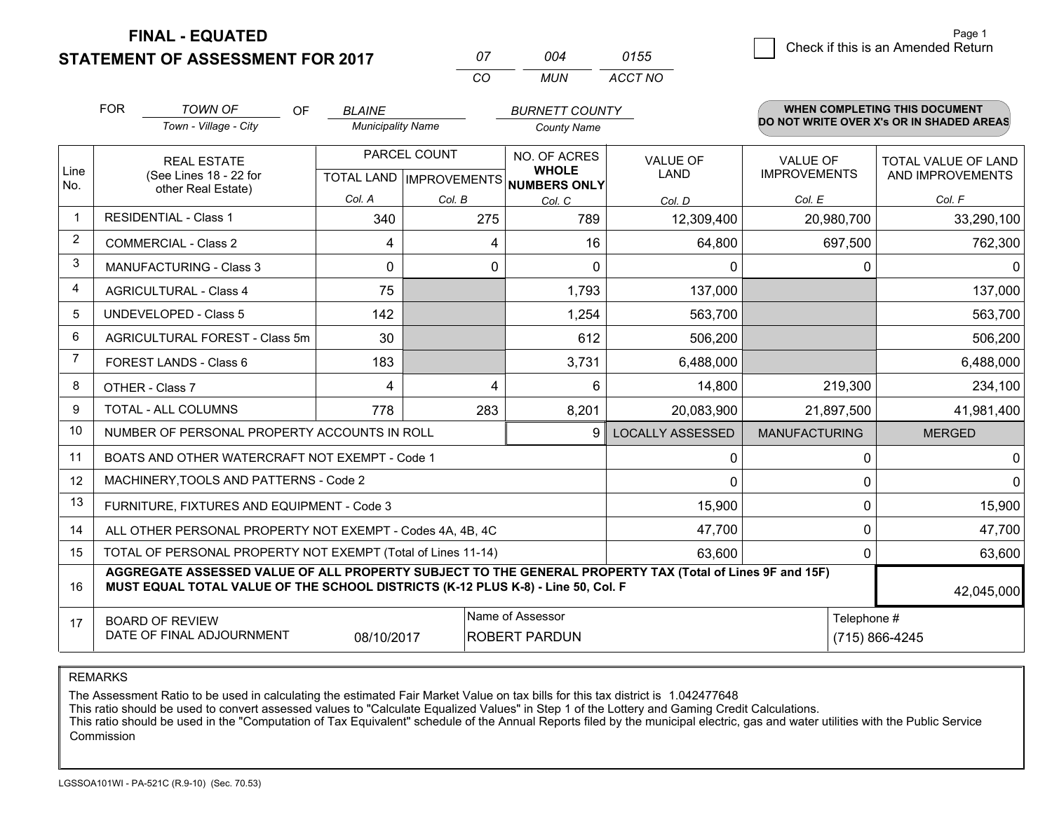**FINAL - EQUATED**

**STATEMENT OF ASSESSMENT FOR 2017** 

*CO MUN <sup>07</sup> <sup>004</sup> ACCT NO0155*

 $\overline{5}$  Check if this is an Amended Return Page 1

|                | <b>FOR</b>                                                                                                    | <b>TOWN OF</b><br><b>OF</b>                                                                                                                                                                  | <b>BLAINE</b>                             |        | <b>BURNETT COUNTY</b>         |                         |                                        | WHEN COMPLETING THIS DOCUMENT            |
|----------------|---------------------------------------------------------------------------------------------------------------|----------------------------------------------------------------------------------------------------------------------------------------------------------------------------------------------|-------------------------------------------|--------|-------------------------------|-------------------------|----------------------------------------|------------------------------------------|
|                |                                                                                                               | Town - Village - City                                                                                                                                                                        | <b>Municipality Name</b>                  |        | <b>County Name</b>            |                         |                                        | DO NOT WRITE OVER X's OR IN SHADED AREAS |
| Line           | <b>REAL ESTATE</b><br>(See Lines 18 - 22 for                                                                  |                                                                                                                                                                                              | PARCEL COUNT<br>TOTAL LAND   IMPROVEMENTS |        | NO. OF ACRES<br><b>WHOLE</b>  | <b>VALUE OF</b><br>LAND | <b>VALUE OF</b><br><b>IMPROVEMENTS</b> | TOTAL VALUE OF LAND<br>AND IMPROVEMENTS  |
| No.            |                                                                                                               | other Real Estate)                                                                                                                                                                           | Col. A                                    | Col. B | <b>NUMBERS ONLY</b><br>Col. C | Col. D                  | Col. E                                 | Col. F                                   |
| $\mathbf{1}$   |                                                                                                               | <b>RESIDENTIAL - Class 1</b>                                                                                                                                                                 | 340                                       | 275    | 789                           | 12,309,400              | 20,980,700                             | 33,290,100                               |
| 2              |                                                                                                               | <b>COMMERCIAL - Class 2</b>                                                                                                                                                                  | 4                                         | 4      | 16                            | 64,800                  | 697,500                                | 762,300                                  |
| 3              |                                                                                                               | <b>MANUFACTURING - Class 3</b>                                                                                                                                                               | $\mathbf{0}$                              | 0      | 0                             | 0                       | 0                                      | $\mathbf 0$                              |
| 4              |                                                                                                               | <b>AGRICULTURAL - Class 4</b>                                                                                                                                                                | 75                                        |        | 1,793                         | 137,000                 |                                        | 137,000                                  |
| 5              |                                                                                                               | <b>UNDEVELOPED - Class 5</b>                                                                                                                                                                 | 142                                       |        | 1,254                         | 563,700                 |                                        | 563,700                                  |
| 6              |                                                                                                               | AGRICULTURAL FOREST - Class 5m                                                                                                                                                               | 30                                        |        | 612                           | 506,200                 |                                        | 506,200                                  |
| $\overline{7}$ |                                                                                                               | FOREST LANDS - Class 6                                                                                                                                                                       | 183                                       |        | 3,731                         | 6,488,000               |                                        | 6,488,000                                |
| 8              |                                                                                                               | OTHER - Class 7                                                                                                                                                                              | 4                                         | 4      | 6                             | 14,800                  | 219,300                                | 234,100                                  |
| 9              |                                                                                                               | TOTAL - ALL COLUMNS                                                                                                                                                                          | 778                                       | 283    | 8,201                         | 20,083,900              | 21,897,500                             | 41,981,400                               |
| 10             |                                                                                                               | NUMBER OF PERSONAL PROPERTY ACCOUNTS IN ROLL                                                                                                                                                 |                                           |        | 9                             | <b>LOCALLY ASSESSED</b> | <b>MANUFACTURING</b>                   | <b>MERGED</b>                            |
| 11             |                                                                                                               | BOATS AND OTHER WATERCRAFT NOT EXEMPT - Code 1                                                                                                                                               |                                           |        |                               | 0                       | $\Omega$                               | $\mathbf 0$                              |
| 12             |                                                                                                               | MACHINERY, TOOLS AND PATTERNS - Code 2                                                                                                                                                       |                                           |        |                               | $\Omega$                | $\Omega$                               | $\mathbf 0$                              |
| 13             |                                                                                                               | FURNITURE, FIXTURES AND EQUIPMENT - Code 3                                                                                                                                                   |                                           |        |                               | 15,900                  | 0                                      | 15,900                                   |
| 14             |                                                                                                               | ALL OTHER PERSONAL PROPERTY NOT EXEMPT - Codes 4A, 4B, 4C                                                                                                                                    |                                           |        |                               | 47,700                  | $\mathbf 0$                            | 47,700                                   |
| 15             |                                                                                                               | TOTAL OF PERSONAL PROPERTY NOT EXEMPT (Total of Lines 11-14)                                                                                                                                 |                                           |        | 63,600                        | $\Omega$                | 63,600                                 |                                          |
| 16             |                                                                                                               | AGGREGATE ASSESSED VALUE OF ALL PROPERTY SUBJECT TO THE GENERAL PROPERTY TAX (Total of Lines 9F and 15F)<br>MUST EQUAL TOTAL VALUE OF THE SCHOOL DISTRICTS (K-12 PLUS K-8) - Line 50, Col. F |                                           |        |                               |                         | 42,045,000                             |                                          |
| 17             | Name of Assessor<br><b>BOARD OF REVIEW</b><br>DATE OF FINAL ADJOURNMENT<br>08/10/2017<br><b>ROBERT PARDUN</b> |                                                                                                                                                                                              |                                           |        |                               |                         | Telephone #                            | (715) 866-4245                           |
|                |                                                                                                               |                                                                                                                                                                                              |                                           |        |                               |                         |                                        |                                          |

REMARKS

The Assessment Ratio to be used in calculating the estimated Fair Market Value on tax bills for this tax district is 1.042477648<br>This ratio should be used to convert assessed values to "Calculate Equalized Values" in Step Commission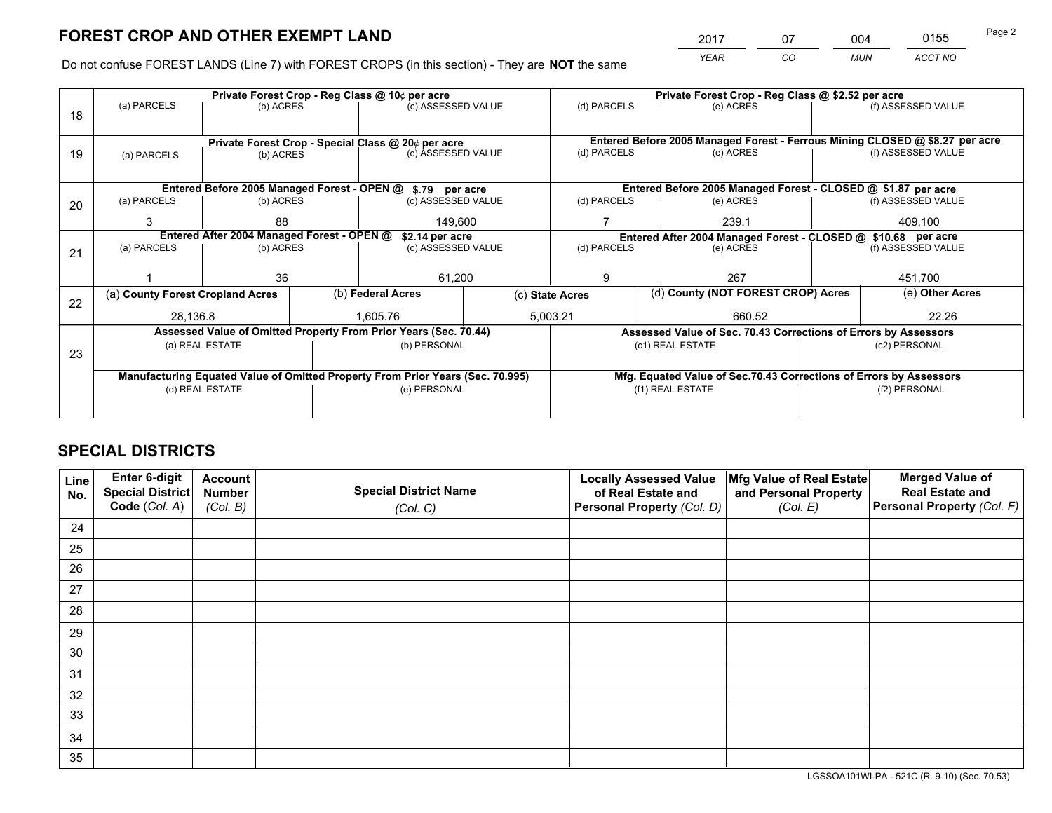*YEAR CO MUN ACCT NO* <sup>2017</sup> <sup>07</sup> <sup>004</sup> <sup>0155</sup> Page 2

Do not confuse FOREST LANDS (Line 7) with FOREST CROPS (in this section) - They are **NOT** the same

|    |                                                                                |                                            |  | Private Forest Crop - Reg Class @ 10¢ per acre                   |  | Private Forest Crop - Reg Class @ \$2.52 per acre                                                               |                  |                                                                 |               |                                                                              |
|----|--------------------------------------------------------------------------------|--------------------------------------------|--|------------------------------------------------------------------|--|-----------------------------------------------------------------------------------------------------------------|------------------|-----------------------------------------------------------------|---------------|------------------------------------------------------------------------------|
| 18 | (a) PARCELS                                                                    | (b) ACRES                                  |  | (c) ASSESSED VALUE                                               |  | (d) PARCELS                                                                                                     |                  | (e) ACRES                                                       |               | (f) ASSESSED VALUE                                                           |
|    |                                                                                |                                            |  |                                                                  |  |                                                                                                                 |                  |                                                                 |               |                                                                              |
|    |                                                                                |                                            |  | Private Forest Crop - Special Class @ 20¢ per acre               |  |                                                                                                                 |                  |                                                                 |               | Entered Before 2005 Managed Forest - Ferrous Mining CLOSED @ \$8.27 per acre |
| 19 | (a) PARCELS                                                                    | (b) ACRES                                  |  | (c) ASSESSED VALUE                                               |  | (d) PARCELS                                                                                                     |                  | (e) ACRES                                                       |               | (f) ASSESSED VALUE                                                           |
|    |                                                                                |                                            |  |                                                                  |  |                                                                                                                 |                  |                                                                 |               |                                                                              |
|    |                                                                                |                                            |  | Entered Before 2005 Managed Forest - OPEN @ \$.79 per acre       |  |                                                                                                                 |                  | Entered Before 2005 Managed Forest - CLOSED @ \$1.87 per acre   |               |                                                                              |
| 20 | (a) PARCELS                                                                    | (b) ACRES                                  |  | (c) ASSESSED VALUE                                               |  | (d) PARCELS                                                                                                     |                  | (e) ACRES                                                       |               | (f) ASSESSED VALUE                                                           |
|    | 3                                                                              | 88                                         |  | 149,600                                                          |  |                                                                                                                 |                  |                                                                 |               | 409,100                                                                      |
|    |                                                                                | Entered After 2004 Managed Forest - OPEN @ |  |                                                                  |  | 239.1                                                                                                           |                  |                                                                 |               |                                                                              |
|    |                                                                                |                                            |  | \$2.14 per acre                                                  |  | Entered After 2004 Managed Forest - CLOSED @ \$10.68 per acre<br>(d) PARCELS<br>(f) ASSESSED VALUE<br>(e) ACRES |                  |                                                                 |               |                                                                              |
| 21 | (a) PARCELS                                                                    | (b) ACRES                                  |  | (c) ASSESSED VALUE                                               |  |                                                                                                                 |                  |                                                                 |               |                                                                              |
|    |                                                                                |                                            |  |                                                                  |  |                                                                                                                 |                  |                                                                 |               |                                                                              |
|    |                                                                                | 36                                         |  | 61,200                                                           |  | 9                                                                                                               |                  | 267                                                             |               | 451,700                                                                      |
| 22 | (a) County Forest Cropland Acres                                               |                                            |  | (b) Federal Acres                                                |  | (c) State Acres                                                                                                 |                  | (d) County (NOT FOREST CROP) Acres                              |               | (e) Other Acres                                                              |
|    | 28.136.8                                                                       |                                            |  | 1.605.76                                                         |  | 5,003.21<br>660.52                                                                                              |                  |                                                                 | 22.26         |                                                                              |
|    |                                                                                |                                            |  | Assessed Value of Omitted Property From Prior Years (Sec. 70.44) |  |                                                                                                                 |                  | Assessed Value of Sec. 70.43 Corrections of Errors by Assessors |               |                                                                              |
|    |                                                                                | (a) REAL ESTATE                            |  | (b) PERSONAL                                                     |  |                                                                                                                 | (c1) REAL ESTATE |                                                                 | (c2) PERSONAL |                                                                              |
| 23 |                                                                                |                                            |  |                                                                  |  |                                                                                                                 |                  |                                                                 |               |                                                                              |
|    | Manufacturing Equated Value of Omitted Property From Prior Years (Sec. 70.995) |                                            |  |                                                                  |  | Mfg. Equated Value of Sec.70.43 Corrections of Errors by Assessors                                              |                  |                                                                 |               |                                                                              |
|    | (d) REAL ESTATE                                                                |                                            |  | (e) PERSONAL                                                     |  | (f1) REAL ESTATE                                                                                                |                  | (f2) PERSONAL                                                   |               |                                                                              |
|    |                                                                                |                                            |  |                                                                  |  |                                                                                                                 |                  |                                                                 |               |                                                                              |
|    |                                                                                |                                            |  |                                                                  |  |                                                                                                                 |                  |                                                                 |               |                                                                              |

## **SPECIAL DISTRICTS**

| Line<br>No. | Enter 6-digit<br><b>Special District</b> | <b>Account</b><br><b>Number</b> | <b>Special District Name</b> | <b>Locally Assessed Value</b><br>of Real Estate and | Mfg Value of Real Estate<br>and Personal Property | <b>Merged Value of</b><br><b>Real Estate and</b> |
|-------------|------------------------------------------|---------------------------------|------------------------------|-----------------------------------------------------|---------------------------------------------------|--------------------------------------------------|
|             | Code (Col. A)                            | (Col. B)                        | (Col. C)                     | Personal Property (Col. D)                          | (Col. E)                                          | Personal Property (Col. F)                       |
| 24          |                                          |                                 |                              |                                                     |                                                   |                                                  |
| 25          |                                          |                                 |                              |                                                     |                                                   |                                                  |
| 26          |                                          |                                 |                              |                                                     |                                                   |                                                  |
| 27          |                                          |                                 |                              |                                                     |                                                   |                                                  |
| 28          |                                          |                                 |                              |                                                     |                                                   |                                                  |
| 29          |                                          |                                 |                              |                                                     |                                                   |                                                  |
| 30          |                                          |                                 |                              |                                                     |                                                   |                                                  |
| 31          |                                          |                                 |                              |                                                     |                                                   |                                                  |
| 32          |                                          |                                 |                              |                                                     |                                                   |                                                  |
| 33          |                                          |                                 |                              |                                                     |                                                   |                                                  |
| 34          |                                          |                                 |                              |                                                     |                                                   |                                                  |
| 35          |                                          |                                 |                              |                                                     |                                                   |                                                  |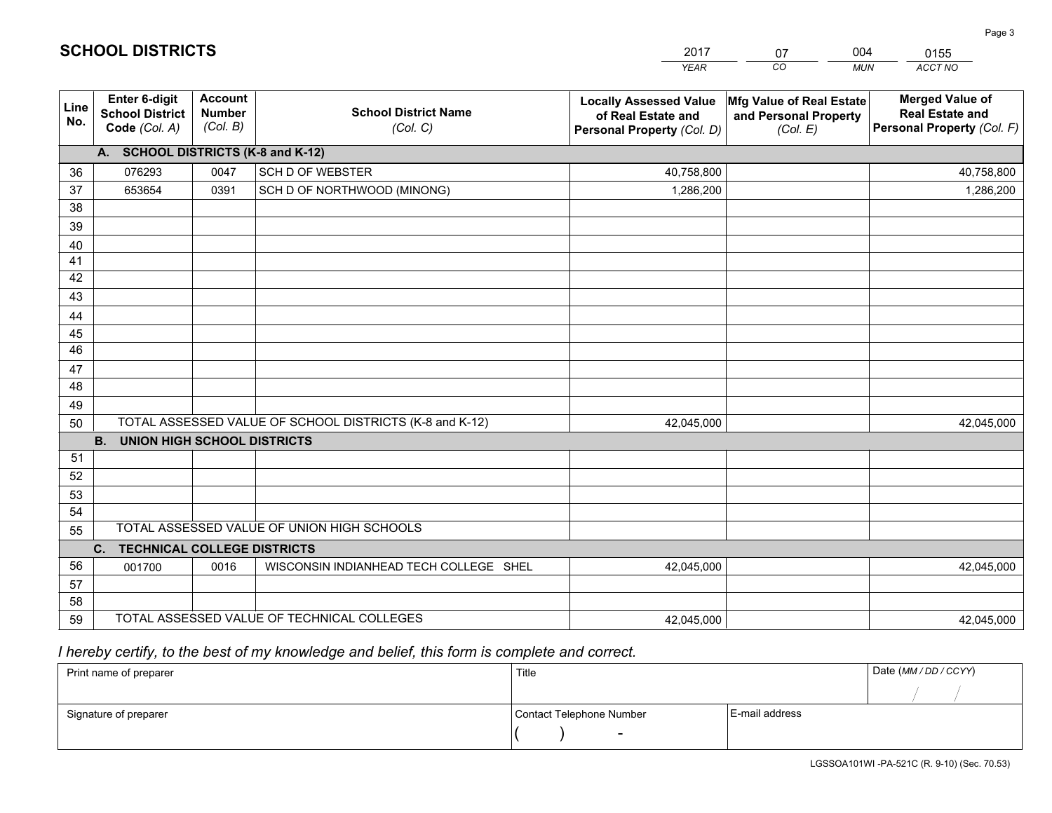|             |                                                          |                                             |                                                         | <b>YEAR</b>                                                                       | CO<br><b>MUN</b>                                              | ACCT NO                                                                        |
|-------------|----------------------------------------------------------|---------------------------------------------|---------------------------------------------------------|-----------------------------------------------------------------------------------|---------------------------------------------------------------|--------------------------------------------------------------------------------|
| Line<br>No. | Enter 6-digit<br><b>School District</b><br>Code (Col. A) | <b>Account</b><br><b>Number</b><br>(Col. B) | <b>School District Name</b><br>(Col. C)                 | <b>Locally Assessed Value</b><br>of Real Estate and<br>Personal Property (Col. D) | Mfg Value of Real Estate<br>and Personal Property<br>(Col. E) | <b>Merged Value of</b><br><b>Real Estate and</b><br>Personal Property (Col. F) |
|             | A. SCHOOL DISTRICTS (K-8 and K-12)                       |                                             |                                                         |                                                                                   |                                                               |                                                                                |
| 36          | 076293                                                   | 0047                                        | <b>SCH D OF WEBSTER</b>                                 | 40,758,800                                                                        |                                                               | 40,758,800                                                                     |
| 37          | 653654                                                   | 0391                                        | SCH D OF NORTHWOOD (MINONG)                             | 1,286,200                                                                         |                                                               | 1,286,200                                                                      |
| 38          |                                                          |                                             |                                                         |                                                                                   |                                                               |                                                                                |
| 39          |                                                          |                                             |                                                         |                                                                                   |                                                               |                                                                                |
| 40          |                                                          |                                             |                                                         |                                                                                   |                                                               |                                                                                |
| 41          |                                                          |                                             |                                                         |                                                                                   |                                                               |                                                                                |
| 42          |                                                          |                                             |                                                         |                                                                                   |                                                               |                                                                                |
| 43          |                                                          |                                             |                                                         |                                                                                   |                                                               |                                                                                |
| 44          |                                                          |                                             |                                                         |                                                                                   |                                                               |                                                                                |
| 45          |                                                          |                                             |                                                         |                                                                                   |                                                               |                                                                                |
| 46          |                                                          |                                             |                                                         |                                                                                   |                                                               |                                                                                |
| 47<br>48    |                                                          |                                             |                                                         |                                                                                   |                                                               |                                                                                |
|             |                                                          |                                             |                                                         |                                                                                   |                                                               |                                                                                |
| 49          |                                                          |                                             | TOTAL ASSESSED VALUE OF SCHOOL DISTRICTS (K-8 and K-12) |                                                                                   |                                                               |                                                                                |
| 50          | <b>B.</b><br><b>UNION HIGH SCHOOL DISTRICTS</b>          |                                             |                                                         | 42,045,000                                                                        |                                                               | 42,045,000                                                                     |
| 51          |                                                          |                                             |                                                         |                                                                                   |                                                               |                                                                                |
| 52          |                                                          |                                             |                                                         |                                                                                   |                                                               |                                                                                |
| 53          |                                                          |                                             |                                                         |                                                                                   |                                                               |                                                                                |
| 54          |                                                          |                                             |                                                         |                                                                                   |                                                               |                                                                                |
| 55          |                                                          |                                             | TOTAL ASSESSED VALUE OF UNION HIGH SCHOOLS              |                                                                                   |                                                               |                                                                                |
|             | C.<br><b>TECHNICAL COLLEGE DISTRICTS</b>                 |                                             |                                                         |                                                                                   |                                                               |                                                                                |
| 56          | 001700                                                   | 0016                                        | WISCONSIN INDIANHEAD TECH COLLEGE SHEL                  | 42,045,000                                                                        |                                                               | 42,045,000                                                                     |
| 57          |                                                          |                                             |                                                         |                                                                                   |                                                               |                                                                                |
| 58          |                                                          |                                             |                                                         |                                                                                   |                                                               |                                                                                |
| 59          |                                                          |                                             | TOTAL ASSESSED VALUE OF TECHNICAL COLLEGES              | 42,045,000                                                                        |                                                               | 42,045,000                                                                     |

 *I hereby certify, to the best of my knowledge and belief, this form is complete and correct.*

| Print name of preparer | Title                    |                | Date (MM/DD/CCYY) |
|------------------------|--------------------------|----------------|-------------------|
|                        |                          |                |                   |
| Signature of preparer  | Contact Telephone Number | E-mail address |                   |
|                        | $\overline{\phantom{0}}$ |                |                   |

| <b>SCHOOL DISTRICTS</b> |
|-------------------------|
|-------------------------|

201707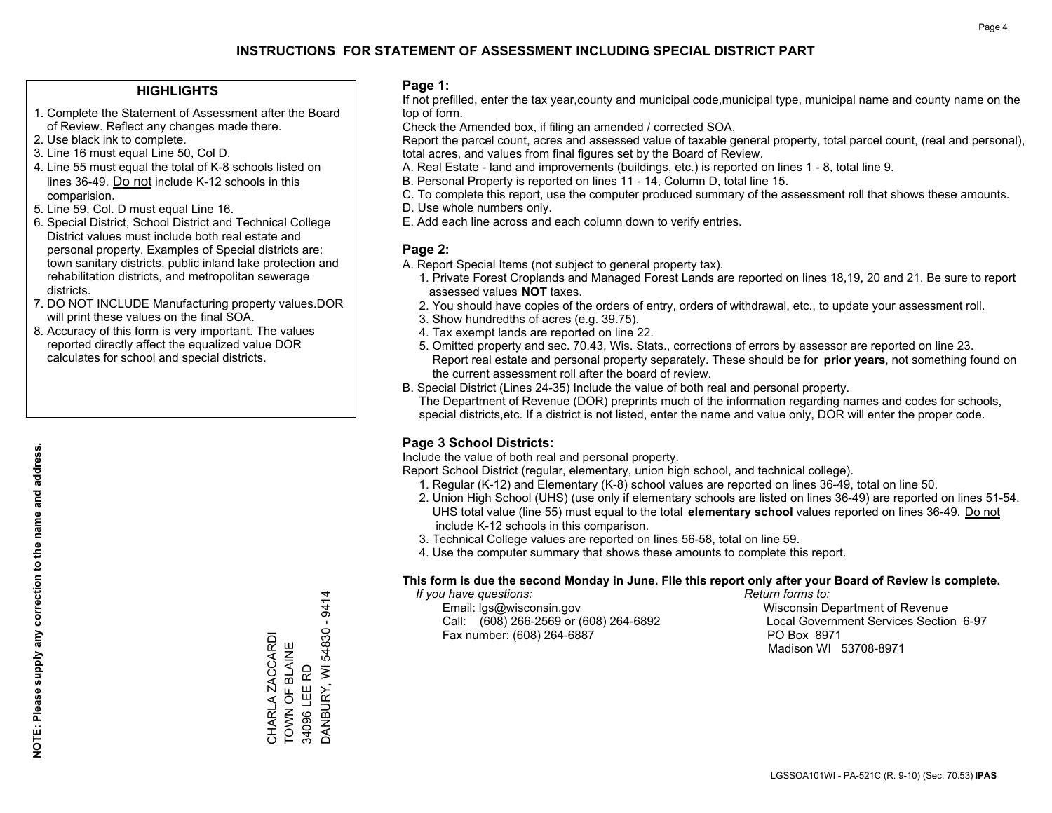### **HIGHLIGHTS**

- 1. Complete the Statement of Assessment after the Board of Review. Reflect any changes made there.
- 2. Use black ink to complete.
- 3. Line 16 must equal Line 50, Col D.
- 4. Line 55 must equal the total of K-8 schools listed on lines 36-49. Do not include K-12 schools in this comparision.
- 5. Line 59, Col. D must equal Line 16.
- 6. Special District, School District and Technical College District values must include both real estate and personal property. Examples of Special districts are: town sanitary districts, public inland lake protection and rehabilitation districts, and metropolitan sewerage districts.
- 7. DO NOT INCLUDE Manufacturing property values.DOR will print these values on the final SOA.

CHARLA ZACCARDI TOWN OF BLAINE 34096 LEE RD

CHARLA ZACCARDI TOWN OF BLAINE 34096 LEE RD DANBURY, WI 54830 - 9414

DANBURY, WI 54830

9414  $\mathbf{r}$ 

 8. Accuracy of this form is very important. The values reported directly affect the equalized value DOR calculates for school and special districts.

### **Page 1:**

 If not prefilled, enter the tax year,county and municipal code,municipal type, municipal name and county name on the top of form.

Check the Amended box, if filing an amended / corrected SOA.

 Report the parcel count, acres and assessed value of taxable general property, total parcel count, (real and personal), total acres, and values from final figures set by the Board of Review.

- A. Real Estate land and improvements (buildings, etc.) is reported on lines 1 8, total line 9.
- B. Personal Property is reported on lines 11 14, Column D, total line 15.
- C. To complete this report, use the computer produced summary of the assessment roll that shows these amounts.
- D. Use whole numbers only.
- E. Add each line across and each column down to verify entries.

### **Page 2:**

- A. Report Special Items (not subject to general property tax).
- 1. Private Forest Croplands and Managed Forest Lands are reported on lines 18,19, 20 and 21. Be sure to report assessed values **NOT** taxes.
- 2. You should have copies of the orders of entry, orders of withdrawal, etc., to update your assessment roll.
	- 3. Show hundredths of acres (e.g. 39.75).
- 4. Tax exempt lands are reported on line 22.
- 5. Omitted property and sec. 70.43, Wis. Stats., corrections of errors by assessor are reported on line 23. Report real estate and personal property separately. These should be for **prior years**, not something found on the current assessment roll after the board of review.
- B. Special District (Lines 24-35) Include the value of both real and personal property.
- The Department of Revenue (DOR) preprints much of the information regarding names and codes for schools, special districts,etc. If a district is not listed, enter the name and value only, DOR will enter the proper code.

## **Page 3 School Districts:**

Include the value of both real and personal property.

Report School District (regular, elementary, union high school, and technical college).

- 1. Regular (K-12) and Elementary (K-8) school values are reported on lines 36-49, total on line 50.
- 2. Union High School (UHS) (use only if elementary schools are listed on lines 36-49) are reported on lines 51-54. UHS total value (line 55) must equal to the total **elementary school** values reported on lines 36-49. Do notinclude K-12 schools in this comparison.
- 3. Technical College values are reported on lines 56-58, total on line 59.
- 4. Use the computer summary that shows these amounts to complete this report.

#### **This form is due the second Monday in June. File this report only after your Board of Review is complete.**

 *If you have questions: Return forms to:*

 Email: lgs@wisconsin.gov Wisconsin Department of RevenueCall:  $(608)$  266-2569 or  $(608)$  264-6892 Fax number: (608) 264-6887 PO Box 8971

Local Government Services Section 6-97 Madison WI 53708-8971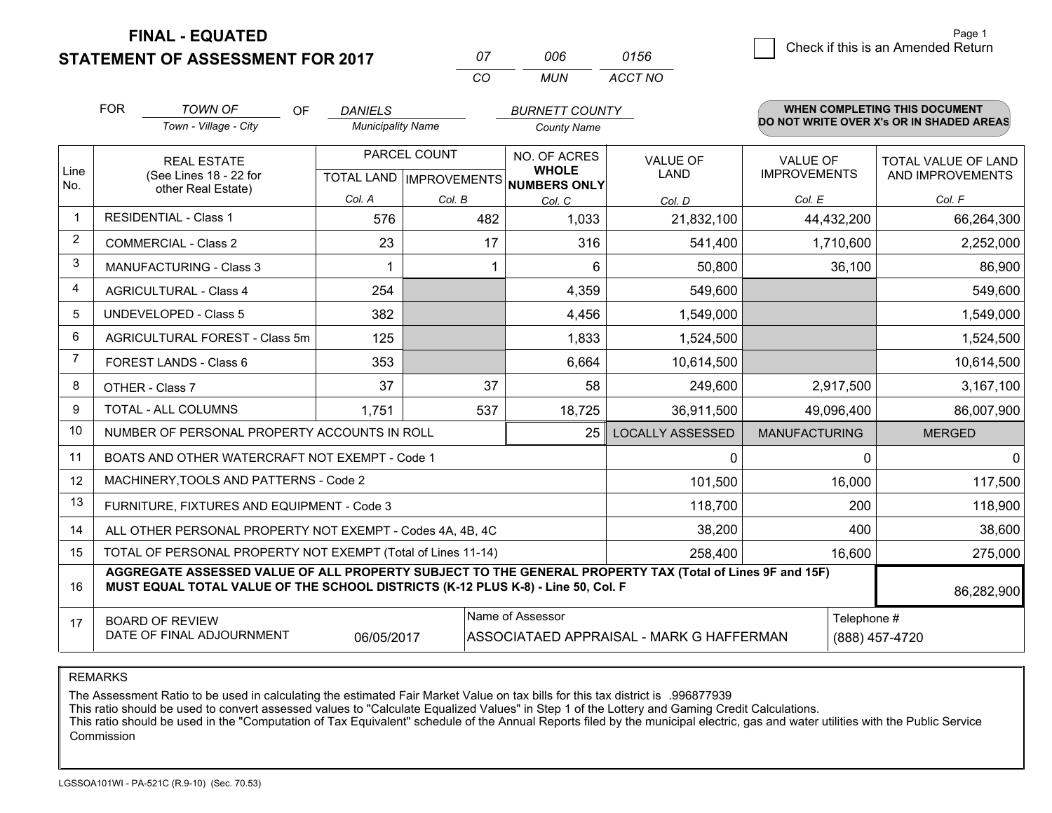**FINAL - EQUATED**

**STATEMENT OF ASSESSMENT FOR 2017** 

| 07  | ററഞ | 0156    |
|-----|-----|---------|
| CO. | MUN | ACCT NO |

|                | <b>FOR</b>                                                                                                                                                                                   | <b>TOWN OF</b><br><b>OF</b>                                  | <b>DANIELS</b>                            |        | <b>BURNETT COUNTY</b>                               |                                |                                        |             | WHEN COMPLETING THIS DOCUMENT                  |
|----------------|----------------------------------------------------------------------------------------------------------------------------------------------------------------------------------------------|--------------------------------------------------------------|-------------------------------------------|--------|-----------------------------------------------------|--------------------------------|----------------------------------------|-------------|------------------------------------------------|
|                |                                                                                                                                                                                              | Town - Village - City                                        | <b>Municipality Name</b>                  |        | <b>County Name</b>                                  |                                |                                        |             | DO NOT WRITE OVER X's OR IN SHADED AREAS       |
| Line<br>No.    | <b>REAL ESTATE</b><br>(See Lines 18 - 22 for                                                                                                                                                 |                                                              | PARCEL COUNT<br>TOTAL LAND   IMPROVEMENTS |        | NO. OF ACRES<br><b>WHOLE</b><br><b>NUMBERS ONLY</b> | <b>VALUE OF</b><br><b>LAND</b> | <b>VALUE OF</b><br><b>IMPROVEMENTS</b> |             | <b>TOTAL VALUE OF LAND</b><br>AND IMPROVEMENTS |
|                |                                                                                                                                                                                              | other Real Estate)                                           | Col. A                                    | Col. B | Col. C                                              | Col. D                         | Col. E                                 |             | Col. F                                         |
| -1             |                                                                                                                                                                                              | <b>RESIDENTIAL - Class 1</b>                                 | 576                                       | 482    | 1,033                                               | 21,832,100                     | 44,432,200                             |             | 66,264,300                                     |
| 2              |                                                                                                                                                                                              | <b>COMMERCIAL - Class 2</b>                                  | 23                                        | 17     | 316                                                 | 541,400                        | 1,710,600                              |             | 2,252,000                                      |
| 3              |                                                                                                                                                                                              | <b>MANUFACTURING - Class 3</b>                               |                                           |        | 6                                                   | 50,800                         |                                        | 36,100      | 86,900                                         |
| 4              |                                                                                                                                                                                              | <b>AGRICULTURAL - Class 4</b>                                | 254                                       |        | 4,359                                               | 549,600                        |                                        |             | 549,600                                        |
| 5              |                                                                                                                                                                                              | <b>UNDEVELOPED - Class 5</b>                                 | 382                                       |        | 4,456                                               | 1,549,000                      |                                        |             | 1,549,000                                      |
| 6              |                                                                                                                                                                                              | AGRICULTURAL FOREST - Class 5m                               | 125                                       |        | 1,833                                               | 1,524,500                      |                                        |             | 1,524,500                                      |
| $\overline{7}$ |                                                                                                                                                                                              | FOREST LANDS - Class 6                                       | 353                                       |        | 6,664                                               | 10,614,500                     |                                        |             | 10,614,500                                     |
| 8              |                                                                                                                                                                                              | OTHER - Class 7                                              | 37                                        | 37     | 58                                                  | 249,600                        | 2,917,500                              |             | 3,167,100                                      |
| 9              |                                                                                                                                                                                              | TOTAL - ALL COLUMNS                                          | 1,751                                     | 537    | 18,725                                              | 36,911,500                     | 49,096,400                             |             | 86,007,900                                     |
| 10             |                                                                                                                                                                                              | NUMBER OF PERSONAL PROPERTY ACCOUNTS IN ROLL                 |                                           |        | 25                                                  | <b>LOCALLY ASSESSED</b>        | <b>MANUFACTURING</b>                   |             | <b>MERGED</b>                                  |
| 11             |                                                                                                                                                                                              | BOATS AND OTHER WATERCRAFT NOT EXEMPT - Code 1               |                                           |        |                                                     | 0                              |                                        | $\Omega$    | $\mathbf{0}$                                   |
| 12             |                                                                                                                                                                                              | MACHINERY, TOOLS AND PATTERNS - Code 2                       |                                           |        |                                                     | 101,500                        |                                        | 16,000      | 117,500                                        |
| 13             |                                                                                                                                                                                              | FURNITURE, FIXTURES AND EQUIPMENT - Code 3                   |                                           |        |                                                     | 118,700                        |                                        | 200         | 118,900                                        |
| 14             |                                                                                                                                                                                              | ALL OTHER PERSONAL PROPERTY NOT EXEMPT - Codes 4A, 4B, 4C    |                                           |        |                                                     | 38,200                         |                                        | 400         | 38,600                                         |
| 15             |                                                                                                                                                                                              | TOTAL OF PERSONAL PROPERTY NOT EXEMPT (Total of Lines 11-14) |                                           |        | 258,400                                             |                                | 16,600                                 | 275,000     |                                                |
| 16             | AGGREGATE ASSESSED VALUE OF ALL PROPERTY SUBJECT TO THE GENERAL PROPERTY TAX (Total of Lines 9F and 15F)<br>MUST EQUAL TOTAL VALUE OF THE SCHOOL DISTRICTS (K-12 PLUS K-8) - Line 50, Col. F |                                                              |                                           |        |                                                     |                                |                                        | 86,282,900  |                                                |
| 17             | Name of Assessor<br><b>BOARD OF REVIEW</b><br>DATE OF FINAL ADJOURNMENT<br>06/05/2017<br>ASSOCIATAED APPRAISAL - MARK G HAFFERMAN                                                            |                                                              |                                           |        |                                                     |                                |                                        | Telephone # | (888) 457-4720                                 |

REMARKS

The Assessment Ratio to be used in calculating the estimated Fair Market Value on tax bills for this tax district is .996877939<br>This ratio should be used to convert assessed values to "Calculate Equalized Values" in Step 1 Commission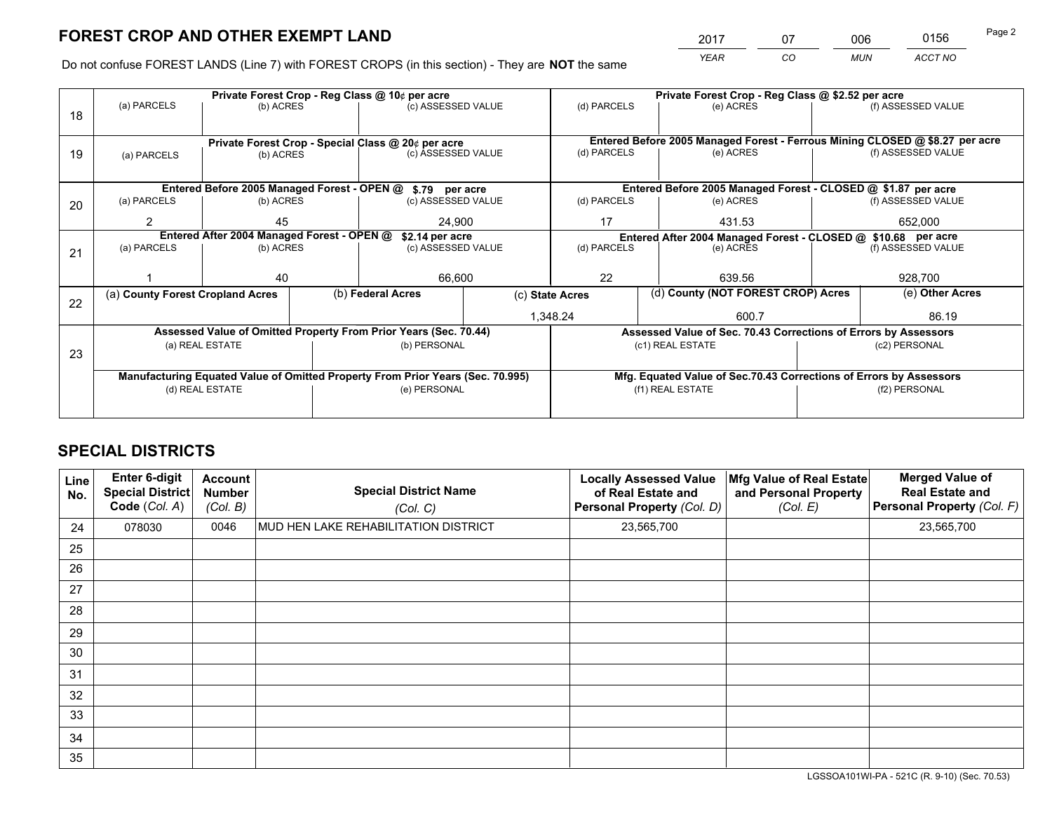*YEAR CO MUN ACCT NO* <sup>2017</sup> <sup>07</sup> <sup>006</sup> <sup>0156</sup> Page 2

Do not confuse FOREST LANDS (Line 7) with FOREST CROPS (in this section) - They are **NOT** the same

|    | Private Forest Crop - Reg Class @ 10¢ per acre                                 |                 |                                                    |                                                                  |                                                               | Private Forest Crop - Reg Class @ \$2.52 per acre |                                                                    |         |                                                                              |  |
|----|--------------------------------------------------------------------------------|-----------------|----------------------------------------------------|------------------------------------------------------------------|---------------------------------------------------------------|---------------------------------------------------|--------------------------------------------------------------------|---------|------------------------------------------------------------------------------|--|
| 18 | (a) PARCELS                                                                    | (b) ACRES       |                                                    | (c) ASSESSED VALUE                                               |                                                               | (d) PARCELS                                       | (e) ACRES                                                          |         | (f) ASSESSED VALUE                                                           |  |
|    |                                                                                |                 |                                                    |                                                                  |                                                               |                                                   |                                                                    |         |                                                                              |  |
|    |                                                                                |                 | Private Forest Crop - Special Class @ 20¢ per acre |                                                                  |                                                               |                                                   |                                                                    |         | Entered Before 2005 Managed Forest - Ferrous Mining CLOSED @ \$8.27 per acre |  |
| 19 | (a) PARCELS                                                                    | (b) ACRES       |                                                    | (c) ASSESSED VALUE                                               |                                                               | (d) PARCELS                                       | (e) ACRES                                                          |         | (f) ASSESSED VALUE                                                           |  |
|    |                                                                                |                 |                                                    |                                                                  |                                                               |                                                   |                                                                    |         |                                                                              |  |
|    | Entered Before 2005 Managed Forest - OPEN @ \$.79 per acre                     |                 |                                                    |                                                                  |                                                               |                                                   | Entered Before 2005 Managed Forest - CLOSED @ \$1.87 per acre      |         |                                                                              |  |
| 20 | (a) PARCELS                                                                    | (b) ACRES       |                                                    | (c) ASSESSED VALUE                                               |                                                               | (d) PARCELS                                       | (e) ACRES                                                          |         | (f) ASSESSED VALUE                                                           |  |
|    | 2                                                                              | 45              |                                                    | 24,900                                                           |                                                               | 17                                                | 431.53                                                             | 652,000 |                                                                              |  |
|    | Entered After 2004 Managed Forest - OPEN @<br>\$2.14 per acre                  |                 |                                                    |                                                                  | Entered After 2004 Managed Forest - CLOSED @ \$10.68 per acre |                                                   |                                                                    |         |                                                                              |  |
| 21 | (a) PARCELS                                                                    | (b) ACRES       |                                                    | (c) ASSESSED VALUE                                               |                                                               | (d) PARCELS                                       | (e) ACRES                                                          |         | (f) ASSESSED VALUE                                                           |  |
|    |                                                                                |                 |                                                    |                                                                  |                                                               |                                                   |                                                                    |         |                                                                              |  |
|    |                                                                                | 40              |                                                    | 66,600                                                           |                                                               | 22                                                | 639.56                                                             |         | 928,700                                                                      |  |
|    | (a) County Forest Cropland Acres                                               |                 |                                                    | (b) Federal Acres                                                |                                                               | (c) State Acres                                   | (d) County (NOT FOREST CROP) Acres                                 |         | (e) Other Acres                                                              |  |
| 22 |                                                                                |                 |                                                    |                                                                  |                                                               | 1,348.24                                          | 600.7                                                              |         | 86.19                                                                        |  |
|    |                                                                                |                 |                                                    | Assessed Value of Omitted Property From Prior Years (Sec. 70.44) |                                                               |                                                   | Assessed Value of Sec. 70.43 Corrections of Errors by Assessors    |         |                                                                              |  |
|    |                                                                                | (a) REAL ESTATE |                                                    | (b) PERSONAL                                                     |                                                               |                                                   | (c1) REAL ESTATE                                                   |         | (c2) PERSONAL                                                                |  |
| 23 |                                                                                |                 |                                                    |                                                                  |                                                               |                                                   |                                                                    |         |                                                                              |  |
|    | Manufacturing Equated Value of Omitted Property From Prior Years (Sec. 70.995) |                 |                                                    |                                                                  |                                                               |                                                   | Mfg. Equated Value of Sec.70.43 Corrections of Errors by Assessors |         |                                                                              |  |
|    | (d) REAL ESTATE                                                                |                 |                                                    | (e) PERSONAL                                                     |                                                               |                                                   | (f1) REAL ESTATE                                                   |         | (f2) PERSONAL                                                                |  |
|    |                                                                                |                 |                                                    |                                                                  |                                                               |                                                   |                                                                    |         |                                                                              |  |

## **SPECIAL DISTRICTS**

| Line<br>No. | Enter 6-digit<br>Special District<br>Code (Col. A) | <b>Account</b><br><b>Number</b><br>(Col. B) | <b>Special District Name</b><br>(Col. C) | <b>Locally Assessed Value</b><br>of Real Estate and<br>Personal Property (Col. D) | Mfg Value of Real Estate<br>and Personal Property<br>(Col. E) | <b>Merged Value of</b><br><b>Real Estate and</b><br>Personal Property (Col. F) |
|-------------|----------------------------------------------------|---------------------------------------------|------------------------------------------|-----------------------------------------------------------------------------------|---------------------------------------------------------------|--------------------------------------------------------------------------------|
| 24          | 078030                                             | 0046                                        | MUD HEN LAKE REHABILITATION DISTRICT     | 23,565,700                                                                        |                                                               | 23,565,700                                                                     |
| 25          |                                                    |                                             |                                          |                                                                                   |                                                               |                                                                                |
| 26          |                                                    |                                             |                                          |                                                                                   |                                                               |                                                                                |
| 27          |                                                    |                                             |                                          |                                                                                   |                                                               |                                                                                |
| 28          |                                                    |                                             |                                          |                                                                                   |                                                               |                                                                                |
| 29          |                                                    |                                             |                                          |                                                                                   |                                                               |                                                                                |
| 30          |                                                    |                                             |                                          |                                                                                   |                                                               |                                                                                |
| 31          |                                                    |                                             |                                          |                                                                                   |                                                               |                                                                                |
| 32          |                                                    |                                             |                                          |                                                                                   |                                                               |                                                                                |
| 33          |                                                    |                                             |                                          |                                                                                   |                                                               |                                                                                |
| 34          |                                                    |                                             |                                          |                                                                                   |                                                               |                                                                                |
| 35          |                                                    |                                             |                                          |                                                                                   |                                                               |                                                                                |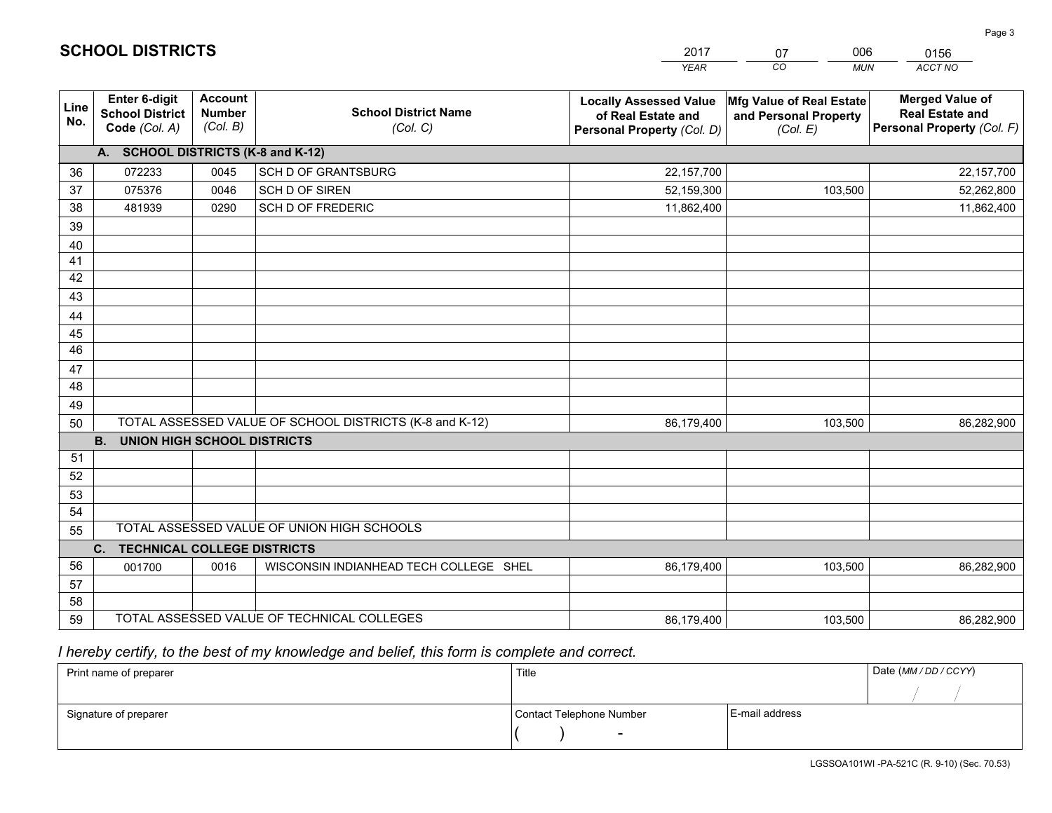|             |                                                                 |                                             |                                                         | <b>YEAR</b>                                                                       | CO<br><b>MUN</b>                                              | ACCT NO                                                                        |
|-------------|-----------------------------------------------------------------|---------------------------------------------|---------------------------------------------------------|-----------------------------------------------------------------------------------|---------------------------------------------------------------|--------------------------------------------------------------------------------|
| Line<br>No. | <b>Enter 6-digit</b><br><b>School District</b><br>Code (Col. A) | <b>Account</b><br><b>Number</b><br>(Col. B) | <b>School District Name</b><br>(Col. C)                 | <b>Locally Assessed Value</b><br>of Real Estate and<br>Personal Property (Col. D) | Mfg Value of Real Estate<br>and Personal Property<br>(Col. E) | <b>Merged Value of</b><br><b>Real Estate and</b><br>Personal Property (Col. F) |
|             | A. SCHOOL DISTRICTS (K-8 and K-12)                              |                                             |                                                         |                                                                                   |                                                               |                                                                                |
| 36          | 072233                                                          | 0045                                        | <b>SCH D OF GRANTSBURG</b>                              | 22,157,700                                                                        |                                                               | 22,157,700                                                                     |
| 37          | 075376                                                          | 0046                                        | SCH D OF SIREN                                          | 52,159,300                                                                        | 103,500                                                       | 52,262,800                                                                     |
| 38          | 481939                                                          | 0290                                        | <b>SCH D OF FREDERIC</b>                                | 11,862,400                                                                        |                                                               | 11,862,400                                                                     |
| 39          |                                                                 |                                             |                                                         |                                                                                   |                                                               |                                                                                |
| 40          |                                                                 |                                             |                                                         |                                                                                   |                                                               |                                                                                |
| 41          |                                                                 |                                             |                                                         |                                                                                   |                                                               |                                                                                |
| 42          |                                                                 |                                             |                                                         |                                                                                   |                                                               |                                                                                |
| 43          |                                                                 |                                             |                                                         |                                                                                   |                                                               |                                                                                |
| 44          |                                                                 |                                             |                                                         |                                                                                   |                                                               |                                                                                |
| 45          |                                                                 |                                             |                                                         |                                                                                   |                                                               |                                                                                |
| 46          |                                                                 |                                             |                                                         |                                                                                   |                                                               |                                                                                |
| 47          |                                                                 |                                             |                                                         |                                                                                   |                                                               |                                                                                |
| 48          |                                                                 |                                             |                                                         |                                                                                   |                                                               |                                                                                |
| 49          |                                                                 |                                             | TOTAL ASSESSED VALUE OF SCHOOL DISTRICTS (K-8 and K-12) |                                                                                   |                                                               |                                                                                |
| 50          | <b>B.</b><br>UNION HIGH SCHOOL DISTRICTS                        |                                             |                                                         | 86,179,400                                                                        | 103,500                                                       | 86,282,900                                                                     |
| 51          |                                                                 |                                             |                                                         |                                                                                   |                                                               |                                                                                |
| 52          |                                                                 |                                             |                                                         |                                                                                   |                                                               |                                                                                |
| 53          |                                                                 |                                             |                                                         |                                                                                   |                                                               |                                                                                |
| 54          |                                                                 |                                             |                                                         |                                                                                   |                                                               |                                                                                |
| 55          |                                                                 |                                             | TOTAL ASSESSED VALUE OF UNION HIGH SCHOOLS              |                                                                                   |                                                               |                                                                                |
|             | C.<br><b>TECHNICAL COLLEGE DISTRICTS</b>                        |                                             |                                                         |                                                                                   |                                                               |                                                                                |
| 56          | 001700                                                          | 0016                                        | WISCONSIN INDIANHEAD TECH COLLEGE SHEL                  | 86,179,400                                                                        | 103,500                                                       | 86,282,900                                                                     |
| 57          |                                                                 |                                             |                                                         |                                                                                   |                                                               |                                                                                |
| 58          |                                                                 |                                             |                                                         |                                                                                   |                                                               |                                                                                |
| 59          |                                                                 |                                             | TOTAL ASSESSED VALUE OF TECHNICAL COLLEGES              | 86,179,400                                                                        | 103,500                                                       | 86,282,900                                                                     |

2017

07

006

 *I hereby certify, to the best of my knowledge and belief, this form is complete and correct.*

**SCHOOL DISTRICTS**

| Print name of preparer | Title                    |                | Date (MM / DD / CCYY) |
|------------------------|--------------------------|----------------|-----------------------|
|                        |                          |                |                       |
| Signature of preparer  | Contact Telephone Number | E-mail address |                       |
|                        | $\sim$                   |                |                       |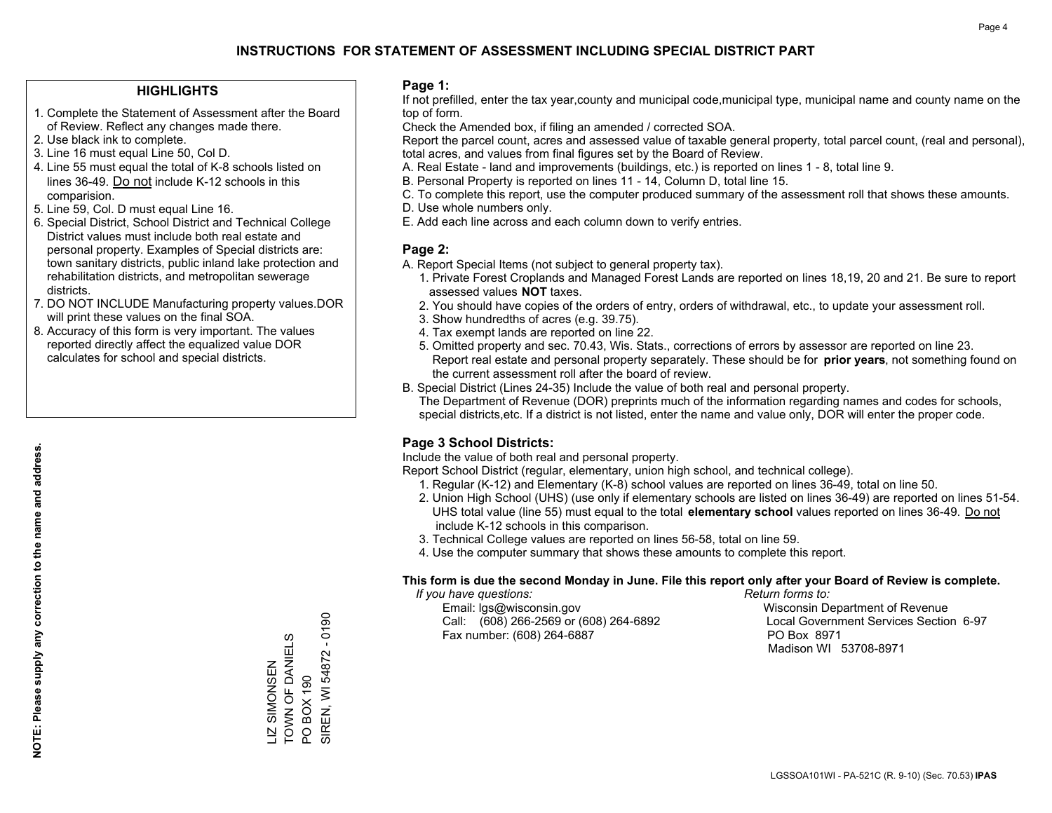### **HIGHLIGHTS**

- 1. Complete the Statement of Assessment after the Board of Review. Reflect any changes made there.
- 2. Use black ink to complete.
- 3. Line 16 must equal Line 50, Col D.
- 4. Line 55 must equal the total of K-8 schools listed on lines 36-49. Do not include K-12 schools in this comparision.
- 5. Line 59, Col. D must equal Line 16.
- 6. Special District, School District and Technical College District values must include both real estate and personal property. Examples of Special districts are: town sanitary districts, public inland lake protection and rehabilitation districts, and metropolitan sewerage districts.
- 7. DO NOT INCLUDE Manufacturing property values.DOR will print these values on the final SOA.
- 8. Accuracy of this form is very important. The values reported directly affect the equalized value DOR calculates for school and special districts.

### **Page 1:**

 If not prefilled, enter the tax year,county and municipal code,municipal type, municipal name and county name on the top of form.

Check the Amended box, if filing an amended / corrected SOA.

 Report the parcel count, acres and assessed value of taxable general property, total parcel count, (real and personal), total acres, and values from final figures set by the Board of Review.

- A. Real Estate land and improvements (buildings, etc.) is reported on lines 1 8, total line 9.
- B. Personal Property is reported on lines 11 14, Column D, total line 15.
- C. To complete this report, use the computer produced summary of the assessment roll that shows these amounts.
- D. Use whole numbers only.
- E. Add each line across and each column down to verify entries.

### **Page 2:**

- A. Report Special Items (not subject to general property tax).
- 1. Private Forest Croplands and Managed Forest Lands are reported on lines 18,19, 20 and 21. Be sure to report assessed values **NOT** taxes.
- 2. You should have copies of the orders of entry, orders of withdrawal, etc., to update your assessment roll.
	- 3. Show hundredths of acres (e.g. 39.75).
- 4. Tax exempt lands are reported on line 22.
- 5. Omitted property and sec. 70.43, Wis. Stats., corrections of errors by assessor are reported on line 23. Report real estate and personal property separately. These should be for **prior years**, not something found on the current assessment roll after the board of review.
- B. Special District (Lines 24-35) Include the value of both real and personal property.
- The Department of Revenue (DOR) preprints much of the information regarding names and codes for schools, special districts,etc. If a district is not listed, enter the name and value only, DOR will enter the proper code.

## **Page 3 School Districts:**

Include the value of both real and personal property.

Report School District (regular, elementary, union high school, and technical college).

- 1. Regular (K-12) and Elementary (K-8) school values are reported on lines 36-49, total on line 50.
- 2. Union High School (UHS) (use only if elementary schools are listed on lines 36-49) are reported on lines 51-54. UHS total value (line 55) must equal to the total **elementary school** values reported on lines 36-49. Do notinclude K-12 schools in this comparison.
- 3. Technical College values are reported on lines 56-58, total on line 59.
- 4. Use the computer summary that shows these amounts to complete this report.

#### **This form is due the second Monday in June. File this report only after your Board of Review is complete.**

 *If you have questions: Return forms to:*

 Email: lgs@wisconsin.gov Wisconsin Department of RevenueCall:  $(608)$  266-2569 or  $(608)$  264-6892 Fax number: (608) 264-6887 PO Box 8971

Local Government Services Section 6-97 Madison WI 53708-8971

 $-0190$ SIREN, WI 54872 - 0190 TOWN OF DANIELS ELS SIREN, WI 54872 LIZ SIMONSEN<br>TOWN OF DANIE LIZ SIMONSEN PO BOX 190 PO BOX 190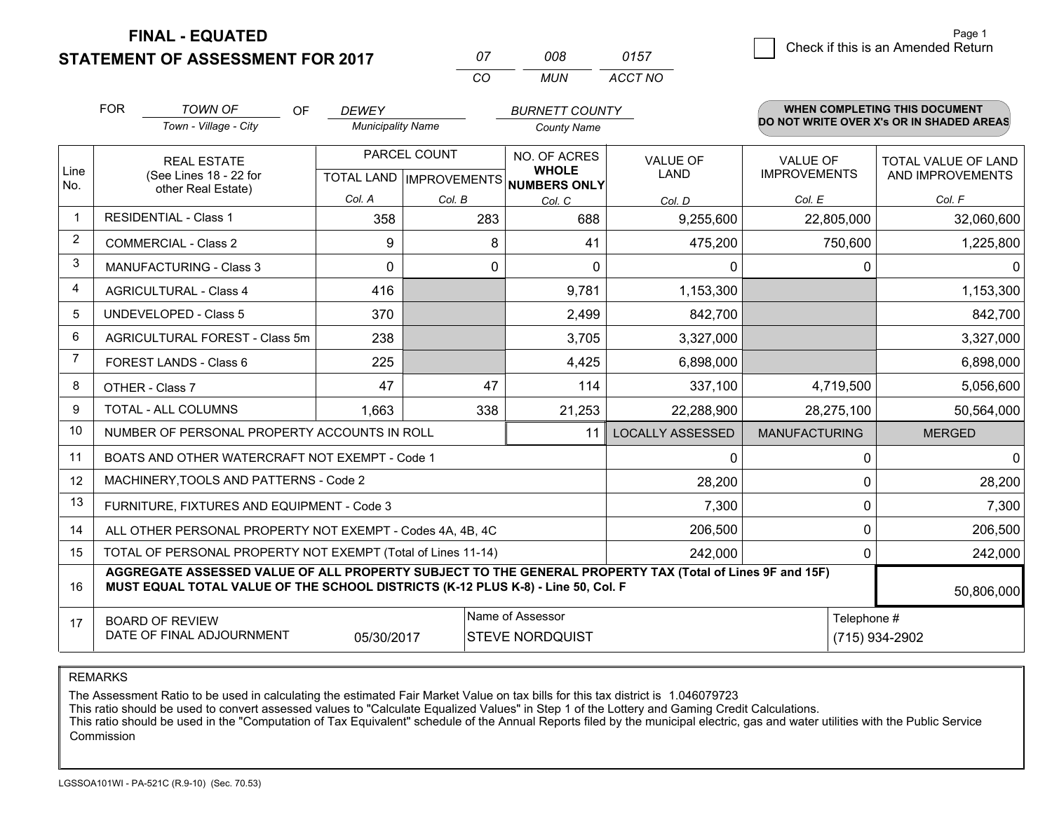**FINAL - EQUATED**

**STATEMENT OF ASSESSMENT FOR 2017** 

| $^{\prime\prime}$ | nnr  | 0157    |
|-------------------|------|---------|
| $\cdots$          | MUN. | ACCT NO |

|                | <b>FOR</b>                                                                                                                                                                                   | TOWN OF<br><b>OF</b>                                      | <b>DEWEY</b>                                   |          | <b>BURNETT COUNTY</b>                               |                         |                                        | WHEN COMPLETING THIS DOCUMENT            |
|----------------|----------------------------------------------------------------------------------------------------------------------------------------------------------------------------------------------|-----------------------------------------------------------|------------------------------------------------|----------|-----------------------------------------------------|-------------------------|----------------------------------------|------------------------------------------|
|                |                                                                                                                                                                                              | Town - Village - City                                     | <b>Municipality Name</b>                       |          | <b>County Name</b>                                  |                         |                                        | DO NOT WRITE OVER X's OR IN SHADED AREAS |
| Line<br>No.    |                                                                                                                                                                                              | <b>REAL ESTATE</b><br>(See Lines 18 - 22 for              | PARCEL COUNT<br><b>TOTAL LAND IMPROVEMENTS</b> |          | NO. OF ACRES<br><b>WHOLE</b><br><b>NUMBERS ONLY</b> | VALUE OF<br><b>LAND</b> | <b>VALUE OF</b><br><b>IMPROVEMENTS</b> | TOTAL VALUE OF LAND<br>AND IMPROVEMENTS  |
|                |                                                                                                                                                                                              | other Real Estate)                                        | Col. A                                         | Col. B   | Col. C                                              | Col. D                  | Col. E                                 | Col. F                                   |
| -1             |                                                                                                                                                                                              | <b>RESIDENTIAL - Class 1</b>                              | 358                                            | 283      | 688                                                 | 9,255,600               | 22,805,000                             | 32,060,600                               |
| 2              |                                                                                                                                                                                              | <b>COMMERCIAL - Class 2</b>                               | 9                                              | 8        | 41                                                  | 475,200                 | 750,600                                | 1,225,800                                |
| 3              |                                                                                                                                                                                              | <b>MANUFACTURING - Class 3</b>                            | $\Omega$                                       | $\Omega$ | $\Omega$                                            | 0                       |                                        | $\Omega$<br>0                            |
| 4              |                                                                                                                                                                                              | <b>AGRICULTURAL - Class 4</b>                             | 416                                            |          | 9,781                                               | 1,153,300               |                                        | 1,153,300                                |
| 5              |                                                                                                                                                                                              | <b>UNDEVELOPED - Class 5</b>                              | 370                                            |          | 2,499                                               | 842,700                 |                                        | 842,700                                  |
| 6              |                                                                                                                                                                                              | AGRICULTURAL FOREST - Class 5m                            | 238                                            |          | 3,705                                               | 3,327,000               |                                        | 3,327,000                                |
| $\overline{7}$ |                                                                                                                                                                                              | FOREST LANDS - Class 6                                    | 225                                            |          | 4,425                                               | 6,898,000               |                                        | 6,898,000                                |
| 8              |                                                                                                                                                                                              | OTHER - Class 7                                           | 47                                             | 47       | 114                                                 | 337,100                 | 4,719,500                              | 5,056,600                                |
| 9              |                                                                                                                                                                                              | TOTAL - ALL COLUMNS                                       | 1,663                                          | 338      | 21,253                                              | 22,288,900              | 28,275,100                             | 50,564,000                               |
| 10             |                                                                                                                                                                                              | NUMBER OF PERSONAL PROPERTY ACCOUNTS IN ROLL              |                                                |          | 11                                                  | <b>LOCALLY ASSESSED</b> | <b>MANUFACTURING</b>                   | <b>MERGED</b>                            |
| 11             |                                                                                                                                                                                              | BOATS AND OTHER WATERCRAFT NOT EXEMPT - Code 1            |                                                |          |                                                     | $\Omega$                |                                        | $\Omega$<br>0                            |
| 12             |                                                                                                                                                                                              | MACHINERY, TOOLS AND PATTERNS - Code 2                    |                                                |          |                                                     | 28,200                  |                                        | 28,200<br>0                              |
| 13             |                                                                                                                                                                                              | FURNITURE, FIXTURES AND EQUIPMENT - Code 3                |                                                |          |                                                     | 7,300                   |                                        | 0<br>7,300                               |
| 14             |                                                                                                                                                                                              | ALL OTHER PERSONAL PROPERTY NOT EXEMPT - Codes 4A, 4B, 4C |                                                |          |                                                     | 206,500                 |                                        | $\Omega$<br>206,500                      |
| 15             | TOTAL OF PERSONAL PROPERTY NOT EXEMPT (Total of Lines 11-14)                                                                                                                                 | 242,000<br>$\mathbf{0}$                                   |                                                |          |                                                     |                         |                                        |                                          |
| 16             | AGGREGATE ASSESSED VALUE OF ALL PROPERTY SUBJECT TO THE GENERAL PROPERTY TAX (Total of Lines 9F and 15F)<br>MUST EQUAL TOTAL VALUE OF THE SCHOOL DISTRICTS (K-12 PLUS K-8) - Line 50, Col. F |                                                           |                                                |          |                                                     |                         |                                        | 50,806,000                               |
| 17             | Name of Assessor<br><b>BOARD OF REVIEW</b><br>DATE OF FINAL ADJOURNMENT<br>05/30/2017<br><b>STEVE NORDQUIST</b>                                                                              |                                                           |                                                |          |                                                     |                         | Telephone #<br>(715) 934-2902          |                                          |

REMARKS

The Assessment Ratio to be used in calculating the estimated Fair Market Value on tax bills for this tax district is 1.046079723<br>This ratio should be used to convert assessed values to "Calculate Equalized Values" in Step Commission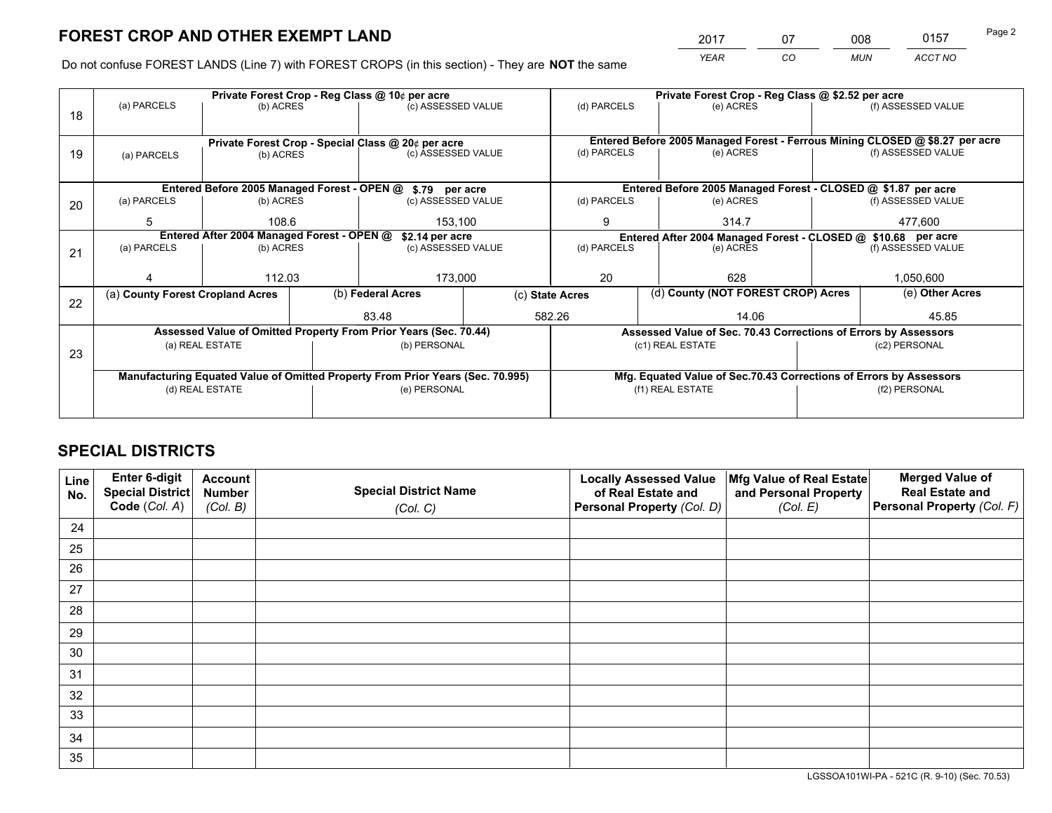*YEAR CO MUN ACCT NO* <sup>2017</sup> <sup>07</sup> <sup>008</sup> <sup>0157</sup> Page 2

Do not confuse FOREST LANDS (Line 7) with FOREST CROPS (in this section) - They are **NOT** the same

|    |                                                                                |                 |  | Private Forest Crop - Reg Class @ 10¢ per acre                   |  | Private Forest Crop - Reg Class @ \$2.52 per acre             |                  |                                                                    |               |                                                                              |  |
|----|--------------------------------------------------------------------------------|-----------------|--|------------------------------------------------------------------|--|---------------------------------------------------------------|------------------|--------------------------------------------------------------------|---------------|------------------------------------------------------------------------------|--|
| 18 | (a) PARCELS                                                                    | (b) ACRES       |  | (c) ASSESSED VALUE                                               |  | (d) PARCELS                                                   |                  | (e) ACRES                                                          |               | (f) ASSESSED VALUE                                                           |  |
|    |                                                                                |                 |  | Private Forest Crop - Special Class @ 20¢ per acre               |  |                                                               |                  |                                                                    |               | Entered Before 2005 Managed Forest - Ferrous Mining CLOSED @ \$8.27 per acre |  |
| 19 | (a) PARCELS                                                                    | (b) ACRES       |  | (c) ASSESSED VALUE                                               |  | (d) PARCELS                                                   |                  | (e) ACRES                                                          |               | (f) ASSESSED VALUE                                                           |  |
|    |                                                                                |                 |  | Entered Before 2005 Managed Forest - OPEN @ \$.79 per acre       |  | Entered Before 2005 Managed Forest - CLOSED @ \$1.87 per acre |                  |                                                                    |               |                                                                              |  |
|    | (a) PARCELS                                                                    | (b) ACRES       |  | (c) ASSESSED VALUE                                               |  | (d) PARCELS                                                   |                  | (e) ACRES                                                          |               | (f) ASSESSED VALUE                                                           |  |
| 20 |                                                                                |                 |  |                                                                  |  |                                                               |                  |                                                                    |               |                                                                              |  |
|    | 5                                                                              | 108.6           |  | 153,100                                                          |  | 9                                                             |                  | 314.7                                                              | 477,600       |                                                                              |  |
|    | Entered After 2004 Managed Forest - OPEN @<br>\$2.14 per acre                  |                 |  |                                                                  |  | Entered After 2004 Managed Forest - CLOSED @ \$10.68 per acre |                  |                                                                    |               |                                                                              |  |
| 21 | (a) PARCELS                                                                    | (b) ACRES       |  | (c) ASSESSED VALUE                                               |  | (d) PARCELS                                                   |                  | (e) ACRES                                                          |               | (f) ASSESSED VALUE                                                           |  |
|    |                                                                                |                 |  |                                                                  |  |                                                               |                  |                                                                    |               |                                                                              |  |
|    |                                                                                | 112.03          |  | 173,000                                                          |  | 20                                                            |                  | 628                                                                |               | 1,050,600                                                                    |  |
|    | (a) County Forest Cropland Acres                                               |                 |  | (b) Federal Acres                                                |  | (c) State Acres                                               |                  | (d) County (NOT FOREST CROP) Acres                                 |               | (e) Other Acres                                                              |  |
| 22 |                                                                                |                 |  |                                                                  |  |                                                               |                  |                                                                    |               |                                                                              |  |
|    |                                                                                |                 |  | 83.48                                                            |  | 582.26                                                        |                  | 14.06                                                              |               | 45.85                                                                        |  |
|    |                                                                                |                 |  | Assessed Value of Omitted Property From Prior Years (Sec. 70.44) |  |                                                               |                  | Assessed Value of Sec. 70.43 Corrections of Errors by Assessors    |               |                                                                              |  |
| 23 |                                                                                | (a) REAL ESTATE |  | (b) PERSONAL                                                     |  |                                                               | (c1) REAL ESTATE |                                                                    |               | (c2) PERSONAL                                                                |  |
|    |                                                                                |                 |  |                                                                  |  |                                                               |                  |                                                                    |               |                                                                              |  |
|    | Manufacturing Equated Value of Omitted Property From Prior Years (Sec. 70.995) |                 |  |                                                                  |  |                                                               |                  | Mfg. Equated Value of Sec.70.43 Corrections of Errors by Assessors |               |                                                                              |  |
|    | (d) REAL ESTATE                                                                |                 |  | (e) PERSONAL                                                     |  |                                                               | (f1) REAL ESTATE |                                                                    | (f2) PERSONAL |                                                                              |  |
|    |                                                                                |                 |  |                                                                  |  |                                                               |                  |                                                                    |               |                                                                              |  |
|    |                                                                                |                 |  |                                                                  |  |                                                               |                  |                                                                    |               |                                                                              |  |

## **SPECIAL DISTRICTS**

| Line<br>No. | Enter 6-digit<br>Special District<br>Code (Col. A) | <b>Account</b><br><b>Number</b> | <b>Special District Name</b> | <b>Locally Assessed Value</b><br>of Real Estate and | Mfg Value of Real Estate<br>and Personal Property | <b>Merged Value of</b><br><b>Real Estate and</b><br>Personal Property (Col. F) |
|-------------|----------------------------------------------------|---------------------------------|------------------------------|-----------------------------------------------------|---------------------------------------------------|--------------------------------------------------------------------------------|
|             |                                                    | (Col. B)                        | (Col. C)                     | Personal Property (Col. D)                          | (Col. E)                                          |                                                                                |
| 24          |                                                    |                                 |                              |                                                     |                                                   |                                                                                |
| 25          |                                                    |                                 |                              |                                                     |                                                   |                                                                                |
| 26          |                                                    |                                 |                              |                                                     |                                                   |                                                                                |
| 27          |                                                    |                                 |                              |                                                     |                                                   |                                                                                |
| 28          |                                                    |                                 |                              |                                                     |                                                   |                                                                                |
| 29          |                                                    |                                 |                              |                                                     |                                                   |                                                                                |
| 30          |                                                    |                                 |                              |                                                     |                                                   |                                                                                |
| 31          |                                                    |                                 |                              |                                                     |                                                   |                                                                                |
| 32          |                                                    |                                 |                              |                                                     |                                                   |                                                                                |
| 33          |                                                    |                                 |                              |                                                     |                                                   |                                                                                |
| 34          |                                                    |                                 |                              |                                                     |                                                   |                                                                                |
| 35          |                                                    |                                 |                              |                                                     |                                                   |                                                                                |

LGSSOA101WI-PA - 521C (R. 9-10) (Sec. 70.53)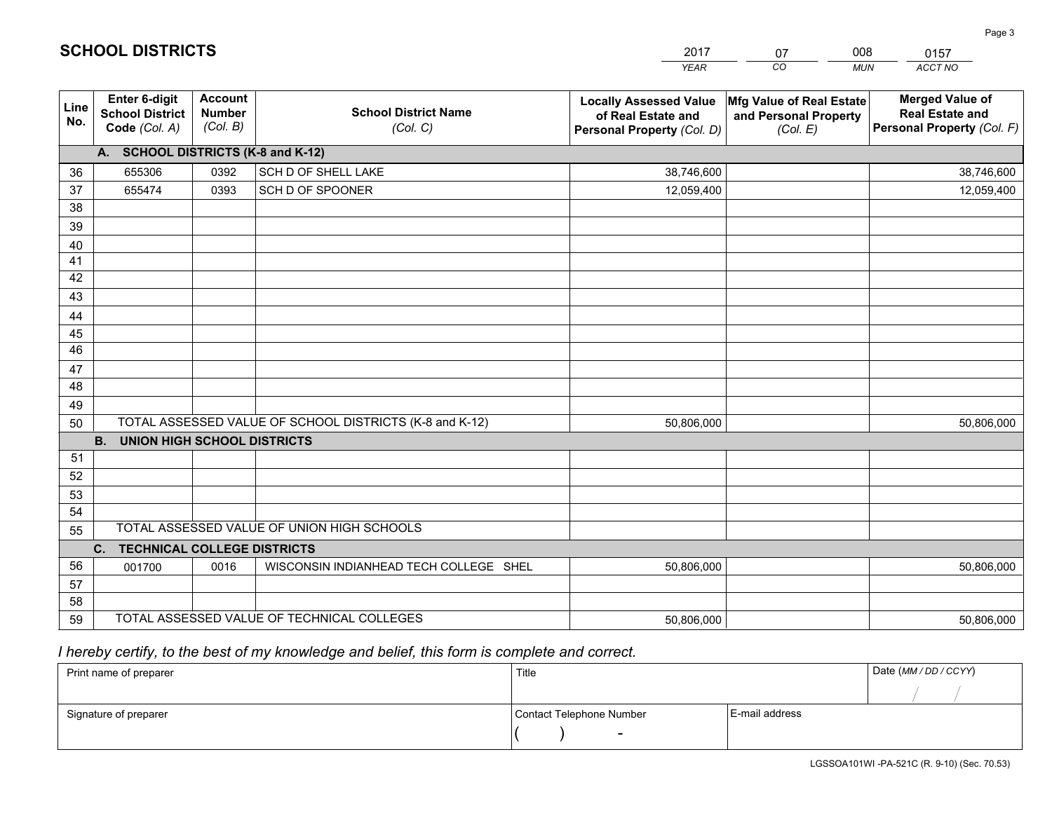|             |                                                          |                                             |                                                         | YEAR                                                                              | CO.<br><b>MUN</b>                                             | ACCT NO                                                                        |
|-------------|----------------------------------------------------------|---------------------------------------------|---------------------------------------------------------|-----------------------------------------------------------------------------------|---------------------------------------------------------------|--------------------------------------------------------------------------------|
| Line<br>No. | Enter 6-digit<br><b>School District</b><br>Code (Col. A) | <b>Account</b><br><b>Number</b><br>(Col. B) | <b>School District Name</b><br>(Col. C)                 | <b>Locally Assessed Value</b><br>of Real Estate and<br>Personal Property (Col. D) | Mfg Value of Real Estate<br>and Personal Property<br>(Col. E) | <b>Merged Value of</b><br><b>Real Estate and</b><br>Personal Property (Col. F) |
|             | A. SCHOOL DISTRICTS (K-8 and K-12)                       |                                             |                                                         |                                                                                   |                                                               |                                                                                |
| 36          | 655306                                                   | 0392                                        | <b>SCH D OF SHELL LAKE</b>                              | 38,746,600                                                                        |                                                               | 38,746,600                                                                     |
| 37          | 655474                                                   | 0393                                        | SCH D OF SPOONER                                        | 12,059,400                                                                        |                                                               | 12,059,400                                                                     |
| 38          |                                                          |                                             |                                                         |                                                                                   |                                                               |                                                                                |
| 39          |                                                          |                                             |                                                         |                                                                                   |                                                               |                                                                                |
| 40          |                                                          |                                             |                                                         |                                                                                   |                                                               |                                                                                |
| 41          |                                                          |                                             |                                                         |                                                                                   |                                                               |                                                                                |
| 42          |                                                          |                                             |                                                         |                                                                                   |                                                               |                                                                                |
| 43          |                                                          |                                             |                                                         |                                                                                   |                                                               |                                                                                |
| 44          |                                                          |                                             |                                                         |                                                                                   |                                                               |                                                                                |
| 45          |                                                          |                                             |                                                         |                                                                                   |                                                               |                                                                                |
| 46          |                                                          |                                             |                                                         |                                                                                   |                                                               |                                                                                |
| 47          |                                                          |                                             |                                                         |                                                                                   |                                                               |                                                                                |
| 48          |                                                          |                                             |                                                         |                                                                                   |                                                               |                                                                                |
| 49          |                                                          |                                             | TOTAL ASSESSED VALUE OF SCHOOL DISTRICTS (K-8 and K-12) |                                                                                   |                                                               |                                                                                |
| 50          | <b>B.</b><br><b>UNION HIGH SCHOOL DISTRICTS</b>          |                                             |                                                         | 50,806,000                                                                        |                                                               | 50,806,000                                                                     |
| 51          |                                                          |                                             |                                                         |                                                                                   |                                                               |                                                                                |
| 52          |                                                          |                                             |                                                         |                                                                                   |                                                               |                                                                                |
| 53          |                                                          |                                             |                                                         |                                                                                   |                                                               |                                                                                |
| 54          |                                                          |                                             |                                                         |                                                                                   |                                                               |                                                                                |
| 55          |                                                          |                                             | TOTAL ASSESSED VALUE OF UNION HIGH SCHOOLS              |                                                                                   |                                                               |                                                                                |
|             | $C_{1}$<br><b>TECHNICAL COLLEGE DISTRICTS</b>            |                                             |                                                         |                                                                                   |                                                               |                                                                                |
| 56          | 001700                                                   | 0016                                        | WISCONSIN INDIANHEAD TECH COLLEGE SHEL                  | 50,806,000                                                                        |                                                               | 50,806,000                                                                     |
| 57          |                                                          |                                             |                                                         |                                                                                   |                                                               |                                                                                |
| 58          |                                                          |                                             |                                                         |                                                                                   |                                                               |                                                                                |
| 59          |                                                          |                                             | TOTAL ASSESSED VALUE OF TECHNICAL COLLEGES              | 50,806,000                                                                        |                                                               | 50,806,000                                                                     |

2017

07

008

 *I hereby certify, to the best of my knowledge and belief, this form is complete and correct.*

**SCHOOL DISTRICTS**

| Print name of preparer | Title                    |                | Date (MM / DD / CCYY) |
|------------------------|--------------------------|----------------|-----------------------|
|                        |                          |                |                       |
| Signature of preparer  | Contact Telephone Number | E-mail address |                       |
|                        | $\sim$                   |                |                       |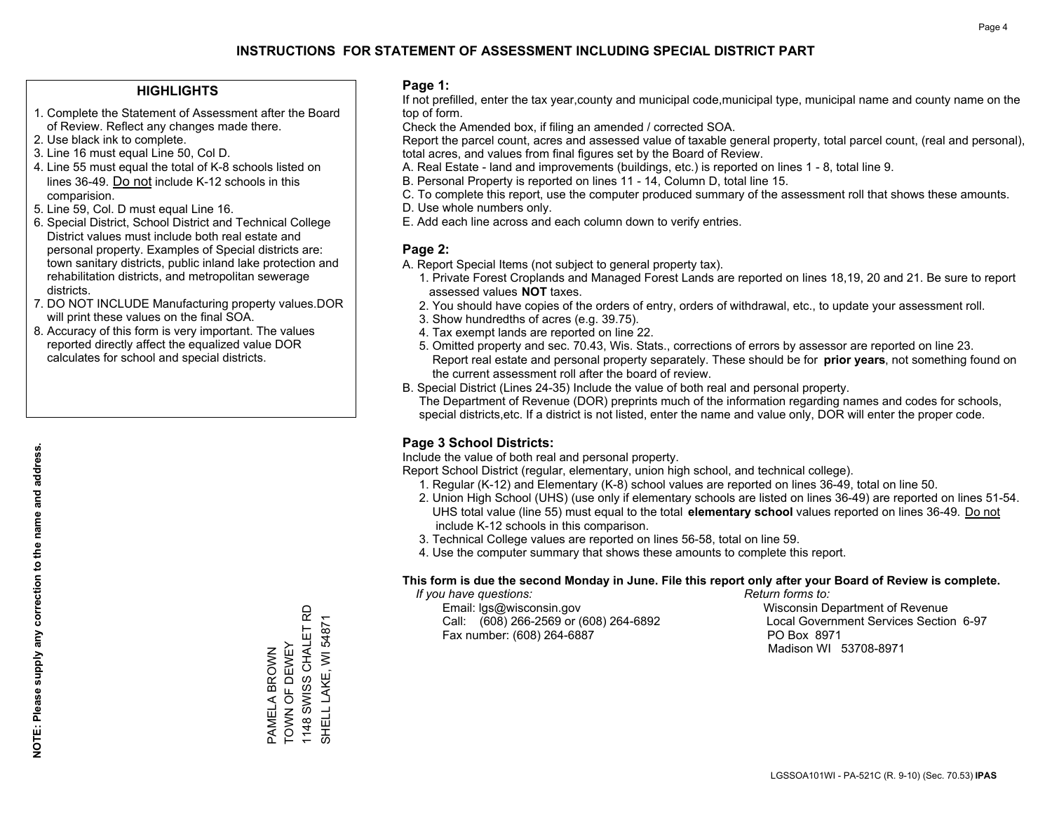### **HIGHLIGHTS**

- 1. Complete the Statement of Assessment after the Board of Review. Reflect any changes made there.
- 2. Use black ink to complete.

**NOTE: Please supply any correction to the name and address.**

NOTE: Please supply any correction to the name and address.

- 3. Line 16 must equal Line 50, Col D.
- 4. Line 55 must equal the total of K-8 schools listed on lines 36-49. Do not include K-12 schools in this comparision.
- 5. Line 59, Col. D must equal Line 16.
- 6. Special District, School District and Technical College District values must include both real estate and personal property. Examples of Special districts are: town sanitary districts, public inland lake protection and rehabilitation districts, and metropolitan sewerage districts.
- 7. DO NOT INCLUDE Manufacturing property values.DOR will print these values on the final SOA.
- 8. Accuracy of this form is very important. The values reported directly affect the equalized value DOR calculates for school and special districts.

### **Page 1:**

 If not prefilled, enter the tax year,county and municipal code,municipal type, municipal name and county name on the top of form.

Check the Amended box, if filing an amended / corrected SOA.

 Report the parcel count, acres and assessed value of taxable general property, total parcel count, (real and personal), total acres, and values from final figures set by the Board of Review.

- A. Real Estate land and improvements (buildings, etc.) is reported on lines 1 8, total line 9.
- B. Personal Property is reported on lines 11 14, Column D, total line 15.
- C. To complete this report, use the computer produced summary of the assessment roll that shows these amounts.
- D. Use whole numbers only.
- E. Add each line across and each column down to verify entries.

### **Page 2:**

- A. Report Special Items (not subject to general property tax).
- 1. Private Forest Croplands and Managed Forest Lands are reported on lines 18,19, 20 and 21. Be sure to report assessed values **NOT** taxes.
- 2. You should have copies of the orders of entry, orders of withdrawal, etc., to update your assessment roll.
	- 3. Show hundredths of acres (e.g. 39.75).
- 4. Tax exempt lands are reported on line 22.
- 5. Omitted property and sec. 70.43, Wis. Stats., corrections of errors by assessor are reported on line 23. Report real estate and personal property separately. These should be for **prior years**, not something found on the current assessment roll after the board of review.
- B. Special District (Lines 24-35) Include the value of both real and personal property.
- The Department of Revenue (DOR) preprints much of the information regarding names and codes for schools, special districts,etc. If a district is not listed, enter the name and value only, DOR will enter the proper code.

## **Page 3 School Districts:**

Include the value of both real and personal property.

Report School District (regular, elementary, union high school, and technical college).

- 1. Regular (K-12) and Elementary (K-8) school values are reported on lines 36-49, total on line 50.
- 2. Union High School (UHS) (use only if elementary schools are listed on lines 36-49) are reported on lines 51-54. UHS total value (line 55) must equal to the total **elementary school** values reported on lines 36-49. Do notinclude K-12 schools in this comparison.
- 3. Technical College values are reported on lines 56-58, total on line 59.
- 4. Use the computer summary that shows these amounts to complete this report.

#### **This form is due the second Monday in June. File this report only after your Board of Review is complete.**

 *If you have questions: Return forms to:*

 Email: lgs@wisconsin.gov Wisconsin Department of RevenueCall:  $(608)$  266-2569 or  $(608)$  264-6892 Fax number: (608) 264-6887 PO Box 8971

Local Government Services Section 6-97 Madison WI 53708-8971

1148 SWISS CHALET RD 1148 SWISS CHALET RD PAMELA BROWN<br>TOWN OF DEWEY TOWN OF DEWEY PAMELA BROWN

SHELL LAKE, WI 54871

SHELL LAKE, WI 54871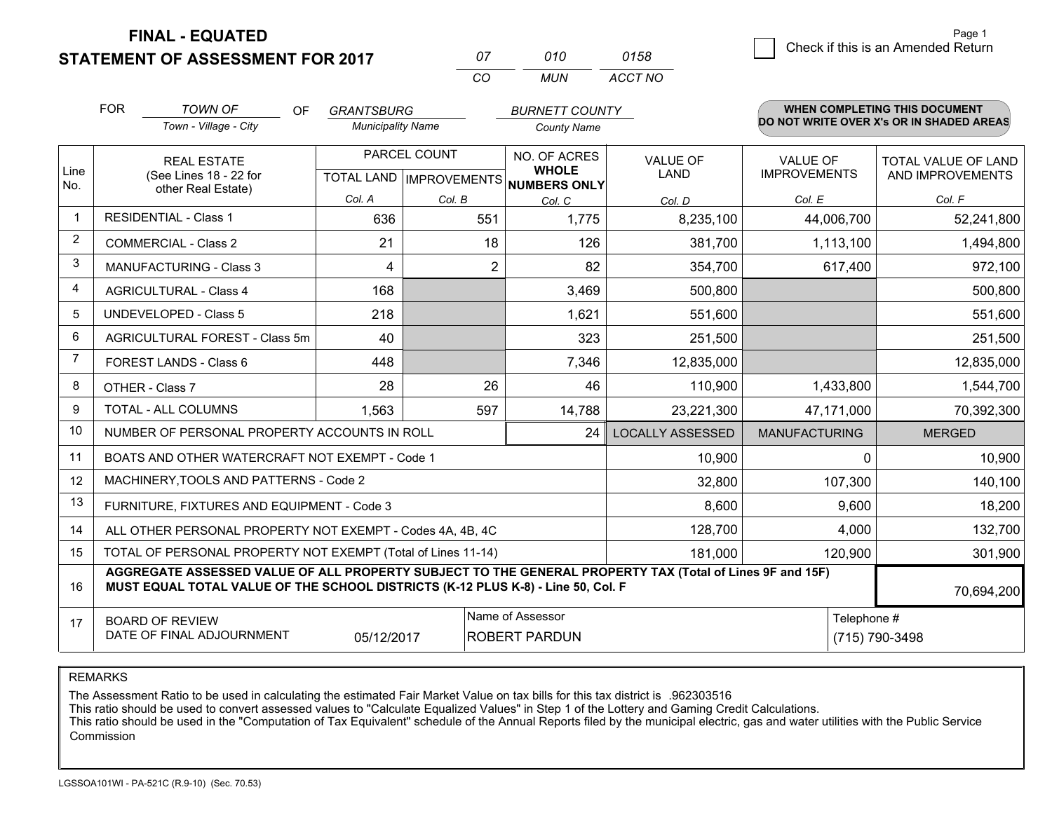**STATEMENT OF ASSESSMENT FOR 2017** 

**FINAL - EQUATED**

| 07 | 010 | 0158    |
|----|-----|---------|
| ΩO | MUN | ACCT NO |

|                | <b>FOR</b><br><b>TOWN OF</b><br><b>OF</b><br><b>GRANTSBURG</b><br><b>BURNETT COUNTY</b>                                                                                                      |                                                              |                                           | WHEN COMPLETING THIS DOCUMENT |                                              |                         |                                          |                                         |  |
|----------------|----------------------------------------------------------------------------------------------------------------------------------------------------------------------------------------------|--------------------------------------------------------------|-------------------------------------------|-------------------------------|----------------------------------------------|-------------------------|------------------------------------------|-----------------------------------------|--|
|                |                                                                                                                                                                                              | Town - Village - City                                        | <b>Municipality Name</b>                  |                               | <b>County Name</b>                           |                         | DO NOT WRITE OVER X's OR IN SHADED AREAS |                                         |  |
| Line           |                                                                                                                                                                                              | <b>REAL ESTATE</b><br>(See Lines 18 - 22 for                 | PARCEL COUNT<br>TOTAL LAND   IMPROVEMENTS |                               | NO. OF ACRES<br><b>WHOLE</b><br>NUMBERS ONLY | <b>VALUE OF</b><br>LAND | <b>VALUE OF</b><br><b>IMPROVEMENTS</b>   | TOTAL VALUE OF LAND<br>AND IMPROVEMENTS |  |
| No.            |                                                                                                                                                                                              | other Real Estate)                                           | Col. A                                    | Col. B                        | Col. C                                       | Col. D                  | Col. E                                   | Col. F                                  |  |
| $\overline{1}$ |                                                                                                                                                                                              | <b>RESIDENTIAL - Class 1</b>                                 | 636                                       | 551                           | 1,775                                        | 8,235,100               | 44,006,700                               | 52,241,800                              |  |
| 2              |                                                                                                                                                                                              | <b>COMMERCIAL - Class 2</b>                                  | 21                                        | 18                            | 126                                          | 381,700                 | 1,113,100                                | 1,494,800                               |  |
| 3              |                                                                                                                                                                                              | MANUFACTURING - Class 3                                      | 4                                         | 2                             | 82                                           | 354,700                 | 617,400                                  | 972,100                                 |  |
| 4              |                                                                                                                                                                                              | <b>AGRICULTURAL - Class 4</b>                                | 168                                       |                               | 3,469                                        | 500,800                 |                                          | 500,800                                 |  |
| 5              |                                                                                                                                                                                              | UNDEVELOPED - Class 5                                        | 218                                       |                               | 1,621                                        | 551,600                 |                                          | 551,600                                 |  |
| 6              |                                                                                                                                                                                              | AGRICULTURAL FOREST - Class 5m                               | 40                                        |                               | 323                                          | 251,500                 |                                          | 251,500                                 |  |
| $\overline{7}$ |                                                                                                                                                                                              | FOREST LANDS - Class 6                                       | 448                                       |                               | 7,346                                        | 12,835,000              |                                          | 12,835,000                              |  |
| 8              |                                                                                                                                                                                              | OTHER - Class 7                                              | 28                                        | 26                            | 46                                           | 110,900                 | 1,433,800                                | 1,544,700                               |  |
| 9              |                                                                                                                                                                                              | TOTAL - ALL COLUMNS                                          | 1,563                                     | 597                           | 14,788                                       | 23,221,300              | 47,171,000                               | 70,392,300                              |  |
| 10             |                                                                                                                                                                                              | NUMBER OF PERSONAL PROPERTY ACCOUNTS IN ROLL                 |                                           |                               | 24                                           | <b>LOCALLY ASSESSED</b> | <b>MANUFACTURING</b>                     | <b>MERGED</b>                           |  |
| 11             |                                                                                                                                                                                              | BOATS AND OTHER WATERCRAFT NOT EXEMPT - Code 1               |                                           |                               |                                              | 10,900                  | $\Omega$                                 | 10,900                                  |  |
| 12             |                                                                                                                                                                                              | MACHINERY, TOOLS AND PATTERNS - Code 2                       |                                           |                               |                                              | 32,800                  | 107,300                                  | 140,100                                 |  |
| 13             |                                                                                                                                                                                              | FURNITURE, FIXTURES AND EQUIPMENT - Code 3                   |                                           |                               |                                              | 8,600                   | 9,600                                    | 18,200                                  |  |
| 14             |                                                                                                                                                                                              | ALL OTHER PERSONAL PROPERTY NOT EXEMPT - Codes 4A, 4B, 4C    |                                           |                               |                                              | 128,700                 | 4,000                                    | 132,700                                 |  |
| 15             |                                                                                                                                                                                              | TOTAL OF PERSONAL PROPERTY NOT EXEMPT (Total of Lines 11-14) |                                           |                               |                                              | 181,000                 | 120,900                                  | 301,900                                 |  |
| 16             | AGGREGATE ASSESSED VALUE OF ALL PROPERTY SUBJECT TO THE GENERAL PROPERTY TAX (Total of Lines 9F and 15F)<br>MUST EQUAL TOTAL VALUE OF THE SCHOOL DISTRICTS (K-12 PLUS K-8) - Line 50, Col. F |                                                              |                                           |                               |                                              |                         |                                          | 70,694,200                              |  |
| 17             | Name of Assessor<br>Telephone #<br><b>BOARD OF REVIEW</b><br>DATE OF FINAL ADJOURNMENT<br>05/12/2017<br>ROBERT PARDUN                                                                        |                                                              |                                           |                               |                                              |                         | (715) 790-3498                           |                                         |  |

REMARKS

The Assessment Ratio to be used in calculating the estimated Fair Market Value on tax bills for this tax district is .962303516

This ratio should be used to convert assessed values to "Calculate Equalized Values" in Step 1 of the Lottery and Gaming Credit Calculations.<br>This ratio should be used in the "Computation of Tax Equivalent" schedule of the Commission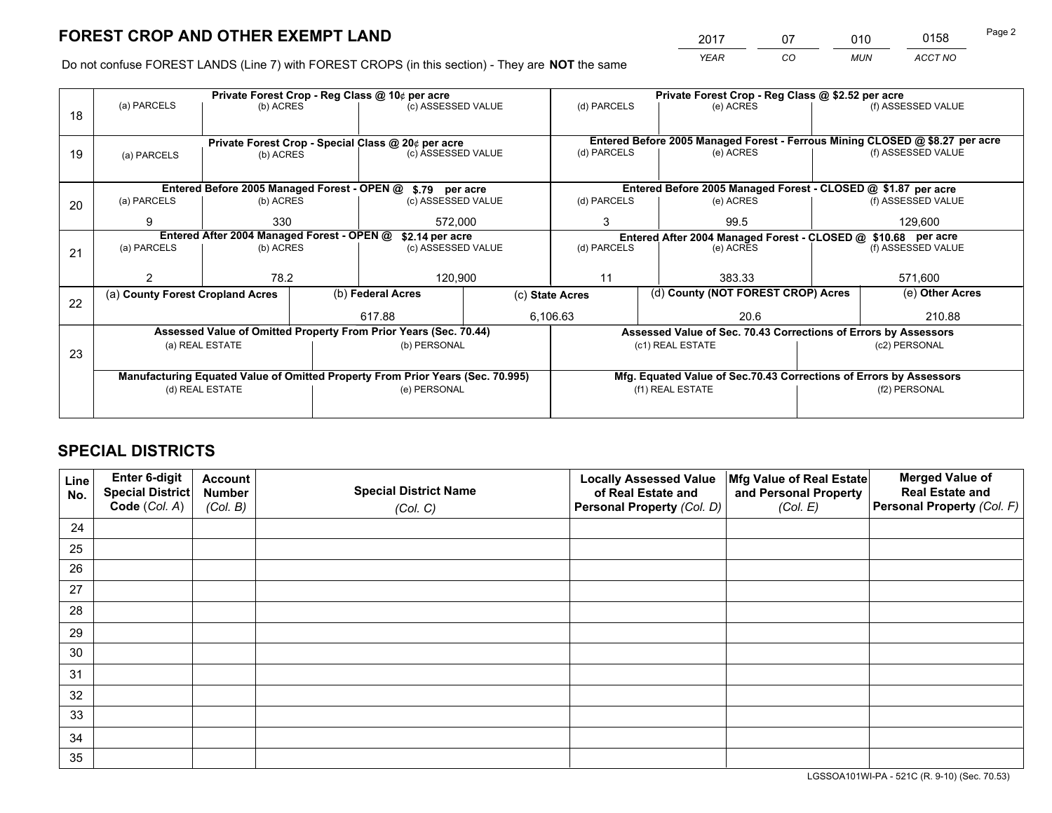*YEAR CO MUN ACCT NO* <sup>2017</sup> <sup>07</sup> <sup>010</sup> <sup>0158</sup> Page 2

Do not confuse FOREST LANDS (Line 7) with FOREST CROPS (in this section) - They are **NOT** the same

|    |                                                                                        |                 |  | Private Forest Crop - Reg Class @ 10¢ per acre                                 |  | Private Forest Crop - Reg Class @ \$2.52 per acre             |                                                                    |                                                               |                                                                 |                                                                              |
|----|----------------------------------------------------------------------------------------|-----------------|--|--------------------------------------------------------------------------------|--|---------------------------------------------------------------|--------------------------------------------------------------------|---------------------------------------------------------------|-----------------------------------------------------------------|------------------------------------------------------------------------------|
| 18 | (a) PARCELS                                                                            | (b) ACRES       |  | (c) ASSESSED VALUE                                                             |  | (d) PARCELS                                                   |                                                                    | (e) ACRES                                                     |                                                                 | (f) ASSESSED VALUE                                                           |
|    |                                                                                        |                 |  |                                                                                |  |                                                               |                                                                    |                                                               |                                                                 |                                                                              |
|    |                                                                                        |                 |  | Private Forest Crop - Special Class @ 20¢ per acre                             |  |                                                               |                                                                    |                                                               |                                                                 | Entered Before 2005 Managed Forest - Ferrous Mining CLOSED @ \$8.27 per acre |
| 19 | (a) PARCELS                                                                            | (b) ACRES       |  | (c) ASSESSED VALUE                                                             |  | (d) PARCELS                                                   |                                                                    | (e) ACRES                                                     |                                                                 | (f) ASSESSED VALUE                                                           |
|    |                                                                                        |                 |  |                                                                                |  |                                                               |                                                                    |                                                               |                                                                 |                                                                              |
|    |                                                                                        |                 |  |                                                                                |  |                                                               |                                                                    | Entered Before 2005 Managed Forest - CLOSED @ \$1.87 per acre |                                                                 |                                                                              |
|    | Entered Before 2005 Managed Forest - OPEN @ \$.79 per acre<br>(a) PARCELS<br>(b) ACRES |                 |  | (c) ASSESSED VALUE                                                             |  | (d) PARCELS                                                   |                                                                    | (e) ACRES                                                     |                                                                 | (f) ASSESSED VALUE                                                           |
| 20 |                                                                                        |                 |  |                                                                                |  |                                                               |                                                                    |                                                               |                                                                 |                                                                              |
|    | 9                                                                                      | 330             |  | 572,000                                                                        |  | 3<br>99.5                                                     |                                                                    |                                                               | 129,600                                                         |                                                                              |
|    | Entered After 2004 Managed Forest - OPEN @<br>\$2.14 per acre                          |                 |  |                                                                                |  | Entered After 2004 Managed Forest - CLOSED @ \$10.68 per acre |                                                                    |                                                               |                                                                 |                                                                              |
| 21 | (a) PARCELS                                                                            | (b) ACRES       |  | (c) ASSESSED VALUE                                                             |  | (d) PARCELS                                                   |                                                                    | (e) ACRES                                                     |                                                                 | (f) ASSESSED VALUE                                                           |
|    |                                                                                        |                 |  |                                                                                |  |                                                               |                                                                    |                                                               |                                                                 |                                                                              |
|    |                                                                                        | 78.2            |  | 120,900                                                                        |  | 11                                                            |                                                                    | 383.33                                                        |                                                                 | 571,600                                                                      |
|    | (a) County Forest Cropland Acres                                                       |                 |  | (b) Federal Acres                                                              |  | (c) State Acres                                               |                                                                    | (d) County (NOT FOREST CROP) Acres                            |                                                                 | (e) Other Acres                                                              |
| 22 |                                                                                        |                 |  | 617.88                                                                         |  | 6,106.63<br>20.6                                              |                                                                    |                                                               | 210.88                                                          |                                                                              |
|    |                                                                                        |                 |  | Assessed Value of Omitted Property From Prior Years (Sec. 70.44)               |  |                                                               |                                                                    |                                                               |                                                                 |                                                                              |
|    |                                                                                        | (a) REAL ESTATE |  | (b) PERSONAL                                                                   |  |                                                               |                                                                    | (c1) REAL ESTATE                                              | Assessed Value of Sec. 70.43 Corrections of Errors by Assessors |                                                                              |
| 23 |                                                                                        |                 |  |                                                                                |  |                                                               |                                                                    |                                                               |                                                                 | (c2) PERSONAL                                                                |
|    |                                                                                        |                 |  |                                                                                |  |                                                               |                                                                    |                                                               |                                                                 |                                                                              |
|    |                                                                                        |                 |  | Manufacturing Equated Value of Omitted Property From Prior Years (Sec. 70.995) |  |                                                               | Mfg. Equated Value of Sec.70.43 Corrections of Errors by Assessors |                                                               |                                                                 |                                                                              |
|    |                                                                                        | (d) REAL ESTATE |  | (e) PERSONAL                                                                   |  | (f1) REAL ESTATE                                              |                                                                    |                                                               | (f2) PERSONAL                                                   |                                                                              |
|    |                                                                                        |                 |  |                                                                                |  |                                                               |                                                                    |                                                               |                                                                 |                                                                              |

## **SPECIAL DISTRICTS**

| Line<br>No. | Enter 6-digit<br><b>Special District</b><br>Code (Col. A) | <b>Account</b><br><b>Number</b><br>(Col. B) | <b>Special District Name</b><br>(Col. C) | <b>Locally Assessed Value</b><br>of Real Estate and<br>Personal Property (Col. D) | Mfg Value of Real Estate<br>and Personal Property<br>(Col. E) | <b>Merged Value of</b><br><b>Real Estate and</b><br>Personal Property (Col. F) |
|-------------|-----------------------------------------------------------|---------------------------------------------|------------------------------------------|-----------------------------------------------------------------------------------|---------------------------------------------------------------|--------------------------------------------------------------------------------|
| 24          |                                                           |                                             |                                          |                                                                                   |                                                               |                                                                                |
| 25          |                                                           |                                             |                                          |                                                                                   |                                                               |                                                                                |
| 26          |                                                           |                                             |                                          |                                                                                   |                                                               |                                                                                |
| 27          |                                                           |                                             |                                          |                                                                                   |                                                               |                                                                                |
| 28          |                                                           |                                             |                                          |                                                                                   |                                                               |                                                                                |
| 29          |                                                           |                                             |                                          |                                                                                   |                                                               |                                                                                |
| 30          |                                                           |                                             |                                          |                                                                                   |                                                               |                                                                                |
| 31          |                                                           |                                             |                                          |                                                                                   |                                                               |                                                                                |
| 32          |                                                           |                                             |                                          |                                                                                   |                                                               |                                                                                |
| 33          |                                                           |                                             |                                          |                                                                                   |                                                               |                                                                                |
| 34          |                                                           |                                             |                                          |                                                                                   |                                                               |                                                                                |
| 35          |                                                           |                                             |                                          |                                                                                   |                                                               |                                                                                |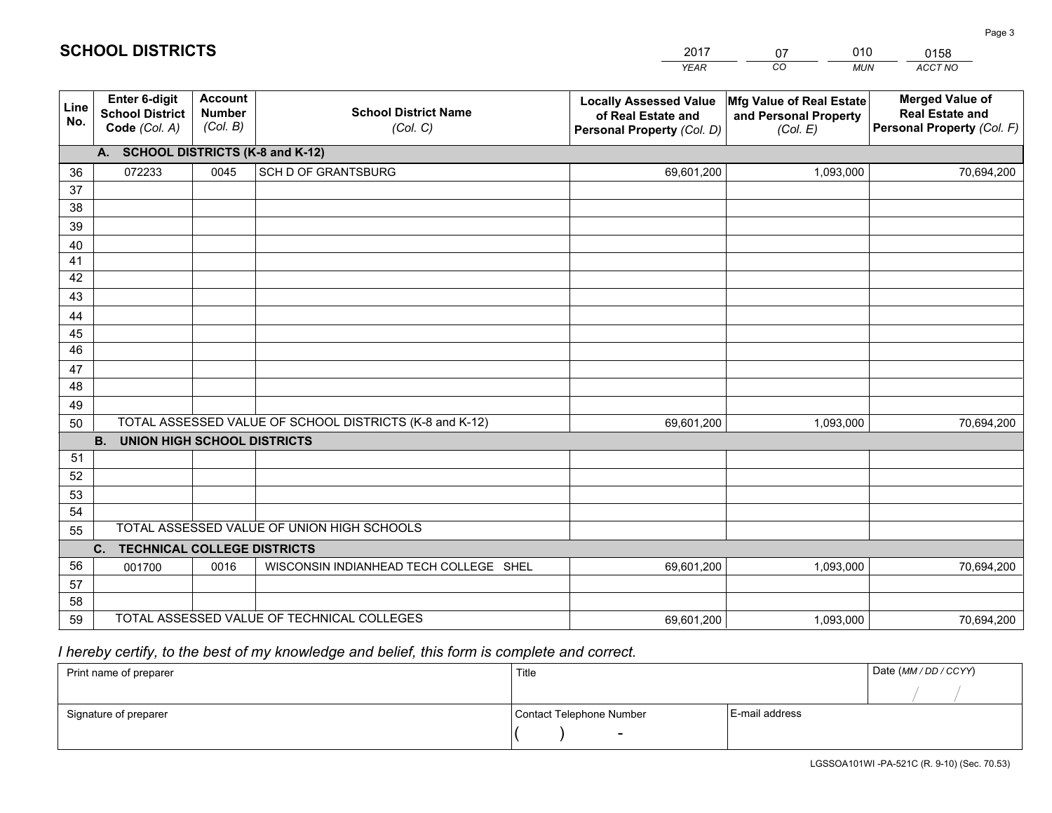|             |                                                          |                                             |                                                         | <b>YEAR</b>                                                                       | CO<br><b>MUN</b>                                              | ACCT NO                                                                        |
|-------------|----------------------------------------------------------|---------------------------------------------|---------------------------------------------------------|-----------------------------------------------------------------------------------|---------------------------------------------------------------|--------------------------------------------------------------------------------|
| Line<br>No. | Enter 6-digit<br><b>School District</b><br>Code (Col. A) | <b>Account</b><br><b>Number</b><br>(Col. B) | <b>School District Name</b><br>(Col. C)                 | <b>Locally Assessed Value</b><br>of Real Estate and<br>Personal Property (Col. D) | Mfg Value of Real Estate<br>and Personal Property<br>(Col. E) | <b>Merged Value of</b><br><b>Real Estate and</b><br>Personal Property (Col. F) |
|             | A. SCHOOL DISTRICTS (K-8 and K-12)                       |                                             |                                                         |                                                                                   |                                                               |                                                                                |
| 36          | 072233                                                   | 0045                                        | <b>SCH D OF GRANTSBURG</b>                              | 69,601,200                                                                        | 1,093,000                                                     | 70,694,200                                                                     |
| 37          |                                                          |                                             |                                                         |                                                                                   |                                                               |                                                                                |
| 38          |                                                          |                                             |                                                         |                                                                                   |                                                               |                                                                                |
| 39          |                                                          |                                             |                                                         |                                                                                   |                                                               |                                                                                |
| 40          |                                                          |                                             |                                                         |                                                                                   |                                                               |                                                                                |
| 41<br>42    |                                                          |                                             |                                                         |                                                                                   |                                                               |                                                                                |
| 43          |                                                          |                                             |                                                         |                                                                                   |                                                               |                                                                                |
|             |                                                          |                                             |                                                         |                                                                                   |                                                               |                                                                                |
| 44<br>45    |                                                          |                                             |                                                         |                                                                                   |                                                               |                                                                                |
| 46          |                                                          |                                             |                                                         |                                                                                   |                                                               |                                                                                |
| 47          |                                                          |                                             |                                                         |                                                                                   |                                                               |                                                                                |
| 48          |                                                          |                                             |                                                         |                                                                                   |                                                               |                                                                                |
| 49          |                                                          |                                             |                                                         |                                                                                   |                                                               |                                                                                |
| 50          |                                                          |                                             | TOTAL ASSESSED VALUE OF SCHOOL DISTRICTS (K-8 and K-12) | 69,601,200                                                                        | 1,093,000                                                     | 70,694,200                                                                     |
|             | <b>B.</b><br>UNION HIGH SCHOOL DISTRICTS                 |                                             |                                                         |                                                                                   |                                                               |                                                                                |
| 51          |                                                          |                                             |                                                         |                                                                                   |                                                               |                                                                                |
| 52          |                                                          |                                             |                                                         |                                                                                   |                                                               |                                                                                |
| 53          |                                                          |                                             |                                                         |                                                                                   |                                                               |                                                                                |
| 54          |                                                          |                                             |                                                         |                                                                                   |                                                               |                                                                                |
| 55          |                                                          |                                             | TOTAL ASSESSED VALUE OF UNION HIGH SCHOOLS              |                                                                                   |                                                               |                                                                                |
|             | C.<br><b>TECHNICAL COLLEGE DISTRICTS</b>                 |                                             |                                                         |                                                                                   |                                                               |                                                                                |
| 56          | 001700                                                   | 0016                                        | WISCONSIN INDIANHEAD TECH COLLEGE SHEL                  | 69,601,200                                                                        | 1,093,000                                                     | 70,694,200                                                                     |
| 57<br>58    |                                                          |                                             |                                                         |                                                                                   |                                                               |                                                                                |
| 59          |                                                          |                                             | TOTAL ASSESSED VALUE OF TECHNICAL COLLEGES              | 69,601,200                                                                        | 1,093,000                                                     | 70,694,200                                                                     |
|             |                                                          |                                             |                                                         |                                                                                   |                                                               |                                                                                |

 *I hereby certify, to the best of my knowledge and belief, this form is complete and correct.*

| Print name of preparer | Title                    |                | Date (MM / DD / CCYY) |
|------------------------|--------------------------|----------------|-----------------------|
|                        |                          |                |                       |
| Signature of preparer  | Contact Telephone Number | E-mail address |                       |
|                        |                          |                |                       |

Page 3

| 2017 | 07 | 010        | 0158    |  |
|------|----|------------|---------|--|
| YFAR | CO | <b>MUN</b> | ACCT NO |  |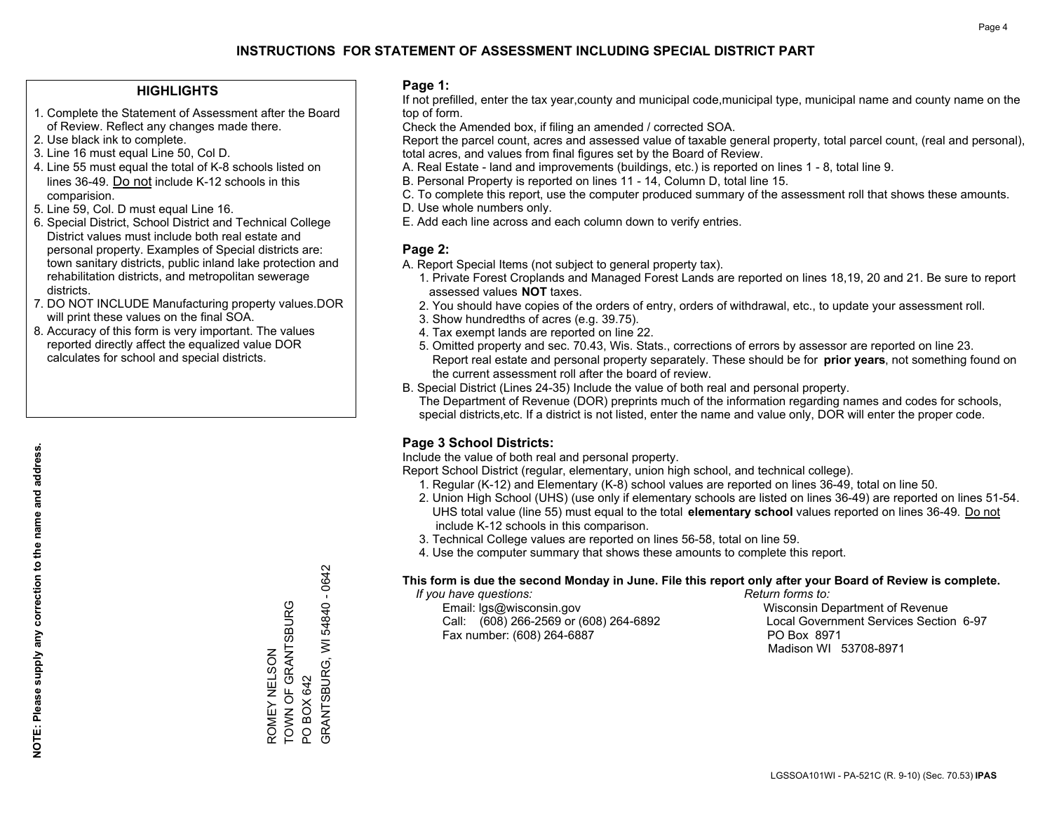### **HIGHLIGHTS**

- 1. Complete the Statement of Assessment after the Board of Review. Reflect any changes made there.
- 2. Use black ink to complete.
- 3. Line 16 must equal Line 50, Col D.
- 4. Line 55 must equal the total of K-8 schools listed on lines 36-49. Do not include K-12 schools in this comparision.
- 5. Line 59, Col. D must equal Line 16.
- 6. Special District, School District and Technical College District values must include both real estate and personal property. Examples of Special districts are: town sanitary districts, public inland lake protection and rehabilitation districts, and metropolitan sewerage districts.
- 7. DO NOT INCLUDE Manufacturing property values.DOR will print these values on the final SOA.
- 8. Accuracy of this form is very important. The values reported directly affect the equalized value DOR calculates for school and special districts.

### **Page 1:**

 If not prefilled, enter the tax year,county and municipal code,municipal type, municipal name and county name on the top of form.

Check the Amended box, if filing an amended / corrected SOA.

 Report the parcel count, acres and assessed value of taxable general property, total parcel count, (real and personal), total acres, and values from final figures set by the Board of Review.

- A. Real Estate land and improvements (buildings, etc.) is reported on lines 1 8, total line 9.
- B. Personal Property is reported on lines 11 14, Column D, total line 15.
- C. To complete this report, use the computer produced summary of the assessment roll that shows these amounts.
- D. Use whole numbers only.
- E. Add each line across and each column down to verify entries.

### **Page 2:**

- A. Report Special Items (not subject to general property tax).
- 1. Private Forest Croplands and Managed Forest Lands are reported on lines 18,19, 20 and 21. Be sure to report assessed values **NOT** taxes.
- 2. You should have copies of the orders of entry, orders of withdrawal, etc., to update your assessment roll.
	- 3. Show hundredths of acres (e.g. 39.75).
- 4. Tax exempt lands are reported on line 22.
- 5. Omitted property and sec. 70.43, Wis. Stats., corrections of errors by assessor are reported on line 23. Report real estate and personal property separately. These should be for **prior years**, not something found on the current assessment roll after the board of review.
- B. Special District (Lines 24-35) Include the value of both real and personal property.
- The Department of Revenue (DOR) preprints much of the information regarding names and codes for schools, special districts,etc. If a district is not listed, enter the name and value only, DOR will enter the proper code.

## **Page 3 School Districts:**

Include the value of both real and personal property.

Report School District (regular, elementary, union high school, and technical college).

- 1. Regular (K-12) and Elementary (K-8) school values are reported on lines 36-49, total on line 50.
- 2. Union High School (UHS) (use only if elementary schools are listed on lines 36-49) are reported on lines 51-54. UHS total value (line 55) must equal to the total **elementary school** values reported on lines 36-49. Do notinclude K-12 schools in this comparison.
- 3. Technical College values are reported on lines 56-58, total on line 59.
- 4. Use the computer summary that shows these amounts to complete this report.

#### **This form is due the second Monday in June. File this report only after your Board of Review is complete.**

 *If you have questions: Return forms to:*

 Email: lgs@wisconsin.gov Wisconsin Department of RevenueCall:  $(608)$  266-2569 or  $(608)$  264-6892 Fax number: (608) 264-6887 PO Box 8971

Local Government Services Section 6-97 Madison WI 53708-8971

GRANTSBURG, WI 54840 - 0642 GRANTSBURG, WI 54840 - 0642 TOWN OF GRANTSBURG ROMEY NELSON<br>TOWN OF GRANTSBURG ROMEY NELSON PO BOX 642 PO BOX 642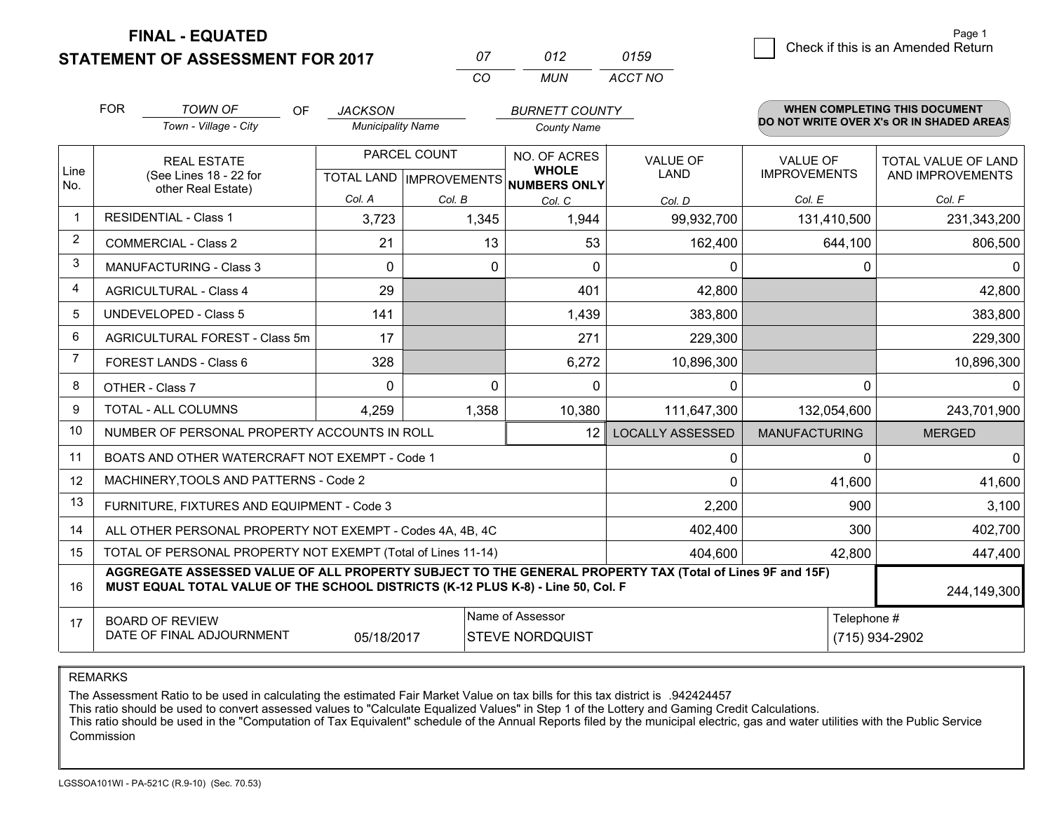**FINAL - EQUATED**

**STATEMENT OF ASSESSMENT FOR 2017** 

| $^{\prime\prime}$ | 012  | 0159    |
|-------------------|------|---------|
| $\cdots$          | MUN. | ACCT NO |

|      | <b>FOR</b>                                                                                                                                                                                                  | <b>TOWN OF</b><br>OF                                                                           | <b>JACKSON</b>           |        | <b>BURNETT COUNTY</b>        |                                |                                        | WHEN COMPLETING THIS DOCUMENT                  |
|------|-------------------------------------------------------------------------------------------------------------------------------------------------------------------------------------------------------------|------------------------------------------------------------------------------------------------|--------------------------|--------|------------------------------|--------------------------------|----------------------------------------|------------------------------------------------|
|      |                                                                                                                                                                                                             | Town - Village - City                                                                          | <b>Municipality Name</b> |        | <b>County Name</b>           |                                |                                        | DO NOT WRITE OVER X's OR IN SHADED AREAS       |
| Line |                                                                                                                                                                                                             | PARCEL COUNT<br><b>REAL ESTATE</b><br>(See Lines 18 - 22 for<br><b>TOTAL LAND IMPROVEMENTS</b> |                          |        | NO. OF ACRES<br><b>WHOLE</b> | <b>VALUE OF</b><br><b>LAND</b> | <b>VALUE OF</b><br><b>IMPROVEMENTS</b> | <b>TOTAL VALUE OF LAND</b><br>AND IMPROVEMENTS |
| No.  |                                                                                                                                                                                                             | other Real Estate)                                                                             |                          |        | NUMBERS ONLY                 |                                |                                        |                                                |
| -1   |                                                                                                                                                                                                             | <b>RESIDENTIAL - Class 1</b>                                                                   | Col. A                   | Col. B | Col. C                       | Col. D                         | Col. E                                 | Col. F                                         |
|      |                                                                                                                                                                                                             |                                                                                                | 3,723                    | 1,345  | 1,944                        | 99,932,700                     | 131,410,500                            | 231,343,200                                    |
| 2    |                                                                                                                                                                                                             | <b>COMMERCIAL - Class 2</b>                                                                    | 21                       | 13     | 53                           | 162,400                        | 644,100                                | 806,500                                        |
| 3    |                                                                                                                                                                                                             | <b>MANUFACTURING - Class 3</b>                                                                 | 0                        | 0      | $\Omega$                     | 0                              | 0                                      | 0                                              |
| 4    |                                                                                                                                                                                                             | <b>AGRICULTURAL - Class 4</b>                                                                  | 29                       |        | 401                          | 42,800                         |                                        | 42,800                                         |
| 5    |                                                                                                                                                                                                             | <b>UNDEVELOPED - Class 5</b>                                                                   | 141                      |        | 1,439                        | 383,800                        |                                        | 383,800                                        |
| 6    |                                                                                                                                                                                                             | AGRICULTURAL FOREST - Class 5m                                                                 | 17                       |        | 271                          | 229,300                        |                                        | 229,300                                        |
|      |                                                                                                                                                                                                             | FOREST LANDS - Class 6                                                                         | 328                      |        | 6,272                        | 10,896,300                     |                                        | 10,896,300                                     |
| 8    |                                                                                                                                                                                                             | OTHER - Class 7                                                                                | $\Omega$                 | 0      | $\Omega$                     | $\Omega$                       | $\Omega$                               |                                                |
| 9    |                                                                                                                                                                                                             | TOTAL - ALL COLUMNS                                                                            | 4,259                    | 1,358  | 10,380                       | 111,647,300                    | 132,054,600                            | 243,701,900                                    |
| 10   |                                                                                                                                                                                                             | NUMBER OF PERSONAL PROPERTY ACCOUNTS IN ROLL                                                   |                          |        | 12                           | <b>LOCALLY ASSESSED</b>        | <b>MANUFACTURING</b>                   | <b>MERGED</b>                                  |
| 11   |                                                                                                                                                                                                             | BOATS AND OTHER WATERCRAFT NOT EXEMPT - Code 1                                                 |                          |        |                              | 0                              | $\Omega$                               | 0                                              |
| 12   |                                                                                                                                                                                                             | MACHINERY, TOOLS AND PATTERNS - Code 2                                                         |                          |        |                              | $\Omega$                       | 41,600                                 | 41,600                                         |
| 13   |                                                                                                                                                                                                             | FURNITURE, FIXTURES AND EQUIPMENT - Code 3                                                     |                          |        |                              | 2,200                          | 900                                    | 3,100                                          |
| 14   |                                                                                                                                                                                                             | ALL OTHER PERSONAL PROPERTY NOT EXEMPT - Codes 4A, 4B, 4C                                      |                          |        |                              | 402,400                        | 300                                    | 402,700                                        |
| 15   |                                                                                                                                                                                                             | TOTAL OF PERSONAL PROPERTY NOT EXEMPT (Total of Lines 11-14)                                   |                          |        |                              | 404,600                        | 42,800                                 | 447,400                                        |
| 16   | AGGREGATE ASSESSED VALUE OF ALL PROPERTY SUBJECT TO THE GENERAL PROPERTY TAX (Total of Lines 9F and 15F)<br>MUST EQUAL TOTAL VALUE OF THE SCHOOL DISTRICTS (K-12 PLUS K-8) - Line 50, Col. F<br>244,149,300 |                                                                                                |                          |        |                              |                                |                                        |                                                |
| 17   |                                                                                                                                                                                                             | <b>BOARD OF REVIEW</b>                                                                         |                          |        | Name of Assessor             |                                | Telephone #                            |                                                |
|      | DATE OF FINAL ADJOURNMENT<br>05/18/2017<br><b>STEVE NORDQUIST</b><br>(715) 934-2902                                                                                                                         |                                                                                                |                          |        |                              |                                |                                        |                                                |

REMARKS

The Assessment Ratio to be used in calculating the estimated Fair Market Value on tax bills for this tax district is .942424457<br>This ratio should be used to convert assessed values to "Calculate Equalized Values" in Step 1 Commission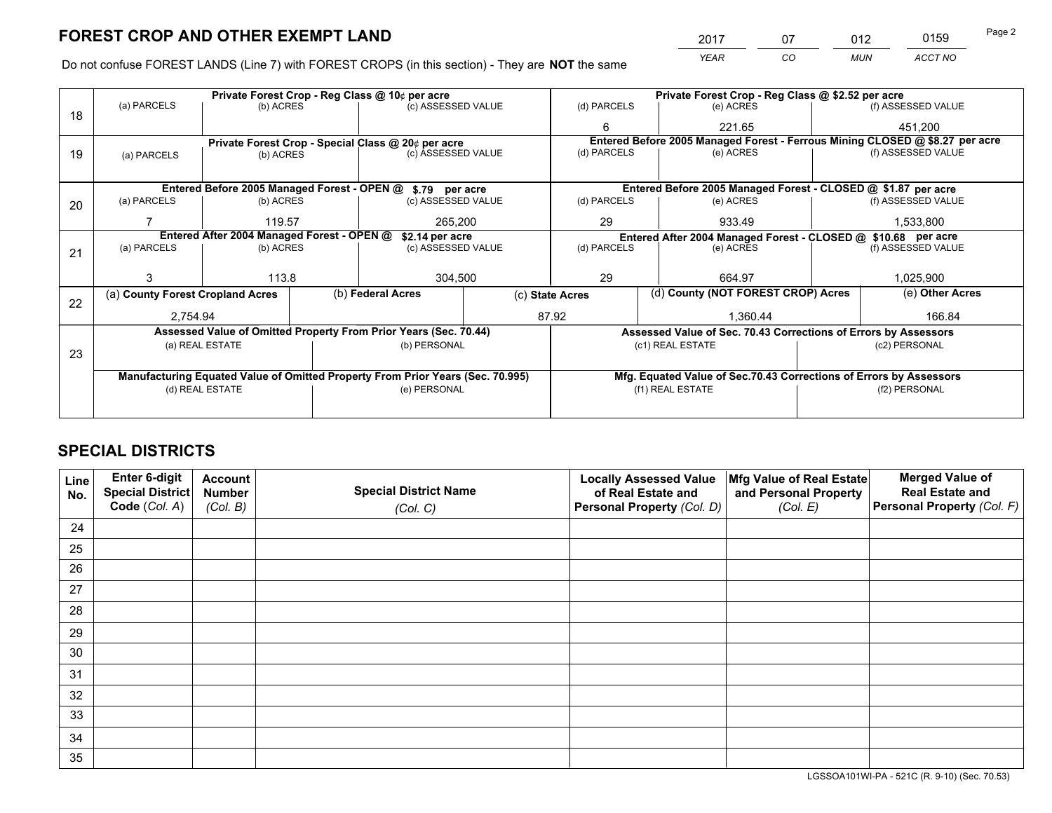*YEAR CO MUN ACCT NO* <sup>2017</sup> <sup>07</sup> <sup>012</sup> <sup>0159</sup> Page 2

Do not confuse FOREST LANDS (Line 7) with FOREST CROPS (in this section) - They are **NOT** the same

|    |                                                               |                                 |  | Private Forest Crop - Reg Class @ 10¢ per acre                                 |                    |                                                       | Private Forest Crop - Reg Class @ \$2.52 per acre             |                                                                              |                    |                    |
|----|---------------------------------------------------------------|---------------------------------|--|--------------------------------------------------------------------------------|--------------------|-------------------------------------------------------|---------------------------------------------------------------|------------------------------------------------------------------------------|--------------------|--------------------|
| 18 | (a) PARCELS                                                   | (b) ACRES                       |  | (c) ASSESSED VALUE                                                             |                    | (d) PARCELS                                           |                                                               | (e) ACRES                                                                    |                    | (f) ASSESSED VALUE |
|    |                                                               |                                 |  |                                                                                |                    | 6                                                     |                                                               | 221.65                                                                       |                    | 451,200            |
|    |                                                               |                                 |  | Private Forest Crop - Special Class @ 20¢ per acre                             |                    |                                                       |                                                               | Entered Before 2005 Managed Forest - Ferrous Mining CLOSED @ \$8.27 per acre |                    |                    |
| 19 | (a) PARCELS                                                   | (c) ASSESSED VALUE<br>(b) ACRES |  |                                                                                | (d) PARCELS        |                                                       | (e) ACRES                                                     |                                                                              | (f) ASSESSED VALUE |                    |
|    |                                                               |                                 |  |                                                                                |                    |                                                       |                                                               |                                                                              |                    |                    |
|    |                                                               |                                 |  | Entered Before 2005 Managed Forest - OPEN @ \$.79 per acre                     |                    |                                                       |                                                               | Entered Before 2005 Managed Forest - CLOSED @ \$1.87 per acre                |                    |                    |
| 20 | (a) PARCELS                                                   | (b) ACRES                       |  | (c) ASSESSED VALUE                                                             |                    | (d) PARCELS                                           |                                                               | (e) ACRES                                                                    |                    | (f) ASSESSED VALUE |
|    |                                                               | 119.57                          |  | 265,200                                                                        |                    | 29                                                    |                                                               | 933.49                                                                       | 1,533,800          |                    |
|    | Entered After 2004 Managed Forest - OPEN @<br>\$2.14 per acre |                                 |  |                                                                                |                    |                                                       | Entered After 2004 Managed Forest - CLOSED @ \$10.68 per acre |                                                                              |                    |                    |
| 21 | (a) PARCELS                                                   | (b) ACRES                       |  |                                                                                | (c) ASSESSED VALUE |                                                       | (d) PARCELS<br>(e) ACRES                                      |                                                                              | (f) ASSESSED VALUE |                    |
|    |                                                               |                                 |  |                                                                                |                    |                                                       |                                                               |                                                                              |                    |                    |
|    |                                                               | 113.8                           |  | 304,500                                                                        |                    | 29                                                    |                                                               | 664.97                                                                       |                    | 1,025,900          |
| 22 | (a) County Forest Cropland Acres                              |                                 |  | (b) Federal Acres                                                              |                    | (d) County (NOT FOREST CROP) Acres<br>(c) State Acres |                                                               |                                                                              | (e) Other Acres    |                    |
|    | 2,754.94                                                      |                                 |  |                                                                                |                    | 87.92<br>1,360.44                                     |                                                               |                                                                              | 166.84             |                    |
|    |                                                               |                                 |  | Assessed Value of Omitted Property From Prior Years (Sec. 70.44)               |                    |                                                       |                                                               | Assessed Value of Sec. 70.43 Corrections of Errors by Assessors              |                    |                    |
|    |                                                               | (a) REAL ESTATE                 |  | (b) PERSONAL                                                                   |                    |                                                       |                                                               | (c1) REAL ESTATE                                                             | (c2) PERSONAL      |                    |
| 23 |                                                               |                                 |  |                                                                                |                    |                                                       |                                                               |                                                                              |                    |                    |
|    |                                                               |                                 |  | Manufacturing Equated Value of Omitted Property From Prior Years (Sec. 70.995) |                    |                                                       |                                                               | Mfg. Equated Value of Sec.70.43 Corrections of Errors by Assessors           |                    |                    |
|    | (d) REAL ESTATE                                               |                                 |  | (e) PERSONAL                                                                   |                    | (f1) REAL ESTATE                                      |                                                               |                                                                              | (f2) PERSONAL      |                    |
|    |                                                               |                                 |  |                                                                                |                    |                                                       |                                                               |                                                                              |                    |                    |

## **SPECIAL DISTRICTS**

| Line<br>No. | Enter 6-digit<br>Special District<br>Code (Col. A) | <b>Account</b><br><b>Number</b><br>(Col. B) | <b>Special District Name</b><br>(Col. C) | <b>Locally Assessed Value</b><br>of Real Estate and<br>Personal Property (Col. D) | Mfg Value of Real Estate<br>and Personal Property<br>(Col. E) | <b>Merged Value of</b><br><b>Real Estate and</b><br>Personal Property (Col. F) |
|-------------|----------------------------------------------------|---------------------------------------------|------------------------------------------|-----------------------------------------------------------------------------------|---------------------------------------------------------------|--------------------------------------------------------------------------------|
| 24          |                                                    |                                             |                                          |                                                                                   |                                                               |                                                                                |
| 25          |                                                    |                                             |                                          |                                                                                   |                                                               |                                                                                |
| 26          |                                                    |                                             |                                          |                                                                                   |                                                               |                                                                                |
| 27          |                                                    |                                             |                                          |                                                                                   |                                                               |                                                                                |
| 28          |                                                    |                                             |                                          |                                                                                   |                                                               |                                                                                |
| 29          |                                                    |                                             |                                          |                                                                                   |                                                               |                                                                                |
| 30          |                                                    |                                             |                                          |                                                                                   |                                                               |                                                                                |
| 31          |                                                    |                                             |                                          |                                                                                   |                                                               |                                                                                |
| 32          |                                                    |                                             |                                          |                                                                                   |                                                               |                                                                                |
| 33          |                                                    |                                             |                                          |                                                                                   |                                                               |                                                                                |
| 34          |                                                    |                                             |                                          |                                                                                   |                                                               |                                                                                |
| 35          |                                                    |                                             |                                          |                                                                                   |                                                               |                                                                                |

LGSSOA101WI-PA - 521C (R. 9-10) (Sec. 70.53)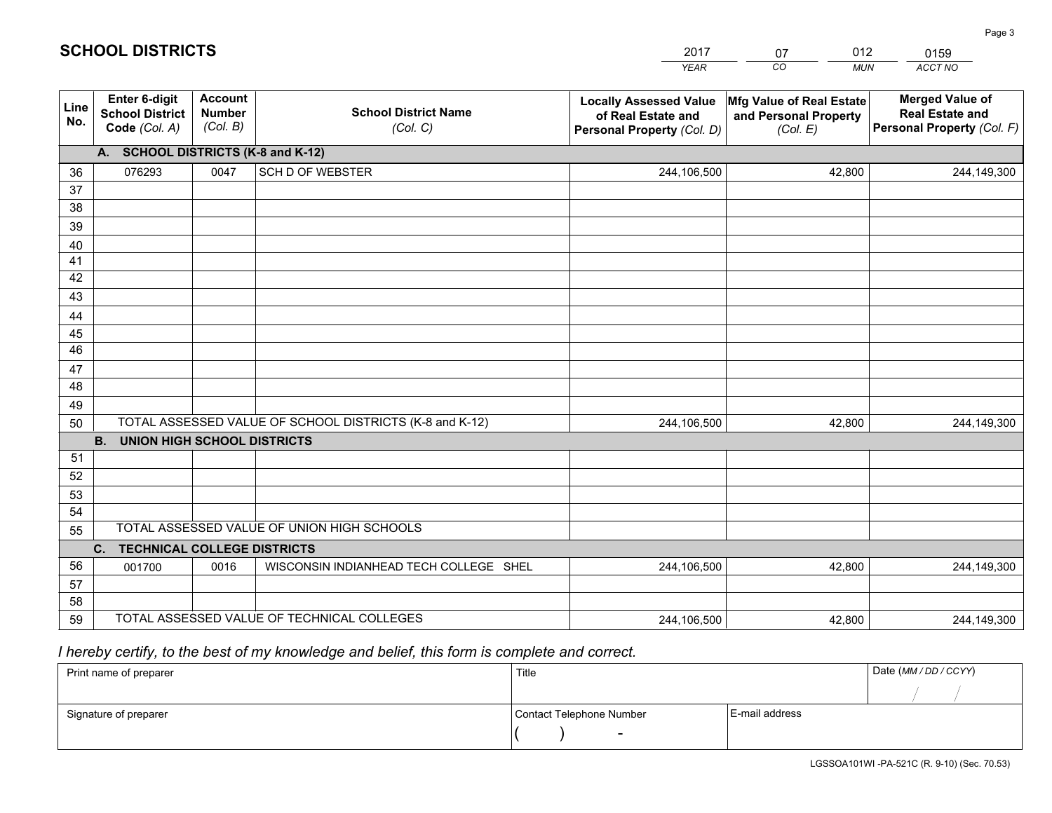|             |                                                                 |                                             |                                                         | <b>YEAR</b>                                                                       | CO<br><b>MUN</b>                                              | <b>ACCT NO</b>                                                                 |
|-------------|-----------------------------------------------------------------|---------------------------------------------|---------------------------------------------------------|-----------------------------------------------------------------------------------|---------------------------------------------------------------|--------------------------------------------------------------------------------|
| Line<br>No. | <b>Enter 6-digit</b><br><b>School District</b><br>Code (Col. A) | <b>Account</b><br><b>Number</b><br>(Col. B) | <b>School District Name</b><br>(Col. C)                 | <b>Locally Assessed Value</b><br>of Real Estate and<br>Personal Property (Col. D) | Mfg Value of Real Estate<br>and Personal Property<br>(Col. E) | <b>Merged Value of</b><br><b>Real Estate and</b><br>Personal Property (Col. F) |
|             | A. SCHOOL DISTRICTS (K-8 and K-12)                              |                                             |                                                         |                                                                                   |                                                               |                                                                                |
| 36          | 076293                                                          | 0047                                        | <b>SCH D OF WEBSTER</b>                                 | 244,106,500                                                                       | 42,800                                                        | 244,149,300                                                                    |
| 37          |                                                                 |                                             |                                                         |                                                                                   |                                                               |                                                                                |
| 38          |                                                                 |                                             |                                                         |                                                                                   |                                                               |                                                                                |
| 39          |                                                                 |                                             |                                                         |                                                                                   |                                                               |                                                                                |
| 40          |                                                                 |                                             |                                                         |                                                                                   |                                                               |                                                                                |
| 41<br>42    |                                                                 |                                             |                                                         |                                                                                   |                                                               |                                                                                |
| 43          |                                                                 |                                             |                                                         |                                                                                   |                                                               |                                                                                |
| 44          |                                                                 |                                             |                                                         |                                                                                   |                                                               |                                                                                |
| 45          |                                                                 |                                             |                                                         |                                                                                   |                                                               |                                                                                |
| 46          |                                                                 |                                             |                                                         |                                                                                   |                                                               |                                                                                |
| 47          |                                                                 |                                             |                                                         |                                                                                   |                                                               |                                                                                |
| 48          |                                                                 |                                             |                                                         |                                                                                   |                                                               |                                                                                |
| 49          |                                                                 |                                             |                                                         |                                                                                   |                                                               |                                                                                |
| 50          |                                                                 |                                             | TOTAL ASSESSED VALUE OF SCHOOL DISTRICTS (K-8 and K-12) | 244,106,500                                                                       | 42,800                                                        | 244,149,300                                                                    |
|             | <b>B.</b><br><b>UNION HIGH SCHOOL DISTRICTS</b>                 |                                             |                                                         |                                                                                   |                                                               |                                                                                |
| 51          |                                                                 |                                             |                                                         |                                                                                   |                                                               |                                                                                |
| 52          |                                                                 |                                             |                                                         |                                                                                   |                                                               |                                                                                |
| 53          |                                                                 |                                             |                                                         |                                                                                   |                                                               |                                                                                |
| 54          |                                                                 |                                             | TOTAL ASSESSED VALUE OF UNION HIGH SCHOOLS              |                                                                                   |                                                               |                                                                                |
| 55          |                                                                 |                                             |                                                         |                                                                                   |                                                               |                                                                                |
| 56          | C.<br><b>TECHNICAL COLLEGE DISTRICTS</b><br>001700              | 0016                                        | WISCONSIN INDIANHEAD TECH COLLEGE SHEL                  | 244,106,500                                                                       | 42,800                                                        | 244,149,300                                                                    |
| 57          |                                                                 |                                             |                                                         |                                                                                   |                                                               |                                                                                |
| 58          |                                                                 |                                             |                                                         |                                                                                   |                                                               |                                                                                |
| 59          |                                                                 |                                             | TOTAL ASSESSED VALUE OF TECHNICAL COLLEGES              | 244,106,500                                                                       | 42,800                                                        | 244,149,300                                                                    |

2017

07

012

# *I hereby certify, to the best of my knowledge and belief, this form is complete and correct.*

**SCHOOL DISTRICTS**

| Print name of preparer | Title                    |                | Date (MM / DD / CCYY) |
|------------------------|--------------------------|----------------|-----------------------|
|                        |                          |                |                       |
| Signature of preparer  | Contact Telephone Number | E-mail address |                       |
|                        | $\overline{\phantom{0}}$ |                |                       |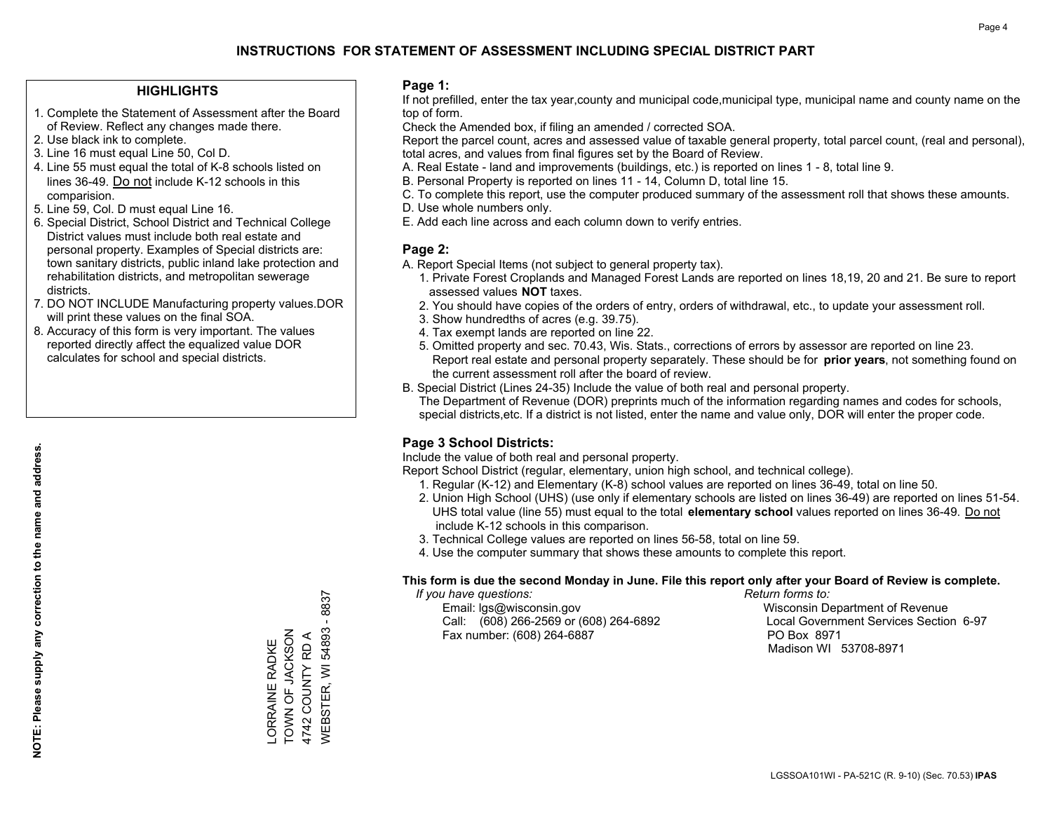### **HIGHLIGHTS**

- 1. Complete the Statement of Assessment after the Board of Review. Reflect any changes made there.
- 2. Use black ink to complete.
- 3. Line 16 must equal Line 50, Col D.
- 4. Line 55 must equal the total of K-8 schools listed on lines 36-49. Do not include K-12 schools in this comparision.
- 5. Line 59, Col. D must equal Line 16.
- 6. Special District, School District and Technical College District values must include both real estate and personal property. Examples of Special districts are: town sanitary districts, public inland lake protection and rehabilitation districts, and metropolitan sewerage districts.
- 7. DO NOT INCLUDE Manufacturing property values.DOR will print these values on the final SOA.

LORRAINE RADKE TOWN OF JACKSON 4742 COUNTY RD A

-ORRAINE RADKE<br>TOWN OF JACKSON 4742 COUNTY RD A WEBSTER, WI 54893 - 8837

WEBSTER, WI 54893

 $-8837$ 

 8. Accuracy of this form is very important. The values reported directly affect the equalized value DOR calculates for school and special districts.

### **Page 1:**

 If not prefilled, enter the tax year,county and municipal code,municipal type, municipal name and county name on the top of form.

Check the Amended box, if filing an amended / corrected SOA.

 Report the parcel count, acres and assessed value of taxable general property, total parcel count, (real and personal), total acres, and values from final figures set by the Board of Review.

- A. Real Estate land and improvements (buildings, etc.) is reported on lines 1 8, total line 9.
- B. Personal Property is reported on lines 11 14, Column D, total line 15.
- C. To complete this report, use the computer produced summary of the assessment roll that shows these amounts.
- D. Use whole numbers only.
- E. Add each line across and each column down to verify entries.

### **Page 2:**

- A. Report Special Items (not subject to general property tax).
- 1. Private Forest Croplands and Managed Forest Lands are reported on lines 18,19, 20 and 21. Be sure to report assessed values **NOT** taxes.
- 2. You should have copies of the orders of entry, orders of withdrawal, etc., to update your assessment roll.
	- 3. Show hundredths of acres (e.g. 39.75).
- 4. Tax exempt lands are reported on line 22.
- 5. Omitted property and sec. 70.43, Wis. Stats., corrections of errors by assessor are reported on line 23. Report real estate and personal property separately. These should be for **prior years**, not something found on the current assessment roll after the board of review.
- B. Special District (Lines 24-35) Include the value of both real and personal property.

 The Department of Revenue (DOR) preprints much of the information regarding names and codes for schools, special districts,etc. If a district is not listed, enter the name and value only, DOR will enter the proper code.

## **Page 3 School Districts:**

Include the value of both real and personal property.

Report School District (regular, elementary, union high school, and technical college).

- 1. Regular (K-12) and Elementary (K-8) school values are reported on lines 36-49, total on line 50.
- 2. Union High School (UHS) (use only if elementary schools are listed on lines 36-49) are reported on lines 51-54. UHS total value (line 55) must equal to the total **elementary school** values reported on lines 36-49. Do notinclude K-12 schools in this comparison.
- 3. Technical College values are reported on lines 56-58, total on line 59.
- 4. Use the computer summary that shows these amounts to complete this report.

#### **This form is due the second Monday in June. File this report only after your Board of Review is complete.**

 *If you have questions: Return forms to:*

 Email: lgs@wisconsin.gov Wisconsin Department of RevenueCall:  $(608)$  266-2569 or  $(608)$  264-6892 Fax number: (608) 264-6887 PO Box 8971

Local Government Services Section 6-97 Madison WI 53708-8971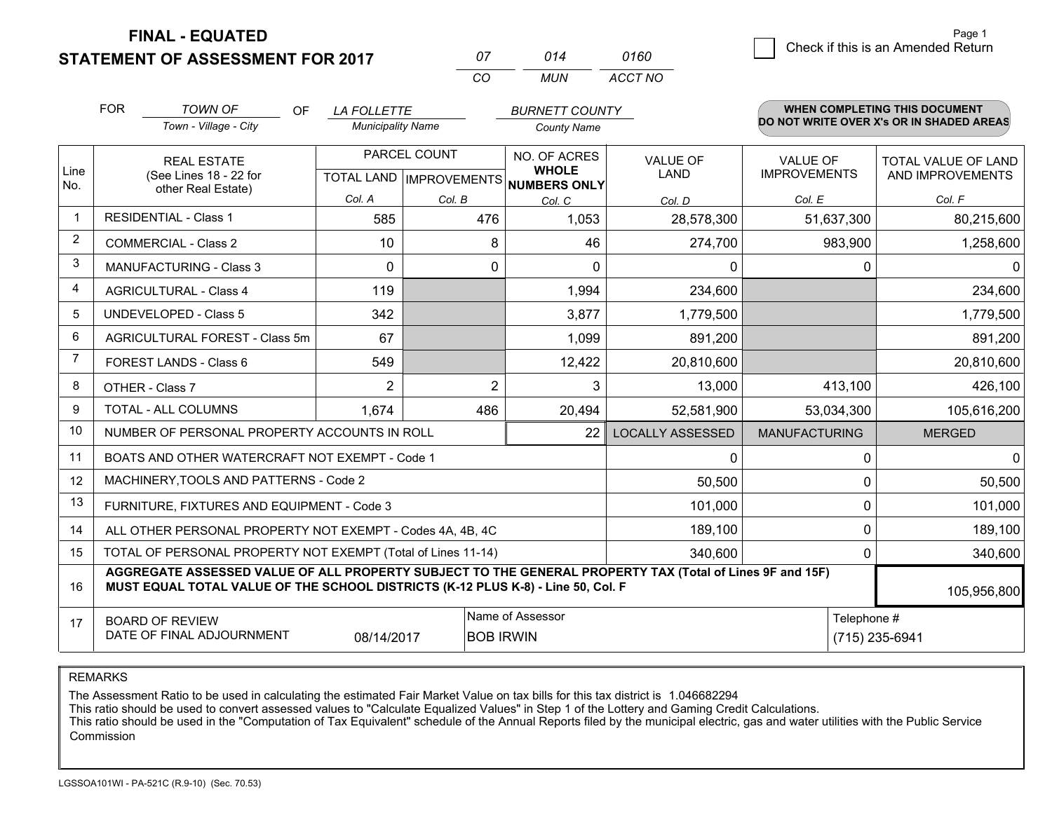**FINAL - EQUATED**

**STATEMENT OF ASSESSMENT FOR 2017** 

| $^{\prime\prime}$ | 014 | 0160    |
|-------------------|-----|---------|
| $\cdots$          | MUN | ACCT NO |

|             | <b>FOR</b>                                                                                                                                                                                                  | <b>TOWN OF</b><br><b>OF</b>                               | <b>LA FOLLETTE</b>                        |                | <b>BURNETT COUNTY</b>                               |                         |                                        | <b>WHEN COMPLETING THIS DOCUMENT</b>           |
|-------------|-------------------------------------------------------------------------------------------------------------------------------------------------------------------------------------------------------------|-----------------------------------------------------------|-------------------------------------------|----------------|-----------------------------------------------------|-------------------------|----------------------------------------|------------------------------------------------|
|             |                                                                                                                                                                                                             | Town - Village - City                                     | <b>Municipality Name</b>                  |                | <b>County Name</b>                                  |                         |                                        | DO NOT WRITE OVER X's OR IN SHADED AREAS       |
| Line<br>No. | <b>REAL ESTATE</b><br>(See Lines 18 - 22 for                                                                                                                                                                |                                                           | PARCEL COUNT<br>TOTAL LAND   IMPROVEMENTS |                | NO. OF ACRES<br><b>WHOLE</b><br><b>NUMBERS ONLY</b> | VALUE OF<br><b>LAND</b> | <b>VALUE OF</b><br><b>IMPROVEMENTS</b> | <b>TOTAL VALUE OF LAND</b><br>AND IMPROVEMENTS |
|             |                                                                                                                                                                                                             | other Real Estate)                                        | Col. A                                    | Col. B         | Col. C                                              | Col. D                  | Col. E                                 | Col. F                                         |
| $\mathbf 1$ |                                                                                                                                                                                                             | <b>RESIDENTIAL - Class 1</b>                              | 585                                       | 476            | 1,053                                               | 28,578,300              | 51,637,300                             | 80,215,600                                     |
| 2           |                                                                                                                                                                                                             | <b>COMMERCIAL - Class 2</b>                               | 10                                        | 8              | 46                                                  | 274,700                 | 983,900                                | 1,258,600                                      |
| 3           |                                                                                                                                                                                                             | <b>MANUFACTURING - Class 3</b>                            | 0                                         | 0              | 0                                                   | 0                       | 0                                      | 0                                              |
| 4           |                                                                                                                                                                                                             | <b>AGRICULTURAL - Class 4</b>                             | 119                                       |                | 1,994                                               | 234,600                 |                                        | 234,600                                        |
| 5           |                                                                                                                                                                                                             | <b>UNDEVELOPED - Class 5</b>                              | 342                                       |                | 3,877                                               | 1,779,500               |                                        | 1,779,500                                      |
| 6           |                                                                                                                                                                                                             | AGRICULTURAL FOREST - Class 5m                            | 67                                        |                | 1,099                                               | 891,200                 |                                        | 891,200                                        |
| 7           |                                                                                                                                                                                                             | FOREST LANDS - Class 6                                    | 549                                       |                | 12,422                                              | 20,810,600              |                                        | 20,810,600                                     |
| 8           |                                                                                                                                                                                                             | OTHER - Class 7                                           | 2                                         | $\overline{2}$ | 3                                                   | 13,000                  | 413,100                                | 426,100                                        |
| 9           |                                                                                                                                                                                                             | TOTAL - ALL COLUMNS                                       | 1,674                                     | 486            | 20,494                                              | 52,581,900              | 53,034,300                             | 105,616,200                                    |
| 10          |                                                                                                                                                                                                             | NUMBER OF PERSONAL PROPERTY ACCOUNTS IN ROLL              |                                           |                | 22                                                  | <b>LOCALLY ASSESSED</b> | <b>MANUFACTURING</b>                   | <b>MERGED</b>                                  |
| 11          |                                                                                                                                                                                                             | BOATS AND OTHER WATERCRAFT NOT EXEMPT - Code 1            |                                           |                |                                                     | 0                       | 0                                      | $\mathbf{0}$                                   |
| 12          |                                                                                                                                                                                                             | MACHINERY, TOOLS AND PATTERNS - Code 2                    |                                           |                |                                                     | 50,500                  | 0                                      | 50,500                                         |
| 13          |                                                                                                                                                                                                             | FURNITURE, FIXTURES AND EQUIPMENT - Code 3                |                                           |                |                                                     | 101,000                 | $\Omega$                               | 101,000                                        |
| 14          |                                                                                                                                                                                                             | ALL OTHER PERSONAL PROPERTY NOT EXEMPT - Codes 4A, 4B, 4C |                                           |                |                                                     | 189,100                 | $\Omega$                               | 189,100                                        |
| 15          | TOTAL OF PERSONAL PROPERTY NOT EXEMPT (Total of Lines 11-14)<br>340,600<br>$\Omega$                                                                                                                         |                                                           |                                           |                |                                                     |                         |                                        | 340,600                                        |
| 16          | AGGREGATE ASSESSED VALUE OF ALL PROPERTY SUBJECT TO THE GENERAL PROPERTY TAX (Total of Lines 9F and 15F)<br>MUST EQUAL TOTAL VALUE OF THE SCHOOL DISTRICTS (K-12 PLUS K-8) - Line 50, Col. F<br>105,956,800 |                                                           |                                           |                |                                                     |                         |                                        |                                                |
| 17          | Name of Assessor<br>Telephone #<br><b>BOARD OF REVIEW</b><br>DATE OF FINAL ADJOURNMENT<br>08/14/2017<br><b>BOB IRWIN</b>                                                                                    |                                                           |                                           |                |                                                     | (715) 235-6941          |                                        |                                                |

REMARKS

The Assessment Ratio to be used in calculating the estimated Fair Market Value on tax bills for this tax district is 1.046682294<br>This ratio should be used to convert assessed values to "Calculate Equalized Values" in Step Commission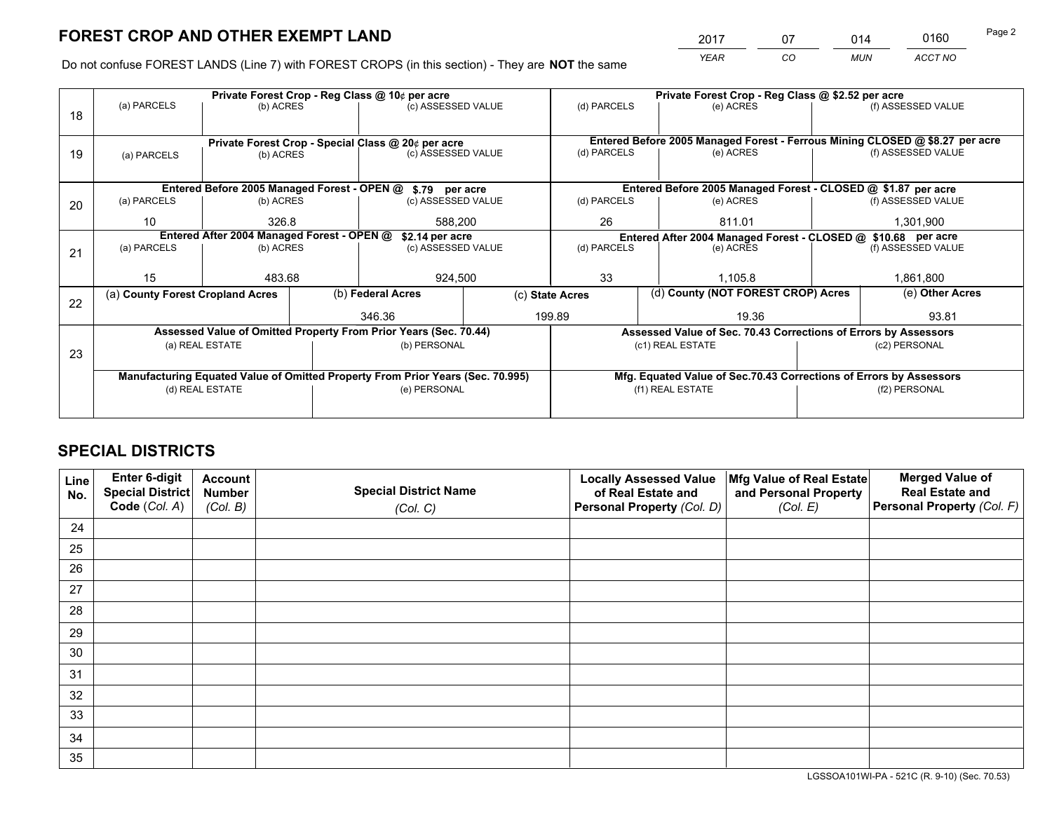*YEAR CO MUN ACCT NO* <sup>2017</sup> <sup>07</sup> <sup>014</sup> <sup>0160</sup>

Do not confuse FOREST LANDS (Line 7) with FOREST CROPS (in this section) - They are **NOT** the same

|    |                                            |                 |  | Private Forest Crop - Reg Class @ 10¢ per acre                                 |                 | Private Forest Crop - Reg Class @ \$2.52 per acre |                                                                              |                                                                    |       |                    |  |
|----|--------------------------------------------|-----------------|--|--------------------------------------------------------------------------------|-----------------|---------------------------------------------------|------------------------------------------------------------------------------|--------------------------------------------------------------------|-------|--------------------|--|
| 18 | (a) PARCELS                                | (b) ACRES       |  | (c) ASSESSED VALUE                                                             |                 | (d) PARCELS                                       |                                                                              | (e) ACRES                                                          |       | (f) ASSESSED VALUE |  |
|    |                                            |                 |  |                                                                                |                 |                                                   |                                                                              |                                                                    |       |                    |  |
|    |                                            |                 |  | Private Forest Crop - Special Class @ 20¢ per acre                             |                 |                                                   | Entered Before 2005 Managed Forest - Ferrous Mining CLOSED @ \$8.27 per acre |                                                                    |       |                    |  |
| 19 | (a) PARCELS                                | (b) ACRES       |  | (c) ASSESSED VALUE                                                             |                 | (d) PARCELS                                       |                                                                              | (e) ACRES                                                          |       | (f) ASSESSED VALUE |  |
|    |                                            |                 |  |                                                                                |                 |                                                   |                                                                              |                                                                    |       |                    |  |
|    |                                            |                 |  | Entered Before 2005 Managed Forest - OPEN @ \$.79 per acre                     |                 |                                                   |                                                                              | Entered Before 2005 Managed Forest - CLOSED @ \$1.87 per acre      |       |                    |  |
| 20 | (a) PARCELS                                | (b) ACRES       |  | (c) ASSESSED VALUE                                                             |                 | (d) PARCELS                                       |                                                                              | (e) ACRES                                                          |       | (f) ASSESSED VALUE |  |
|    | 10                                         | 326.8           |  | 588,200                                                                        |                 | 26                                                |                                                                              | 811.01                                                             |       | 1,301,900          |  |
|    | Entered After 2004 Managed Forest - OPEN @ |                 |  |                                                                                | \$2.14 per acre |                                                   |                                                                              | Entered After 2004 Managed Forest - CLOSED @ \$10.68 per acre      |       |                    |  |
| 21 | (a) PARCELS                                | (b) ACRES       |  | (c) ASSESSED VALUE                                                             |                 | (d) PARCELS                                       |                                                                              | (e) ACRES                                                          |       | (f) ASSESSED VALUE |  |
|    |                                            |                 |  |                                                                                |                 |                                                   |                                                                              |                                                                    |       |                    |  |
|    | 15                                         | 483.68          |  | 924,500                                                                        |                 | 33                                                |                                                                              | 1.105.8                                                            |       | 1,861,800          |  |
|    | (a) County Forest Cropland Acres           |                 |  | (b) Federal Acres                                                              |                 | (c) State Acres                                   |                                                                              | (d) County (NOT FOREST CROP) Acres                                 |       | (e) Other Acres    |  |
| 22 |                                            |                 |  | 346.36                                                                         |                 | 199.89<br>19.36                                   |                                                                              |                                                                    | 93.81 |                    |  |
|    |                                            |                 |  | Assessed Value of Omitted Property From Prior Years (Sec. 70.44)               |                 |                                                   |                                                                              | Assessed Value of Sec. 70.43 Corrections of Errors by Assessors    |       |                    |  |
|    |                                            | (a) REAL ESTATE |  | (b) PERSONAL                                                                   |                 |                                                   |                                                                              | (c1) REAL ESTATE                                                   |       | (c2) PERSONAL      |  |
| 23 |                                            |                 |  |                                                                                |                 |                                                   |                                                                              |                                                                    |       |                    |  |
|    |                                            |                 |  | Manufacturing Equated Value of Omitted Property From Prior Years (Sec. 70.995) |                 |                                                   |                                                                              | Mfg. Equated Value of Sec.70.43 Corrections of Errors by Assessors |       |                    |  |
|    |                                            | (d) REAL ESTATE |  | (e) PERSONAL                                                                   |                 |                                                   |                                                                              | (f1) REAL ESTATE                                                   |       | (f2) PERSONAL      |  |
|    |                                            |                 |  |                                                                                |                 |                                                   |                                                                              |                                                                    |       |                    |  |
|    |                                            |                 |  |                                                                                |                 |                                                   |                                                                              |                                                                    |       |                    |  |

## **SPECIAL DISTRICTS**

| Line<br>No. | Enter 6-digit<br><b>Special District</b> | <b>Account</b><br><b>Number</b> | <b>Special District Name</b> | <b>Locally Assessed Value</b><br>of Real Estate and | Mfg Value of Real Estate<br>and Personal Property | <b>Merged Value of</b><br><b>Real Estate and</b> |
|-------------|------------------------------------------|---------------------------------|------------------------------|-----------------------------------------------------|---------------------------------------------------|--------------------------------------------------|
|             | Code (Col. A)                            | (Col. B)                        | (Col. C)                     | Personal Property (Col. D)                          | (Col. E)                                          | Personal Property (Col. F)                       |
| 24          |                                          |                                 |                              |                                                     |                                                   |                                                  |
| 25          |                                          |                                 |                              |                                                     |                                                   |                                                  |
| 26          |                                          |                                 |                              |                                                     |                                                   |                                                  |
| 27          |                                          |                                 |                              |                                                     |                                                   |                                                  |
| 28          |                                          |                                 |                              |                                                     |                                                   |                                                  |
| 29          |                                          |                                 |                              |                                                     |                                                   |                                                  |
| 30          |                                          |                                 |                              |                                                     |                                                   |                                                  |
| 31          |                                          |                                 |                              |                                                     |                                                   |                                                  |
| 32          |                                          |                                 |                              |                                                     |                                                   |                                                  |
| 33          |                                          |                                 |                              |                                                     |                                                   |                                                  |
| 34          |                                          |                                 |                              |                                                     |                                                   |                                                  |
| 35          |                                          |                                 |                              |                                                     |                                                   |                                                  |

LGSSOA101WI-PA - 521C (R. 9-10) (Sec. 70.53)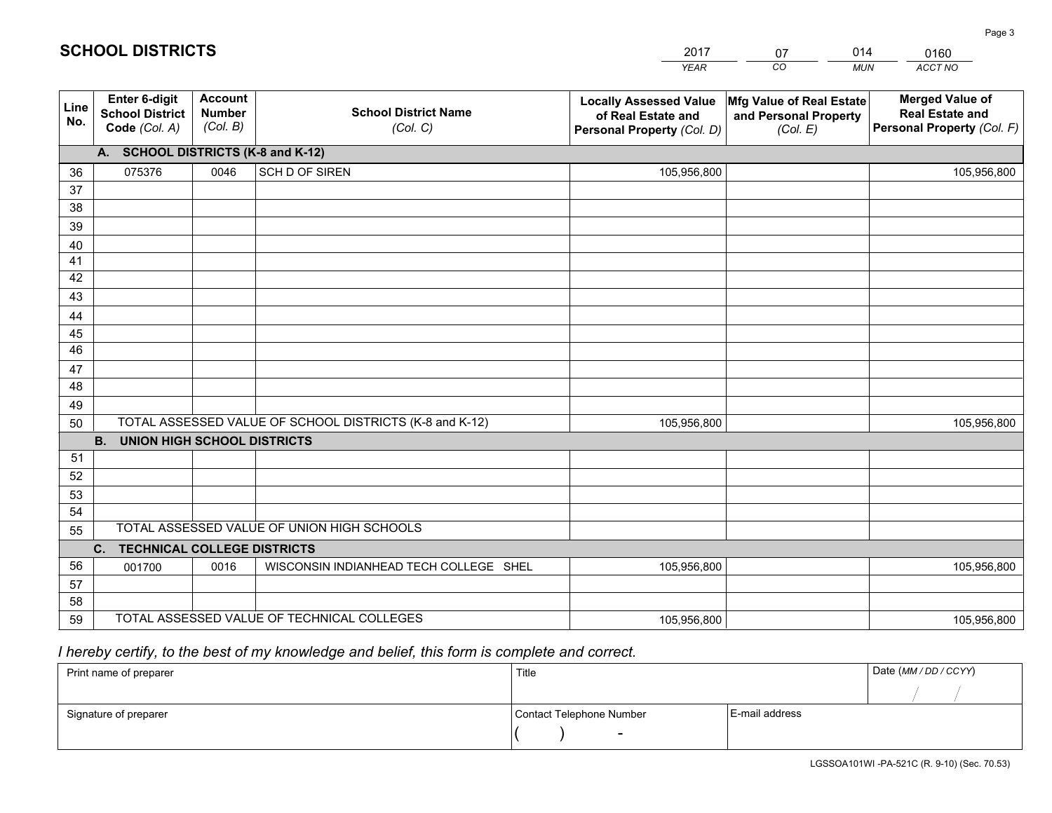|             |                                                          |                                             |                                                         | YEAR                                                                              | CO.<br><b>MUN</b>                                             | ACCT NO                                                                        |  |  |  |  |
|-------------|----------------------------------------------------------|---------------------------------------------|---------------------------------------------------------|-----------------------------------------------------------------------------------|---------------------------------------------------------------|--------------------------------------------------------------------------------|--|--|--|--|
| Line<br>No. | Enter 6-digit<br><b>School District</b><br>Code (Col. A) | <b>Account</b><br><b>Number</b><br>(Col. B) | <b>School District Name</b><br>(Col. C)                 | <b>Locally Assessed Value</b><br>of Real Estate and<br>Personal Property (Col. D) | Mfg Value of Real Estate<br>and Personal Property<br>(Col. E) | <b>Merged Value of</b><br><b>Real Estate and</b><br>Personal Property (Col. F) |  |  |  |  |
|             | <b>SCHOOL DISTRICTS (K-8 and K-12)</b><br>A.             |                                             |                                                         |                                                                                   |                                                               |                                                                                |  |  |  |  |
| 36          | 075376                                                   | 0046                                        | SCH D OF SIREN                                          | 105,956,800                                                                       |                                                               | 105,956,800                                                                    |  |  |  |  |
| 37          |                                                          |                                             |                                                         |                                                                                   |                                                               |                                                                                |  |  |  |  |
| 38          |                                                          |                                             |                                                         |                                                                                   |                                                               |                                                                                |  |  |  |  |
| 39          |                                                          |                                             |                                                         |                                                                                   |                                                               |                                                                                |  |  |  |  |
| 40          |                                                          |                                             |                                                         |                                                                                   |                                                               |                                                                                |  |  |  |  |
| 41<br>42    |                                                          |                                             |                                                         |                                                                                   |                                                               |                                                                                |  |  |  |  |
| 43          |                                                          |                                             |                                                         |                                                                                   |                                                               |                                                                                |  |  |  |  |
| 44          |                                                          |                                             |                                                         |                                                                                   |                                                               |                                                                                |  |  |  |  |
| 45          |                                                          |                                             |                                                         |                                                                                   |                                                               |                                                                                |  |  |  |  |
| 46          |                                                          |                                             |                                                         |                                                                                   |                                                               |                                                                                |  |  |  |  |
| 47          |                                                          |                                             |                                                         |                                                                                   |                                                               |                                                                                |  |  |  |  |
| 48          |                                                          |                                             |                                                         |                                                                                   |                                                               |                                                                                |  |  |  |  |
| 49          |                                                          |                                             |                                                         |                                                                                   |                                                               |                                                                                |  |  |  |  |
| 50          |                                                          |                                             | TOTAL ASSESSED VALUE OF SCHOOL DISTRICTS (K-8 and K-12) | 105,956,800                                                                       |                                                               | 105,956,800                                                                    |  |  |  |  |
|             | <b>B.</b><br><b>UNION HIGH SCHOOL DISTRICTS</b>          |                                             |                                                         |                                                                                   |                                                               |                                                                                |  |  |  |  |
| 51          |                                                          |                                             |                                                         |                                                                                   |                                                               |                                                                                |  |  |  |  |
| 52          |                                                          |                                             |                                                         |                                                                                   |                                                               |                                                                                |  |  |  |  |
| 53<br>54    |                                                          |                                             |                                                         |                                                                                   |                                                               |                                                                                |  |  |  |  |
| 55          |                                                          |                                             | TOTAL ASSESSED VALUE OF UNION HIGH SCHOOLS              |                                                                                   |                                                               |                                                                                |  |  |  |  |
|             | C.<br><b>TECHNICAL COLLEGE DISTRICTS</b>                 |                                             |                                                         |                                                                                   |                                                               |                                                                                |  |  |  |  |
| 56          | 001700                                                   | 0016                                        | WISCONSIN INDIANHEAD TECH COLLEGE SHEL                  | 105,956,800                                                                       |                                                               | 105,956,800                                                                    |  |  |  |  |
| 57          |                                                          |                                             |                                                         |                                                                                   |                                                               |                                                                                |  |  |  |  |
| 58          |                                                          |                                             |                                                         |                                                                                   |                                                               |                                                                                |  |  |  |  |
| 59          |                                                          |                                             | TOTAL ASSESSED VALUE OF TECHNICAL COLLEGES              | 105,956,800                                                                       |                                                               | 105,956,800                                                                    |  |  |  |  |

2017

07

014

# *I hereby certify, to the best of my knowledge and belief, this form is complete and correct.*

**SCHOOL DISTRICTS**

| Print name of preparer | Title                    |                  | Date (MM / DD / CCYY) |
|------------------------|--------------------------|------------------|-----------------------|
|                        |                          |                  |                       |
| Signature of preparer  | Contact Telephone Number | l E-mail address |                       |
|                        | $\overline{\phantom{0}}$ |                  |                       |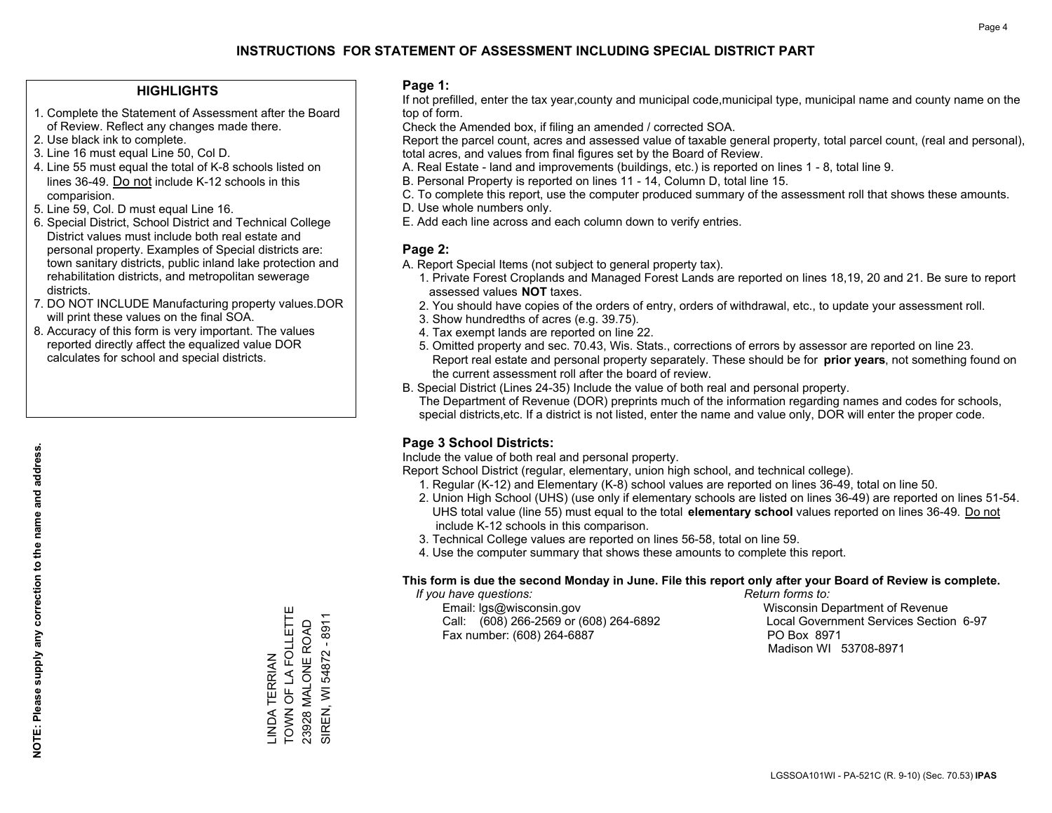### **HIGHLIGHTS**

- 1. Complete the Statement of Assessment after the Board of Review. Reflect any changes made there.
- 2. Use black ink to complete.
- 3. Line 16 must equal Line 50, Col D.
- 4. Line 55 must equal the total of K-8 schools listed on lines 36-49. Do not include K-12 schools in this comparision.
- 5. Line 59, Col. D must equal Line 16.
- 6. Special District, School District and Technical College District values must include both real estate and personal property. Examples of Special districts are: town sanitary districts, public inland lake protection and rehabilitation districts, and metropolitan sewerage districts.
- 7. DO NOT INCLUDE Manufacturing property values.DOR will print these values on the final SOA.
- 8. Accuracy of this form is very important. The values reported directly affect the equalized value DOR calculates for school and special districts.

### **Page 1:**

 If not prefilled, enter the tax year,county and municipal code,municipal type, municipal name and county name on the top of form.

Check the Amended box, if filing an amended / corrected SOA.

 Report the parcel count, acres and assessed value of taxable general property, total parcel count, (real and personal), total acres, and values from final figures set by the Board of Review.

- A. Real Estate land and improvements (buildings, etc.) is reported on lines 1 8, total line 9.
- B. Personal Property is reported on lines 11 14, Column D, total line 15.
- C. To complete this report, use the computer produced summary of the assessment roll that shows these amounts.
- D. Use whole numbers only.
- E. Add each line across and each column down to verify entries.

### **Page 2:**

- A. Report Special Items (not subject to general property tax).
- 1. Private Forest Croplands and Managed Forest Lands are reported on lines 18,19, 20 and 21. Be sure to report assessed values **NOT** taxes.
- 2. You should have copies of the orders of entry, orders of withdrawal, etc., to update your assessment roll.
	- 3. Show hundredths of acres (e.g. 39.75).
- 4. Tax exempt lands are reported on line 22.
- 5. Omitted property and sec. 70.43, Wis. Stats., corrections of errors by assessor are reported on line 23. Report real estate and personal property separately. These should be for **prior years**, not something found on the current assessment roll after the board of review.
- B. Special District (Lines 24-35) Include the value of both real and personal property.

 The Department of Revenue (DOR) preprints much of the information regarding names and codes for schools, special districts,etc. If a district is not listed, enter the name and value only, DOR will enter the proper code.

## **Page 3 School Districts:**

Include the value of both real and personal property.

Report School District (regular, elementary, union high school, and technical college).

- 1. Regular (K-12) and Elementary (K-8) school values are reported on lines 36-49, total on line 50.
- 2. Union High School (UHS) (use only if elementary schools are listed on lines 36-49) are reported on lines 51-54. UHS total value (line 55) must equal to the total **elementary school** values reported on lines 36-49. Do notinclude K-12 schools in this comparison.
- 3. Technical College values are reported on lines 56-58, total on line 59.
- 4. Use the computer summary that shows these amounts to complete this report.

#### **This form is due the second Monday in June. File this report only after your Board of Review is complete.**

 *If you have questions: Return forms to:*

 Email: lgs@wisconsin.gov Wisconsin Department of RevenueCall:  $(608)$  266-2569 or  $(608)$  264-6892 Fax number: (608) 264-6887 PO Box 8971

Local Government Services Section 6-97 Madison WI 53708-8971

**NOTE: Please supply any correction to the name and address.**

NOTE: Please supply any correction to the name and address.

TOWN OF LA FOLLETTE -INDA TERRIAN<br>TOWN OF LA FOLLETTE SIREN, WI 54872 - 8911 SIREN, WI 54872 - 8911 23928 MALONE ROAD 23928 MALONE ROAD LINDA TERRIAN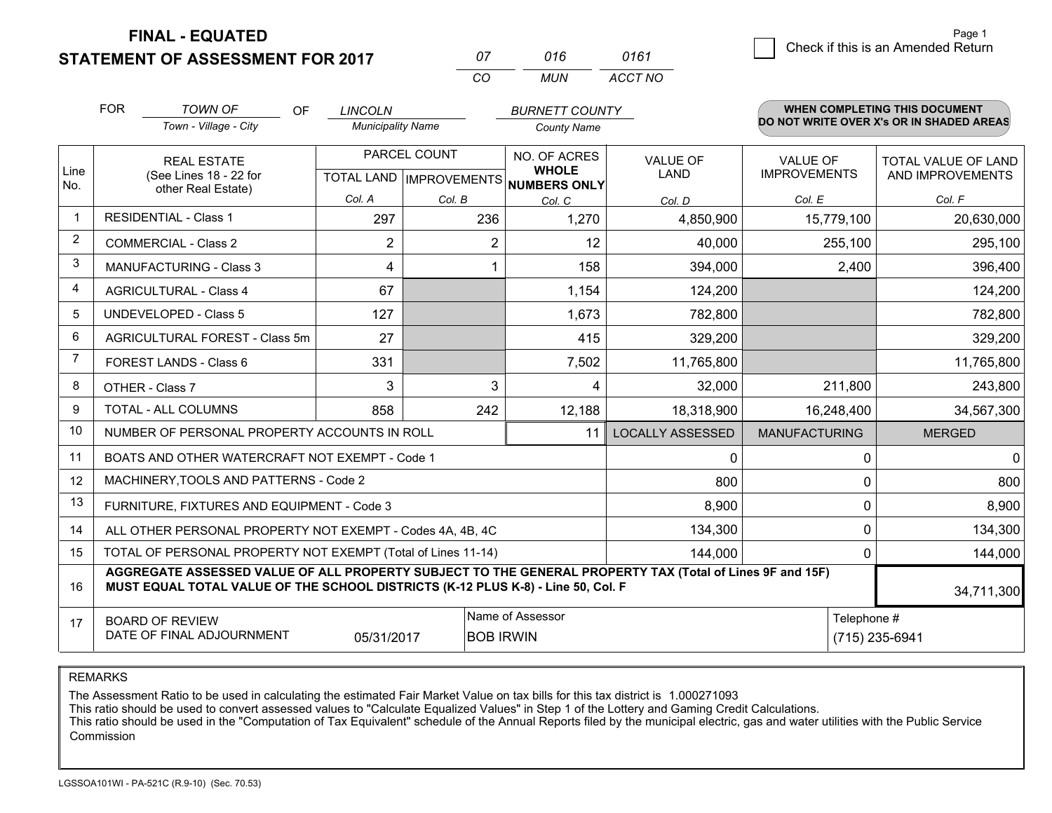**FINAL - EQUATED**

**STATEMENT OF ASSESSMENT FOR 2017** 

| 07 | 016 | 0161    |
|----|-----|---------|
| (  | MUN | ACCT NO |

|             | <b>FOR</b>                                                                                                | <b>TOWN OF</b><br>OF                                                                                                                                                                         | <b>LINCOLN</b>           |                                           | <b>BURNETT COUNTY</b>                        |                                |                                        | <b>WHEN COMPLETING THIS DOCUMENT</b>           |
|-------------|-----------------------------------------------------------------------------------------------------------|----------------------------------------------------------------------------------------------------------------------------------------------------------------------------------------------|--------------------------|-------------------------------------------|----------------------------------------------|--------------------------------|----------------------------------------|------------------------------------------------|
|             |                                                                                                           | Town - Village - City                                                                                                                                                                        | <b>Municipality Name</b> |                                           | <b>County Name</b>                           |                                |                                        | DO NOT WRITE OVER X's OR IN SHADED AREAS       |
| Line<br>No. |                                                                                                           | <b>REAL ESTATE</b><br>(See Lines 18 - 22 for                                                                                                                                                 |                          | PARCEL COUNT<br>TOTAL LAND   IMPROVEMENTS | NO. OF ACRES<br><b>WHOLE</b><br>NUMBERS ONLY | <b>VALUE OF</b><br><b>LAND</b> | <b>VALUE OF</b><br><b>IMPROVEMENTS</b> | <b>TOTAL VALUE OF LAND</b><br>AND IMPROVEMENTS |
|             |                                                                                                           | other Real Estate)                                                                                                                                                                           | Col. A                   | Col. B                                    | Col. C                                       | Col. D                         | Col. E                                 | Col. F                                         |
|             |                                                                                                           | <b>RESIDENTIAL - Class 1</b>                                                                                                                                                                 | 297                      | 236                                       | 1,270                                        | 4,850,900                      | 15,779,100                             | 20,630,000                                     |
| 2           |                                                                                                           | <b>COMMERCIAL - Class 2</b>                                                                                                                                                                  | 2                        | $\overline{2}$                            | 12                                           | 40,000                         | 255,100                                | 295,100                                        |
| 3           |                                                                                                           | <b>MANUFACTURING - Class 3</b>                                                                                                                                                               | 4                        |                                           | 158                                          | 394,000                        | 2,400                                  | 396,400                                        |
| 4           |                                                                                                           | <b>AGRICULTURAL - Class 4</b>                                                                                                                                                                | 67                       |                                           | 1,154                                        | 124,200                        |                                        | 124,200                                        |
| 5           |                                                                                                           | <b>UNDEVELOPED - Class 5</b>                                                                                                                                                                 | 127                      |                                           | 1,673                                        | 782,800                        |                                        | 782,800                                        |
| 6           |                                                                                                           | AGRICULTURAL FOREST - Class 5m                                                                                                                                                               | 27                       |                                           | 415                                          | 329,200                        |                                        | 329,200                                        |
|             |                                                                                                           | FOREST LANDS - Class 6                                                                                                                                                                       | 331                      |                                           | 7,502                                        | 11,765,800                     |                                        | 11,765,800                                     |
| 8           |                                                                                                           | OTHER - Class 7                                                                                                                                                                              | 3                        | 3                                         | 4                                            | 32,000                         | 211,800                                | 243,800                                        |
| 9           |                                                                                                           | TOTAL - ALL COLUMNS                                                                                                                                                                          | 858                      | 242                                       | 12,188                                       | 18,318,900                     | 16,248,400                             | 34,567,300                                     |
| 10          |                                                                                                           | NUMBER OF PERSONAL PROPERTY ACCOUNTS IN ROLL                                                                                                                                                 |                          |                                           | 11                                           | <b>LOCALLY ASSESSED</b>        | <b>MANUFACTURING</b>                   | <b>MERGED</b>                                  |
| 11          |                                                                                                           | BOATS AND OTHER WATERCRAFT NOT EXEMPT - Code 1                                                                                                                                               |                          |                                           |                                              | 0                              | $\Omega$                               | 0                                              |
| 12          |                                                                                                           | MACHINERY, TOOLS AND PATTERNS - Code 2                                                                                                                                                       |                          |                                           |                                              | 800                            | 0                                      | 800                                            |
| 13          |                                                                                                           | FURNITURE, FIXTURES AND EQUIPMENT - Code 3                                                                                                                                                   |                          |                                           |                                              | 8,900                          | 0                                      | 8,900                                          |
| 14          |                                                                                                           | ALL OTHER PERSONAL PROPERTY NOT EXEMPT - Codes 4A, 4B, 4C                                                                                                                                    |                          |                                           |                                              | 134,300                        | $\Omega$                               | 134,300                                        |
| 15          | TOTAL OF PERSONAL PROPERTY NOT EXEMPT (Total of Lines 11-14)<br>144,000                                   |                                                                                                                                                                                              |                          |                                           |                                              |                                | 0                                      | 144,000                                        |
| 16          |                                                                                                           | AGGREGATE ASSESSED VALUE OF ALL PROPERTY SUBJECT TO THE GENERAL PROPERTY TAX (Total of Lines 9F and 15F)<br>MUST EQUAL TOTAL VALUE OF THE SCHOOL DISTRICTS (K-12 PLUS K-8) - Line 50, Col. F |                          |                                           |                                              |                                |                                        | 34,711,300                                     |
| 17          | Name of Assessor<br><b>BOARD OF REVIEW</b><br>DATE OF FINAL ADJOURNMENT<br><b>BOB IRWIN</b><br>05/31/2017 |                                                                                                                                                                                              |                          |                                           | Telephone #                                  | (715) 235-6941                 |                                        |                                                |
|             |                                                                                                           |                                                                                                                                                                                              |                          |                                           |                                              |                                |                                        |                                                |

REMARKS

The Assessment Ratio to be used in calculating the estimated Fair Market Value on tax bills for this tax district is 1.000271093<br>This ratio should be used to convert assessed values to "Calculate Equalized Values" in Step Commission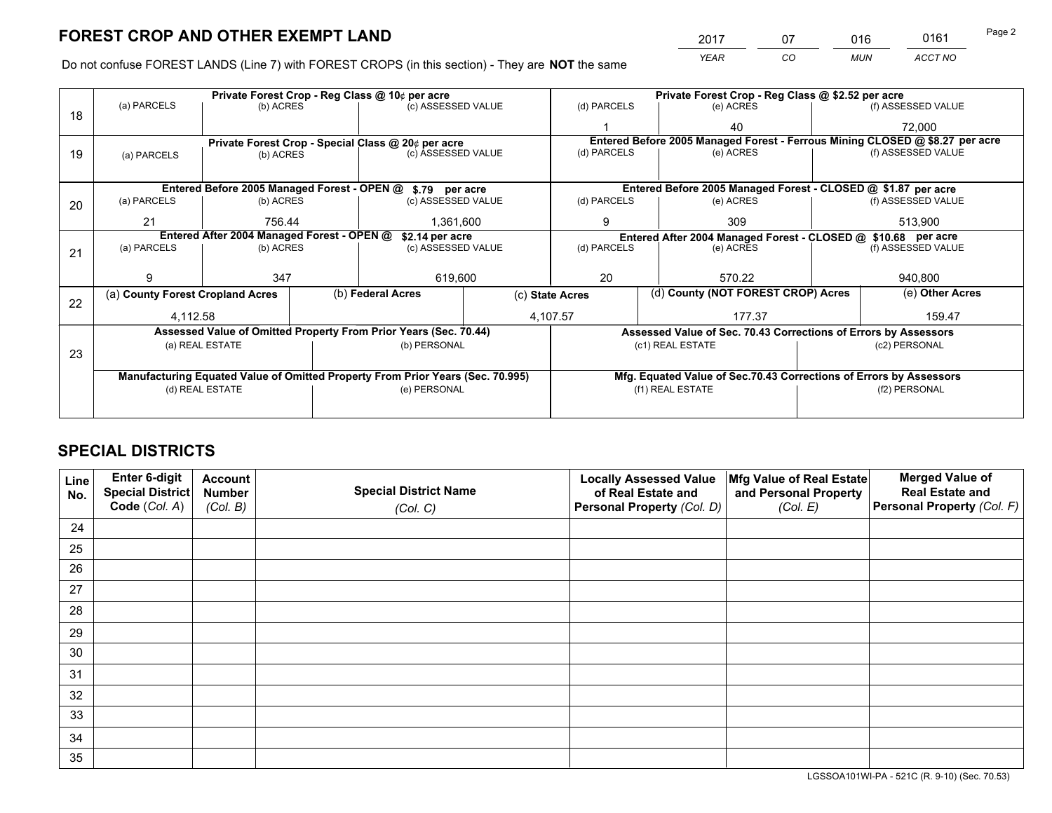*YEAR CO MUN ACCT NO* <sup>2017</sup> <sup>07</sup> <sup>016</sup> <sup>0161</sup>

Do not confuse FOREST LANDS (Line 7) with FOREST CROPS (in this section) - They are **NOT** the same

| (f) ASSESSED VALUE<br>72,000<br>Entered Before 2005 Managed Forest - Ferrous Mining CLOSED @ \$8.27 per acre<br>(f) ASSESSED VALUE |  |  |  |
|------------------------------------------------------------------------------------------------------------------------------------|--|--|--|
|                                                                                                                                    |  |  |  |
|                                                                                                                                    |  |  |  |
|                                                                                                                                    |  |  |  |
|                                                                                                                                    |  |  |  |
|                                                                                                                                    |  |  |  |
| Entered Before 2005 Managed Forest - CLOSED @ \$1.87 per acre                                                                      |  |  |  |
| (f) ASSESSED VALUE                                                                                                                 |  |  |  |
| 513,900                                                                                                                            |  |  |  |
| Entered After 2004 Managed Forest - CLOSED @ \$10.68 per acre<br>(d) PARCELS                                                       |  |  |  |
| (f) ASSESSED VALUE                                                                                                                 |  |  |  |
|                                                                                                                                    |  |  |  |
| 940,800                                                                                                                            |  |  |  |
| (d) County (NOT FOREST CROP) Acres<br>(e) Other Acres                                                                              |  |  |  |
| 159.47                                                                                                                             |  |  |  |
| Assessed Value of Sec. 70.43 Corrections of Errors by Assessors                                                                    |  |  |  |
| (c2) PERSONAL                                                                                                                      |  |  |  |
|                                                                                                                                    |  |  |  |
| Mfg. Equated Value of Sec.70.43 Corrections of Errors by Assessors                                                                 |  |  |  |
| (f2) PERSONAL                                                                                                                      |  |  |  |
|                                                                                                                                    |  |  |  |
|                                                                                                                                    |  |  |  |

## **SPECIAL DISTRICTS**

| Line<br>No. | Enter 6-digit<br>Special District<br>Code (Col. A) | <b>Account</b><br><b>Number</b> | <b>Special District Name</b> | <b>Locally Assessed Value</b><br>of Real Estate and | Mfg Value of Real Estate<br>and Personal Property | <b>Merged Value of</b><br><b>Real Estate and</b><br>Personal Property (Col. F) |
|-------------|----------------------------------------------------|---------------------------------|------------------------------|-----------------------------------------------------|---------------------------------------------------|--------------------------------------------------------------------------------|
|             |                                                    | (Col. B)                        | (Col. C)                     | Personal Property (Col. D)                          | (Col. E)                                          |                                                                                |
| 24          |                                                    |                                 |                              |                                                     |                                                   |                                                                                |
| 25          |                                                    |                                 |                              |                                                     |                                                   |                                                                                |
| 26          |                                                    |                                 |                              |                                                     |                                                   |                                                                                |
| 27          |                                                    |                                 |                              |                                                     |                                                   |                                                                                |
| 28          |                                                    |                                 |                              |                                                     |                                                   |                                                                                |
| 29          |                                                    |                                 |                              |                                                     |                                                   |                                                                                |
| 30          |                                                    |                                 |                              |                                                     |                                                   |                                                                                |
| 31          |                                                    |                                 |                              |                                                     |                                                   |                                                                                |
| 32          |                                                    |                                 |                              |                                                     |                                                   |                                                                                |
| 33          |                                                    |                                 |                              |                                                     |                                                   |                                                                                |
| 34          |                                                    |                                 |                              |                                                     |                                                   |                                                                                |
| 35          |                                                    |                                 |                              |                                                     |                                                   |                                                                                |

LGSSOA101WI-PA - 521C (R. 9-10) (Sec. 70.53)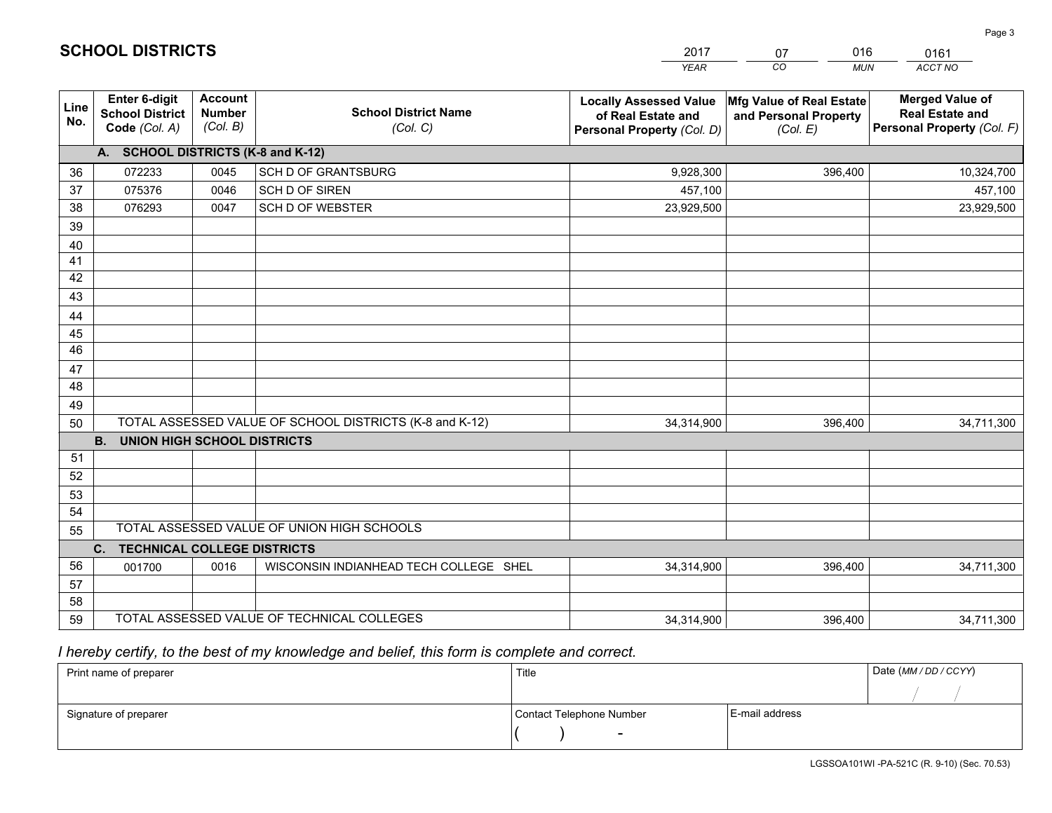|             |                                                                 |                                             |                                                         | <b>YEAR</b>                                                                       | CO<br><b>MUN</b>                                              | <b>ACCT NO</b>                                                                 |  |
|-------------|-----------------------------------------------------------------|---------------------------------------------|---------------------------------------------------------|-----------------------------------------------------------------------------------|---------------------------------------------------------------|--------------------------------------------------------------------------------|--|
| Line<br>No. | <b>Enter 6-digit</b><br><b>School District</b><br>Code (Col. A) | <b>Account</b><br><b>Number</b><br>(Col. B) | <b>School District Name</b><br>(Col. C)                 | <b>Locally Assessed Value</b><br>of Real Estate and<br>Personal Property (Col. D) | Mfg Value of Real Estate<br>and Personal Property<br>(Col. E) | <b>Merged Value of</b><br><b>Real Estate and</b><br>Personal Property (Col. F) |  |
|             | A. SCHOOL DISTRICTS (K-8 and K-12)                              |                                             |                                                         |                                                                                   |                                                               |                                                                                |  |
| 36          | 072233                                                          | 0045                                        | <b>SCH D OF GRANTSBURG</b>                              | 9,928,300                                                                         | 396.400                                                       | 10,324,700                                                                     |  |
| 37          | 075376                                                          | 0046                                        | SCH D OF SIREN                                          | 457,100                                                                           |                                                               | 457,100                                                                        |  |
| 38          | 076293                                                          | 0047                                        | <b>SCH D OF WEBSTER</b>                                 | 23,929,500                                                                        |                                                               | 23,929,500                                                                     |  |
| 39          |                                                                 |                                             |                                                         |                                                                                   |                                                               |                                                                                |  |
| 40          |                                                                 |                                             |                                                         |                                                                                   |                                                               |                                                                                |  |
| 41          |                                                                 |                                             |                                                         |                                                                                   |                                                               |                                                                                |  |
| 42          |                                                                 |                                             |                                                         |                                                                                   |                                                               |                                                                                |  |
| 43          |                                                                 |                                             |                                                         |                                                                                   |                                                               |                                                                                |  |
| 44          |                                                                 |                                             |                                                         |                                                                                   |                                                               |                                                                                |  |
| 45          |                                                                 |                                             |                                                         |                                                                                   |                                                               |                                                                                |  |
| 46          |                                                                 |                                             |                                                         |                                                                                   |                                                               |                                                                                |  |
| 47          |                                                                 |                                             |                                                         |                                                                                   |                                                               |                                                                                |  |
| 48          |                                                                 |                                             |                                                         |                                                                                   |                                                               |                                                                                |  |
| 49          |                                                                 |                                             |                                                         |                                                                                   |                                                               |                                                                                |  |
| 50          |                                                                 |                                             | TOTAL ASSESSED VALUE OF SCHOOL DISTRICTS (K-8 and K-12) | 34,314,900                                                                        | 396,400                                                       | 34,711,300                                                                     |  |
|             | <b>B.</b><br><b>UNION HIGH SCHOOL DISTRICTS</b>                 |                                             |                                                         |                                                                                   |                                                               |                                                                                |  |
| 51          |                                                                 |                                             |                                                         |                                                                                   |                                                               |                                                                                |  |
| 52          |                                                                 |                                             |                                                         |                                                                                   |                                                               |                                                                                |  |
| 53          |                                                                 |                                             |                                                         |                                                                                   |                                                               |                                                                                |  |
| 54          |                                                                 |                                             | TOTAL ASSESSED VALUE OF UNION HIGH SCHOOLS              |                                                                                   |                                                               |                                                                                |  |
| 55          |                                                                 |                                             |                                                         |                                                                                   |                                                               |                                                                                |  |
| 56          | C.<br><b>TECHNICAL COLLEGE DISTRICTS</b>                        |                                             |                                                         |                                                                                   |                                                               |                                                                                |  |
| 57          | 001700                                                          | 0016                                        | WISCONSIN INDIANHEAD TECH COLLEGE SHEL                  | 34,314,900                                                                        | 396,400                                                       | 34,711,300                                                                     |  |
| 58          |                                                                 |                                             |                                                         |                                                                                   |                                                               |                                                                                |  |
| 59          |                                                                 |                                             | TOTAL ASSESSED VALUE OF TECHNICAL COLLEGES              | 34,314,900                                                                        | 396,400                                                       | 34,711,300                                                                     |  |
|             |                                                                 |                                             |                                                         |                                                                                   |                                                               |                                                                                |  |

2017

07

016

 *I hereby certify, to the best of my knowledge and belief, this form is complete and correct.*

**SCHOOL DISTRICTS**

| Print name of preparer | Title                    | Date (MM/DD/CCYY) |  |
|------------------------|--------------------------|-------------------|--|
|                        |                          |                   |  |
| Signature of preparer  | Contact Telephone Number | E-mail address    |  |
|                        | $\overline{\phantom{0}}$ |                   |  |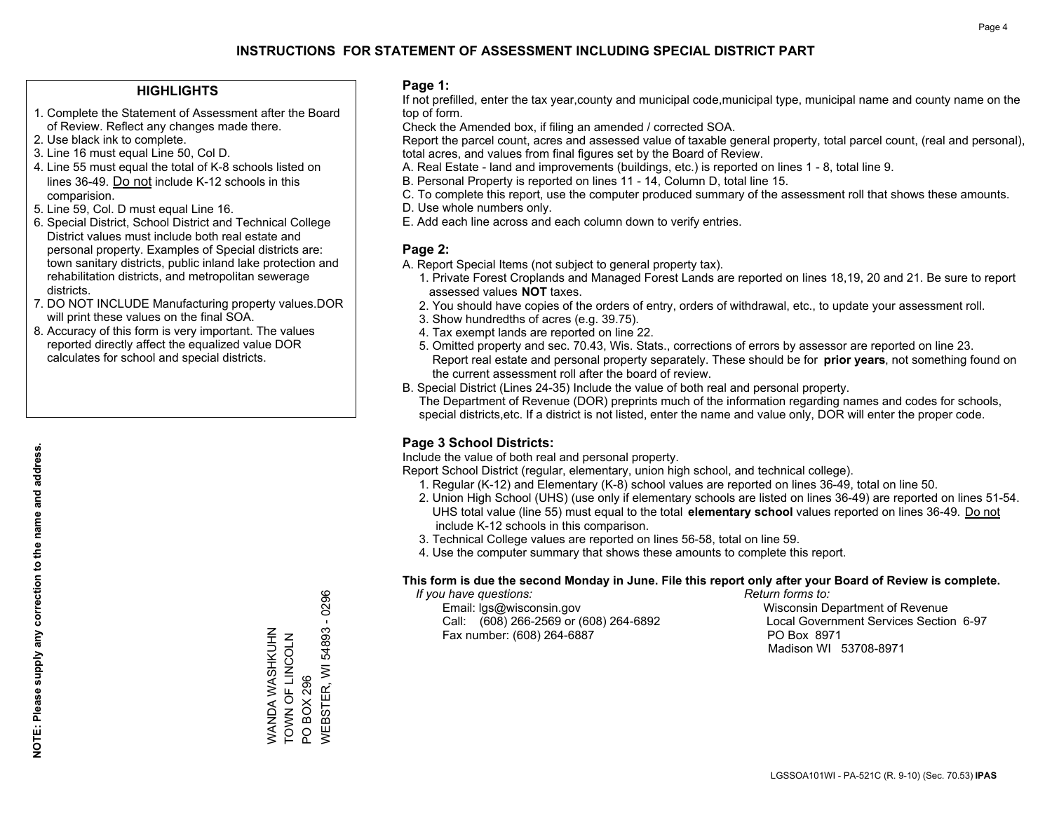### **HIGHLIGHTS**

- 1. Complete the Statement of Assessment after the Board of Review. Reflect any changes made there.
- 2. Use black ink to complete.
- 3. Line 16 must equal Line 50, Col D.
- 4. Line 55 must equal the total of K-8 schools listed on lines 36-49. Do not include K-12 schools in this comparision.
- 5. Line 59, Col. D must equal Line 16.
- 6. Special District, School District and Technical College District values must include both real estate and personal property. Examples of Special districts are: town sanitary districts, public inland lake protection and rehabilitation districts, and metropolitan sewerage districts.
- 7. DO NOT INCLUDE Manufacturing property values.DOR will print these values on the final SOA.
- 8. Accuracy of this form is very important. The values reported directly affect the equalized value DOR calculates for school and special districts.

### **Page 1:**

 If not prefilled, enter the tax year,county and municipal code,municipal type, municipal name and county name on the top of form.

Check the Amended box, if filing an amended / corrected SOA.

 Report the parcel count, acres and assessed value of taxable general property, total parcel count, (real and personal), total acres, and values from final figures set by the Board of Review.

- A. Real Estate land and improvements (buildings, etc.) is reported on lines 1 8, total line 9.
- B. Personal Property is reported on lines 11 14, Column D, total line 15.
- C. To complete this report, use the computer produced summary of the assessment roll that shows these amounts.
- D. Use whole numbers only.
- E. Add each line across and each column down to verify entries.

### **Page 2:**

- A. Report Special Items (not subject to general property tax).
- 1. Private Forest Croplands and Managed Forest Lands are reported on lines 18,19, 20 and 21. Be sure to report assessed values **NOT** taxes.
- 2. You should have copies of the orders of entry, orders of withdrawal, etc., to update your assessment roll.
	- 3. Show hundredths of acres (e.g. 39.75).
- 4. Tax exempt lands are reported on line 22.
- 5. Omitted property and sec. 70.43, Wis. Stats., corrections of errors by assessor are reported on line 23. Report real estate and personal property separately. These should be for **prior years**, not something found on the current assessment roll after the board of review.
- B. Special District (Lines 24-35) Include the value of both real and personal property.

 The Department of Revenue (DOR) preprints much of the information regarding names and codes for schools, special districts,etc. If a district is not listed, enter the name and value only, DOR will enter the proper code.

## **Page 3 School Districts:**

Include the value of both real and personal property.

Report School District (regular, elementary, union high school, and technical college).

- 1. Regular (K-12) and Elementary (K-8) school values are reported on lines 36-49, total on line 50.
- 2. Union High School (UHS) (use only if elementary schools are listed on lines 36-49) are reported on lines 51-54. UHS total value (line 55) must equal to the total **elementary school** values reported on lines 36-49. Do notinclude K-12 schools in this comparison.
- 3. Technical College values are reported on lines 56-58, total on line 59.
- 4. Use the computer summary that shows these amounts to complete this report.

#### **This form is due the second Monday in June. File this report only after your Board of Review is complete.**

 *If you have questions: Return forms to:*

 Email: lgs@wisconsin.gov Wisconsin Department of RevenueCall:  $(608)$  266-2569 or  $(608)$  264-6892 Fax number: (608) 264-6887 PO Box 8971

Local Government Services Section 6-97 Madison WI 53708-8971

**WEBSTER, WI 54893 - 0296** WEBSTER, WI 54893 - 0296 WANDA WASHKUHN<br>TOWN OF LINCOLN WANDA WASHKUHN TOWN OF LINCOLN **PO BOX 296** PO BOX 296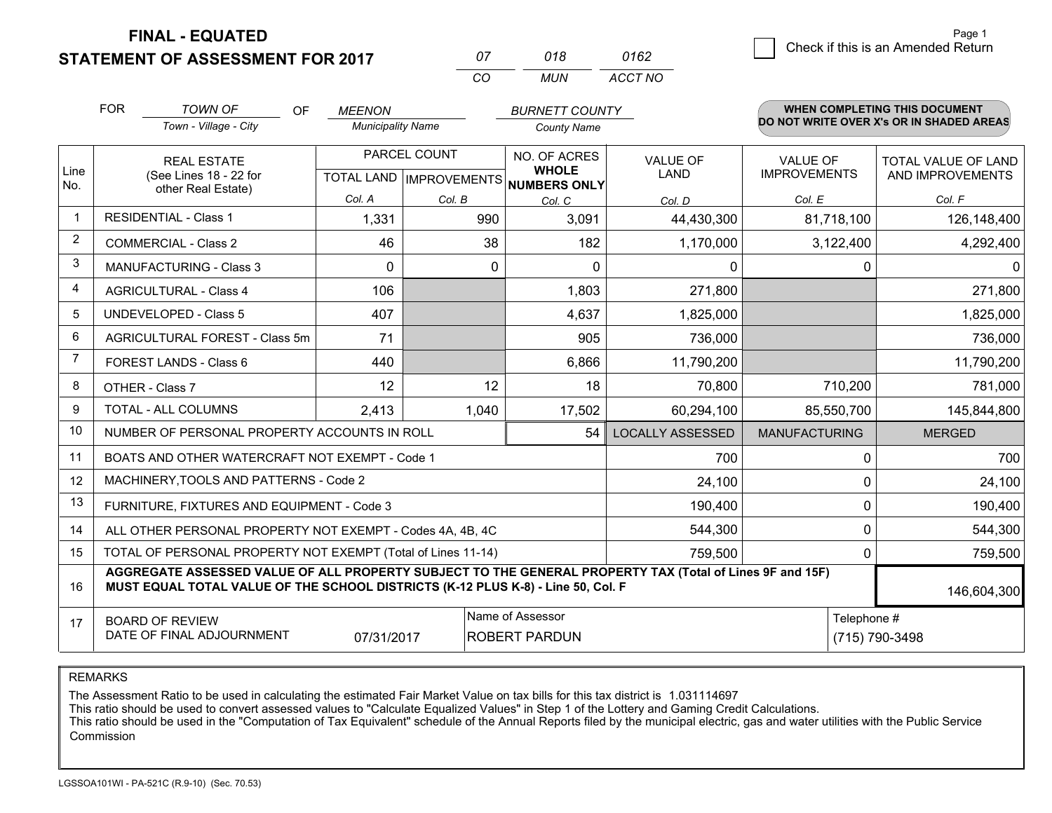**FINAL - EQUATED**

**STATEMENT OF ASSESSMENT FOR 2017** 

*CO MUN <sup>07</sup> <sup>018</sup> ACCT NO0162*

|                | <b>FOR</b>                                                                                                                                                                                                  | <b>TOWN OF</b><br><b>OF</b>                    | <b>MEENON</b>            |              | <b>BURNETT COUNTY</b>                                               |                         |                                        | <b>WHEN COMPLETING THIS DOCUMENT</b>           |
|----------------|-------------------------------------------------------------------------------------------------------------------------------------------------------------------------------------------------------------|------------------------------------------------|--------------------------|--------------|---------------------------------------------------------------------|-------------------------|----------------------------------------|------------------------------------------------|
|                |                                                                                                                                                                                                             | Town - Village - City                          | <b>Municipality Name</b> |              | <b>County Name</b>                                                  |                         |                                        | DO NOT WRITE OVER X's OR IN SHADED AREAS       |
| Line<br>No.    | <b>REAL ESTATE</b><br>(See Lines 18 - 22 for<br>other Real Estate)                                                                                                                                          |                                                |                          | PARCEL COUNT | NO. OF ACRES<br><b>WHOLE</b><br>TOTAL LAND MPROVEMENTS NUMBERS ONLY | <b>VALUE OF</b><br>LAND | <b>VALUE OF</b><br><b>IMPROVEMENTS</b> | <b>TOTAL VALUE OF LAND</b><br>AND IMPROVEMENTS |
|                |                                                                                                                                                                                                             |                                                | Col. A                   | Col. B       | Col. C                                                              | Col. D                  | Col. E                                 | Col. F                                         |
| -1             |                                                                                                                                                                                                             | <b>RESIDENTIAL - Class 1</b>                   | 1,331                    | 990          | 3,091                                                               | 44,430,300              | 81,718,100                             | 126,148,400                                    |
| 2              |                                                                                                                                                                                                             | <b>COMMERCIAL - Class 2</b>                    | 46                       | 38           | 182                                                                 | 1,170,000               | 3,122,400                              | 4,292,400                                      |
| 3              |                                                                                                                                                                                                             | <b>MANUFACTURING - Class 3</b>                 | $\Omega$                 | $\Omega$     | $\Omega$                                                            | $\mathbf{0}$            |                                        | $\mathbf{0}$<br>$\Omega$                       |
| $\overline{4}$ |                                                                                                                                                                                                             | <b>AGRICULTURAL - Class 4</b>                  | 106                      |              | 1,803                                                               | 271,800                 |                                        | 271,800                                        |
| 5              |                                                                                                                                                                                                             | <b>UNDEVELOPED - Class 5</b>                   | 407                      |              | 4,637                                                               | 1,825,000               |                                        | 1,825,000                                      |
| 6              | AGRICULTURAL FOREST - Class 5m                                                                                                                                                                              |                                                | 71                       |              | 905                                                                 | 736,000                 |                                        | 736,000                                        |
| $\overline{7}$ | <b>FOREST LANDS - Class 6</b>                                                                                                                                                                               |                                                | 440                      |              | 6,866                                                               | 11,790,200              |                                        | 11,790,200                                     |
| 8              | OTHER - Class 7                                                                                                                                                                                             |                                                | 12                       | 12           | 18                                                                  | 70,800                  | 710,200                                | 781,000                                        |
| 9              | TOTAL - ALL COLUMNS                                                                                                                                                                                         |                                                | 2,413                    | 1,040        | 17,502                                                              | 60,294,100              | 85,550,700                             | 145,844,800                                    |
| 10             |                                                                                                                                                                                                             | NUMBER OF PERSONAL PROPERTY ACCOUNTS IN ROLL   |                          |              | <b>LOCALLY ASSESSED</b>                                             | <b>MANUFACTURING</b>    | <b>MERGED</b>                          |                                                |
| 11             |                                                                                                                                                                                                             | BOATS AND OTHER WATERCRAFT NOT EXEMPT - Code 1 |                          |              | 700                                                                 |                         | 700<br>$\mathbf 0$                     |                                                |
| 12             |                                                                                                                                                                                                             | MACHINERY, TOOLS AND PATTERNS - Code 2         |                          |              |                                                                     | 24,100                  |                                        | 24,100<br>$\mathbf 0$                          |
| 13             | FURNITURE, FIXTURES AND EQUIPMENT - Code 3<br>190,400                                                                                                                                                       |                                                |                          |              |                                                                     |                         |                                        | $\mathbf{0}$<br>190,400                        |
| 14             | 544,300<br>ALL OTHER PERSONAL PROPERTY NOT EXEMPT - Codes 4A, 4B, 4C                                                                                                                                        |                                                |                          |              |                                                                     |                         |                                        | $\mathbf 0$<br>544,300                         |
| 15             | TOTAL OF PERSONAL PROPERTY NOT EXEMPT (Total of Lines 11-14)<br>759,500                                                                                                                                     |                                                |                          |              |                                                                     |                         |                                        | 759,500<br>0                                   |
| 16             | AGGREGATE ASSESSED VALUE OF ALL PROPERTY SUBJECT TO THE GENERAL PROPERTY TAX (Total of Lines 9F and 15F)<br>MUST EQUAL TOTAL VALUE OF THE SCHOOL DISTRICTS (K-12 PLUS K-8) - Line 50, Col. F<br>146,604,300 |                                                |                          |              |                                                                     |                         |                                        |                                                |
| 17             | Name of Assessor<br><b>BOARD OF REVIEW</b><br>DATE OF FINAL ADJOURNMENT<br>07/31/2017<br>ROBERT PARDUN                                                                                                      |                                                |                          |              |                                                                     |                         | Telephone #<br>(715) 790-3498          |                                                |

REMARKS

The Assessment Ratio to be used in calculating the estimated Fair Market Value on tax bills for this tax district is 1.031114697<br>This ratio should be used to convert assessed values to "Calculate Equalized Values" in Step Commission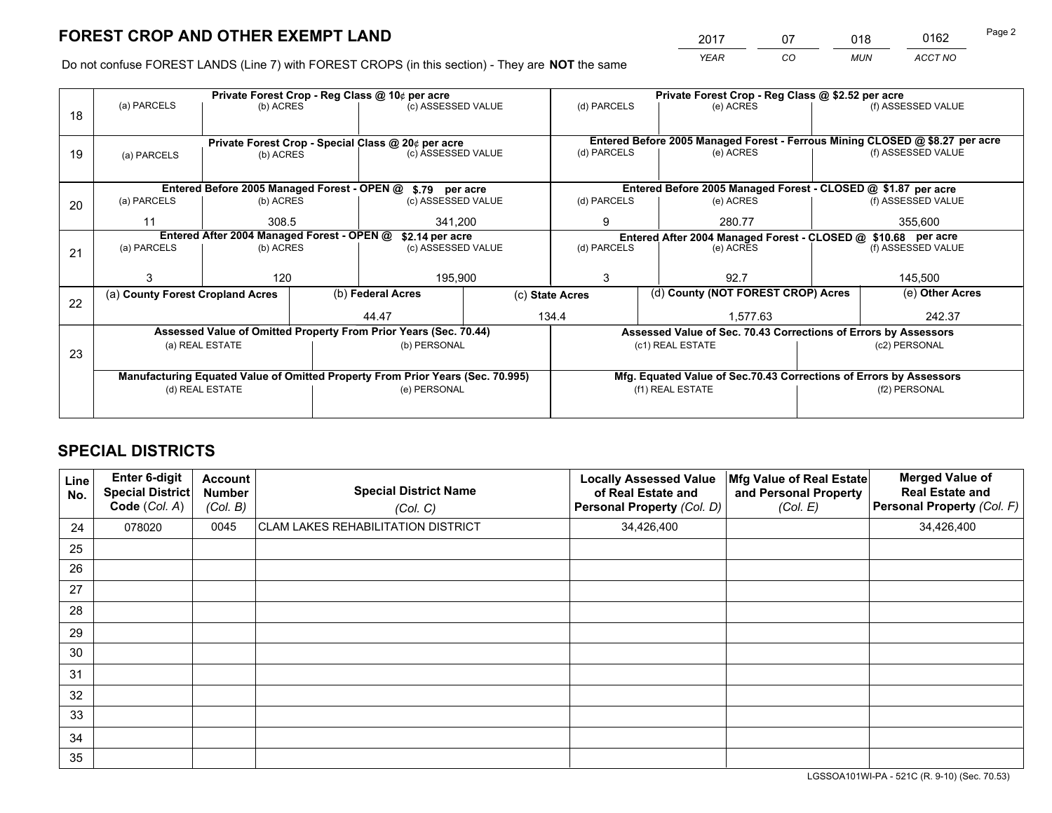*YEAR CO MUN ACCT NO* <sup>2017</sup> <sup>07</sup> <sup>018</sup> <sup>0162</sup> Page 2

Do not confuse FOREST LANDS (Line 7) with FOREST CROPS (in this section) - They are **NOT** the same

|    | Private Forest Crop - Reg Class @ 10¢ per acre                                 |                                 |  |                                                            |                                                                    | Private Forest Crop - Reg Class @ \$2.52 per acre                                   |                                                                              |                                                               |                    |                    |
|----|--------------------------------------------------------------------------------|---------------------------------|--|------------------------------------------------------------|--------------------------------------------------------------------|-------------------------------------------------------------------------------------|------------------------------------------------------------------------------|---------------------------------------------------------------|--------------------|--------------------|
| 18 | (a) PARCELS                                                                    | (b) ACRES                       |  | (c) ASSESSED VALUE                                         |                                                                    | (d) PARCELS                                                                         |                                                                              | (e) ACRES                                                     |                    | (f) ASSESSED VALUE |
|    |                                                                                |                                 |  |                                                            |                                                                    |                                                                                     |                                                                              |                                                               |                    |                    |
|    |                                                                                |                                 |  | Private Forest Crop - Special Class @ 20¢ per acre         |                                                                    |                                                                                     | Entered Before 2005 Managed Forest - Ferrous Mining CLOSED @ \$8.27 per acre |                                                               |                    |                    |
| 19 | (b) ACRES<br>(a) PARCELS                                                       |                                 |  | (c) ASSESSED VALUE                                         |                                                                    | (d) PARCELS                                                                         |                                                                              | (e) ACRES                                                     |                    | (f) ASSESSED VALUE |
|    |                                                                                |                                 |  |                                                            |                                                                    |                                                                                     |                                                                              |                                                               |                    |                    |
|    |                                                                                |                                 |  | Entered Before 2005 Managed Forest - OPEN @ \$.79 per acre |                                                                    |                                                                                     |                                                                              | Entered Before 2005 Managed Forest - CLOSED @ \$1.87 per acre |                    |                    |
| 20 | (a) PARCELS                                                                    | (b) ACRES                       |  | (c) ASSESSED VALUE                                         |                                                                    | (d) PARCELS                                                                         |                                                                              | (e) ACRES                                                     |                    | (f) ASSESSED VALUE |
|    | 11                                                                             | 308.5                           |  | 341,200                                                    |                                                                    | 9                                                                                   |                                                                              | 280.77                                                        |                    | 355,600            |
|    | Entered After 2004 Managed Forest - OPEN @<br>\$2.14 per acre                  |                                 |  |                                                            |                                                                    | Entered After 2004 Managed Forest - CLOSED @ \$10.68 per acre                       |                                                                              |                                                               |                    |                    |
| 21 | (a) PARCELS                                                                    | (c) ASSESSED VALUE<br>(b) ACRES |  |                                                            | (d) PARCELS                                                        |                                                                                     | (e) ACRES                                                                    |                                                               | (f) ASSESSED VALUE |                    |
|    |                                                                                |                                 |  |                                                            |                                                                    |                                                                                     |                                                                              |                                                               |                    |                    |
|    |                                                                                | 120                             |  | 195,900                                                    |                                                                    | 3                                                                                   |                                                                              | 92.7                                                          |                    | 145,500            |
|    | (a) County Forest Cropland Acres                                               |                                 |  | (b) Federal Acres                                          |                                                                    | (c) State Acres                                                                     |                                                                              | (d) County (NOT FOREST CROP) Acres                            |                    | (e) Other Acres    |
| 22 |                                                                                |                                 |  | 134.4<br>44.47                                             |                                                                    |                                                                                     | 1.577.63                                                                     |                                                               |                    | 242.37             |
|    |                                                                                |                                 |  |                                                            |                                                                    |                                                                                     |                                                                              |                                                               |                    |                    |
|    | Assessed Value of Omitted Property From Prior Years (Sec. 70.44)               |                                 |  |                                                            |                                                                    | Assessed Value of Sec. 70.43 Corrections of Errors by Assessors<br>(c1) REAL ESTATE |                                                                              |                                                               | (c2) PERSONAL      |                    |
| 23 | (a) REAL ESTATE                                                                |                                 |  | (b) PERSONAL                                               |                                                                    |                                                                                     |                                                                              |                                                               |                    |                    |
|    |                                                                                |                                 |  |                                                            |                                                                    |                                                                                     |                                                                              |                                                               |                    |                    |
|    | Manufacturing Equated Value of Omitted Property From Prior Years (Sec. 70.995) |                                 |  |                                                            | Mfg. Equated Value of Sec.70.43 Corrections of Errors by Assessors |                                                                                     |                                                                              |                                                               |                    |                    |
|    |                                                                                | (d) REAL ESTATE                 |  | (e) PERSONAL                                               |                                                                    |                                                                                     |                                                                              | (f1) REAL ESTATE                                              |                    | (f2) PERSONAL      |
|    |                                                                                |                                 |  |                                                            |                                                                    |                                                                                     |                                                                              |                                                               |                    |                    |

## **SPECIAL DISTRICTS**

| Line<br>No. | <b>Enter 6-digit</b><br><b>Special District</b><br>Code (Col. A) | <b>Account</b><br><b>Number</b><br>(Col. B) | <b>Special District Name</b><br>(Col. C)  | <b>Locally Assessed Value</b><br>of Real Estate and<br>Personal Property (Col. D) | Mfg Value of Real Estate<br>and Personal Property<br>(Col. E) | <b>Merged Value of</b><br><b>Real Estate and</b><br>Personal Property (Col. F) |
|-------------|------------------------------------------------------------------|---------------------------------------------|-------------------------------------------|-----------------------------------------------------------------------------------|---------------------------------------------------------------|--------------------------------------------------------------------------------|
| 24          | 078020                                                           | 0045                                        | <b>CLAM LAKES REHABILITATION DISTRICT</b> | 34,426,400                                                                        |                                                               | 34,426,400                                                                     |
| 25          |                                                                  |                                             |                                           |                                                                                   |                                                               |                                                                                |
| 26          |                                                                  |                                             |                                           |                                                                                   |                                                               |                                                                                |
| 27          |                                                                  |                                             |                                           |                                                                                   |                                                               |                                                                                |
| 28          |                                                                  |                                             |                                           |                                                                                   |                                                               |                                                                                |
| 29          |                                                                  |                                             |                                           |                                                                                   |                                                               |                                                                                |
| 30          |                                                                  |                                             |                                           |                                                                                   |                                                               |                                                                                |
| 31          |                                                                  |                                             |                                           |                                                                                   |                                                               |                                                                                |
| 32          |                                                                  |                                             |                                           |                                                                                   |                                                               |                                                                                |
| 33          |                                                                  |                                             |                                           |                                                                                   |                                                               |                                                                                |
| 34          |                                                                  |                                             |                                           |                                                                                   |                                                               |                                                                                |
| 35          |                                                                  |                                             |                                           |                                                                                   |                                                               |                                                                                |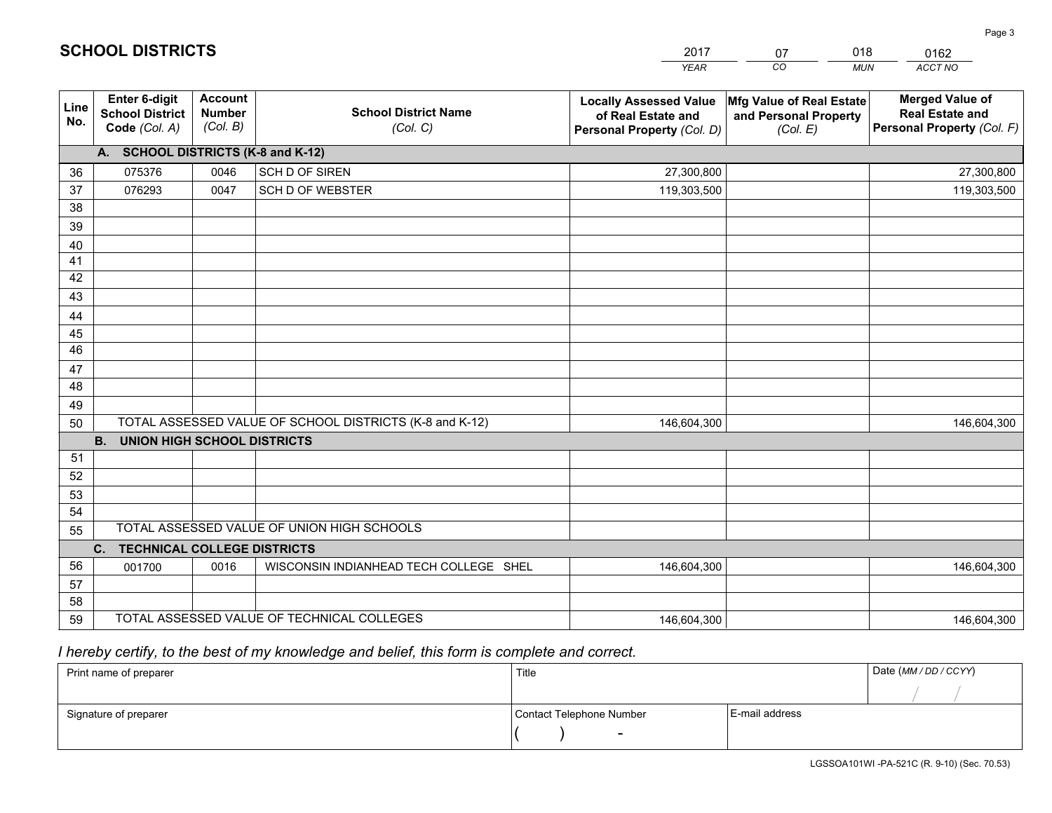|             |                                                          |                                             |                                                         | <b>YEAR</b>                                                                       | CO<br><b>MUN</b>                                              | ACCT NO                                                                        |  |  |  |  |
|-------------|----------------------------------------------------------|---------------------------------------------|---------------------------------------------------------|-----------------------------------------------------------------------------------|---------------------------------------------------------------|--------------------------------------------------------------------------------|--|--|--|--|
| Line<br>No. | Enter 6-digit<br><b>School District</b><br>Code (Col. A) | <b>Account</b><br><b>Number</b><br>(Col. B) | <b>School District Name</b><br>(Col. C)                 | <b>Locally Assessed Value</b><br>of Real Estate and<br>Personal Property (Col. D) | Mfg Value of Real Estate<br>and Personal Property<br>(Col. E) | <b>Merged Value of</b><br><b>Real Estate and</b><br>Personal Property (Col. F) |  |  |  |  |
|             | A. SCHOOL DISTRICTS (K-8 and K-12)                       |                                             |                                                         |                                                                                   |                                                               |                                                                                |  |  |  |  |
| 36          | 075376                                                   | 0046                                        | SCH D OF SIREN                                          | 27,300,800                                                                        |                                                               | 27,300,800                                                                     |  |  |  |  |
| 37          | 076293                                                   | 0047                                        | SCH D OF WEBSTER                                        | 119,303,500                                                                       |                                                               | 119,303,500                                                                    |  |  |  |  |
| 38          |                                                          |                                             |                                                         |                                                                                   |                                                               |                                                                                |  |  |  |  |
| 39          |                                                          |                                             |                                                         |                                                                                   |                                                               |                                                                                |  |  |  |  |
| 40          |                                                          |                                             |                                                         |                                                                                   |                                                               |                                                                                |  |  |  |  |
| 41          |                                                          |                                             |                                                         |                                                                                   |                                                               |                                                                                |  |  |  |  |
| 42          |                                                          |                                             |                                                         |                                                                                   |                                                               |                                                                                |  |  |  |  |
| 43          |                                                          |                                             |                                                         |                                                                                   |                                                               |                                                                                |  |  |  |  |
| 44          |                                                          |                                             |                                                         |                                                                                   |                                                               |                                                                                |  |  |  |  |
| 45          |                                                          |                                             |                                                         |                                                                                   |                                                               |                                                                                |  |  |  |  |
| 46          |                                                          |                                             |                                                         |                                                                                   |                                                               |                                                                                |  |  |  |  |
| 47          |                                                          |                                             |                                                         |                                                                                   |                                                               |                                                                                |  |  |  |  |
| 48          |                                                          |                                             |                                                         |                                                                                   |                                                               |                                                                                |  |  |  |  |
| 49          |                                                          |                                             | TOTAL ASSESSED VALUE OF SCHOOL DISTRICTS (K-8 and K-12) |                                                                                   |                                                               |                                                                                |  |  |  |  |
| 50          | <b>UNION HIGH SCHOOL DISTRICTS</b><br>B.                 |                                             |                                                         | 146,604,300                                                                       |                                                               | 146,604,300                                                                    |  |  |  |  |
| 51          |                                                          |                                             |                                                         |                                                                                   |                                                               |                                                                                |  |  |  |  |
| 52          |                                                          |                                             |                                                         |                                                                                   |                                                               |                                                                                |  |  |  |  |
| 53          |                                                          |                                             |                                                         |                                                                                   |                                                               |                                                                                |  |  |  |  |
| 54          |                                                          |                                             |                                                         |                                                                                   |                                                               |                                                                                |  |  |  |  |
| 55          |                                                          |                                             | TOTAL ASSESSED VALUE OF UNION HIGH SCHOOLS              |                                                                                   |                                                               |                                                                                |  |  |  |  |
|             | <b>TECHNICAL COLLEGE DISTRICTS</b><br>C.                 |                                             |                                                         |                                                                                   |                                                               |                                                                                |  |  |  |  |
| 56          | 001700                                                   | 0016                                        | WISCONSIN INDIANHEAD TECH COLLEGE SHEL                  | 146,604,300                                                                       |                                                               | 146,604,300                                                                    |  |  |  |  |
| 57          |                                                          |                                             |                                                         |                                                                                   |                                                               |                                                                                |  |  |  |  |
| 58          |                                                          |                                             |                                                         |                                                                                   |                                                               |                                                                                |  |  |  |  |
| 59          |                                                          |                                             | TOTAL ASSESSED VALUE OF TECHNICAL COLLEGES              | 146,604,300                                                                       |                                                               | 146,604,300                                                                    |  |  |  |  |

2017

07

018

 *I hereby certify, to the best of my knowledge and belief, this form is complete and correct.*

**SCHOOL DISTRICTS**

| Print name of preparer | Title                    |                | Date (MM / DD / CCYY) |
|------------------------|--------------------------|----------------|-----------------------|
|                        |                          |                |                       |
| Signature of preparer  | Contact Telephone Number | E-mail address |                       |
|                        | $\overline{\phantom{0}}$ |                |                       |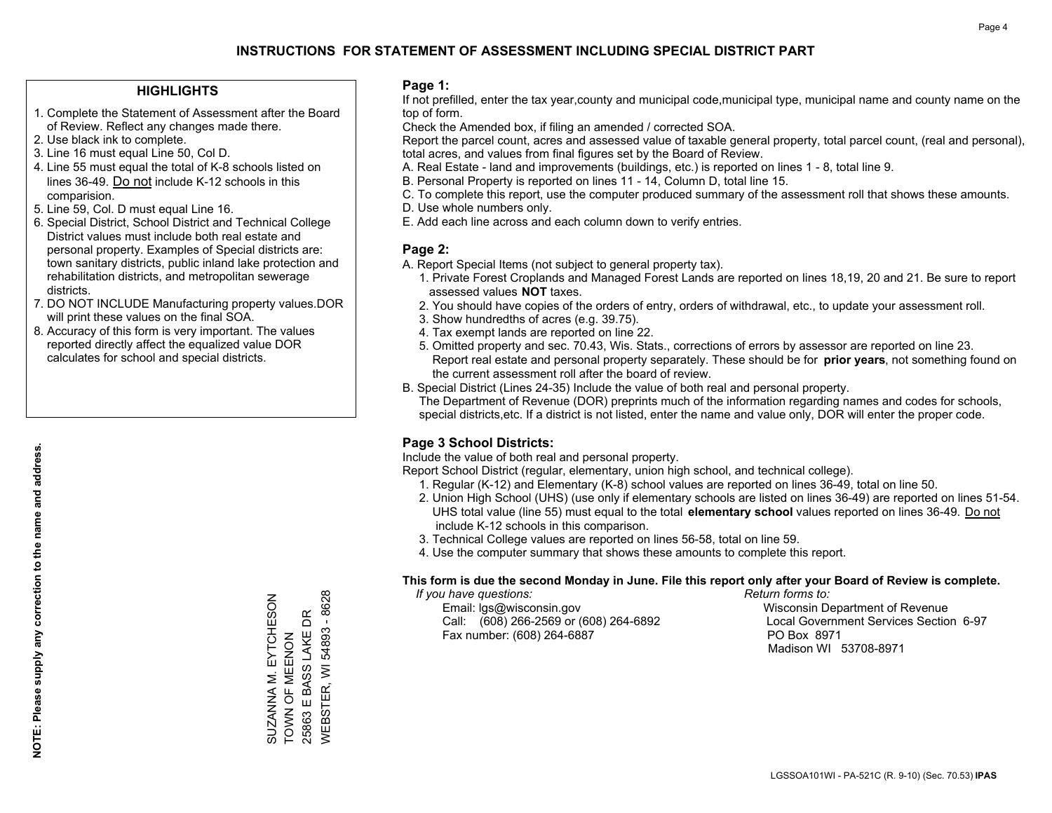### **HIGHLIGHTS**

- 1. Complete the Statement of Assessment after the Board of Review. Reflect any changes made there.
- 2. Use black ink to complete.
- 3. Line 16 must equal Line 50, Col D.
- 4. Line 55 must equal the total of K-8 schools listed on lines 36-49. Do not include K-12 schools in this comparision.
- 5. Line 59, Col. D must equal Line 16.
- 6. Special District, School District and Technical College District values must include both real estate and personal property. Examples of Special districts are: town sanitary districts, public inland lake protection and rehabilitation districts, and metropolitan sewerage districts.
- 7. DO NOT INCLUDE Manufacturing property values.DOR will print these values on the final SOA.
- 8. Accuracy of this form is very important. The values reported directly affect the equalized value DOR calculates for school and special districts.

### **Page 1:**

 If not prefilled, enter the tax year,county and municipal code,municipal type, municipal name and county name on the top of form.

Check the Amended box, if filing an amended / corrected SOA.

 Report the parcel count, acres and assessed value of taxable general property, total parcel count, (real and personal), total acres, and values from final figures set by the Board of Review.

- A. Real Estate land and improvements (buildings, etc.) is reported on lines 1 8, total line 9.
- B. Personal Property is reported on lines 11 14, Column D, total line 15.
- C. To complete this report, use the computer produced summary of the assessment roll that shows these amounts.
- D. Use whole numbers only.
- E. Add each line across and each column down to verify entries.

### **Page 2:**

- A. Report Special Items (not subject to general property tax).
- 1. Private Forest Croplands and Managed Forest Lands are reported on lines 18,19, 20 and 21. Be sure to report assessed values **NOT** taxes.
- 2. You should have copies of the orders of entry, orders of withdrawal, etc., to update your assessment roll.
	- 3. Show hundredths of acres (e.g. 39.75).
- 4. Tax exempt lands are reported on line 22.
- 5. Omitted property and sec. 70.43, Wis. Stats., corrections of errors by assessor are reported on line 23. Report real estate and personal property separately. These should be for **prior years**, not something found on the current assessment roll after the board of review.
- B. Special District (Lines 24-35) Include the value of both real and personal property.
- The Department of Revenue (DOR) preprints much of the information regarding names and codes for schools, special districts,etc. If a district is not listed, enter the name and value only, DOR will enter the proper code.

## **Page 3 School Districts:**

Include the value of both real and personal property.

Report School District (regular, elementary, union high school, and technical college).

- 1. Regular (K-12) and Elementary (K-8) school values are reported on lines 36-49, total on line 50.
- 2. Union High School (UHS) (use only if elementary schools are listed on lines 36-49) are reported on lines 51-54. UHS total value (line 55) must equal to the total **elementary school** values reported on lines 36-49. Do notinclude K-12 schools in this comparison.
- 3. Technical College values are reported on lines 56-58, total on line 59.
- 4. Use the computer summary that shows these amounts to complete this report.

#### **This form is due the second Monday in June. File this report only after your Board of Review is complete.**

 *If you have questions: Return forms to:*

 Email: lgs@wisconsin.gov Wisconsin Department of RevenueCall:  $(608)$  266-2569 or  $(608)$  264-6892 Fax number: (608) 264-6887 PO Box 8971

Local Government Services Section 6-97 Madison WI 53708-8971

54893 - 8628 WEBSTER, WI 54893 - 8628 SUZANNA M. EYTCHESON<br>TOWN OF MEENON SUZANNA M. EYTCHESON 25863 E BASS LAKE DR 25863 E BASS LAKE DR TOWN OF MEENON **WEBSTER, WI**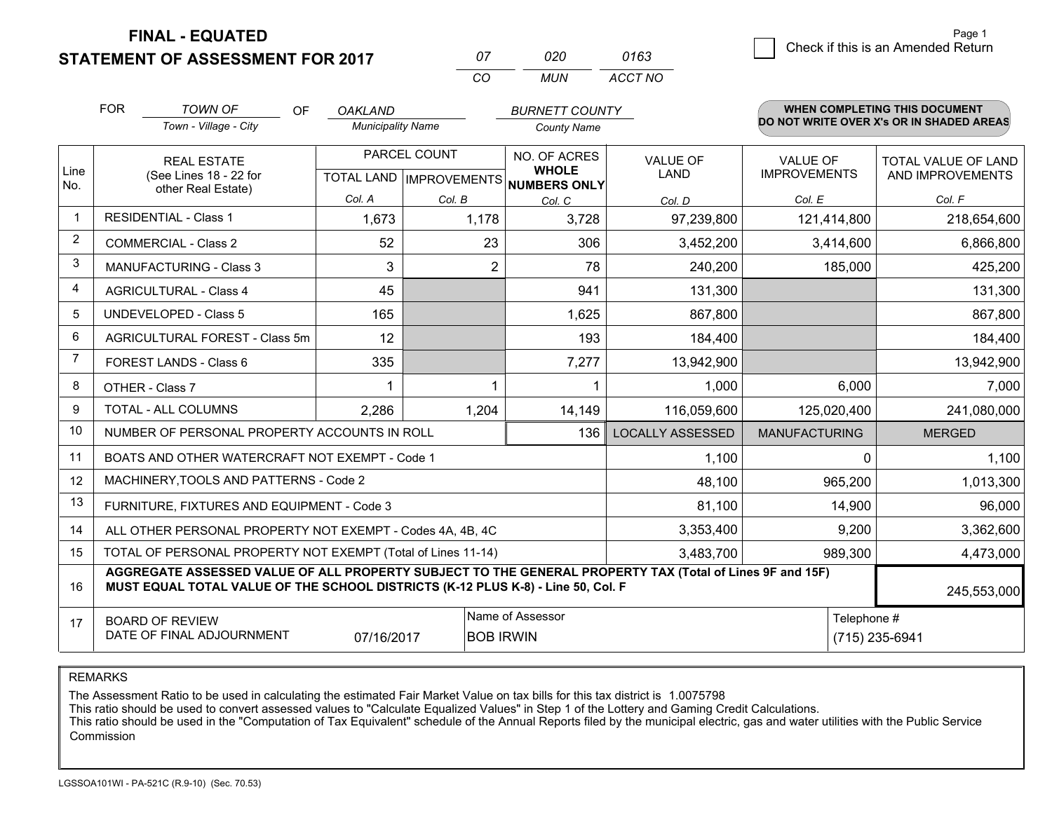**STATEMENT OF ASSESSMENT FOR 2017** 

| $^{\prime\prime}$ | חלח | 0163    |
|-------------------|-----|---------|
| $\cdots$          | MUN | ACCT NO |

|                | <b>FOR</b>                                                                                                                                                                                   | <b>TOWN OF</b><br><b>OF</b>                                  | <b>OAKLAND</b>                                                                      |                                                | <b>BURNETT COUNTY</b>  |                         |                                        | WHEN COMPLETING THIS DOCUMENT                  |
|----------------|----------------------------------------------------------------------------------------------------------------------------------------------------------------------------------------------|--------------------------------------------------------------|-------------------------------------------------------------------------------------|------------------------------------------------|------------------------|-------------------------|----------------------------------------|------------------------------------------------|
|                |                                                                                                                                                                                              | Town - Village - City                                        | <b>Municipality Name</b>                                                            |                                                | <b>County Name</b>     |                         |                                        | DO NOT WRITE OVER X's OR IN SHADED AREAS       |
| Line<br>No.    |                                                                                                                                                                                              | <b>REAL ESTATE</b><br>(See Lines 18 - 22 for                 |                                                                                     | PARCEL COUNT<br><b>TOTAL LAND IMPROVEMENTS</b> |                        | VALUE OF<br><b>LAND</b> | <b>VALUE OF</b><br><b>IMPROVEMENTS</b> | <b>TOTAL VALUE OF LAND</b><br>AND IMPROVEMENTS |
|                |                                                                                                                                                                                              | other Real Estate)                                           | Col. A                                                                              | Col. B                                         | NUMBERS ONLY<br>Col. C | Col. D                  | Col. E                                 | Col. F                                         |
| -1             |                                                                                                                                                                                              | <b>RESIDENTIAL - Class 1</b>                                 | 1,673                                                                               | 1,178                                          | 3,728                  | 97,239,800              | 121,414,800                            | 218,654,600                                    |
| 2              |                                                                                                                                                                                              | <b>COMMERCIAL - Class 2</b>                                  | 52                                                                                  | 23                                             | 306                    | 3,452,200               | 3,414,600                              | 6,866,800                                      |
| 3              |                                                                                                                                                                                              | <b>MANUFACTURING - Class 3</b>                               | 3                                                                                   | $\overline{2}$                                 | 78                     | 240,200                 | 185,000                                | 425,200                                        |
| 4              |                                                                                                                                                                                              | <b>AGRICULTURAL - Class 4</b>                                | 45                                                                                  |                                                | 941                    | 131,300                 |                                        | 131,300                                        |
| 5              |                                                                                                                                                                                              | <b>UNDEVELOPED - Class 5</b>                                 | 165                                                                                 |                                                | 1,625                  | 867,800                 |                                        | 867,800                                        |
| 6              | <b>AGRICULTURAL FOREST - Class 5m</b>                                                                                                                                                        |                                                              | 12                                                                                  |                                                | 193                    | 184,400                 |                                        | 184,400                                        |
| $\overline{7}$ |                                                                                                                                                                                              | FOREST LANDS - Class 6                                       | 335                                                                                 |                                                | 7,277                  | 13,942,900              |                                        | 13,942,900                                     |
| 8              |                                                                                                                                                                                              | OTHER - Class 7                                              |                                                                                     |                                                |                        | 1,000                   | 6,000                                  | 7,000                                          |
| 9              |                                                                                                                                                                                              | TOTAL - ALL COLUMNS                                          | 2,286                                                                               | 1,204                                          | 14,149                 | 116,059,600             | 125,020,400                            | 241,080,000                                    |
| 10             |                                                                                                                                                                                              | NUMBER OF PERSONAL PROPERTY ACCOUNTS IN ROLL                 |                                                                                     |                                                | 136                    | <b>LOCALLY ASSESSED</b> | <b>MANUFACTURING</b>                   | <b>MERGED</b>                                  |
| 11             |                                                                                                                                                                                              | BOATS AND OTHER WATERCRAFT NOT EXEMPT - Code 1               |                                                                                     |                                                |                        | 1,100                   |                                        | 1,100<br>$\Omega$                              |
| 12             |                                                                                                                                                                                              | MACHINERY, TOOLS AND PATTERNS - Code 2                       |                                                                                     |                                                |                        | 48,100                  | 965,200                                | 1,013,300                                      |
| 13             |                                                                                                                                                                                              | FURNITURE, FIXTURES AND EQUIPMENT - Code 3                   |                                                                                     |                                                |                        | 81,100                  | 14,900                                 | 96,000                                         |
| 14             |                                                                                                                                                                                              | ALL OTHER PERSONAL PROPERTY NOT EXEMPT - Codes 4A, 4B, 4C    |                                                                                     |                                                |                        | 3,353,400               | 9,200                                  | 3,362,600                                      |
| 15             |                                                                                                                                                                                              | TOTAL OF PERSONAL PROPERTY NOT EXEMPT (Total of Lines 11-14) |                                                                                     |                                                |                        | 3,483,700               | 989,300                                | 4,473,000                                      |
| 16             | AGGREGATE ASSESSED VALUE OF ALL PROPERTY SUBJECT TO THE GENERAL PROPERTY TAX (Total of Lines 9F and 15F)<br>MUST EQUAL TOTAL VALUE OF THE SCHOOL DISTRICTS (K-12 PLUS K-8) - Line 50, Col. F |                                                              |                                                                                     |                                                |                        |                         |                                        | 245,553,000                                    |
| 17             |                                                                                                                                                                                              | <b>BOARD OF REVIEW</b><br>DATE OF FINAL ADJOURNMENT          | Name of Assessor<br>Telephone #<br>(715) 235-6941<br>07/16/2017<br><b>BOB IRWIN</b> |                                                |                        |                         |                                        |                                                |

REMARKS

The Assessment Ratio to be used in calculating the estimated Fair Market Value on tax bills for this tax district is 1.0075798<br>This ratio should be used to convert assessed values to "Calculate Equalized Values" in Step 1 Commission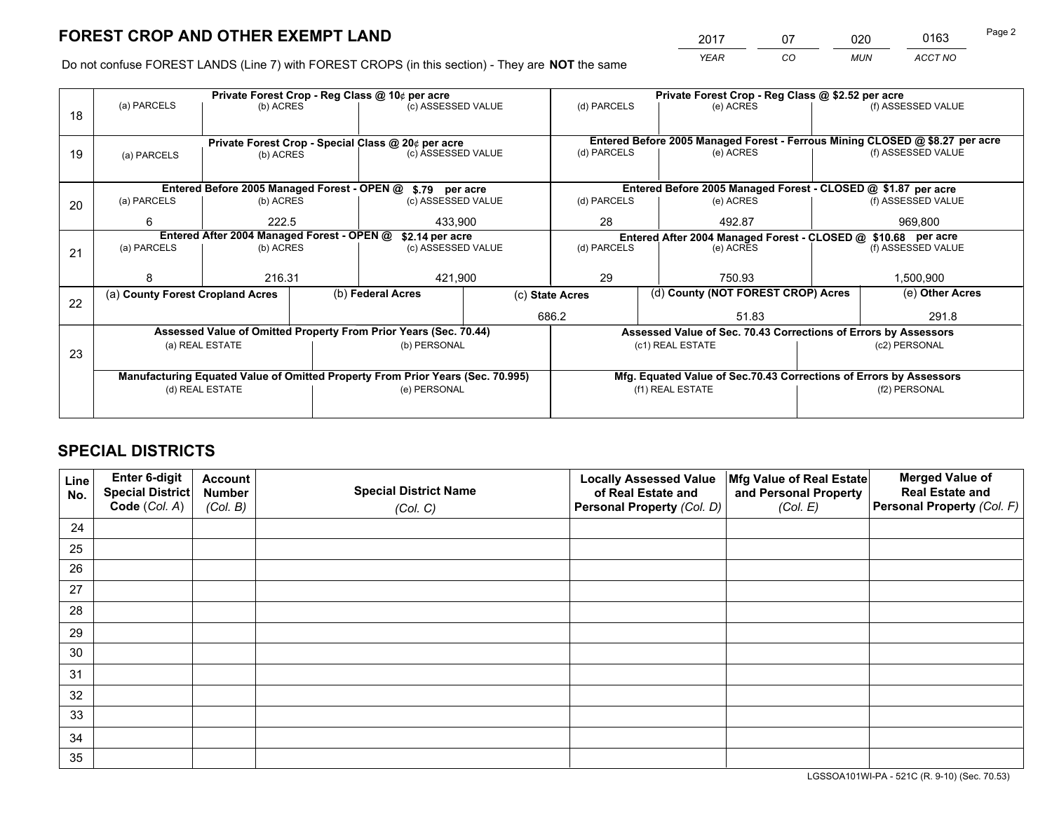*YEAR CO MUN ACCT NO* <sup>2017</sup> <sup>07</sup> <sup>020</sup> <sup>0163</sup>

Do not confuse FOREST LANDS (Line 7) with FOREST CROPS (in this section) - They are **NOT** the same

|    |                                                                                |                  |  | Private Forest Crop - Reg Class @ 10¢ per acre                   |                                   | Private Forest Crop - Reg Class @ \$2.52 per acre             |        |                                                                    |               |                                                                              |  |
|----|--------------------------------------------------------------------------------|------------------|--|------------------------------------------------------------------|-----------------------------------|---------------------------------------------------------------|--------|--------------------------------------------------------------------|---------------|------------------------------------------------------------------------------|--|
| 18 | (a) PARCELS                                                                    | (b) ACRES        |  | (c) ASSESSED VALUE                                               |                                   | (d) PARCELS                                                   |        | (e) ACRES                                                          |               | (f) ASSESSED VALUE                                                           |  |
|    | Private Forest Crop - Special Class @ 20¢ per acre                             |                  |  |                                                                  |                                   |                                                               |        |                                                                    |               | Entered Before 2005 Managed Forest - Ferrous Mining CLOSED @ \$8.27 per acre |  |
| 19 | (b) ACRES<br>(a) PARCELS                                                       |                  |  | (c) ASSESSED VALUE                                               |                                   | (d) PARCELS                                                   |        | (e) ACRES                                                          |               | (f) ASSESSED VALUE                                                           |  |
|    |                                                                                |                  |  | Entered Before 2005 Managed Forest - OPEN @ \$.79 per acre       |                                   |                                                               |        | Entered Before 2005 Managed Forest - CLOSED @ \$1.87 per acre      |               |                                                                              |  |
| 20 | (a) PARCELS                                                                    | (b) ACRES        |  | (c) ASSESSED VALUE                                               |                                   | (d) PARCELS                                                   |        | (e) ACRES                                                          |               | (f) ASSESSED VALUE                                                           |  |
|    | 6                                                                              | 222.5<br>433,900 |  |                                                                  | 28                                |                                                               | 492.87 |                                                                    | 969,800       |                                                                              |  |
|    | Entered After 2004 Managed Forest - OPEN @<br>\$2.14 per acre                  |                  |  |                                                                  |                                   | Entered After 2004 Managed Forest - CLOSED @ \$10.68 per acre |        |                                                                    |               |                                                                              |  |
| 21 | (a) PARCELS                                                                    | (b) ACRES        |  |                                                                  | (d) PARCELS<br>(c) ASSESSED VALUE |                                                               |        | (e) ACRES                                                          |               | (f) ASSESSED VALUE                                                           |  |
|    | 8                                                                              | 216.31           |  | 421,900                                                          |                                   | 29<br>750.93                                                  |        |                                                                    | 1,500,900     |                                                                              |  |
| 22 | (a) County Forest Cropland Acres                                               |                  |  | (b) Federal Acres                                                |                                   | (d) County (NOT FOREST CROP) Acres<br>(c) State Acres         |        |                                                                    |               | (e) Other Acres                                                              |  |
|    |                                                                                |                  |  |                                                                  |                                   | 686.2<br>51.83                                                |        |                                                                    |               | 291.8                                                                        |  |
|    |                                                                                |                  |  | Assessed Value of Omitted Property From Prior Years (Sec. 70.44) |                                   |                                                               |        | Assessed Value of Sec. 70.43 Corrections of Errors by Assessors    |               |                                                                              |  |
| 23 | (a) REAL ESTATE                                                                |                  |  | (b) PERSONAL                                                     |                                   | (c1) REAL ESTATE                                              |        |                                                                    | (c2) PERSONAL |                                                                              |  |
|    | Manufacturing Equated Value of Omitted Property From Prior Years (Sec. 70.995) |                  |  |                                                                  |                                   |                                                               |        | Mfg. Equated Value of Sec.70.43 Corrections of Errors by Assessors |               |                                                                              |  |
|    | (d) REAL ESTATE                                                                |                  |  | (e) PERSONAL                                                     |                                   | (f1) REAL ESTATE                                              |        | (f2) PERSONAL                                                      |               |                                                                              |  |
|    |                                                                                |                  |  |                                                                  |                                   |                                                               |        |                                                                    |               |                                                                              |  |

# **SPECIAL DISTRICTS**

| Line<br>No. | Enter 6-digit<br>Special District<br>Code (Col. A) | <b>Account</b><br><b>Number</b> | <b>Special District Name</b> | <b>Locally Assessed Value</b><br>of Real Estate and | Mfg Value of Real Estate<br>and Personal Property | <b>Merged Value of</b><br><b>Real Estate and</b><br>Personal Property (Col. F) |
|-------------|----------------------------------------------------|---------------------------------|------------------------------|-----------------------------------------------------|---------------------------------------------------|--------------------------------------------------------------------------------|
|             |                                                    | (Col. B)                        | (Col. C)                     | Personal Property (Col. D)                          | (Col. E)                                          |                                                                                |
| 24          |                                                    |                                 |                              |                                                     |                                                   |                                                                                |
| 25          |                                                    |                                 |                              |                                                     |                                                   |                                                                                |
| 26          |                                                    |                                 |                              |                                                     |                                                   |                                                                                |
| 27          |                                                    |                                 |                              |                                                     |                                                   |                                                                                |
| 28          |                                                    |                                 |                              |                                                     |                                                   |                                                                                |
| 29          |                                                    |                                 |                              |                                                     |                                                   |                                                                                |
| 30          |                                                    |                                 |                              |                                                     |                                                   |                                                                                |
| 31          |                                                    |                                 |                              |                                                     |                                                   |                                                                                |
| 32          |                                                    |                                 |                              |                                                     |                                                   |                                                                                |
| 33          |                                                    |                                 |                              |                                                     |                                                   |                                                                                |
| 34          |                                                    |                                 |                              |                                                     |                                                   |                                                                                |
| 35          |                                                    |                                 |                              |                                                     |                                                   |                                                                                |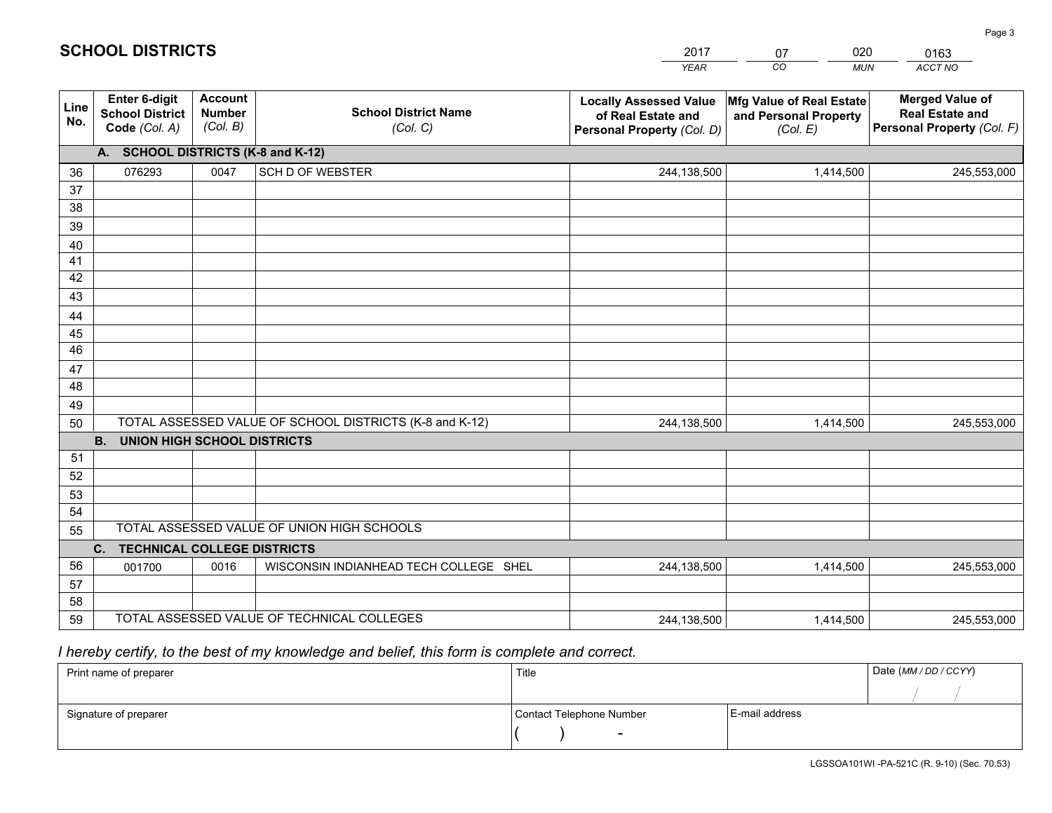|             |                                                                 |                                             |                                                         | <b>YEAR</b>                                                                       | CO<br><b>MUN</b>                                              | ACCT NO                                                                        |
|-------------|-----------------------------------------------------------------|---------------------------------------------|---------------------------------------------------------|-----------------------------------------------------------------------------------|---------------------------------------------------------------|--------------------------------------------------------------------------------|
| Line<br>No. | <b>Enter 6-digit</b><br><b>School District</b><br>Code (Col. A) | <b>Account</b><br><b>Number</b><br>(Col. B) | <b>School District Name</b><br>(Col. C)                 | <b>Locally Assessed Value</b><br>of Real Estate and<br>Personal Property (Col. D) | Mfg Value of Real Estate<br>and Personal Property<br>(Col. E) | <b>Merged Value of</b><br><b>Real Estate and</b><br>Personal Property (Col. F) |
|             | A. SCHOOL DISTRICTS (K-8 and K-12)                              |                                             |                                                         |                                                                                   |                                                               |                                                                                |
| 36          | 076293                                                          | 0047                                        | <b>SCH D OF WEBSTER</b>                                 | 244,138,500                                                                       | 1,414,500                                                     | 245,553,000                                                                    |
| 37          |                                                                 |                                             |                                                         |                                                                                   |                                                               |                                                                                |
| 38          |                                                                 |                                             |                                                         |                                                                                   |                                                               |                                                                                |
| 39          |                                                                 |                                             |                                                         |                                                                                   |                                                               |                                                                                |
| 40          |                                                                 |                                             |                                                         |                                                                                   |                                                               |                                                                                |
| 41<br>42    |                                                                 |                                             |                                                         |                                                                                   |                                                               |                                                                                |
| 43          |                                                                 |                                             |                                                         |                                                                                   |                                                               |                                                                                |
|             |                                                                 |                                             |                                                         |                                                                                   |                                                               |                                                                                |
| 44<br>45    |                                                                 |                                             |                                                         |                                                                                   |                                                               |                                                                                |
| 46          |                                                                 |                                             |                                                         |                                                                                   |                                                               |                                                                                |
| 47          |                                                                 |                                             |                                                         |                                                                                   |                                                               |                                                                                |
| 48          |                                                                 |                                             |                                                         |                                                                                   |                                                               |                                                                                |
| 49          |                                                                 |                                             |                                                         |                                                                                   |                                                               |                                                                                |
| 50          |                                                                 |                                             | TOTAL ASSESSED VALUE OF SCHOOL DISTRICTS (K-8 and K-12) | 244,138,500                                                                       | 1,414,500                                                     | 245,553,000                                                                    |
|             | <b>B.</b><br>UNION HIGH SCHOOL DISTRICTS                        |                                             |                                                         |                                                                                   |                                                               |                                                                                |
| 51          |                                                                 |                                             |                                                         |                                                                                   |                                                               |                                                                                |
| 52          |                                                                 |                                             |                                                         |                                                                                   |                                                               |                                                                                |
| 53          |                                                                 |                                             |                                                         |                                                                                   |                                                               |                                                                                |
| 54          |                                                                 |                                             |                                                         |                                                                                   |                                                               |                                                                                |
| 55          |                                                                 |                                             | TOTAL ASSESSED VALUE OF UNION HIGH SCHOOLS              |                                                                                   |                                                               |                                                                                |
|             | C.<br><b>TECHNICAL COLLEGE DISTRICTS</b>                        |                                             |                                                         |                                                                                   |                                                               |                                                                                |
| 56          | 001700                                                          | 0016                                        | WISCONSIN INDIANHEAD TECH COLLEGE SHEL                  | 244,138,500                                                                       | 1,414,500                                                     | 245,553,000                                                                    |
| 57<br>58    |                                                                 |                                             |                                                         |                                                                                   |                                                               |                                                                                |
| 59          |                                                                 |                                             | TOTAL ASSESSED VALUE OF TECHNICAL COLLEGES              | 244,138,500                                                                       | 1,414,500                                                     | 245,553,000                                                                    |
|             |                                                                 |                                             |                                                         |                                                                                   |                                                               |                                                                                |

07

020

 *I hereby certify, to the best of my knowledge and belief, this form is complete and correct.*

**SCHOOL DISTRICTS**

| Print name of preparer | Title                    |                | Date (MM / DD / CCYY) |
|------------------------|--------------------------|----------------|-----------------------|
|                        |                          |                |                       |
| Signature of preparer  | Contact Telephone Number | E-mail address |                       |
|                        | $\overline{\phantom{0}}$ |                |                       |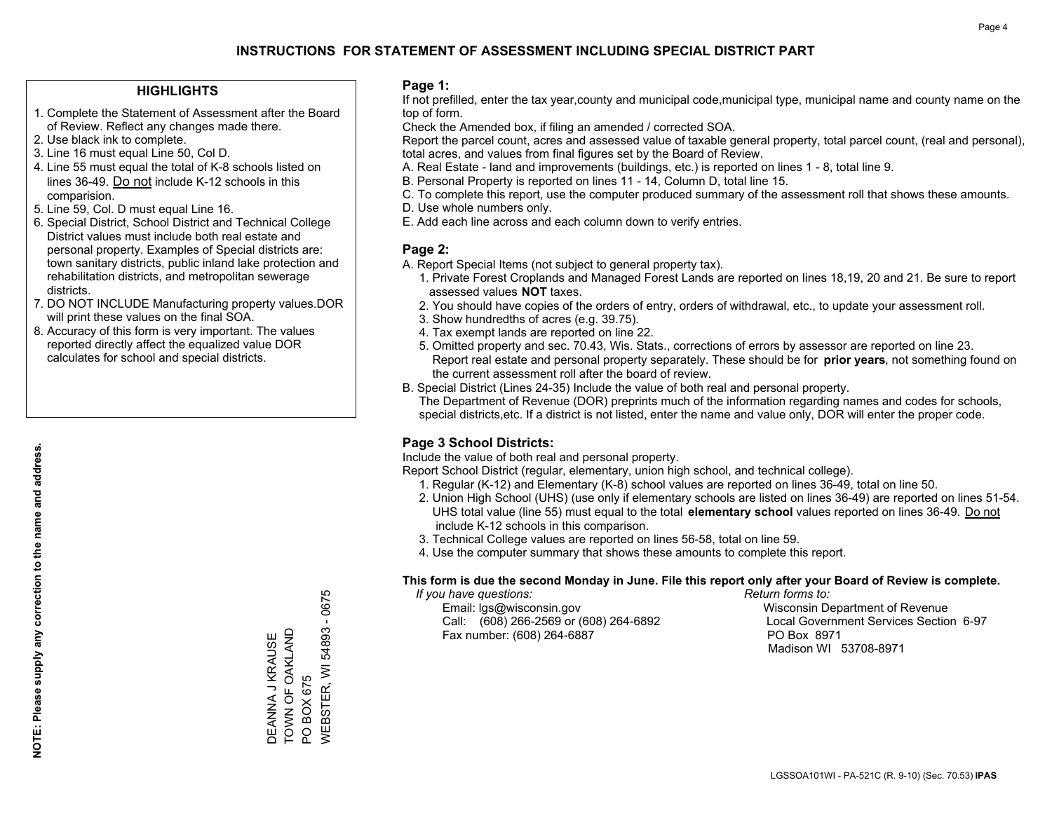## **HIGHLIGHTS**

- 1. Complete the Statement of Assessment after the Board of Review. Reflect any changes made there.
- 2. Use black ink to complete.
- 3. Line 16 must equal Line 50, Col D.
- 4. Line 55 must equal the total of K-8 schools listed on lines 36-49. Do not include K-12 schools in this comparision.
- 5. Line 59, Col. D must equal Line 16.
- 6. Special District, School District and Technical College District values must include both real estate and personal property. Examples of Special districts are: town sanitary districts, public inland lake protection and rehabilitation districts, and metropolitan sewerage districts.
- 7. DO NOT INCLUDE Manufacturing property values.DOR will print these values on the final SOA.
- 8. Accuracy of this form is very important. The values reported directly affect the equalized value DOR calculates for school and special districts.

### **Page 1:**

 If not prefilled, enter the tax year,county and municipal code,municipal type, municipal name and county name on the top of form.

Check the Amended box, if filing an amended / corrected SOA.

 Report the parcel count, acres and assessed value of taxable general property, total parcel count, (real and personal), total acres, and values from final figures set by the Board of Review.

- A. Real Estate land and improvements (buildings, etc.) is reported on lines 1 8, total line 9.
- B. Personal Property is reported on lines 11 14, Column D, total line 15.
- C. To complete this report, use the computer produced summary of the assessment roll that shows these amounts.
- D. Use whole numbers only.
- E. Add each line across and each column down to verify entries.

## **Page 2:**

- A. Report Special Items (not subject to general property tax).
- 1. Private Forest Croplands and Managed Forest Lands are reported on lines 18,19, 20 and 21. Be sure to report assessed values **NOT** taxes.
- 2. You should have copies of the orders of entry, orders of withdrawal, etc., to update your assessment roll.
	- 3. Show hundredths of acres (e.g. 39.75).
- 4. Tax exempt lands are reported on line 22.
- 5. Omitted property and sec. 70.43, Wis. Stats., corrections of errors by assessor are reported on line 23. Report real estate and personal property separately. These should be for **prior years**, not something found on the current assessment roll after the board of review.
- B. Special District (Lines 24-35) Include the value of both real and personal property.
- The Department of Revenue (DOR) preprints much of the information regarding names and codes for schools, special districts,etc. If a district is not listed, enter the name and value only, DOR will enter the proper code.

## **Page 3 School Districts:**

Include the value of both real and personal property.

Report School District (regular, elementary, union high school, and technical college).

- 1. Regular (K-12) and Elementary (K-8) school values are reported on lines 36-49, total on line 50.
- 2. Union High School (UHS) (use only if elementary schools are listed on lines 36-49) are reported on lines 51-54. UHS total value (line 55) must equal to the total **elementary school** values reported on lines 36-49. Do notinclude K-12 schools in this comparison.
- 3. Technical College values are reported on lines 56-58, total on line 59.
- 4. Use the computer summary that shows these amounts to complete this report.

### **This form is due the second Monday in June. File this report only after your Board of Review is complete.**

 *If you have questions: Return forms to:*

 Email: lgs@wisconsin.gov Wisconsin Department of RevenueCall:  $(608)$  266-2569 or  $(608)$  264-6892 Fax number: (608) 264-6887 PO Box 8971

Local Government Services Section 6-97 Madison WI 53708-8971

/VEBSTER, WI 54893 - 0675 WEBSTER, WI 54893 - 0675 TOWN OF OAKLAND DEANNA J KRAUSE<br>TOWN OF OAKLAND DEANNA J KRAUSE PO BOX 675 PO BOX 675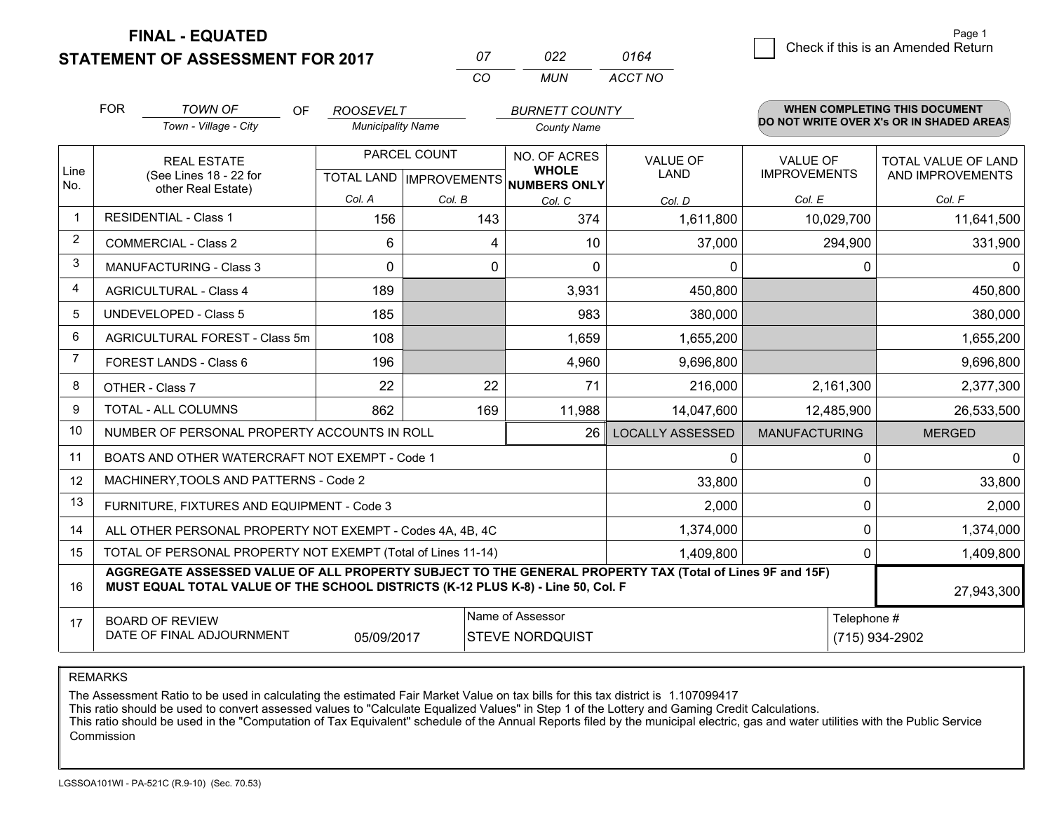**STATEMENT OF ASSESSMENT FOR 2017** 

**FINAL - EQUATED**

| 07 | 022. | 0164    |
|----|------|---------|
| cо | MUN  | ACCT NO |

|                | <b>FOR</b>                                                                                                                     | <b>TOWN OF</b><br>OF                                                                                                                                                                         | <b>ROOSEVELT</b>         |               | <b>BURNETT COUNTY</b>                |                                |                                        | WHEN COMPLETING THIS DOCUMENT                  |
|----------------|--------------------------------------------------------------------------------------------------------------------------------|----------------------------------------------------------------------------------------------------------------------------------------------------------------------------------------------|--------------------------|---------------|--------------------------------------|--------------------------------|----------------------------------------|------------------------------------------------|
|                |                                                                                                                                | Town - Village - City                                                                                                                                                                        | <b>Municipality Name</b> |               | <b>County Name</b>                   |                                |                                        | DO NOT WRITE OVER X's OR IN SHADED AREAS       |
| Line           |                                                                                                                                | <b>REAL ESTATE</b><br>(See Lines 18 - 22 for                                                                                                                                                 |                          | PARCEL COUNT  | NO. OF ACRES<br><b>WHOLE</b>         | <b>VALUE OF</b><br><b>LAND</b> | <b>VALUE OF</b><br><b>IMPROVEMENTS</b> | <b>TOTAL VALUE OF LAND</b><br>AND IMPROVEMENTS |
| No.            |                                                                                                                                | other Real Estate)                                                                                                                                                                           | Col. A                   |               | TOTAL LAND IMPROVEMENTS NUMBERS ONLY |                                |                                        |                                                |
|                |                                                                                                                                | <b>RESIDENTIAL - Class 1</b>                                                                                                                                                                 | 156                      | Col. B<br>143 | Col. C<br>374                        | Col. D<br>1,611,800            | Col. E<br>10,029,700                   | Col. F<br>11,641,500                           |
| 2              | <b>COMMERCIAL - Class 2</b>                                                                                                    |                                                                                                                                                                                              | 6                        | 4             | 10                                   | 37,000                         | 294,900                                | 331,900                                        |
| 3              |                                                                                                                                | <b>MANUFACTURING - Class 3</b>                                                                                                                                                               | $\Omega$                 | $\mathbf 0$   | $\Omega$                             | $\mathbf{0}$                   | $\Omega$                               | $\mathbf{0}$                                   |
| 4              |                                                                                                                                | <b>AGRICULTURAL - Class 4</b>                                                                                                                                                                | 189                      |               | 3,931                                | 450,800                        |                                        | 450,800                                        |
| 5              |                                                                                                                                | <b>UNDEVELOPED - Class 5</b>                                                                                                                                                                 | 185                      |               | 983                                  | 380,000                        |                                        | 380,000                                        |
| 6              | AGRICULTURAL FOREST - Class 5m                                                                                                 |                                                                                                                                                                                              | 108                      |               | 1,659                                | 1,655,200                      |                                        | 1,655,200                                      |
| $\overline{7}$ |                                                                                                                                | FOREST LANDS - Class 6                                                                                                                                                                       | 196                      |               | 4,960                                | 9,696,800                      |                                        | 9,696,800                                      |
| 8              |                                                                                                                                | OTHER - Class 7                                                                                                                                                                              | 22                       | 22            | 71                                   | 216,000                        | 2,161,300                              | 2,377,300                                      |
| 9              |                                                                                                                                | TOTAL - ALL COLUMNS                                                                                                                                                                          | 862                      | 169           | 11,988                               | 14,047,600                     | 12,485,900                             | 26,533,500                                     |
| 10             |                                                                                                                                | NUMBER OF PERSONAL PROPERTY ACCOUNTS IN ROLL                                                                                                                                                 |                          |               | 26                                   | <b>LOCALLY ASSESSED</b>        | <b>MANUFACTURING</b>                   | <b>MERGED</b>                                  |
| 11             |                                                                                                                                | BOATS AND OTHER WATERCRAFT NOT EXEMPT - Code 1                                                                                                                                               |                          |               |                                      | 0                              | 0                                      | $\mathbf 0$                                    |
| 12             |                                                                                                                                | MACHINERY, TOOLS AND PATTERNS - Code 2                                                                                                                                                       |                          |               |                                      | 33,800                         | 0                                      | 33,800                                         |
| 13             |                                                                                                                                | FURNITURE, FIXTURES AND EQUIPMENT - Code 3                                                                                                                                                   |                          |               |                                      | 2,000                          | 0                                      | 2,000                                          |
| 14             |                                                                                                                                | ALL OTHER PERSONAL PROPERTY NOT EXEMPT - Codes 4A, 4B, 4C                                                                                                                                    |                          |               |                                      | 1,374,000                      | 0                                      | 1,374,000                                      |
| 15             |                                                                                                                                | TOTAL OF PERSONAL PROPERTY NOT EXEMPT (Total of Lines 11-14)                                                                                                                                 |                          |               |                                      | 1,409,800                      | $\Omega$                               | 1,409,800                                      |
| 16             |                                                                                                                                | AGGREGATE ASSESSED VALUE OF ALL PROPERTY SUBJECT TO THE GENERAL PROPERTY TAX (Total of Lines 9F and 15F)<br>MUST EQUAL TOTAL VALUE OF THE SCHOOL DISTRICTS (K-12 PLUS K-8) - Line 50, Col. F |                          |               |                                      |                                |                                        | 27,943,300                                     |
| 17             | Name of Assessor<br>Telephone #<br><b>BOARD OF REVIEW</b><br>DATE OF FINAL ADJOURNMENT<br><b>STEVE NORDQUIST</b><br>05/09/2017 |                                                                                                                                                                                              |                          |               |                                      | (715) 934-2902                 |                                        |                                                |

REMARKS

The Assessment Ratio to be used in calculating the estimated Fair Market Value on tax bills for this tax district is 1.107099417

This ratio should be used to convert assessed values to "Calculate Equalized Values" in Step 1 of the Lottery and Gaming Credit Calculations.<br>This ratio should be used in the "Computation of Tax Equivalent" schedule of the Commission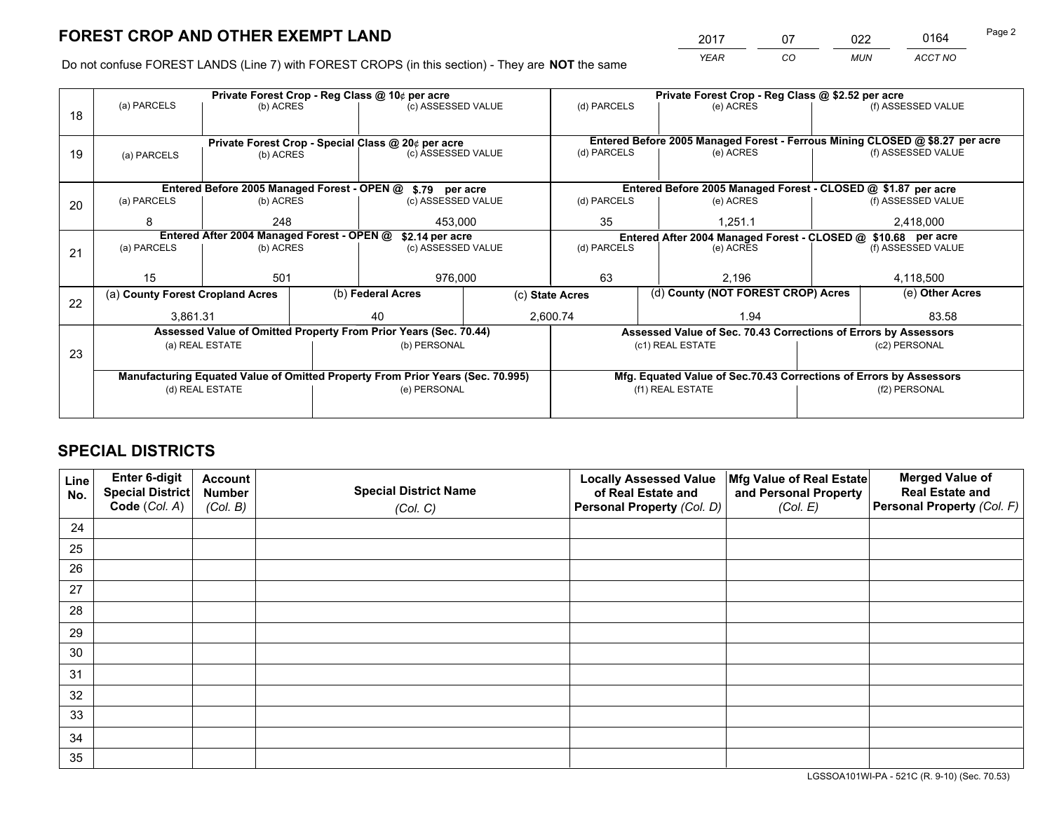*YEAR CO MUN ACCT NO* <sup>2017</sup> <sup>07</sup> <sup>022</sup> <sup>0164</sup>

Do not confuse FOREST LANDS (Line 7) with FOREST CROPS (in this section) - They are **NOT** the same

|    |                                                               |                 |  | Private Forest Crop - Reg Class @ 10¢ per acre                                 |             | Private Forest Crop - Reg Class @ \$2.52 per acre             |                                    |                                                                    |           |                                                                              |
|----|---------------------------------------------------------------|-----------------|--|--------------------------------------------------------------------------------|-------------|---------------------------------------------------------------|------------------------------------|--------------------------------------------------------------------|-----------|------------------------------------------------------------------------------|
| 18 | (a) PARCELS                                                   | (b) ACRES       |  | (c) ASSESSED VALUE                                                             |             | (d) PARCELS                                                   |                                    | (e) ACRES                                                          |           | (f) ASSESSED VALUE                                                           |
|    |                                                               |                 |  |                                                                                |             |                                                               |                                    |                                                                    |           |                                                                              |
|    |                                                               |                 |  | Private Forest Crop - Special Class @ 20¢ per acre                             |             |                                                               |                                    |                                                                    |           | Entered Before 2005 Managed Forest - Ferrous Mining CLOSED @ \$8.27 per acre |
| 19 | (a) PARCELS                                                   | (b) ACRES       |  | (c) ASSESSED VALUE                                                             |             | (d) PARCELS                                                   |                                    | (e) ACRES                                                          |           | (f) ASSESSED VALUE                                                           |
|    |                                                               |                 |  |                                                                                |             |                                                               |                                    |                                                                    |           |                                                                              |
|    |                                                               |                 |  |                                                                                |             |                                                               |                                    |                                                                    |           |                                                                              |
|    |                                                               |                 |  | Entered Before 2005 Managed Forest - OPEN @ \$.79 per acre                     |             |                                                               |                                    | Entered Before 2005 Managed Forest - CLOSED @ \$1.87 per acre      |           |                                                                              |
| 20 | (a) PARCELS                                                   | (b) ACRES       |  | (c) ASSESSED VALUE                                                             |             | (d) PARCELS                                                   |                                    | (e) ACRES                                                          |           | (f) ASSESSED VALUE                                                           |
|    | 8                                                             | 248             |  | 453.000                                                                        |             | 35<br>1.251.1                                                 |                                    |                                                                    | 2,418,000 |                                                                              |
|    | Entered After 2004 Managed Forest - OPEN @<br>\$2.14 per acre |                 |  |                                                                                |             | Entered After 2004 Managed Forest - CLOSED @ \$10.68 per acre |                                    |                                                                    |           |                                                                              |
| 21 | (a) PARCELS                                                   | (b) ACRES       |  | (c) ASSESSED VALUE                                                             | (d) PARCELS |                                                               |                                    | (e) ACRES                                                          |           | (f) ASSESSED VALUE                                                           |
|    |                                                               |                 |  |                                                                                |             |                                                               |                                    |                                                                    |           |                                                                              |
|    | 15                                                            | 501             |  | 976,000                                                                        |             | 63<br>2,196                                                   |                                    | 4,118,500                                                          |           |                                                                              |
|    | (a) County Forest Cropland Acres                              |                 |  | (b) Federal Acres                                                              |             | (c) State Acres                                               | (d) County (NOT FOREST CROP) Acres |                                                                    |           | (e) Other Acres                                                              |
| 22 |                                                               |                 |  |                                                                                |             |                                                               |                                    |                                                                    |           |                                                                              |
|    | 3,861.31                                                      |                 |  | 40                                                                             |             | 2,600.74                                                      |                                    | 1.94                                                               |           | 83.58                                                                        |
|    |                                                               |                 |  | Assessed Value of Omitted Property From Prior Years (Sec. 70.44)               |             |                                                               |                                    | Assessed Value of Sec. 70.43 Corrections of Errors by Assessors    |           |                                                                              |
| 23 |                                                               | (a) REAL ESTATE |  | (b) PERSONAL                                                                   |             |                                                               |                                    | (c1) REAL ESTATE                                                   |           | (c2) PERSONAL                                                                |
|    |                                                               |                 |  |                                                                                |             |                                                               |                                    |                                                                    |           |                                                                              |
|    |                                                               |                 |  | Manufacturing Equated Value of Omitted Property From Prior Years (Sec. 70.995) |             |                                                               |                                    | Mfg. Equated Value of Sec.70.43 Corrections of Errors by Assessors |           |                                                                              |
|    |                                                               | (d) REAL ESTATE |  | (e) PERSONAL                                                                   |             | (f1) REAL ESTATE                                              |                                    | (f2) PERSONAL                                                      |           |                                                                              |
|    |                                                               |                 |  |                                                                                |             |                                                               |                                    |                                                                    |           |                                                                              |
|    |                                                               |                 |  |                                                                                |             |                                                               |                                    |                                                                    |           |                                                                              |

# **SPECIAL DISTRICTS**

| Line<br>No. | Enter 6-digit<br>Special District<br>Code (Col. A) | <b>Account</b><br><b>Number</b><br>(Col. B) | <b>Special District Name</b><br>(Col. C) | <b>Locally Assessed Value</b><br>of Real Estate and<br>Personal Property (Col. D) | Mfg Value of Real Estate<br>and Personal Property<br>(Col. E) | <b>Merged Value of</b><br><b>Real Estate and</b><br>Personal Property (Col. F) |
|-------------|----------------------------------------------------|---------------------------------------------|------------------------------------------|-----------------------------------------------------------------------------------|---------------------------------------------------------------|--------------------------------------------------------------------------------|
| 24          |                                                    |                                             |                                          |                                                                                   |                                                               |                                                                                |
| 25          |                                                    |                                             |                                          |                                                                                   |                                                               |                                                                                |
| 26          |                                                    |                                             |                                          |                                                                                   |                                                               |                                                                                |
| 27          |                                                    |                                             |                                          |                                                                                   |                                                               |                                                                                |
| 28          |                                                    |                                             |                                          |                                                                                   |                                                               |                                                                                |
| 29          |                                                    |                                             |                                          |                                                                                   |                                                               |                                                                                |
| 30          |                                                    |                                             |                                          |                                                                                   |                                                               |                                                                                |
| 31          |                                                    |                                             |                                          |                                                                                   |                                                               |                                                                                |
| 32          |                                                    |                                             |                                          |                                                                                   |                                                               |                                                                                |
| 33          |                                                    |                                             |                                          |                                                                                   |                                                               |                                                                                |
| 34          |                                                    |                                             |                                          |                                                                                   |                                                               |                                                                                |
| 35          |                                                    |                                             |                                          |                                                                                   |                                                               |                                                                                |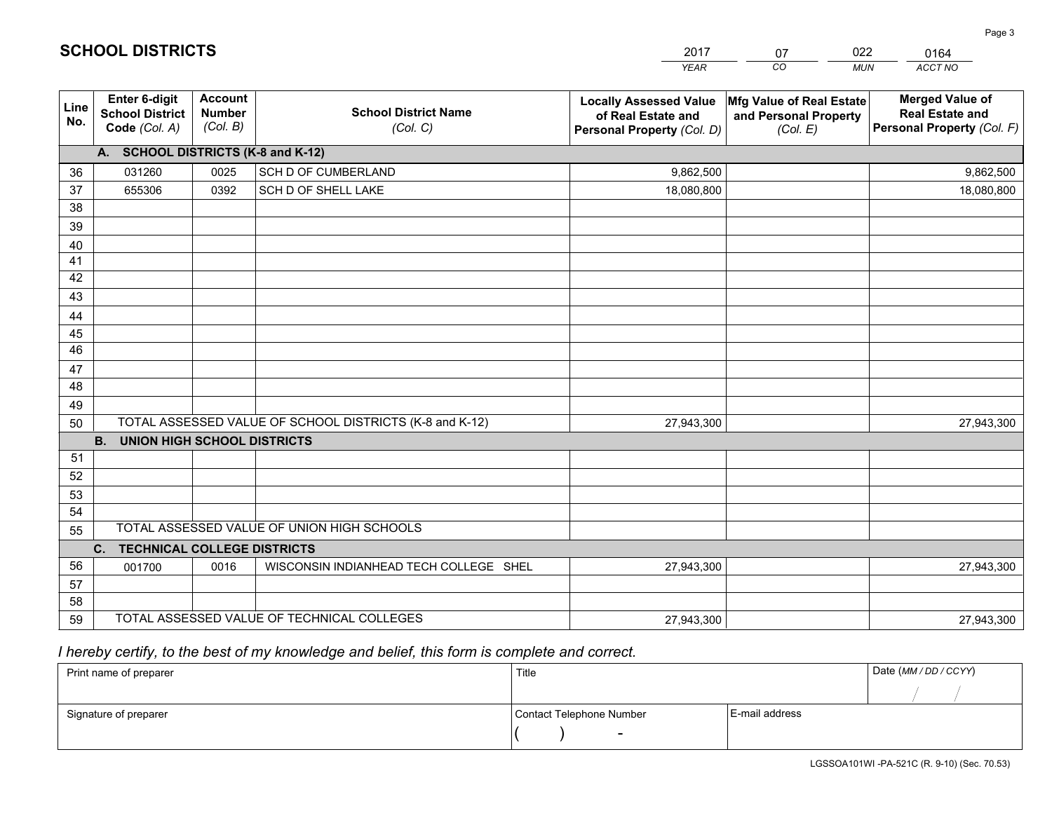|             |                                                                 |                                             |                                                         | <b>YEAR</b>                                                                       | CO<br><b>MUN</b>                                              | ACCT NO                                                                        |
|-------------|-----------------------------------------------------------------|---------------------------------------------|---------------------------------------------------------|-----------------------------------------------------------------------------------|---------------------------------------------------------------|--------------------------------------------------------------------------------|
| Line<br>No. | <b>Enter 6-digit</b><br><b>School District</b><br>Code (Col. A) | <b>Account</b><br><b>Number</b><br>(Col. B) | <b>School District Name</b><br>(Col. C)                 | <b>Locally Assessed Value</b><br>of Real Estate and<br>Personal Property (Col. D) | Mfg Value of Real Estate<br>and Personal Property<br>(Col. E) | <b>Merged Value of</b><br><b>Real Estate and</b><br>Personal Property (Col. F) |
|             | A. SCHOOL DISTRICTS (K-8 and K-12)                              |                                             |                                                         |                                                                                   |                                                               |                                                                                |
| 36          | 031260                                                          | 0025                                        | SCH D OF CUMBERLAND                                     | 9,862,500                                                                         |                                                               | 9,862,500                                                                      |
| 37          | 655306                                                          | 0392                                        | SCH D OF SHELL LAKE                                     | 18,080,800                                                                        |                                                               | 18,080,800                                                                     |
| 38          |                                                                 |                                             |                                                         |                                                                                   |                                                               |                                                                                |
| 39          |                                                                 |                                             |                                                         |                                                                                   |                                                               |                                                                                |
| 40          |                                                                 |                                             |                                                         |                                                                                   |                                                               |                                                                                |
| 41          |                                                                 |                                             |                                                         |                                                                                   |                                                               |                                                                                |
| 42          |                                                                 |                                             |                                                         |                                                                                   |                                                               |                                                                                |
| 43          |                                                                 |                                             |                                                         |                                                                                   |                                                               |                                                                                |
| 44          |                                                                 |                                             |                                                         |                                                                                   |                                                               |                                                                                |
| 45<br>46    |                                                                 |                                             |                                                         |                                                                                   |                                                               |                                                                                |
| 47          |                                                                 |                                             |                                                         |                                                                                   |                                                               |                                                                                |
| 48          |                                                                 |                                             |                                                         |                                                                                   |                                                               |                                                                                |
| 49          |                                                                 |                                             |                                                         |                                                                                   |                                                               |                                                                                |
| 50          |                                                                 |                                             | TOTAL ASSESSED VALUE OF SCHOOL DISTRICTS (K-8 and K-12) | 27,943,300                                                                        |                                                               | 27,943,300                                                                     |
|             | <b>UNION HIGH SCHOOL DISTRICTS</b><br><b>B.</b>                 |                                             |                                                         |                                                                                   |                                                               |                                                                                |
| 51          |                                                                 |                                             |                                                         |                                                                                   |                                                               |                                                                                |
| 52          |                                                                 |                                             |                                                         |                                                                                   |                                                               |                                                                                |
| 53          |                                                                 |                                             |                                                         |                                                                                   |                                                               |                                                                                |
| 54          |                                                                 |                                             |                                                         |                                                                                   |                                                               |                                                                                |
| 55          |                                                                 |                                             | TOTAL ASSESSED VALUE OF UNION HIGH SCHOOLS              |                                                                                   |                                                               |                                                                                |
|             | <b>TECHNICAL COLLEGE DISTRICTS</b><br>C.                        |                                             |                                                         |                                                                                   |                                                               |                                                                                |
| 56          | 001700                                                          | 0016                                        | WISCONSIN INDIANHEAD TECH COLLEGE SHEL                  | 27,943,300                                                                        |                                                               | 27,943,300                                                                     |
| 57          |                                                                 |                                             |                                                         |                                                                                   |                                                               |                                                                                |
| 58          |                                                                 |                                             |                                                         |                                                                                   |                                                               |                                                                                |
| 59          |                                                                 |                                             | TOTAL ASSESSED VALUE OF TECHNICAL COLLEGES              | 27,943,300                                                                        |                                                               | 27,943,300                                                                     |

07

022

 *I hereby certify, to the best of my knowledge and belief, this form is complete and correct.*

**SCHOOL DISTRICTS**

| Print name of preparer | Title                    |                | Date (MM / DD / CCYY) |
|------------------------|--------------------------|----------------|-----------------------|
|                        |                          |                |                       |
| Signature of preparer  | Contact Telephone Number | E-mail address |                       |
|                        | $\sim$                   |                |                       |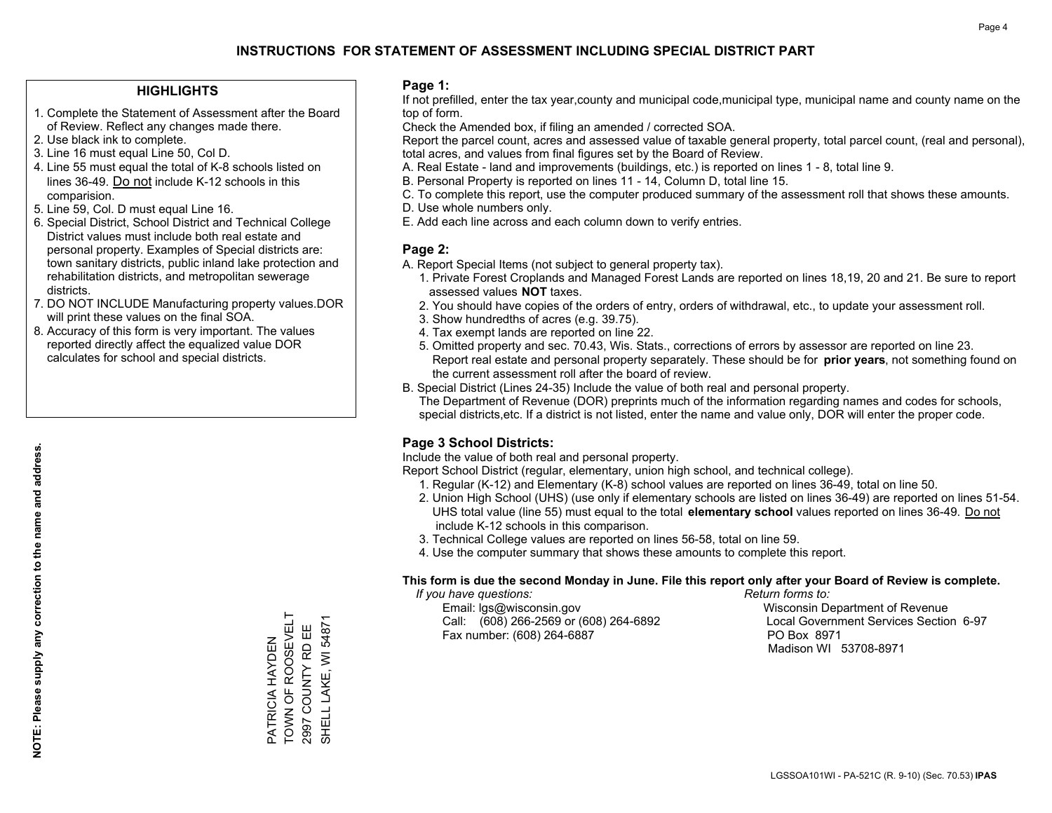## **HIGHLIGHTS**

- 1. Complete the Statement of Assessment after the Board of Review. Reflect any changes made there.
- 2. Use black ink to complete.
- 3. Line 16 must equal Line 50, Col D.
- 4. Line 55 must equal the total of K-8 schools listed on lines 36-49. Do not include K-12 schools in this comparision.
- 5. Line 59, Col. D must equal Line 16.
- 6. Special District, School District and Technical College District values must include both real estate and personal property. Examples of Special districts are: town sanitary districts, public inland lake protection and rehabilitation districts, and metropolitan sewerage districts.
- 7. DO NOT INCLUDE Manufacturing property values.DOR will print these values on the final SOA.

PATRICIA HAYDEN TOWN OF ROOSEVELT 2997 COUNTY RD EE SHELL LAKE, WI 54871

PATRICIA HAYDEN<br>TOWN OF ROOSEVELT

SHELL LAKE, WI 54871 2997 COUNTY RD EE

 8. Accuracy of this form is very important. The values reported directly affect the equalized value DOR calculates for school and special districts.

### **Page 1:**

 If not prefilled, enter the tax year,county and municipal code,municipal type, municipal name and county name on the top of form.

Check the Amended box, if filing an amended / corrected SOA.

 Report the parcel count, acres and assessed value of taxable general property, total parcel count, (real and personal), total acres, and values from final figures set by the Board of Review.

- A. Real Estate land and improvements (buildings, etc.) is reported on lines 1 8, total line 9.
- B. Personal Property is reported on lines 11 14, Column D, total line 15.
- C. To complete this report, use the computer produced summary of the assessment roll that shows these amounts.
- D. Use whole numbers only.
- E. Add each line across and each column down to verify entries.

## **Page 2:**

- A. Report Special Items (not subject to general property tax).
- 1. Private Forest Croplands and Managed Forest Lands are reported on lines 18,19, 20 and 21. Be sure to report assessed values **NOT** taxes.
- 2. You should have copies of the orders of entry, orders of withdrawal, etc., to update your assessment roll.
	- 3. Show hundredths of acres (e.g. 39.75).
- 4. Tax exempt lands are reported on line 22.
- 5. Omitted property and sec. 70.43, Wis. Stats., corrections of errors by assessor are reported on line 23. Report real estate and personal property separately. These should be for **prior years**, not something found on the current assessment roll after the board of review.
- B. Special District (Lines 24-35) Include the value of both real and personal property.

 The Department of Revenue (DOR) preprints much of the information regarding names and codes for schools, special districts,etc. If a district is not listed, enter the name and value only, DOR will enter the proper code.

## **Page 3 School Districts:**

Include the value of both real and personal property.

Report School District (regular, elementary, union high school, and technical college).

- 1. Regular (K-12) and Elementary (K-8) school values are reported on lines 36-49, total on line 50.
- 2. Union High School (UHS) (use only if elementary schools are listed on lines 36-49) are reported on lines 51-54. UHS total value (line 55) must equal to the total **elementary school** values reported on lines 36-49. Do notinclude K-12 schools in this comparison.
- 3. Technical College values are reported on lines 56-58, total on line 59.
- 4. Use the computer summary that shows these amounts to complete this report.

### **This form is due the second Monday in June. File this report only after your Board of Review is complete.**

 *If you have questions: Return forms to:*

 Email: lgs@wisconsin.gov Wisconsin Department of RevenueCall:  $(608)$  266-2569 or  $(608)$  264-6892 Fax number: (608) 264-6887 PO Box 8971

Local Government Services Section 6-97 Madison WI 53708-8971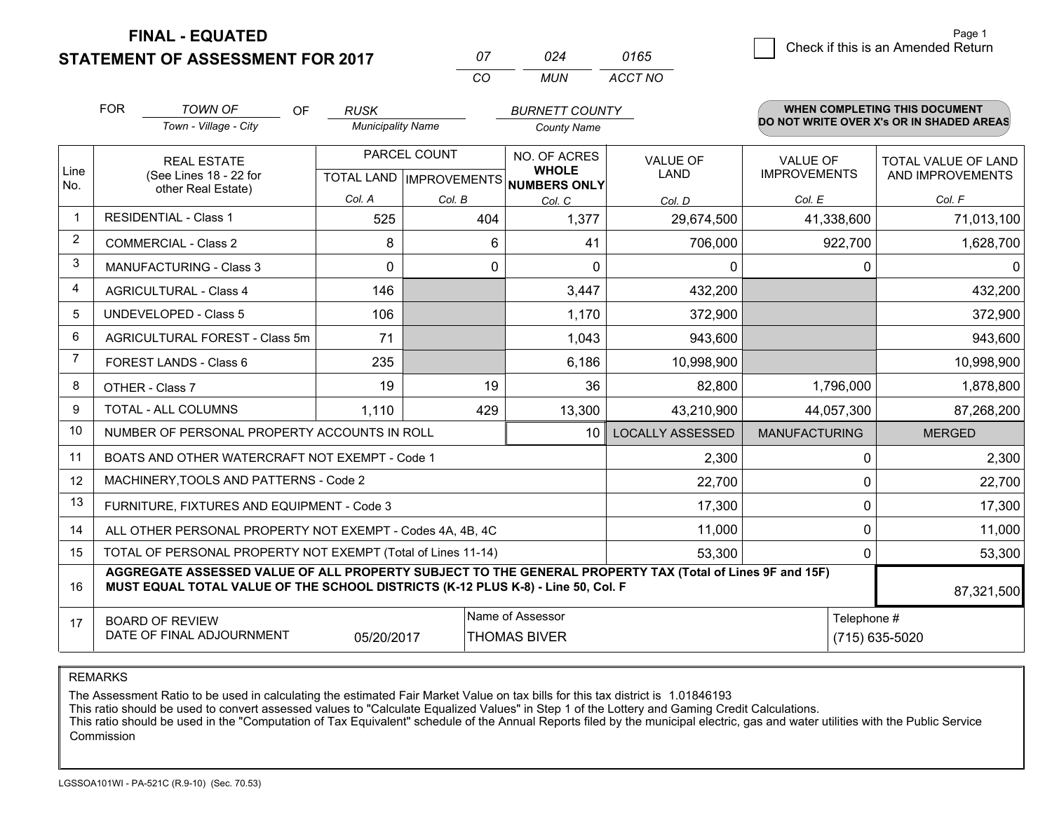**STATEMENT OF ASSESSMENT FOR 2017** 

| $^{\prime\prime}$ | በጋ <i>Δ</i> | 0165    |
|-------------------|-------------|---------|
| $\cdots$          | MUN         | ACCT NO |

|                | <b>FOR</b>                                                                                                                                                                                   | <b>TOWN OF</b><br><b>OF</b>                                  | <b>RUSK</b>              |                                                      | <b>BURNETT COUNTY</b>                   |                                |                                        | WHEN COMPLETING THIS DOCUMENT            |  |
|----------------|----------------------------------------------------------------------------------------------------------------------------------------------------------------------------------------------|--------------------------------------------------------------|--------------------------|------------------------------------------------------|-----------------------------------------|--------------------------------|----------------------------------------|------------------------------------------|--|
|                |                                                                                                                                                                                              | Town - Village - City                                        | <b>Municipality Name</b> |                                                      | <b>County Name</b>                      |                                |                                        | DO NOT WRITE OVER X's OR IN SHADED AREAS |  |
| Line           |                                                                                                                                                                                              | <b>REAL ESTATE</b><br>(See Lines 18 - 22 for                 |                          | PARCEL COUNT<br>TOTAL LAND IMPROVEMENTS NUMBERS ONLY |                                         | <b>VALUE OF</b><br><b>LAND</b> | <b>VALUE OF</b><br><b>IMPROVEMENTS</b> | TOTAL VALUE OF LAND<br>AND IMPROVEMENTS  |  |
| No.            |                                                                                                                                                                                              | other Real Estate)                                           | Col. A                   | Col. B                                               | Col. C                                  | Col. D                         | Col. E                                 | Col. F                                   |  |
| $\mathbf{1}$   |                                                                                                                                                                                              | <b>RESIDENTIAL - Class 1</b>                                 | 525                      | 404                                                  | 1,377                                   | 29,674,500                     | 41,338,600                             | 71,013,100                               |  |
| 2              |                                                                                                                                                                                              | <b>COMMERCIAL - Class 2</b>                                  | 8                        | 6                                                    | 41                                      | 706,000                        | 922,700                                | 1,628,700                                |  |
| 3              |                                                                                                                                                                                              | <b>MANUFACTURING - Class 3</b>                               | $\Omega$                 | $\Omega$                                             | $\Omega$                                | 0                              | $\Omega$                               | $\mathbf{0}$                             |  |
| 4              |                                                                                                                                                                                              | <b>AGRICULTURAL - Class 4</b>                                | 146                      |                                                      | 3,447                                   | 432,200                        |                                        | 432,200                                  |  |
| 5              |                                                                                                                                                                                              | UNDEVELOPED - Class 5                                        | 106                      |                                                      | 1,170                                   | 372,900                        |                                        | 372,900                                  |  |
| 6              | AGRICULTURAL FOREST - Class 5m                                                                                                                                                               |                                                              | 71                       |                                                      | 1,043                                   | 943,600                        |                                        | 943,600                                  |  |
| $\overline{7}$ |                                                                                                                                                                                              | FOREST LANDS - Class 6                                       | 235                      |                                                      | 6,186                                   | 10,998,900                     |                                        | 10,998,900                               |  |
| 8              |                                                                                                                                                                                              | OTHER - Class 7                                              | 19                       | 19                                                   | 36                                      | 82,800                         | 1,796,000                              | 1,878,800                                |  |
| 9              |                                                                                                                                                                                              | TOTAL - ALL COLUMNS                                          | 1,110                    | 429                                                  | 13,300                                  | 43,210,900                     | 44,057,300                             | 87,268,200                               |  |
| 10             |                                                                                                                                                                                              | NUMBER OF PERSONAL PROPERTY ACCOUNTS IN ROLL                 |                          |                                                      | 10                                      | <b>LOCALLY ASSESSED</b>        | <b>MANUFACTURING</b>                   | <b>MERGED</b>                            |  |
| 11             |                                                                                                                                                                                              | BOATS AND OTHER WATERCRAFT NOT EXEMPT - Code 1               |                          |                                                      |                                         | 2,300                          | $\mathbf 0$                            | 2,300                                    |  |
| 12             |                                                                                                                                                                                              | MACHINERY, TOOLS AND PATTERNS - Code 2                       |                          |                                                      |                                         | 22,700                         | $\mathbf{0}$                           | 22,700                                   |  |
| 13             |                                                                                                                                                                                              | FURNITURE, FIXTURES AND EQUIPMENT - Code 3                   |                          |                                                      |                                         | 17,300                         | $\mathbf{0}$                           | 17,300                                   |  |
| 14             |                                                                                                                                                                                              | ALL OTHER PERSONAL PROPERTY NOT EXEMPT - Codes 4A, 4B, 4C    |                          |                                                      |                                         | 11,000                         | $\mathbf 0$                            | 11,000                                   |  |
| 15             |                                                                                                                                                                                              | TOTAL OF PERSONAL PROPERTY NOT EXEMPT (Total of Lines 11-14) |                          |                                                      |                                         | 53,300                         | $\mathbf{0}$                           | 53,300                                   |  |
| 16             | AGGREGATE ASSESSED VALUE OF ALL PROPERTY SUBJECT TO THE GENERAL PROPERTY TAX (Total of Lines 9F and 15F)<br>MUST EQUAL TOTAL VALUE OF THE SCHOOL DISTRICTS (K-12 PLUS K-8) - Line 50, Col. F |                                                              |                          |                                                      |                                         |                                |                                        | 87,321,500                               |  |
| 17             |                                                                                                                                                                                              | <b>BOARD OF REVIEW</b><br>DATE OF FINAL ADJOURNMENT          | 05/20/2017               |                                                      | Name of Assessor<br><b>THOMAS BIVER</b> | Telephone #<br>(715) 635-5020  |                                        |                                          |  |

REMARKS

The Assessment Ratio to be used in calculating the estimated Fair Market Value on tax bills for this tax district is 1.01846193<br>This ratio should be used to convert assessed values to "Calculate Equalized Values" in Step 1 Commission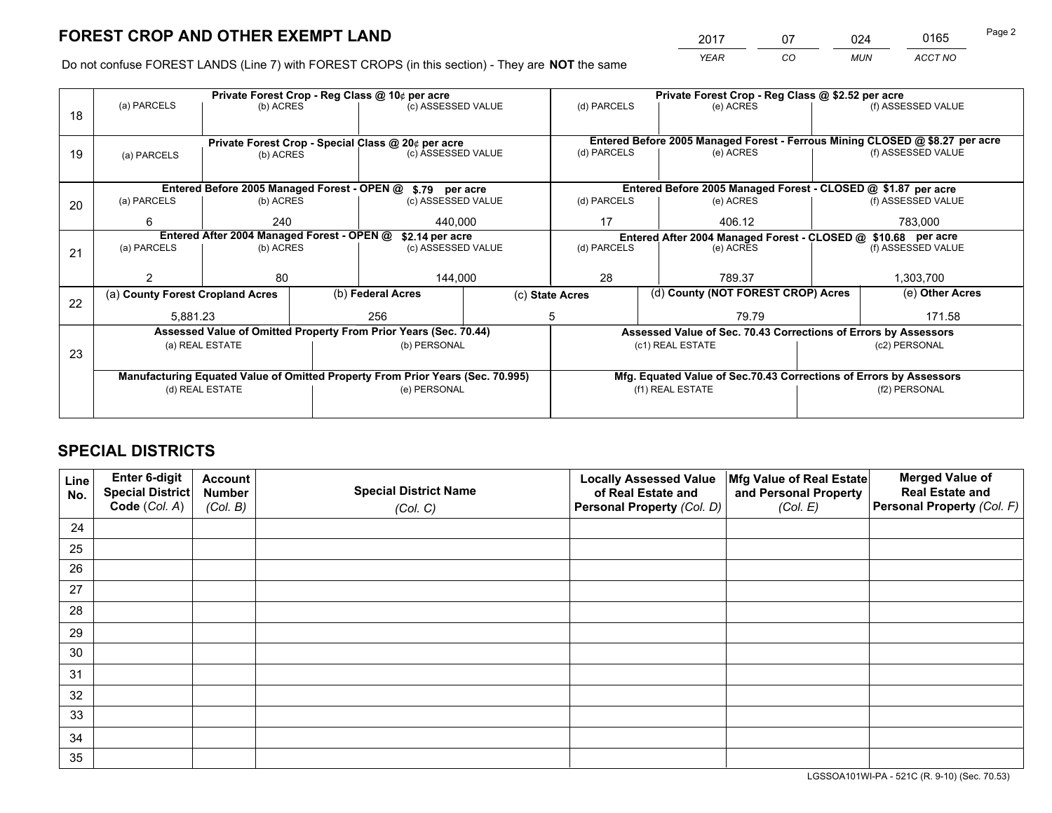*YEAR CO MUN ACCT NO* <sup>2017</sup> <sup>07</sup> <sup>024</sup> <sup>0165</sup>

Do not confuse FOREST LANDS (Line 7) with FOREST CROPS (in this section) - They are **NOT** the same

|    |                                                                                |                                 |  | Private Forest Crop - Reg Class @ 10¢ per acre                   |                 | Private Forest Crop - Reg Class @ \$2.52 per acre             |           |                                                                    |                    |                                                                              |
|----|--------------------------------------------------------------------------------|---------------------------------|--|------------------------------------------------------------------|-----------------|---------------------------------------------------------------|-----------|--------------------------------------------------------------------|--------------------|------------------------------------------------------------------------------|
| 18 | (a) PARCELS                                                                    | (b) ACRES                       |  | (c) ASSESSED VALUE                                               |                 | (d) PARCELS                                                   |           | (e) ACRES                                                          |                    | (f) ASSESSED VALUE                                                           |
|    |                                                                                |                                 |  |                                                                  |                 |                                                               |           |                                                                    |                    |                                                                              |
|    |                                                                                |                                 |  | Private Forest Crop - Special Class @ 20¢ per acre               |                 |                                                               |           |                                                                    |                    | Entered Before 2005 Managed Forest - Ferrous Mining CLOSED @ \$8.27 per acre |
| 19 | (a) PARCELS                                                                    | (c) ASSESSED VALUE<br>(b) ACRES |  |                                                                  | (d) PARCELS     |                                                               | (e) ACRES |                                                                    | (f) ASSESSED VALUE |                                                                              |
|    |                                                                                |                                 |  |                                                                  |                 |                                                               |           |                                                                    |                    |                                                                              |
|    |                                                                                |                                 |  | Entered Before 2005 Managed Forest - OPEN @ \$.79 per acre       |                 |                                                               |           | Entered Before 2005 Managed Forest - CLOSED @ \$1.87 per acre      |                    |                                                                              |
| 20 | (a) PARCELS                                                                    | (b) ACRES                       |  | (c) ASSESSED VALUE                                               |                 | (d) PARCELS                                                   |           | (e) ACRES                                                          |                    | (f) ASSESSED VALUE                                                           |
|    | 6                                                                              | 240                             |  |                                                                  | 440.000<br>17   |                                                               |           | 406.12                                                             |                    | 783,000                                                                      |
|    | Entered After 2004 Managed Forest - OPEN @<br>\$2.14 per acre                  |                                 |  |                                                                  |                 | Entered After 2004 Managed Forest - CLOSED @ \$10.68 per acre |           |                                                                    |                    |                                                                              |
| 21 | (a) PARCELS                                                                    | (b) ACRES                       |  | (c) ASSESSED VALUE                                               | (d) PARCELS     |                                                               |           | (e) ACRES                                                          |                    | (f) ASSESSED VALUE                                                           |
|    |                                                                                |                                 |  |                                                                  |                 |                                                               |           |                                                                    |                    |                                                                              |
|    |                                                                                | 80                              |  | 144,000                                                          |                 | 28                                                            | 789.37    |                                                                    | 1,303,700          |                                                                              |
| 22 | (a) County Forest Cropland Acres                                               |                                 |  | (b) Federal Acres                                                | (c) State Acres |                                                               |           | (d) County (NOT FOREST CROP) Acres                                 |                    | (e) Other Acres                                                              |
|    | 5,881.23                                                                       |                                 |  | 256<br>5                                                         |                 | 79.79                                                         |           |                                                                    | 171.58             |                                                                              |
|    |                                                                                |                                 |  | Assessed Value of Omitted Property From Prior Years (Sec. 70.44) |                 |                                                               |           | Assessed Value of Sec. 70.43 Corrections of Errors by Assessors    |                    |                                                                              |
| 23 |                                                                                | (a) REAL ESTATE                 |  | (b) PERSONAL                                                     |                 |                                                               |           | (c1) REAL ESTATE                                                   | (c2) PERSONAL      |                                                                              |
|    |                                                                                |                                 |  |                                                                  |                 |                                                               |           |                                                                    |                    |                                                                              |
|    | Manufacturing Equated Value of Omitted Property From Prior Years (Sec. 70.995) |                                 |  |                                                                  |                 |                                                               |           | Mfg. Equated Value of Sec.70.43 Corrections of Errors by Assessors |                    |                                                                              |
|    | (d) REAL ESTATE                                                                |                                 |  | (e) PERSONAL                                                     |                 | (f1) REAL ESTATE                                              |           |                                                                    | (f2) PERSONAL      |                                                                              |
|    |                                                                                |                                 |  |                                                                  |                 |                                                               |           |                                                                    |                    |                                                                              |

# **SPECIAL DISTRICTS**

| Line<br>No. | Enter 6-digit<br><b>Special District</b> | <b>Account</b><br><b>Number</b> | <b>Special District Name</b> | <b>Locally Assessed Value</b><br>of Real Estate and | Mfg Value of Real Estate<br>and Personal Property | <b>Merged Value of</b><br><b>Real Estate and</b> |
|-------------|------------------------------------------|---------------------------------|------------------------------|-----------------------------------------------------|---------------------------------------------------|--------------------------------------------------|
|             | Code (Col. A)                            | (Col. B)                        | (Col. C)                     | Personal Property (Col. D)                          | (Col. E)                                          | Personal Property (Col. F)                       |
| 24          |                                          |                                 |                              |                                                     |                                                   |                                                  |
| 25          |                                          |                                 |                              |                                                     |                                                   |                                                  |
| 26          |                                          |                                 |                              |                                                     |                                                   |                                                  |
| 27          |                                          |                                 |                              |                                                     |                                                   |                                                  |
| 28          |                                          |                                 |                              |                                                     |                                                   |                                                  |
| 29          |                                          |                                 |                              |                                                     |                                                   |                                                  |
| 30          |                                          |                                 |                              |                                                     |                                                   |                                                  |
| 31          |                                          |                                 |                              |                                                     |                                                   |                                                  |
| 32          |                                          |                                 |                              |                                                     |                                                   |                                                  |
| 33          |                                          |                                 |                              |                                                     |                                                   |                                                  |
| 34          |                                          |                                 |                              |                                                     |                                                   |                                                  |
| 35          |                                          |                                 |                              |                                                     |                                                   |                                                  |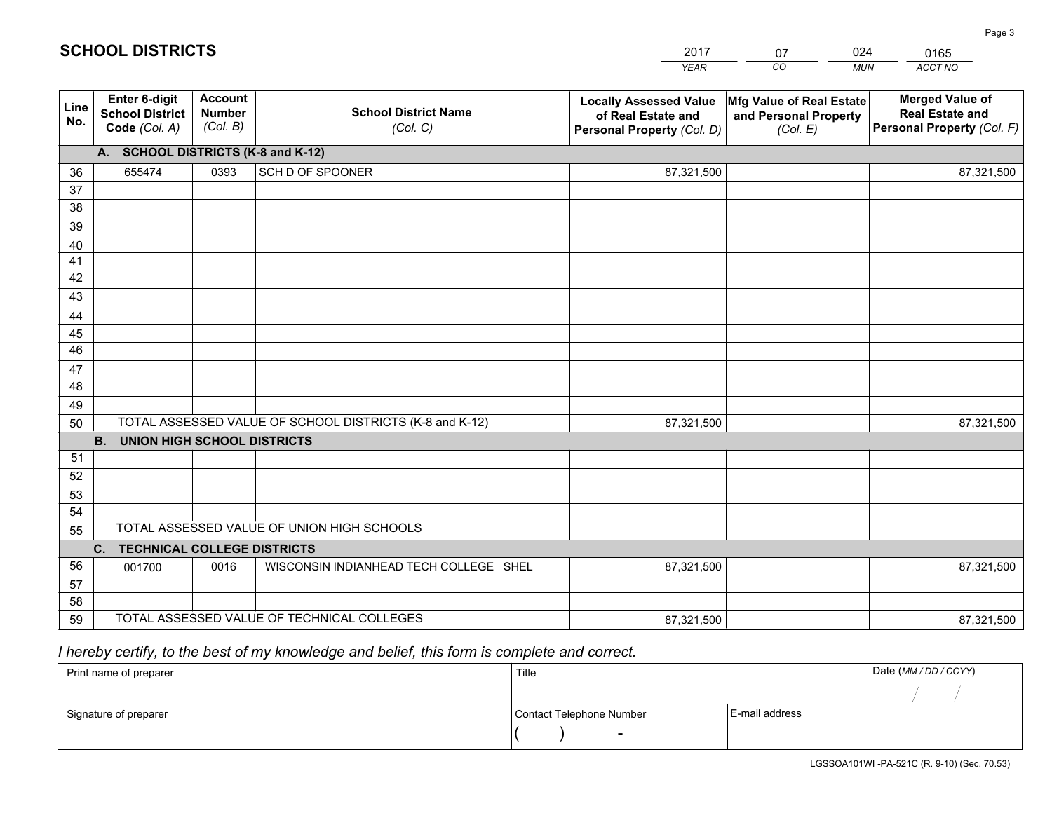| <b>Account</b><br><b>Merged Value of</b><br>Enter 6-digit<br>Mfg Value of Real Estate<br><b>Locally Assessed Value</b><br>Line<br><b>School District Name</b><br><b>School District</b><br><b>Number</b><br><b>Real Estate and</b><br>of Real Estate and<br>and Personal Property<br>No.<br>(Col. B)<br>Personal Property (Col. F)<br>Code (Col. A)<br>(Col. C)<br>Personal Property (Col. D)<br>(Col. E)<br>A. SCHOOL DISTRICTS (K-8 and K-12)<br>SCH D OF SPOONER<br>655474<br>0393<br>87,321,500<br>36<br>87,321,500<br>37<br>38<br>39<br>40<br>41<br>42<br>43<br>44<br>45<br>46<br>47<br>48<br>49<br>TOTAL ASSESSED VALUE OF SCHOOL DISTRICTS (K-8 and K-12)<br>87,321,500<br>87,321,500<br>50<br><b>B.</b><br><b>UNION HIGH SCHOOL DISTRICTS</b><br>51<br>52<br>53<br>54<br>TOTAL ASSESSED VALUE OF UNION HIGH SCHOOLS<br>55 |  |  | <b>YEAR</b> | CO<br><b>MUN</b> | ACCT NO |
|-----------------------------------------------------------------------------------------------------------------------------------------------------------------------------------------------------------------------------------------------------------------------------------------------------------------------------------------------------------------------------------------------------------------------------------------------------------------------------------------------------------------------------------------------------------------------------------------------------------------------------------------------------------------------------------------------------------------------------------------------------------------------------------------------------------------------------------|--|--|-------------|------------------|---------|
|                                                                                                                                                                                                                                                                                                                                                                                                                                                                                                                                                                                                                                                                                                                                                                                                                                   |  |  |             |                  |         |
|                                                                                                                                                                                                                                                                                                                                                                                                                                                                                                                                                                                                                                                                                                                                                                                                                                   |  |  |             |                  |         |
|                                                                                                                                                                                                                                                                                                                                                                                                                                                                                                                                                                                                                                                                                                                                                                                                                                   |  |  |             |                  |         |
|                                                                                                                                                                                                                                                                                                                                                                                                                                                                                                                                                                                                                                                                                                                                                                                                                                   |  |  |             |                  |         |
|                                                                                                                                                                                                                                                                                                                                                                                                                                                                                                                                                                                                                                                                                                                                                                                                                                   |  |  |             |                  |         |
|                                                                                                                                                                                                                                                                                                                                                                                                                                                                                                                                                                                                                                                                                                                                                                                                                                   |  |  |             |                  |         |
|                                                                                                                                                                                                                                                                                                                                                                                                                                                                                                                                                                                                                                                                                                                                                                                                                                   |  |  |             |                  |         |
|                                                                                                                                                                                                                                                                                                                                                                                                                                                                                                                                                                                                                                                                                                                                                                                                                                   |  |  |             |                  |         |
|                                                                                                                                                                                                                                                                                                                                                                                                                                                                                                                                                                                                                                                                                                                                                                                                                                   |  |  |             |                  |         |
|                                                                                                                                                                                                                                                                                                                                                                                                                                                                                                                                                                                                                                                                                                                                                                                                                                   |  |  |             |                  |         |
|                                                                                                                                                                                                                                                                                                                                                                                                                                                                                                                                                                                                                                                                                                                                                                                                                                   |  |  |             |                  |         |
|                                                                                                                                                                                                                                                                                                                                                                                                                                                                                                                                                                                                                                                                                                                                                                                                                                   |  |  |             |                  |         |
|                                                                                                                                                                                                                                                                                                                                                                                                                                                                                                                                                                                                                                                                                                                                                                                                                                   |  |  |             |                  |         |
|                                                                                                                                                                                                                                                                                                                                                                                                                                                                                                                                                                                                                                                                                                                                                                                                                                   |  |  |             |                  |         |
|                                                                                                                                                                                                                                                                                                                                                                                                                                                                                                                                                                                                                                                                                                                                                                                                                                   |  |  |             |                  |         |
|                                                                                                                                                                                                                                                                                                                                                                                                                                                                                                                                                                                                                                                                                                                                                                                                                                   |  |  |             |                  |         |
|                                                                                                                                                                                                                                                                                                                                                                                                                                                                                                                                                                                                                                                                                                                                                                                                                                   |  |  |             |                  |         |
|                                                                                                                                                                                                                                                                                                                                                                                                                                                                                                                                                                                                                                                                                                                                                                                                                                   |  |  |             |                  |         |
|                                                                                                                                                                                                                                                                                                                                                                                                                                                                                                                                                                                                                                                                                                                                                                                                                                   |  |  |             |                  |         |
|                                                                                                                                                                                                                                                                                                                                                                                                                                                                                                                                                                                                                                                                                                                                                                                                                                   |  |  |             |                  |         |
|                                                                                                                                                                                                                                                                                                                                                                                                                                                                                                                                                                                                                                                                                                                                                                                                                                   |  |  |             |                  |         |
|                                                                                                                                                                                                                                                                                                                                                                                                                                                                                                                                                                                                                                                                                                                                                                                                                                   |  |  |             |                  |         |
| C. TECHNICAL COLLEGE DISTRICTS                                                                                                                                                                                                                                                                                                                                                                                                                                                                                                                                                                                                                                                                                                                                                                                                    |  |  |             |                  |         |
| 56<br>WISCONSIN INDIANHEAD TECH COLLEGE SHEL<br>001700<br>0016<br>87,321,500<br>87,321,500                                                                                                                                                                                                                                                                                                                                                                                                                                                                                                                                                                                                                                                                                                                                        |  |  |             |                  |         |
| 57<br>58                                                                                                                                                                                                                                                                                                                                                                                                                                                                                                                                                                                                                                                                                                                                                                                                                          |  |  |             |                  |         |
| TOTAL ASSESSED VALUE OF TECHNICAL COLLEGES<br>59<br>87,321,500<br>87,321,500                                                                                                                                                                                                                                                                                                                                                                                                                                                                                                                                                                                                                                                                                                                                                      |  |  |             |                  |         |

07

024

# *I hereby certify, to the best of my knowledge and belief, this form is complete and correct.*

**SCHOOL DISTRICTS**

| Print name of preparer | Title                    |                | Date (MM / DD / CCYY) |
|------------------------|--------------------------|----------------|-----------------------|
|                        |                          |                |                       |
| Signature of preparer  | Contact Telephone Number | E-mail address |                       |
|                        | $\overline{\phantom{0}}$ |                |                       |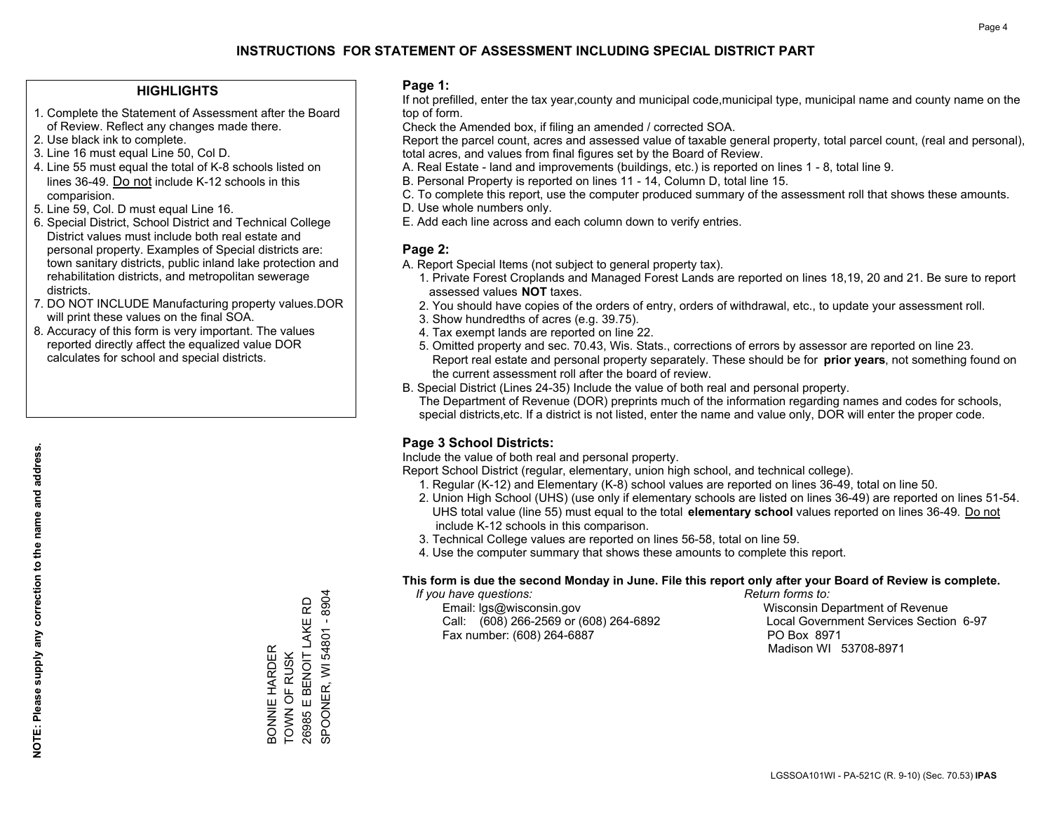## **HIGHLIGHTS**

- 1. Complete the Statement of Assessment after the Board of Review. Reflect any changes made there.
- 2. Use black ink to complete.
- 3. Line 16 must equal Line 50, Col D.
- 4. Line 55 must equal the total of K-8 schools listed on lines 36-49. Do not include K-12 schools in this comparision.
- 5. Line 59, Col. D must equal Line 16.
- 6. Special District, School District and Technical College District values must include both real estate and personal property. Examples of Special districts are: town sanitary districts, public inland lake protection and rehabilitation districts, and metropolitan sewerage districts.
- 7. DO NOT INCLUDE Manufacturing property values.DOR will print these values on the final SOA.
- 8. Accuracy of this form is very important. The values reported directly affect the equalized value DOR calculates for school and special districts.

### **Page 1:**

 If not prefilled, enter the tax year,county and municipal code,municipal type, municipal name and county name on the top of form.

Check the Amended box, if filing an amended / corrected SOA.

 Report the parcel count, acres and assessed value of taxable general property, total parcel count, (real and personal), total acres, and values from final figures set by the Board of Review.

- A. Real Estate land and improvements (buildings, etc.) is reported on lines 1 8, total line 9.
- B. Personal Property is reported on lines 11 14, Column D, total line 15.
- C. To complete this report, use the computer produced summary of the assessment roll that shows these amounts.
- D. Use whole numbers only.
- E. Add each line across and each column down to verify entries.

## **Page 2:**

- A. Report Special Items (not subject to general property tax).
- 1. Private Forest Croplands and Managed Forest Lands are reported on lines 18,19, 20 and 21. Be sure to report assessed values **NOT** taxes.
- 2. You should have copies of the orders of entry, orders of withdrawal, etc., to update your assessment roll.
	- 3. Show hundredths of acres (e.g. 39.75).
- 4. Tax exempt lands are reported on line 22.
- 5. Omitted property and sec. 70.43, Wis. Stats., corrections of errors by assessor are reported on line 23. Report real estate and personal property separately. These should be for **prior years**, not something found on the current assessment roll after the board of review.
- B. Special District (Lines 24-35) Include the value of both real and personal property.

 The Department of Revenue (DOR) preprints much of the information regarding names and codes for schools, special districts,etc. If a district is not listed, enter the name and value only, DOR will enter the proper code.

## **Page 3 School Districts:**

Include the value of both real and personal property.

Report School District (regular, elementary, union high school, and technical college).

- 1. Regular (K-12) and Elementary (K-8) school values are reported on lines 36-49, total on line 50.
- 2. Union High School (UHS) (use only if elementary schools are listed on lines 36-49) are reported on lines 51-54. UHS total value (line 55) must equal to the total **elementary school** values reported on lines 36-49. Do notinclude K-12 schools in this comparison.
- 3. Technical College values are reported on lines 56-58, total on line 59.
- 4. Use the computer summary that shows these amounts to complete this report.

### **This form is due the second Monday in June. File this report only after your Board of Review is complete.**

 *If you have questions: Return forms to:*

 Email: lgs@wisconsin.gov Wisconsin Department of RevenueCall:  $(608)$  266-2569 or  $(608)$  264-6892 Fax number: (608) 264-6887 PO Box 8971

Local Government Services Section 6-97 Madison WI 53708-8971

26985 E BENOIT LAKE RD<br>SPOONER, WI 54801 - 8904 SPOONER, WI 54801 - 8904 26985 E BENOIT LAKE RD BONNIE HARDER<br>TOWN OF RUSK BONNIE HARDER TOWN OF RUSK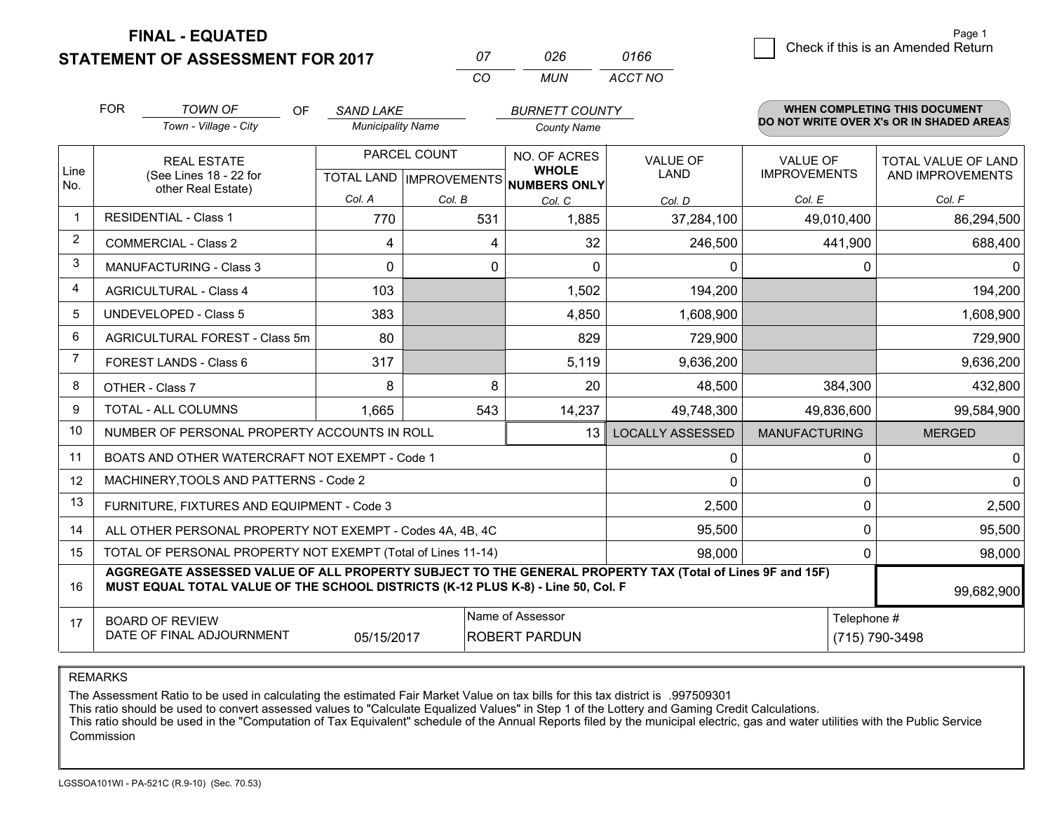**STATEMENT OF ASSESSMENT FOR 2017** 

| $^{\prime\prime}$ | 026 | 0166    |
|-------------------|-----|---------|
| $\alpha$          | MUN | ACCT NO |

|                | <b>FOR</b>                                                                                                                                                                                   | <b>TOWN OF</b><br><b>OF</b><br>Town - Village - City               | <b>SAND LAKE</b><br><b>Municipality Name</b>         |               | <b>BURNETT COUNTY</b><br><b>County Name</b> |                                |                                 | WHEN COMPLETING THIS DOCUMENT<br>DO NOT WRITE OVER X's OR IN SHADED AREAS |
|----------------|----------------------------------------------------------------------------------------------------------------------------------------------------------------------------------------------|--------------------------------------------------------------------|------------------------------------------------------|---------------|---------------------------------------------|--------------------------------|---------------------------------|---------------------------------------------------------------------------|
| Line<br>No.    |                                                                                                                                                                                              | <b>REAL ESTATE</b><br>(See Lines 18 - 22 for<br>other Real Estate) | PARCEL COUNT<br>TOTAL LAND IMPROVEMENTS NUMBERS ONLY |               | NO. OF ACRES<br><b>WHOLE</b>                | <b>VALUE OF</b><br><b>LAND</b> | VALUE OF<br><b>IMPROVEMENTS</b> | TOTAL VALUE OF LAND<br>AND IMPROVEMENTS                                   |
| $\mathbf 1$    |                                                                                                                                                                                              | <b>RESIDENTIAL - Class 1</b>                                       | Col. A<br>770                                        | Col. B<br>531 | Col. C<br>1,885                             | Col. D<br>37,284,100           | Col. E<br>49,010,400            | Col. F<br>86,294,500                                                      |
| $\overline{2}$ | <b>COMMERCIAL - Class 2</b>                                                                                                                                                                  |                                                                    | 4                                                    | 4             | 32                                          | 246,500                        | 441,900                         | 688,400                                                                   |
| 3              |                                                                                                                                                                                              | MANUFACTURING - Class 3                                            | 0                                                    | 0             | $\Omega$                                    | 0                              | 0                               | $\mathbf{0}$                                                              |
| $\overline{4}$ |                                                                                                                                                                                              | <b>AGRICULTURAL - Class 4</b>                                      | 103                                                  |               | 1,502                                       | 194,200                        |                                 | 194,200                                                                   |
| 5              |                                                                                                                                                                                              | <b>UNDEVELOPED - Class 5</b>                                       | 383                                                  |               | 4,850                                       | 1,608,900                      |                                 | 1,608,900                                                                 |
| 6              | AGRICULTURAL FOREST - Class 5m                                                                                                                                                               |                                                                    | 80                                                   |               | 829                                         | 729,900                        |                                 | 729,900                                                                   |
| 7              | FOREST LANDS - Class 6                                                                                                                                                                       |                                                                    | 317                                                  |               | 5,119                                       | 9,636,200                      |                                 | 9,636,200                                                                 |
| 8              | OTHER - Class 7                                                                                                                                                                              |                                                                    | 8                                                    | 8             | 20                                          | 48,500                         | 384,300                         | 432,800                                                                   |
| 9              |                                                                                                                                                                                              | TOTAL - ALL COLUMNS                                                | 1,665                                                | 543           | 14,237                                      | 49,748,300                     | 49,836,600                      | 99,584,900                                                                |
| 10             |                                                                                                                                                                                              | NUMBER OF PERSONAL PROPERTY ACCOUNTS IN ROLL                       |                                                      |               | 13                                          | <b>LOCALLY ASSESSED</b>        | <b>MANUFACTURING</b>            | <b>MERGED</b>                                                             |
| 11             |                                                                                                                                                                                              | BOATS AND OTHER WATERCRAFT NOT EXEMPT - Code 1                     |                                                      |               |                                             | 0                              | 0                               | $\mathbf 0$                                                               |
| 12             |                                                                                                                                                                                              | MACHINERY, TOOLS AND PATTERNS - Code 2                             |                                                      |               |                                             | $\Omega$                       | $\Omega$                        | 0                                                                         |
| 13             |                                                                                                                                                                                              | FURNITURE, FIXTURES AND EQUIPMENT - Code 3                         |                                                      |               |                                             | 2,500                          | $\Omega$                        | 2,500                                                                     |
| 14             |                                                                                                                                                                                              | ALL OTHER PERSONAL PROPERTY NOT EXEMPT - Codes 4A, 4B, 4C          |                                                      |               |                                             | 95,500                         | 0                               | 95,500                                                                    |
| 15             |                                                                                                                                                                                              | TOTAL OF PERSONAL PROPERTY NOT EXEMPT (Total of Lines 11-14)       |                                                      |               |                                             | 98,000                         | 0                               | 98,000                                                                    |
| 16             | AGGREGATE ASSESSED VALUE OF ALL PROPERTY SUBJECT TO THE GENERAL PROPERTY TAX (Total of Lines 9F and 15F)<br>MUST EQUAL TOTAL VALUE OF THE SCHOOL DISTRICTS (K-12 PLUS K-8) - Line 50, Col. F |                                                                    |                                                      |               |                                             |                                |                                 | 99,682,900                                                                |
| 17             | Name of Assessor<br>Telephone #<br><b>BOARD OF REVIEW</b><br>DATE OF FINAL ADJOURNMENT<br>05/15/2017<br><b>ROBERT PARDUN</b><br>(715) 790-3498                                               |                                                                    |                                                      |               |                                             |                                |                                 |                                                                           |

REMARKS

The Assessment Ratio to be used in calculating the estimated Fair Market Value on tax bills for this tax district is .997509301

This ratio should be used to convert assessed values to "Calculate Equalized Values" in Step 1 of the Lottery and Gaming Credit Calculations.<br>This ratio should be used in the "Computation of Tax Equivalent" schedule of the Commission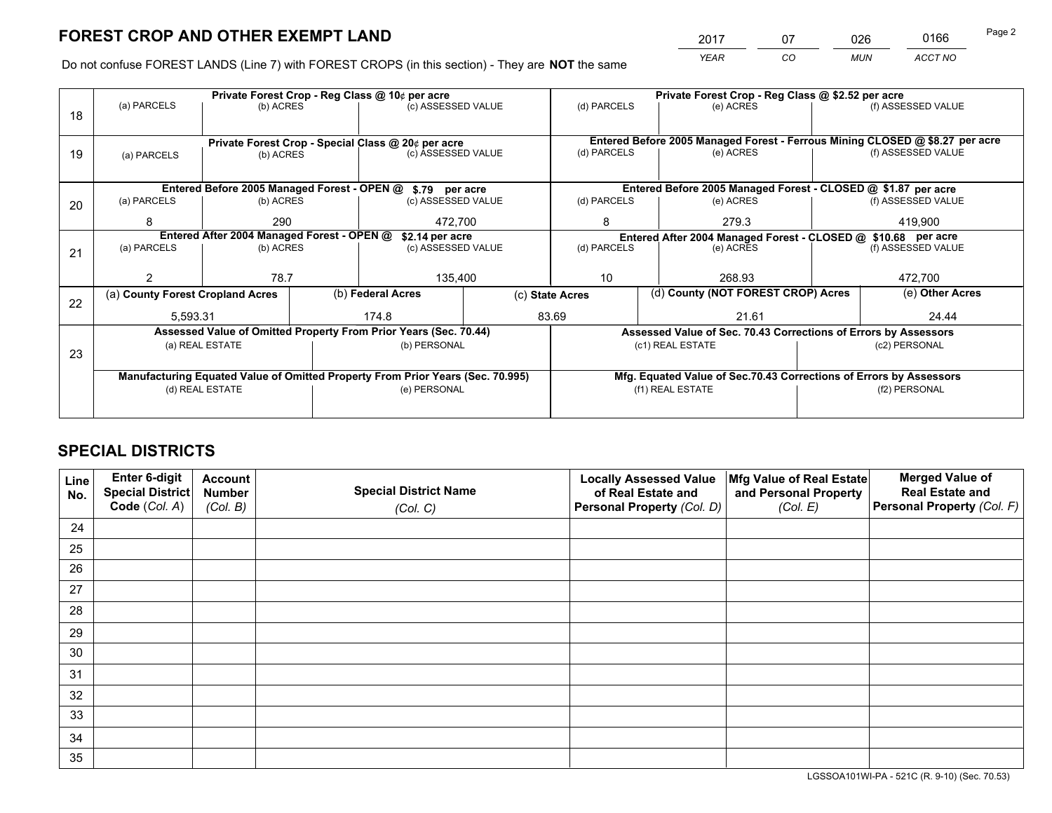*YEAR CO MUN ACCT NO* <sup>2017</sup> <sup>07</sup> <sup>026</sup> <sup>0166</sup>

Do not confuse FOREST LANDS (Line 7) with FOREST CROPS (in this section) - They are **NOT** the same

|    |                                                                                |                                 |  | Private Forest Crop - Reg Class @ 10¢ per acre                   |                 | Private Forest Crop - Reg Class @ \$2.52 per acre |                                                                              |                                    |                    |  |
|----|--------------------------------------------------------------------------------|---------------------------------|--|------------------------------------------------------------------|-----------------|---------------------------------------------------|------------------------------------------------------------------------------|------------------------------------|--------------------|--|
| 18 | (a) PARCELS                                                                    | (b) ACRES                       |  | (c) ASSESSED VALUE                                               |                 | (d) PARCELS                                       | (e) ACRES                                                                    |                                    | (f) ASSESSED VALUE |  |
|    |                                                                                |                                 |  |                                                                  |                 |                                                   |                                                                              |                                    |                    |  |
|    |                                                                                |                                 |  | Private Forest Crop - Special Class @ 20¢ per acre               |                 |                                                   | Entered Before 2005 Managed Forest - Ferrous Mining CLOSED @ \$8.27 per acre |                                    |                    |  |
| 19 | (a) PARCELS                                                                    | (c) ASSESSED VALUE<br>(b) ACRES |  | (d) PARCELS                                                      | (e) ACRES       |                                                   | (f) ASSESSED VALUE                                                           |                                    |                    |  |
|    |                                                                                |                                 |  |                                                                  |                 |                                                   |                                                                              |                                    |                    |  |
|    |                                                                                |                                 |  | Entered Before 2005 Managed Forest - OPEN @ \$.79 per acre       |                 |                                                   | Entered Before 2005 Managed Forest - CLOSED @ \$1.87 per acre                |                                    |                    |  |
| 20 | (a) PARCELS                                                                    | (b) ACRES                       |  | (c) ASSESSED VALUE                                               |                 | (d) PARCELS                                       | (e) ACRES                                                                    |                                    | (f) ASSESSED VALUE |  |
|    | 8                                                                              | 290                             |  | 472,700                                                          |                 | 8                                                 | 279.3                                                                        |                                    | 419,900            |  |
|    | Entered After 2004 Managed Forest - OPEN @<br>\$2.14 per acre                  |                                 |  |                                                                  |                 |                                                   | Entered After 2004 Managed Forest - CLOSED @ \$10.68 per acre                |                                    |                    |  |
| 21 | (a) PARCELS                                                                    | (b) ACRES                       |  | (c) ASSESSED VALUE                                               |                 | (d) PARCELS<br>(e) ACRES                          |                                                                              |                                    | (f) ASSESSED VALUE |  |
|    |                                                                                |                                 |  |                                                                  |                 |                                                   |                                                                              |                                    |                    |  |
|    |                                                                                | 78.7                            |  | 135,400                                                          |                 | 10                                                | 268.93                                                                       |                                    | 472,700            |  |
| 22 | (a) County Forest Cropland Acres                                               |                                 |  | (b) Federal Acres                                                | (c) State Acres |                                                   |                                                                              | (d) County (NOT FOREST CROP) Acres |                    |  |
|    | 5,593.31                                                                       |                                 |  | 83.69<br>174.8                                                   |                 |                                                   | 21.61                                                                        |                                    | 24.44              |  |
|    |                                                                                |                                 |  | Assessed Value of Omitted Property From Prior Years (Sec. 70.44) |                 |                                                   | Assessed Value of Sec. 70.43 Corrections of Errors by Assessors              |                                    |                    |  |
| 23 |                                                                                | (a) REAL ESTATE                 |  | (b) PERSONAL                                                     |                 |                                                   | (c1) REAL ESTATE                                                             |                                    | (c2) PERSONAL      |  |
|    |                                                                                |                                 |  |                                                                  |                 |                                                   |                                                                              |                                    |                    |  |
|    | Manufacturing Equated Value of Omitted Property From Prior Years (Sec. 70.995) |                                 |  |                                                                  |                 |                                                   | Mfg. Equated Value of Sec.70.43 Corrections of Errors by Assessors           |                                    |                    |  |
|    |                                                                                | (d) REAL ESTATE                 |  | (e) PERSONAL                                                     |                 | (f1) REAL ESTATE                                  |                                                                              |                                    | (f2) PERSONAL      |  |
|    |                                                                                |                                 |  |                                                                  |                 |                                                   |                                                                              |                                    |                    |  |

# **SPECIAL DISTRICTS**

| Line<br>No. | Enter 6-digit<br><b>Special District</b> | <b>Account</b><br><b>Number</b> | <b>Special District Name</b> | <b>Locally Assessed Value</b><br>of Real Estate and | Mfg Value of Real Estate<br>and Personal Property | <b>Merged Value of</b><br><b>Real Estate and</b> |
|-------------|------------------------------------------|---------------------------------|------------------------------|-----------------------------------------------------|---------------------------------------------------|--------------------------------------------------|
|             | Code (Col. A)                            | (Col. B)                        | (Col. C)                     | Personal Property (Col. D)                          | (Col. E)                                          | Personal Property (Col. F)                       |
| 24          |                                          |                                 |                              |                                                     |                                                   |                                                  |
| 25          |                                          |                                 |                              |                                                     |                                                   |                                                  |
| 26          |                                          |                                 |                              |                                                     |                                                   |                                                  |
| 27          |                                          |                                 |                              |                                                     |                                                   |                                                  |
| 28          |                                          |                                 |                              |                                                     |                                                   |                                                  |
| 29          |                                          |                                 |                              |                                                     |                                                   |                                                  |
| 30          |                                          |                                 |                              |                                                     |                                                   |                                                  |
| 31          |                                          |                                 |                              |                                                     |                                                   |                                                  |
| 32          |                                          |                                 |                              |                                                     |                                                   |                                                  |
| 33          |                                          |                                 |                              |                                                     |                                                   |                                                  |
| 34          |                                          |                                 |                              |                                                     |                                                   |                                                  |
| 35          |                                          |                                 |                              |                                                     |                                                   |                                                  |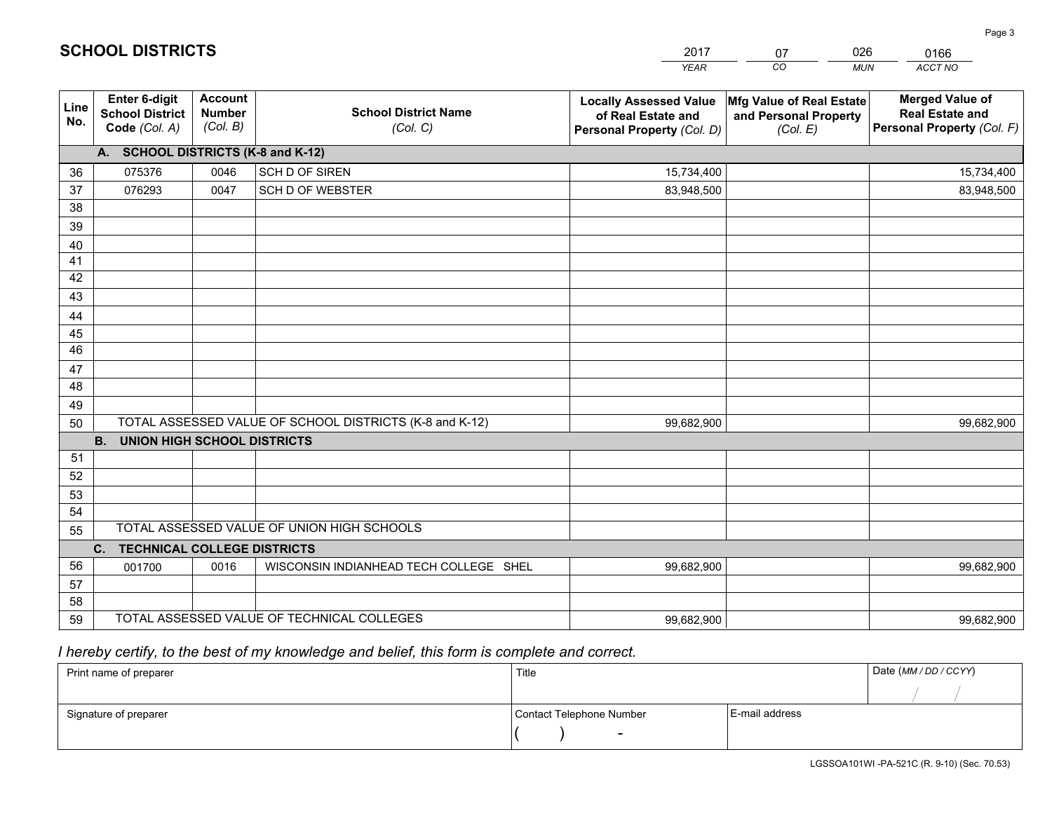|             |                                                          |                                             |                                                         | <b>YEAR</b>                                                                       | CO<br><b>MUN</b>                                              | ACCT NO                                                                        |
|-------------|----------------------------------------------------------|---------------------------------------------|---------------------------------------------------------|-----------------------------------------------------------------------------------|---------------------------------------------------------------|--------------------------------------------------------------------------------|
| Line<br>No. | Enter 6-digit<br><b>School District</b><br>Code (Col. A) | <b>Account</b><br><b>Number</b><br>(Col. B) | <b>School District Name</b><br>(Col. C)                 | <b>Locally Assessed Value</b><br>of Real Estate and<br>Personal Property (Col. D) | Mfg Value of Real Estate<br>and Personal Property<br>(Col. E) | <b>Merged Value of</b><br><b>Real Estate and</b><br>Personal Property (Col. F) |
|             | A. SCHOOL DISTRICTS (K-8 and K-12)                       |                                             |                                                         |                                                                                   |                                                               |                                                                                |
| 36          | 075376                                                   | 0046                                        | SCH D OF SIREN                                          | 15,734,400                                                                        |                                                               | 15,734,400                                                                     |
| 37          | 076293                                                   | 0047                                        | SCH D OF WEBSTER                                        | 83,948,500                                                                        |                                                               | 83,948,500                                                                     |
| 38          |                                                          |                                             |                                                         |                                                                                   |                                                               |                                                                                |
| 39          |                                                          |                                             |                                                         |                                                                                   |                                                               |                                                                                |
| 40          |                                                          |                                             |                                                         |                                                                                   |                                                               |                                                                                |
| 41          |                                                          |                                             |                                                         |                                                                                   |                                                               |                                                                                |
| 42          |                                                          |                                             |                                                         |                                                                                   |                                                               |                                                                                |
| 43          |                                                          |                                             |                                                         |                                                                                   |                                                               |                                                                                |
| 44          |                                                          |                                             |                                                         |                                                                                   |                                                               |                                                                                |
| 45          |                                                          |                                             |                                                         |                                                                                   |                                                               |                                                                                |
| 46          |                                                          |                                             |                                                         |                                                                                   |                                                               |                                                                                |
| 47          |                                                          |                                             |                                                         |                                                                                   |                                                               |                                                                                |
| 48          |                                                          |                                             |                                                         |                                                                                   |                                                               |                                                                                |
| 49          |                                                          |                                             | TOTAL ASSESSED VALUE OF SCHOOL DISTRICTS (K-8 and K-12) |                                                                                   |                                                               |                                                                                |
| 50          | B <sub>1</sub><br><b>UNION HIGH SCHOOL DISTRICTS</b>     |                                             |                                                         | 99,682,900                                                                        |                                                               | 99,682,900                                                                     |
| 51          |                                                          |                                             |                                                         |                                                                                   |                                                               |                                                                                |
| 52          |                                                          |                                             |                                                         |                                                                                   |                                                               |                                                                                |
| 53          |                                                          |                                             |                                                         |                                                                                   |                                                               |                                                                                |
| 54          |                                                          |                                             |                                                         |                                                                                   |                                                               |                                                                                |
| 55          |                                                          |                                             | TOTAL ASSESSED VALUE OF UNION HIGH SCHOOLS              |                                                                                   |                                                               |                                                                                |
|             | C. TECHNICAL COLLEGE DISTRICTS                           |                                             |                                                         |                                                                                   |                                                               |                                                                                |
| 56          | 001700                                                   | 0016                                        | WISCONSIN INDIANHEAD TECH COLLEGE SHEL                  | 99,682,900                                                                        |                                                               | 99,682,900                                                                     |
| 57          |                                                          |                                             |                                                         |                                                                                   |                                                               |                                                                                |
| 58          |                                                          |                                             |                                                         |                                                                                   |                                                               |                                                                                |
| 59          |                                                          |                                             | TOTAL ASSESSED VALUE OF TECHNICAL COLLEGES              | 99,682,900                                                                        |                                                               | 99,682,900                                                                     |

07

026

 *I hereby certify, to the best of my knowledge and belief, this form is complete and correct.*

**SCHOOL DISTRICTS**

| Print name of preparer | Title                    |                | Date (MM / DD / CCYY) |
|------------------------|--------------------------|----------------|-----------------------|
|                        |                          |                |                       |
| Signature of preparer  | Contact Telephone Number | E-mail address |                       |
|                        | $\overline{\phantom{0}}$ |                |                       |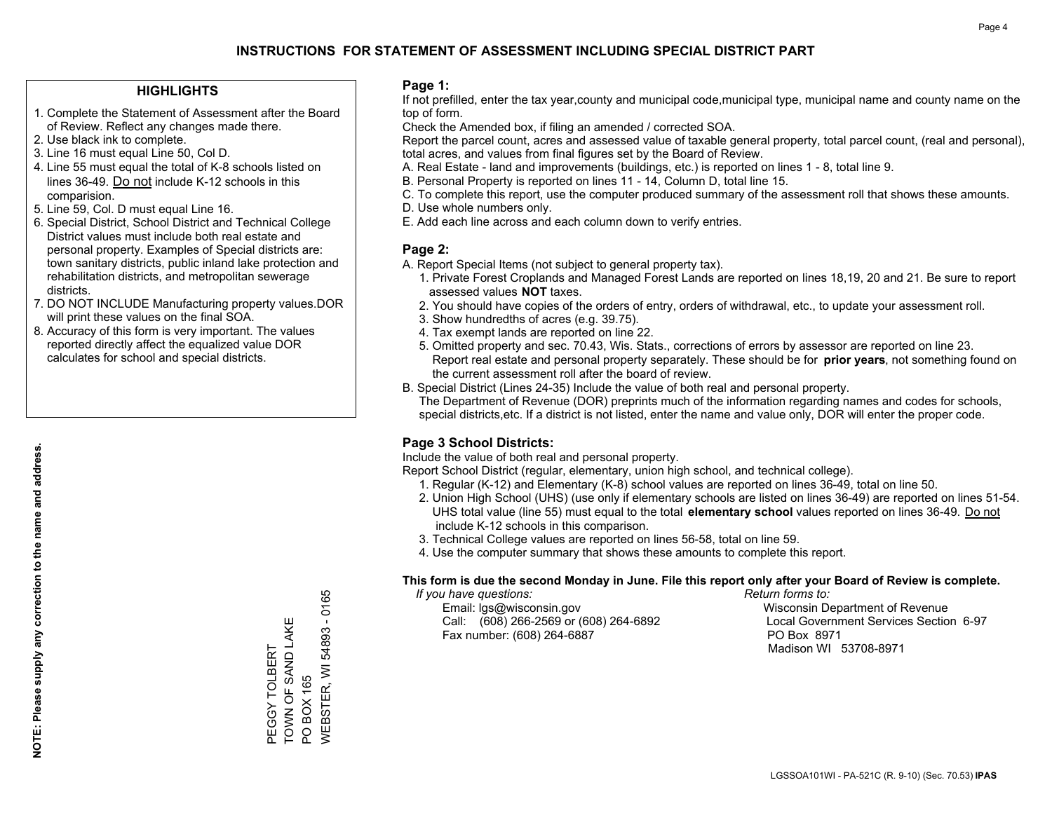## **HIGHLIGHTS**

- 1. Complete the Statement of Assessment after the Board of Review. Reflect any changes made there.
- 2. Use black ink to complete.
- 3. Line 16 must equal Line 50, Col D.
- 4. Line 55 must equal the total of K-8 schools listed on lines 36-49. Do not include K-12 schools in this comparision.
- 5. Line 59, Col. D must equal Line 16.
- 6. Special District, School District and Technical College District values must include both real estate and personal property. Examples of Special districts are: town sanitary districts, public inland lake protection and rehabilitation districts, and metropolitan sewerage districts.
- 7. DO NOT INCLUDE Manufacturing property values.DOR will print these values on the final SOA.
- 8. Accuracy of this form is very important. The values reported directly affect the equalized value DOR calculates for school and special districts.

### **Page 1:**

 If not prefilled, enter the tax year,county and municipal code,municipal type, municipal name and county name on the top of form.

Check the Amended box, if filing an amended / corrected SOA.

 Report the parcel count, acres and assessed value of taxable general property, total parcel count, (real and personal), total acres, and values from final figures set by the Board of Review.

- A. Real Estate land and improvements (buildings, etc.) is reported on lines 1 8, total line 9.
- B. Personal Property is reported on lines 11 14, Column D, total line 15.
- C. To complete this report, use the computer produced summary of the assessment roll that shows these amounts.
- D. Use whole numbers only.
- E. Add each line across and each column down to verify entries.

## **Page 2:**

- A. Report Special Items (not subject to general property tax).
- 1. Private Forest Croplands and Managed Forest Lands are reported on lines 18,19, 20 and 21. Be sure to report assessed values **NOT** taxes.
- 2. You should have copies of the orders of entry, orders of withdrawal, etc., to update your assessment roll.
	- 3. Show hundredths of acres (e.g. 39.75).
- 4. Tax exempt lands are reported on line 22.
- 5. Omitted property and sec. 70.43, Wis. Stats., corrections of errors by assessor are reported on line 23. Report real estate and personal property separately. These should be for **prior years**, not something found on the current assessment roll after the board of review.
- B. Special District (Lines 24-35) Include the value of both real and personal property.
- The Department of Revenue (DOR) preprints much of the information regarding names and codes for schools, special districts,etc. If a district is not listed, enter the name and value only, DOR will enter the proper code.

## **Page 3 School Districts:**

Include the value of both real and personal property.

Report School District (regular, elementary, union high school, and technical college).

- 1. Regular (K-12) and Elementary (K-8) school values are reported on lines 36-49, total on line 50.
- 2. Union High School (UHS) (use only if elementary schools are listed on lines 36-49) are reported on lines 51-54. UHS total value (line 55) must equal to the total **elementary school** values reported on lines 36-49. Do notinclude K-12 schools in this comparison.
- 3. Technical College values are reported on lines 56-58, total on line 59.
- 4. Use the computer summary that shows these amounts to complete this report.

### **This form is due the second Monday in June. File this report only after your Board of Review is complete.**

 *If you have questions: Return forms to:*

 Email: lgs@wisconsin.gov Wisconsin Department of RevenueCall:  $(608)$  266-2569 or  $(608)$  264-6892 Fax number: (608) 264-6887 PO Box 8971

Local Government Services Section 6-97 Madison WI 53708-8971

**NEBSTER, WI 54893 - 0165** WEBSTER, WI 54893 - 0165 TOWN OF SAND LAKE TOWN OF SAND LAKE PEGGY TOLBERT PEGGY TOLBERT **PO BOX 165** PO BOX 165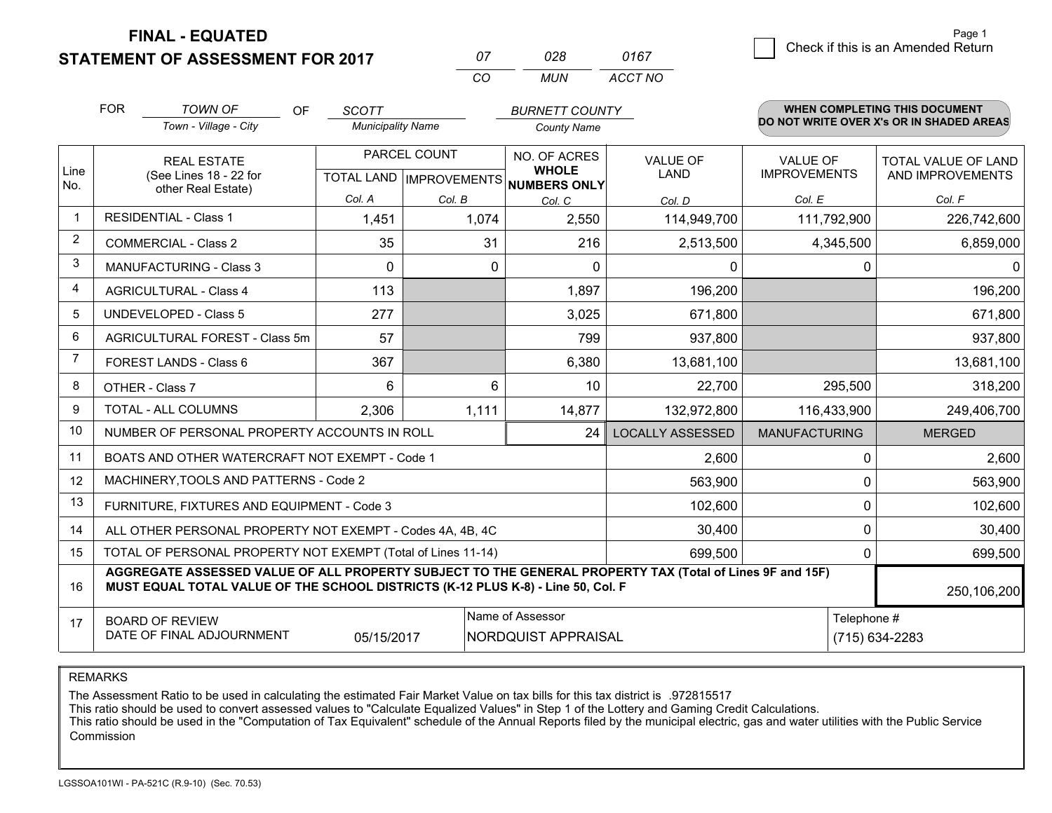**STATEMENT OF ASSESSMENT FOR 2017** 

| $^{\prime\prime}$ | אלח   | 0167    |
|-------------------|-------|---------|
| $\cdots$          | MI IN | ACCT NO |

|                | <b>FOR</b>                                                                                                                                                                                   | <b>TOWN OF</b><br>OF                                      | <b>SCOTT</b>             |        | <b>BURNETT COUNTY</b>                               |                         |                      | <b>WHEN COMPLETING THIS DOCUMENT</b><br>DO NOT WRITE OVER X's OR IN SHADED AREAS |
|----------------|----------------------------------------------------------------------------------------------------------------------------------------------------------------------------------------------|-----------------------------------------------------------|--------------------------|--------|-----------------------------------------------------|-------------------------|----------------------|----------------------------------------------------------------------------------|
|                |                                                                                                                                                                                              | Town - Village - City                                     | <b>Municipality Name</b> |        | <b>County Name</b>                                  |                         |                      |                                                                                  |
|                | <b>REAL ESTATE</b>                                                                                                                                                                           |                                                           | PARCEL COUNT             |        | NO. OF ACRES                                        | <b>VALUE OF</b>         | <b>VALUE OF</b>      | <b>TOTAL VALUE OF LAND</b>                                                       |
| Line<br>No.    |                                                                                                                                                                                              | (See Lines 18 - 22 for<br>other Real Estate)              |                          |        | <b>WHOLE</b><br>TOTAL LAND MPROVEMENTS NUMBERS ONLY | <b>LAND</b>             | <b>IMPROVEMENTS</b>  | AND IMPROVEMENTS                                                                 |
|                |                                                                                                                                                                                              |                                                           | Col. A                   | Col. B | Col. C                                              | Col. D                  | Col. E               | Col. F                                                                           |
| $\mathbf{1}$   |                                                                                                                                                                                              | <b>RESIDENTIAL - Class 1</b>                              | 1,451                    | 1,074  | 2,550                                               | 114,949,700             | 111,792,900          | 226,742,600                                                                      |
| $\overline{2}$ |                                                                                                                                                                                              | <b>COMMERCIAL - Class 2</b>                               | 35                       | 31     | 216                                                 | 2,513,500               | 4,345,500            | 6,859,000                                                                        |
| 3              |                                                                                                                                                                                              | <b>MANUFACTURING - Class 3</b>                            | $\Omega$                 | 0      | $\Omega$                                            | 0                       |                      | 0<br>0                                                                           |
| 4              |                                                                                                                                                                                              | <b>AGRICULTURAL - Class 4</b>                             | 113                      |        | 1,897                                               | 196,200                 |                      | 196,200                                                                          |
| 5              |                                                                                                                                                                                              | <b>UNDEVELOPED - Class 5</b>                              | 277                      |        | 3,025                                               | 671,800                 |                      | 671,800                                                                          |
| 6              |                                                                                                                                                                                              | AGRICULTURAL FOREST - Class 5m                            | 57                       |        | 799                                                 | 937,800                 |                      | 937,800                                                                          |
| 7              |                                                                                                                                                                                              | FOREST LANDS - Class 6                                    | 367                      |        | 6,380                                               | 13,681,100              |                      | 13,681,100                                                                       |
| 8              |                                                                                                                                                                                              | OTHER - Class 7                                           | 6                        | 6      | 10                                                  | 22,700                  | 295,500              | 318,200                                                                          |
| 9              |                                                                                                                                                                                              | TOTAL - ALL COLUMNS                                       | 2,306                    | 1,111  | 14,877                                              | 132,972,800             | 116,433,900          | 249,406,700                                                                      |
| 10             |                                                                                                                                                                                              | NUMBER OF PERSONAL PROPERTY ACCOUNTS IN ROLL              |                          |        | 24                                                  | <b>LOCALLY ASSESSED</b> | <b>MANUFACTURING</b> | <b>MERGED</b>                                                                    |
| 11             |                                                                                                                                                                                              | BOATS AND OTHER WATERCRAFT NOT EXEMPT - Code 1            |                          |        |                                                     | 2,600                   |                      | 2,600<br>0                                                                       |
| 12             |                                                                                                                                                                                              | MACHINERY, TOOLS AND PATTERNS - Code 2                    |                          |        |                                                     | 563,900                 |                      | $\mathbf 0$<br>563,900                                                           |
| 13             |                                                                                                                                                                                              | FURNITURE, FIXTURES AND EQUIPMENT - Code 3                |                          |        |                                                     | 102,600                 |                      | $\mathbf 0$<br>102,600                                                           |
| 14             |                                                                                                                                                                                              | ALL OTHER PERSONAL PROPERTY NOT EXEMPT - Codes 4A, 4B, 4C |                          |        |                                                     | 30,400                  |                      | $\mathbf 0$<br>30,400                                                            |
| 15             | TOTAL OF PERSONAL PROPERTY NOT EXEMPT (Total of Lines 11-14)                                                                                                                                 |                                                           |                          |        |                                                     |                         |                      | 0<br>699,500                                                                     |
| 16             | AGGREGATE ASSESSED VALUE OF ALL PROPERTY SUBJECT TO THE GENERAL PROPERTY TAX (Total of Lines 9F and 15F)<br>MUST EQUAL TOTAL VALUE OF THE SCHOOL DISTRICTS (K-12 PLUS K-8) - Line 50, Col. F |                                                           |                          |        |                                                     |                         | 250,106,200          |                                                                                  |
| 17             |                                                                                                                                                                                              | <b>BOARD OF REVIEW</b>                                    |                          |        | Name of Assessor                                    |                         |                      | Telephone #                                                                      |
|                | DATE OF FINAL ADJOURNMENT<br>NORDQUIST APPRAISAL<br>(715) 634-2283<br>05/15/2017                                                                                                             |                                                           |                          |        |                                                     |                         |                      |                                                                                  |

REMARKS

The Assessment Ratio to be used in calculating the estimated Fair Market Value on tax bills for this tax district is .972815517

This ratio should be used to convert assessed values to "Calculate Equalized Values" in Step 1 of the Lottery and Gaming Credit Calculations.<br>This ratio should be used in the "Computation of Tax Equivalent" schedule of the Commission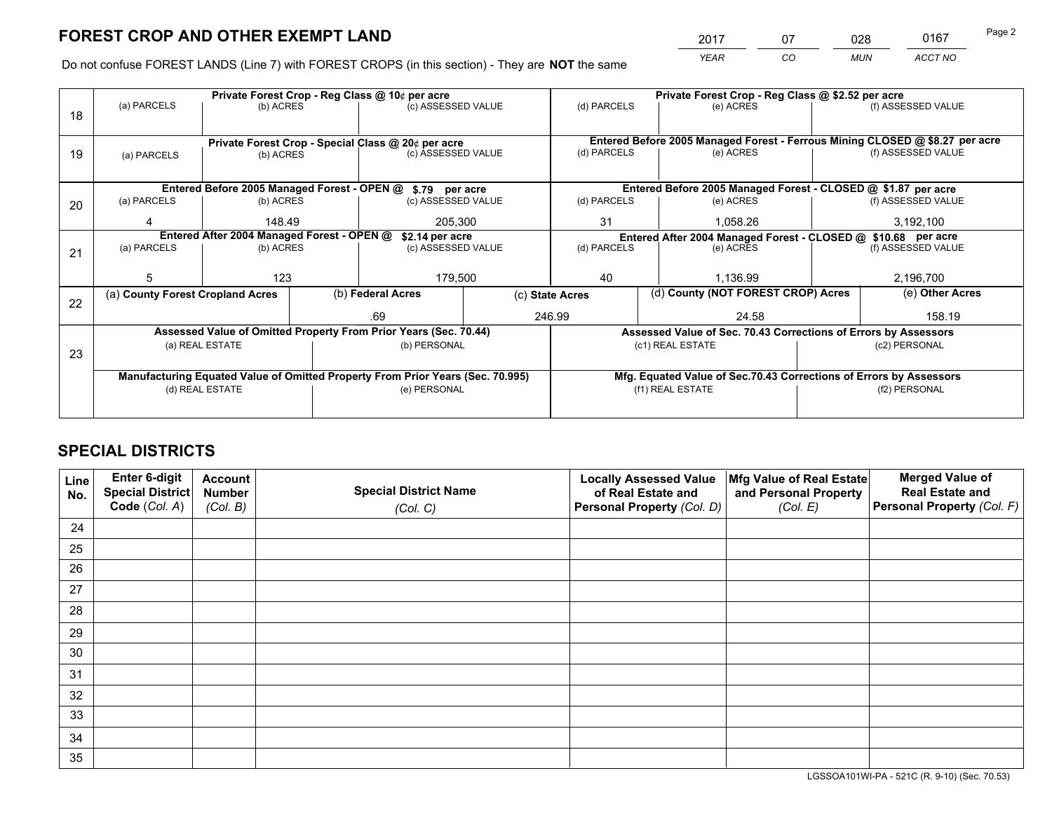*YEAR CO MUN ACCT NO* <sup>2017</sup> <sup>07</sup> <sup>028</sup> <sup>0167</sup> Page 2

Do not confuse FOREST LANDS (Line 7) with FOREST CROPS (in this section) - They are **NOT** the same

|    |                                                                                |                                                                                                      |  | Private Forest Crop - Reg Class @ 10¢ per acre                   |  | Private Forest Crop - Reg Class @ \$2.52 per acre                        |                  |                    |                                                                              |                                                                    |
|----|--------------------------------------------------------------------------------|------------------------------------------------------------------------------------------------------|--|------------------------------------------------------------------|--|--------------------------------------------------------------------------|------------------|--------------------|------------------------------------------------------------------------------|--------------------------------------------------------------------|
| 18 | (a) PARCELS                                                                    | (b) ACRES                                                                                            |  | (c) ASSESSED VALUE                                               |  | (d) PARCELS                                                              |                  | (e) ACRES          |                                                                              | (f) ASSESSED VALUE                                                 |
|    |                                                                                |                                                                                                      |  |                                                                  |  |                                                                          |                  |                    | Entered Before 2005 Managed Forest - Ferrous Mining CLOSED @ \$8.27 per acre |                                                                    |
| 19 |                                                                                | Private Forest Crop - Special Class @ 20¢ per acre<br>(c) ASSESSED VALUE<br>(b) ACRES<br>(a) PARCELS |  | (d) PARCELS                                                      |  | (e) ACRES                                                                |                  | (f) ASSESSED VALUE |                                                                              |                                                                    |
|    |                                                                                |                                                                                                      |  |                                                                  |  |                                                                          |                  |                    |                                                                              |                                                                    |
|    |                                                                                |                                                                                                      |  | Entered Before 2005 Managed Forest - OPEN @ \$.79 per acre       |  |                                                                          |                  |                    |                                                                              | Entered Before 2005 Managed Forest - CLOSED @ \$1.87 per acre      |
| 20 | (a) PARCELS                                                                    | (b) ACRES                                                                                            |  | (c) ASSESSED VALUE                                               |  | (d) PARCELS                                                              |                  | (e) ACRES          |                                                                              | (f) ASSESSED VALUE                                                 |
|    |                                                                                |                                                                                                      |  |                                                                  |  |                                                                          |                  |                    |                                                                              |                                                                    |
|    | 4                                                                              | 148.49                                                                                               |  | 205,300                                                          |  | 31                                                                       |                  | 1.058.26           |                                                                              | 3,192,100                                                          |
|    | Entered After 2004 Managed Forest - OPEN @<br>\$2.14 per acre                  |                                                                                                      |  | Entered After 2004 Managed Forest - CLOSED @ \$10.68 per acre    |  |                                                                          |                  |                    |                                                                              |                                                                    |
| 21 | (a) PARCELS                                                                    | (b) ACRES                                                                                            |  | (c) ASSESSED VALUE                                               |  | (d) PARCELS                                                              | (e) ACRES        |                    | (f) ASSESSED VALUE                                                           |                                                                    |
|    |                                                                                |                                                                                                      |  |                                                                  |  |                                                                          |                  |                    |                                                                              |                                                                    |
|    | 5                                                                              | 123                                                                                                  |  | 179,500                                                          |  | 40<br>1,136.99                                                           |                  |                    | 2,196,700                                                                    |                                                                    |
|    | (a) County Forest Cropland Acres                                               |                                                                                                      |  | (b) Federal Acres                                                |  | (d) County (NOT FOREST CROP) Acres<br>(e) Other Acres<br>(c) State Acres |                  |                    |                                                                              |                                                                    |
| 22 |                                                                                |                                                                                                      |  |                                                                  |  |                                                                          |                  |                    |                                                                              |                                                                    |
|    |                                                                                |                                                                                                      |  | .69                                                              |  | 246.99                                                                   |                  | 24.58              |                                                                              | 158.19                                                             |
|    |                                                                                |                                                                                                      |  | Assessed Value of Omitted Property From Prior Years (Sec. 70.44) |  |                                                                          |                  |                    |                                                                              | Assessed Value of Sec. 70.43 Corrections of Errors by Assessors    |
| 23 |                                                                                | (a) REAL ESTATE                                                                                      |  | (b) PERSONAL                                                     |  |                                                                          | (c1) REAL ESTATE |                    |                                                                              | (c2) PERSONAL                                                      |
|    |                                                                                |                                                                                                      |  |                                                                  |  |                                                                          |                  |                    |                                                                              |                                                                    |
|    | Manufacturing Equated Value of Omitted Property From Prior Years (Sec. 70.995) |                                                                                                      |  |                                                                  |  |                                                                          |                  |                    |                                                                              | Mfg. Equated Value of Sec.70.43 Corrections of Errors by Assessors |
|    |                                                                                | (d) REAL ESTATE                                                                                      |  | (e) PERSONAL                                                     |  |                                                                          | (f1) REAL ESTATE |                    |                                                                              | (f2) PERSONAL                                                      |
|    |                                                                                |                                                                                                      |  |                                                                  |  |                                                                          |                  |                    |                                                                              |                                                                    |
|    |                                                                                |                                                                                                      |  |                                                                  |  |                                                                          |                  |                    |                                                                              |                                                                    |

# **SPECIAL DISTRICTS**

| Line<br>No. | Enter 6-digit<br><b>Special District</b><br>Code (Col. A) | <b>Account</b><br><b>Number</b><br>(Col. B) | <b>Special District Name</b><br>(Col. C) | <b>Locally Assessed Value</b><br>of Real Estate and<br>Personal Property (Col. D) | Mfg Value of Real Estate<br>and Personal Property<br>(Col. E) | <b>Merged Value of</b><br><b>Real Estate and</b><br>Personal Property (Col. F) |
|-------------|-----------------------------------------------------------|---------------------------------------------|------------------------------------------|-----------------------------------------------------------------------------------|---------------------------------------------------------------|--------------------------------------------------------------------------------|
| 24          |                                                           |                                             |                                          |                                                                                   |                                                               |                                                                                |
| 25          |                                                           |                                             |                                          |                                                                                   |                                                               |                                                                                |
| 26          |                                                           |                                             |                                          |                                                                                   |                                                               |                                                                                |
| 27          |                                                           |                                             |                                          |                                                                                   |                                                               |                                                                                |
| 28          |                                                           |                                             |                                          |                                                                                   |                                                               |                                                                                |
| 29          |                                                           |                                             |                                          |                                                                                   |                                                               |                                                                                |
| 30          |                                                           |                                             |                                          |                                                                                   |                                                               |                                                                                |
| 31          |                                                           |                                             |                                          |                                                                                   |                                                               |                                                                                |
| 32          |                                                           |                                             |                                          |                                                                                   |                                                               |                                                                                |
| 33          |                                                           |                                             |                                          |                                                                                   |                                                               |                                                                                |
| 34          |                                                           |                                             |                                          |                                                                                   |                                                               |                                                                                |
| 35          |                                                           |                                             |                                          |                                                                                   |                                                               |                                                                                |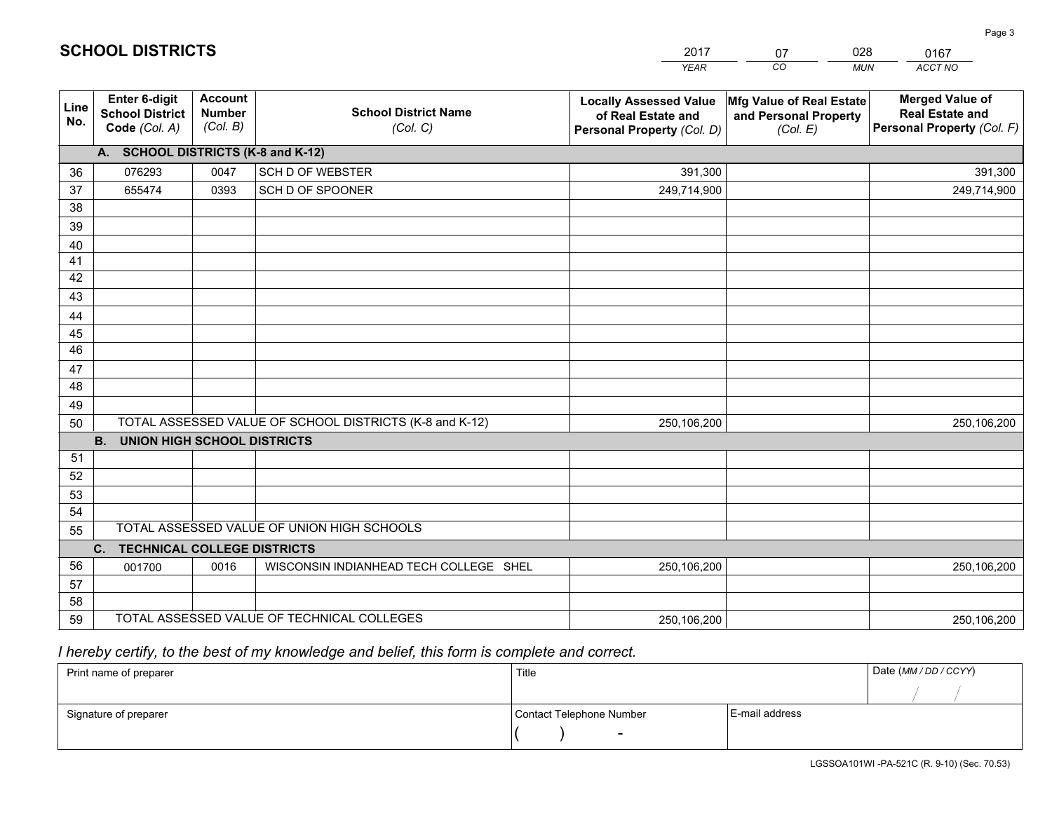|             |                                                          |                                             |                                                         | YEAR                                                                              | CO.<br><b>MUN</b>                                             | ACCT NO                                                                        |
|-------------|----------------------------------------------------------|---------------------------------------------|---------------------------------------------------------|-----------------------------------------------------------------------------------|---------------------------------------------------------------|--------------------------------------------------------------------------------|
| Line<br>No. | Enter 6-digit<br><b>School District</b><br>Code (Col. A) | <b>Account</b><br><b>Number</b><br>(Col. B) | <b>School District Name</b><br>(Col. C)                 | <b>Locally Assessed Value</b><br>of Real Estate and<br>Personal Property (Col. D) | Mfg Value of Real Estate<br>and Personal Property<br>(Col. E) | <b>Merged Value of</b><br><b>Real Estate and</b><br>Personal Property (Col. F) |
|             | A. SCHOOL DISTRICTS (K-8 and K-12)                       |                                             |                                                         |                                                                                   |                                                               |                                                                                |
| 36          | 076293                                                   | 0047                                        | <b>SCH D OF WEBSTER</b>                                 | 391,300                                                                           |                                                               | 391,300                                                                        |
| 37          | 655474                                                   | 0393                                        | SCH D OF SPOONER                                        | 249,714,900                                                                       |                                                               | 249,714,900                                                                    |
| 38          |                                                          |                                             |                                                         |                                                                                   |                                                               |                                                                                |
| 39          |                                                          |                                             |                                                         |                                                                                   |                                                               |                                                                                |
| 40          |                                                          |                                             |                                                         |                                                                                   |                                                               |                                                                                |
| 41          |                                                          |                                             |                                                         |                                                                                   |                                                               |                                                                                |
| 42          |                                                          |                                             |                                                         |                                                                                   |                                                               |                                                                                |
| 43          |                                                          |                                             |                                                         |                                                                                   |                                                               |                                                                                |
| 44          |                                                          |                                             |                                                         |                                                                                   |                                                               |                                                                                |
| 45          |                                                          |                                             |                                                         |                                                                                   |                                                               |                                                                                |
| 46          |                                                          |                                             |                                                         |                                                                                   |                                                               |                                                                                |
| 47          |                                                          |                                             |                                                         |                                                                                   |                                                               |                                                                                |
| 48          |                                                          |                                             |                                                         |                                                                                   |                                                               |                                                                                |
| 49          |                                                          |                                             |                                                         |                                                                                   |                                                               |                                                                                |
| 50          |                                                          |                                             | TOTAL ASSESSED VALUE OF SCHOOL DISTRICTS (K-8 and K-12) | 250,106,200                                                                       |                                                               | 250,106,200                                                                    |
|             | <b>B.</b><br><b>UNION HIGH SCHOOL DISTRICTS</b>          |                                             |                                                         |                                                                                   |                                                               |                                                                                |
| 51<br>52    |                                                          |                                             |                                                         |                                                                                   |                                                               |                                                                                |
|             |                                                          |                                             |                                                         |                                                                                   |                                                               |                                                                                |
| 53<br>54    |                                                          |                                             |                                                         |                                                                                   |                                                               |                                                                                |
| 55          |                                                          |                                             | TOTAL ASSESSED VALUE OF UNION HIGH SCHOOLS              |                                                                                   |                                                               |                                                                                |
|             | C.<br>TECHNICAL COLLEGE DISTRICTS                        |                                             |                                                         |                                                                                   |                                                               |                                                                                |
| 56          | 001700                                                   | 0016                                        | WISCONSIN INDIANHEAD TECH COLLEGE SHEL                  | 250,106,200                                                                       |                                                               | 250,106,200                                                                    |
| 57          |                                                          |                                             |                                                         |                                                                                   |                                                               |                                                                                |
| 58          |                                                          |                                             |                                                         |                                                                                   |                                                               |                                                                                |
| 59          |                                                          |                                             | TOTAL ASSESSED VALUE OF TECHNICAL COLLEGES              | 250,106,200                                                                       |                                                               | 250,106,200                                                                    |

07

028

 *I hereby certify, to the best of my knowledge and belief, this form is complete and correct.*

**SCHOOL DISTRICTS**

| Print name of preparer | Title                    |                | Date (MM / DD / CCYY) |
|------------------------|--------------------------|----------------|-----------------------|
|                        |                          |                |                       |
| Signature of preparer  | Contact Telephone Number | E-mail address |                       |
|                        | $\sim$                   |                |                       |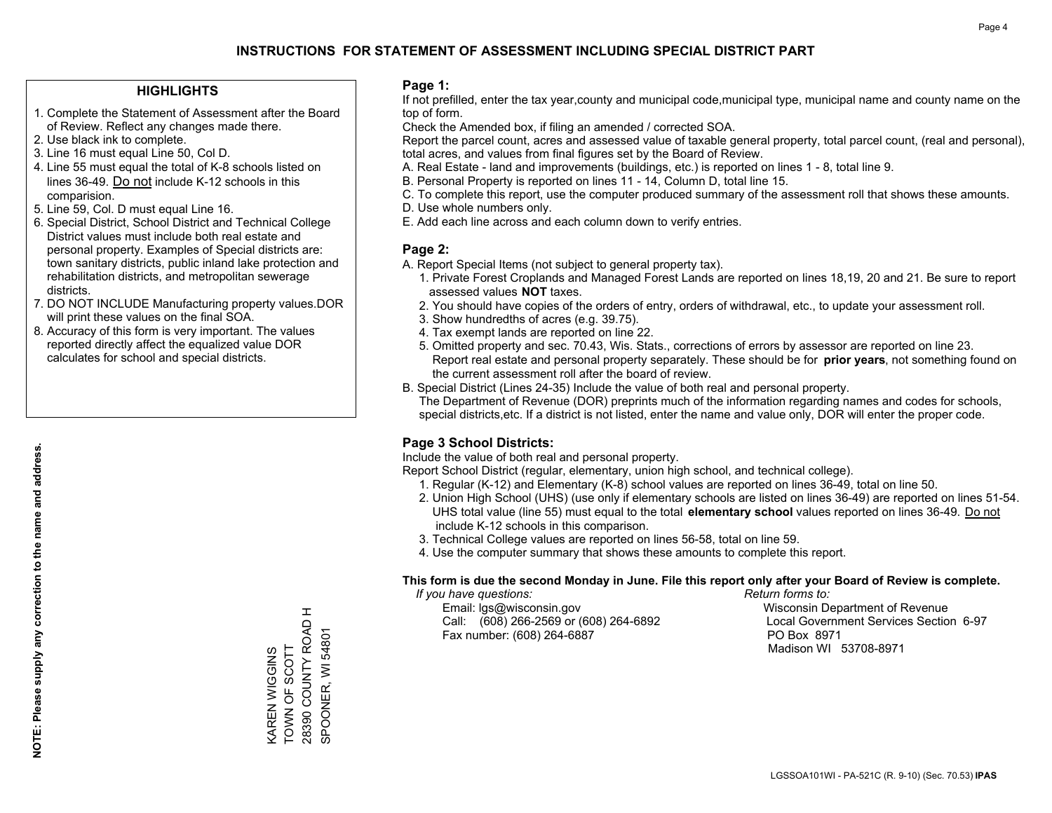## **HIGHLIGHTS**

- 1. Complete the Statement of Assessment after the Board of Review. Reflect any changes made there.
- 2. Use black ink to complete.
- 3. Line 16 must equal Line 50, Col D.
- 4. Line 55 must equal the total of K-8 schools listed on lines 36-49. Do not include K-12 schools in this comparision.
- 5. Line 59, Col. D must equal Line 16.
- 6. Special District, School District and Technical College District values must include both real estate and personal property. Examples of Special districts are: town sanitary districts, public inland lake protection and rehabilitation districts, and metropolitan sewerage districts.
- 7. DO NOT INCLUDE Manufacturing property values.DOR will print these values on the final SOA.
- 8. Accuracy of this form is very important. The values reported directly affect the equalized value DOR calculates for school and special districts.

### **Page 1:**

 If not prefilled, enter the tax year,county and municipal code,municipal type, municipal name and county name on the top of form.

Check the Amended box, if filing an amended / corrected SOA.

 Report the parcel count, acres and assessed value of taxable general property, total parcel count, (real and personal), total acres, and values from final figures set by the Board of Review.

- A. Real Estate land and improvements (buildings, etc.) is reported on lines 1 8, total line 9.
- B. Personal Property is reported on lines 11 14, Column D, total line 15.
- C. To complete this report, use the computer produced summary of the assessment roll that shows these amounts.
- D. Use whole numbers only.
- E. Add each line across and each column down to verify entries.

### **Page 2:**

- A. Report Special Items (not subject to general property tax).
- 1. Private Forest Croplands and Managed Forest Lands are reported on lines 18,19, 20 and 21. Be sure to report assessed values **NOT** taxes.
- 2. You should have copies of the orders of entry, orders of withdrawal, etc., to update your assessment roll.
	- 3. Show hundredths of acres (e.g. 39.75).
- 4. Tax exempt lands are reported on line 22.
- 5. Omitted property and sec. 70.43, Wis. Stats., corrections of errors by assessor are reported on line 23. Report real estate and personal property separately. These should be for **prior years**, not something found on the current assessment roll after the board of review.
- B. Special District (Lines 24-35) Include the value of both real and personal property.
- The Department of Revenue (DOR) preprints much of the information regarding names and codes for schools, special districts,etc. If a district is not listed, enter the name and value only, DOR will enter the proper code.

## **Page 3 School Districts:**

Include the value of both real and personal property.

Report School District (regular, elementary, union high school, and technical college).

- 1. Regular (K-12) and Elementary (K-8) school values are reported on lines 36-49, total on line 50.
- 2. Union High School (UHS) (use only if elementary schools are listed on lines 36-49) are reported on lines 51-54. UHS total value (line 55) must equal to the total **elementary school** values reported on lines 36-49. Do notinclude K-12 schools in this comparison.
- 3. Technical College values are reported on lines 56-58, total on line 59.
- 4. Use the computer summary that shows these amounts to complete this report.

### **This form is due the second Monday in June. File this report only after your Board of Review is complete.**

 *If you have questions: Return forms to:*

 Email: lgs@wisconsin.gov Wisconsin Department of RevenueCall:  $(608)$  266-2569 or  $(608)$  264-6892 Fax number: (608) 264-6887 PO Box 8971

Local Government Services Section 6-97 Madison WI 53708-8971

28390 COUNTY ROAD H SPOONER, WI 54801

SPOONER, WI 54801

 $\pm$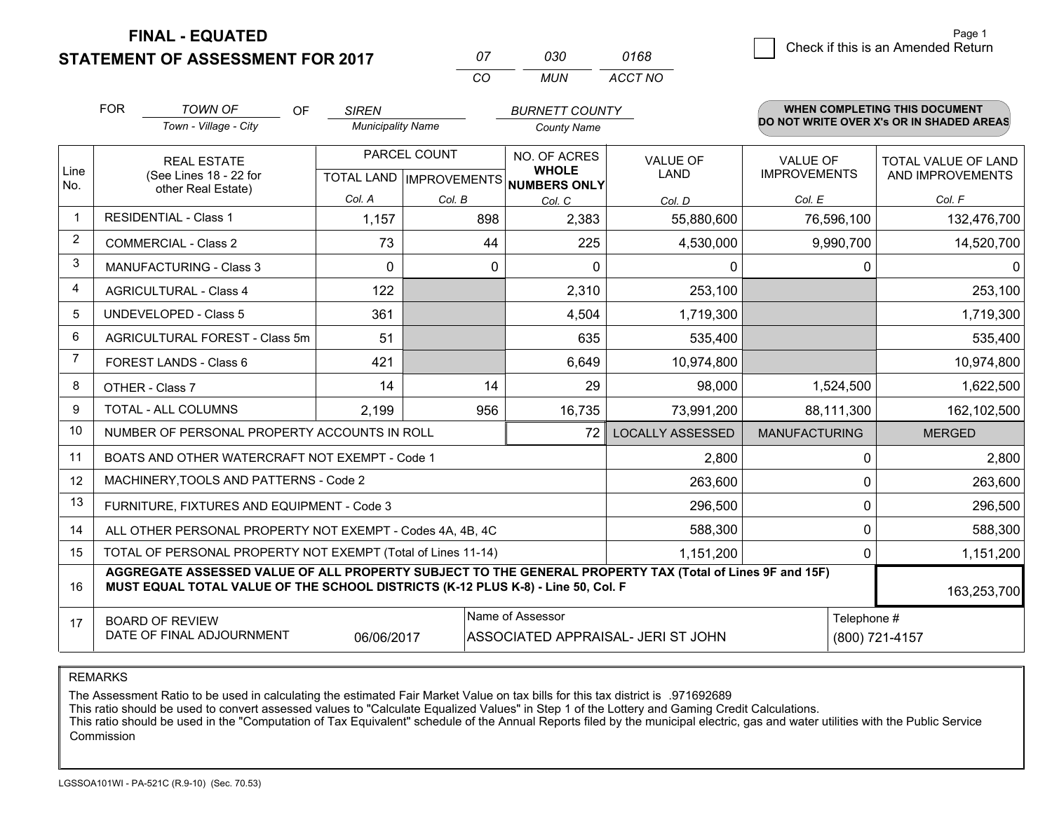$\overline{\mathcal{B}}$  Check if this is an Amended Return Page 1

WHEN COMPLETE THIS THIS DOCUMENT.

#### **STATEMENT OF ASSESSMENT FOR 2017** *<sup>07</sup> <sup>030</sup>*

*CO MUN ACCT NO*

*0168*

|                | <b>FOR</b>                                                                                                                  | <b>TOWN OF</b><br><b>OF</b>                                                                                                                                                                  | <b>SIREN</b>             |                                           | <b>BURNETT COUNTY</b>         |                                |                                        | WHEN COMPLETING THIS DOCUMENT            |
|----------------|-----------------------------------------------------------------------------------------------------------------------------|----------------------------------------------------------------------------------------------------------------------------------------------------------------------------------------------|--------------------------|-------------------------------------------|-------------------------------|--------------------------------|----------------------------------------|------------------------------------------|
|                |                                                                                                                             | Town - Village - City                                                                                                                                                                        | <b>Municipality Name</b> |                                           | <b>County Name</b>            |                                |                                        | DO NOT WRITE OVER X's OR IN SHADED AREAS |
| Line           |                                                                                                                             | <b>REAL ESTATE</b><br>(See Lines 18 - 22 for                                                                                                                                                 |                          | PARCEL COUNT<br>TOTAL LAND   IMPROVEMENTS | NO. OF ACRES<br><b>WHOLE</b>  | <b>VALUE OF</b><br><b>LAND</b> | <b>VALUE OF</b><br><b>IMPROVEMENTS</b> | TOTAL VALUE OF LAND<br>AND IMPROVEMENTS  |
| No.            |                                                                                                                             | other Real Estate)                                                                                                                                                                           | Col. A                   | Col. B                                    | <b>NUMBERS ONLY</b><br>Col. C | Col. D                         | Col. E                                 | Col. F                                   |
| $\mathbf{1}$   |                                                                                                                             | <b>RESIDENTIAL - Class 1</b>                                                                                                                                                                 | 1,157                    | 898                                       | 2,383                         | 55,880,600                     | 76,596,100                             | 132,476,700                              |
| $\overline{2}$ |                                                                                                                             | <b>COMMERCIAL - Class 2</b>                                                                                                                                                                  | 73                       | 44                                        | 225                           | 4,530,000                      | 9,990,700                              | 14,520,700                               |
| 3              |                                                                                                                             | <b>MANUFACTURING - Class 3</b>                                                                                                                                                               | 0                        | 0                                         | $\mathbf{0}$                  | 0                              | 0                                      | 0                                        |
| 4              |                                                                                                                             | <b>AGRICULTURAL - Class 4</b>                                                                                                                                                                | 122                      |                                           | 2,310                         | 253,100                        |                                        | 253,100                                  |
| 5              |                                                                                                                             | <b>UNDEVELOPED - Class 5</b>                                                                                                                                                                 | 361                      |                                           | 4,504                         | 1,719,300                      |                                        | 1,719,300                                |
| 6              |                                                                                                                             | AGRICULTURAL FOREST - Class 5m                                                                                                                                                               | 51                       |                                           | 635                           | 535,400                        |                                        | 535,400                                  |
| $\overline{7}$ |                                                                                                                             | FOREST LANDS - Class 6                                                                                                                                                                       | 421                      |                                           | 6,649                         | 10,974,800                     |                                        | 10,974,800                               |
| 8              |                                                                                                                             | OTHER - Class 7                                                                                                                                                                              | 14                       | 14                                        | 29                            | 98,000                         | 1,524,500                              | 1,622,500                                |
| 9              |                                                                                                                             | TOTAL - ALL COLUMNS                                                                                                                                                                          | 2,199                    | 956                                       | 16,735                        | 73,991,200                     | 88,111,300                             | 162,102,500                              |
| 10             |                                                                                                                             | NUMBER OF PERSONAL PROPERTY ACCOUNTS IN ROLL                                                                                                                                                 |                          |                                           | 72                            | <b>LOCALLY ASSESSED</b>        | <b>MANUFACTURING</b>                   | <b>MERGED</b>                            |
| 11             |                                                                                                                             | BOATS AND OTHER WATERCRAFT NOT EXEMPT - Code 1                                                                                                                                               |                          |                                           |                               | 2,800                          | 0                                      | 2,800                                    |
| 12             |                                                                                                                             | MACHINERY, TOOLS AND PATTERNS - Code 2                                                                                                                                                       |                          |                                           |                               | 263,600                        | 0                                      | 263,600                                  |
| 13             |                                                                                                                             | FURNITURE, FIXTURES AND EQUIPMENT - Code 3                                                                                                                                                   |                          |                                           |                               | 296,500                        | $\Omega$                               | 296,500                                  |
| 14             |                                                                                                                             | ALL OTHER PERSONAL PROPERTY NOT EXEMPT - Codes 4A, 4B, 4C                                                                                                                                    | $\Omega$                 | 588,300                                   |                               |                                |                                        |                                          |
| 15             | TOTAL OF PERSONAL PROPERTY NOT EXEMPT (Total of Lines 11-14)<br>1,151,200<br>0                                              |                                                                                                                                                                                              |                          |                                           |                               |                                |                                        | 1,151,200                                |
| 16             |                                                                                                                             | AGGREGATE ASSESSED VALUE OF ALL PROPERTY SUBJECT TO THE GENERAL PROPERTY TAX (Total of Lines 9F and 15F)<br>MUST EQUAL TOTAL VALUE OF THE SCHOOL DISTRICTS (K-12 PLUS K-8) - Line 50, Col. F |                          |                                           |                               |                                |                                        | 163,253,700                              |
| 17             | Name of Assessor<br><b>BOARD OF REVIEW</b><br>DATE OF FINAL ADJOURNMENT<br>06/06/2017<br>ASSOCIATED APPRAISAL- JERI ST JOHN |                                                                                                                                                                                              |                          |                                           |                               | Telephone #                    | (800) 721-4157                         |                                          |

REMARKS

The Assessment Ratio to be used in calculating the estimated Fair Market Value on tax bills for this tax district is .971692689<br>This ratio should be used to convert assessed values to "Calculate Equalized Values" in Step 1 Commission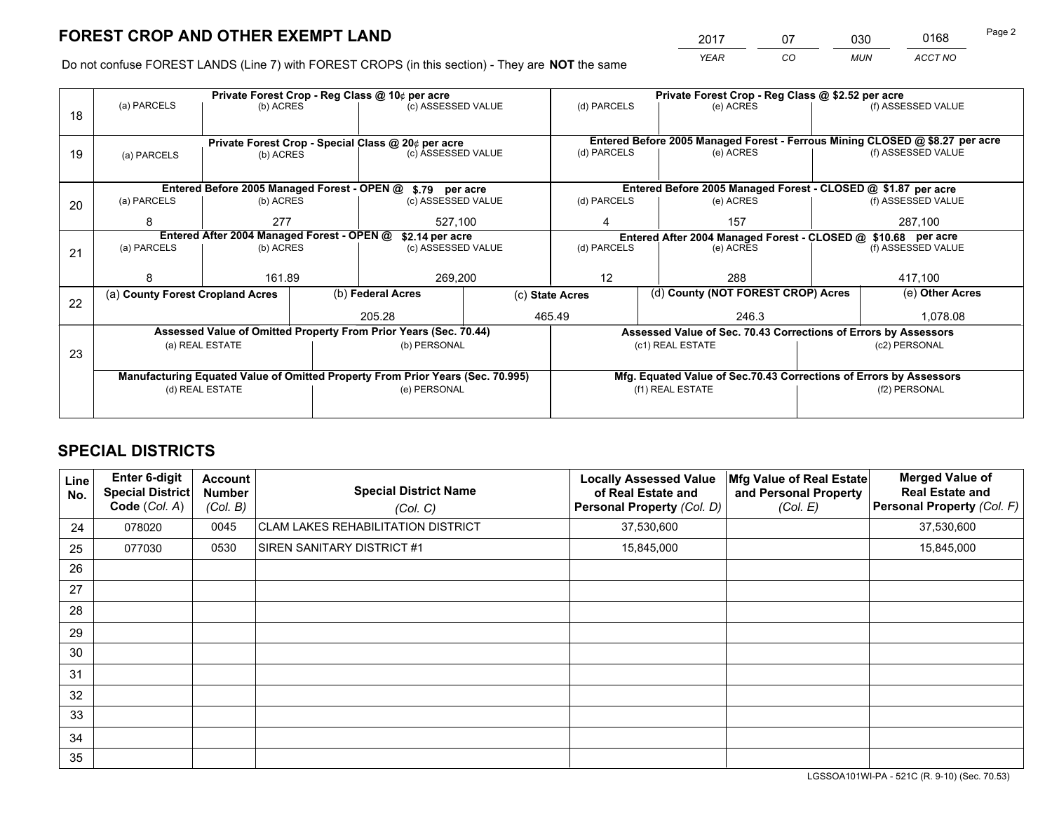*YEAR CO MUN ACCT NO* <sup>2017</sup> <sup>07</sup> <sup>030</sup> <sup>0168</sup> Page 2

Do not confuse FOREST LANDS (Line 7) with FOREST CROPS (in this section) - They are **NOT** the same

|    | Private Forest Crop - Reg Class @ 10¢ per acre                                 |                                                               |  |                                                                  |                                                               |                                                                    | Private Forest Crop - Reg Class @ \$2.52 per acre                            |               |                    |  |
|----|--------------------------------------------------------------------------------|---------------------------------------------------------------|--|------------------------------------------------------------------|---------------------------------------------------------------|--------------------------------------------------------------------|------------------------------------------------------------------------------|---------------|--------------------|--|
| 18 | (a) PARCELS                                                                    | (b) ACRES                                                     |  | (c) ASSESSED VALUE                                               |                                                               | (d) PARCELS                                                        | (e) ACRES                                                                    |               | (f) ASSESSED VALUE |  |
|    |                                                                                |                                                               |  |                                                                  |                                                               |                                                                    |                                                                              |               |                    |  |
|    |                                                                                |                                                               |  | Private Forest Crop - Special Class @ 20¢ per acre               |                                                               |                                                                    | Entered Before 2005 Managed Forest - Ferrous Mining CLOSED @ \$8.27 per acre |               |                    |  |
| 19 | (a) PARCELS                                                                    | (b) ACRES                                                     |  | (c) ASSESSED VALUE                                               |                                                               | (d) PARCELS                                                        | (e) ACRES                                                                    |               | (f) ASSESSED VALUE |  |
|    |                                                                                |                                                               |  |                                                                  |                                                               |                                                                    |                                                                              |               |                    |  |
|    |                                                                                |                                                               |  | Entered Before 2005 Managed Forest - OPEN @ \$.79 per acre       |                                                               |                                                                    | Entered Before 2005 Managed Forest - CLOSED @ \$1.87 per acre                |               |                    |  |
| 20 | (a) PARCELS                                                                    | (b) ACRES                                                     |  | (c) ASSESSED VALUE                                               |                                                               | (d) PARCELS                                                        | (e) ACRES                                                                    |               | (f) ASSESSED VALUE |  |
|    | 8                                                                              | 277                                                           |  | 527,100                                                          |                                                               | 4                                                                  | 157                                                                          |               | 287,100            |  |
|    |                                                                                | Entered After 2004 Managed Forest - OPEN @<br>\$2.14 per acre |  |                                                                  | Entered After 2004 Managed Forest - CLOSED @ \$10.68 per acre |                                                                    |                                                                              |               |                    |  |
| 21 | (a) PARCELS                                                                    | (b) ACRES                                                     |  | (c) ASSESSED VALUE                                               |                                                               | (d) PARCELS<br>(e) ACRES                                           |                                                                              |               | (f) ASSESSED VALUE |  |
|    |                                                                                |                                                               |  |                                                                  |                                                               |                                                                    |                                                                              |               |                    |  |
|    |                                                                                | 161.89                                                        |  | 269,200                                                          |                                                               | 12<br>288                                                          |                                                                              |               | 417,100            |  |
| 22 | (a) County Forest Cropland Acres                                               |                                                               |  | (b) Federal Acres                                                |                                                               | (d) County (NOT FOREST CROP) Acres<br>(c) State Acres              |                                                                              |               | (e) Other Acres    |  |
|    |                                                                                |                                                               |  | 205.28                                                           |                                                               | 465.49                                                             | 246.3                                                                        |               | 1.078.08           |  |
|    |                                                                                |                                                               |  | Assessed Value of Omitted Property From Prior Years (Sec. 70.44) |                                                               |                                                                    | Assessed Value of Sec. 70.43 Corrections of Errors by Assessors              |               |                    |  |
| 23 |                                                                                | (a) REAL ESTATE                                               |  | (b) PERSONAL                                                     |                                                               |                                                                    | (c1) REAL ESTATE                                                             |               | (c2) PERSONAL      |  |
|    |                                                                                |                                                               |  |                                                                  |                                                               |                                                                    |                                                                              |               |                    |  |
|    | Manufacturing Equated Value of Omitted Property From Prior Years (Sec. 70.995) |                                                               |  |                                                                  |                                                               | Mfg. Equated Value of Sec.70.43 Corrections of Errors by Assessors |                                                                              |               |                    |  |
|    | (d) REAL ESTATE                                                                |                                                               |  | (e) PERSONAL                                                     |                                                               | (f1) REAL ESTATE                                                   |                                                                              | (f2) PERSONAL |                    |  |
|    |                                                                                |                                                               |  |                                                                  |                                                               |                                                                    |                                                                              |               |                    |  |

# **SPECIAL DISTRICTS**

| Line<br>No. | <b>Enter 6-digit</b><br>Special District<br>Code (Col. A) | <b>Account</b><br><b>Number</b><br>(Col. B) | <b>Special District Name</b><br>(Col. C)  | <b>Locally Assessed Value</b><br>of Real Estate and<br>Personal Property (Col. D) | Mfg Value of Real Estate<br>and Personal Property<br>(Col. E) | <b>Merged Value of</b><br><b>Real Estate and</b><br>Personal Property (Col. F) |
|-------------|-----------------------------------------------------------|---------------------------------------------|-------------------------------------------|-----------------------------------------------------------------------------------|---------------------------------------------------------------|--------------------------------------------------------------------------------|
| 24          | 078020                                                    | 0045                                        | <b>CLAM LAKES REHABILITATION DISTRICT</b> | 37,530,600                                                                        |                                                               | 37,530,600                                                                     |
| 25          | 077030                                                    | 0530                                        | SIREN SANITARY DISTRICT #1                | 15,845,000                                                                        |                                                               | 15,845,000                                                                     |
| 26          |                                                           |                                             |                                           |                                                                                   |                                                               |                                                                                |
| 27          |                                                           |                                             |                                           |                                                                                   |                                                               |                                                                                |
| 28          |                                                           |                                             |                                           |                                                                                   |                                                               |                                                                                |
| 29          |                                                           |                                             |                                           |                                                                                   |                                                               |                                                                                |
| 30          |                                                           |                                             |                                           |                                                                                   |                                                               |                                                                                |
| 31          |                                                           |                                             |                                           |                                                                                   |                                                               |                                                                                |
| 32          |                                                           |                                             |                                           |                                                                                   |                                                               |                                                                                |
| 33          |                                                           |                                             |                                           |                                                                                   |                                                               |                                                                                |
| 34          |                                                           |                                             |                                           |                                                                                   |                                                               |                                                                                |
| 35          |                                                           |                                             |                                           |                                                                                   |                                                               |                                                                                |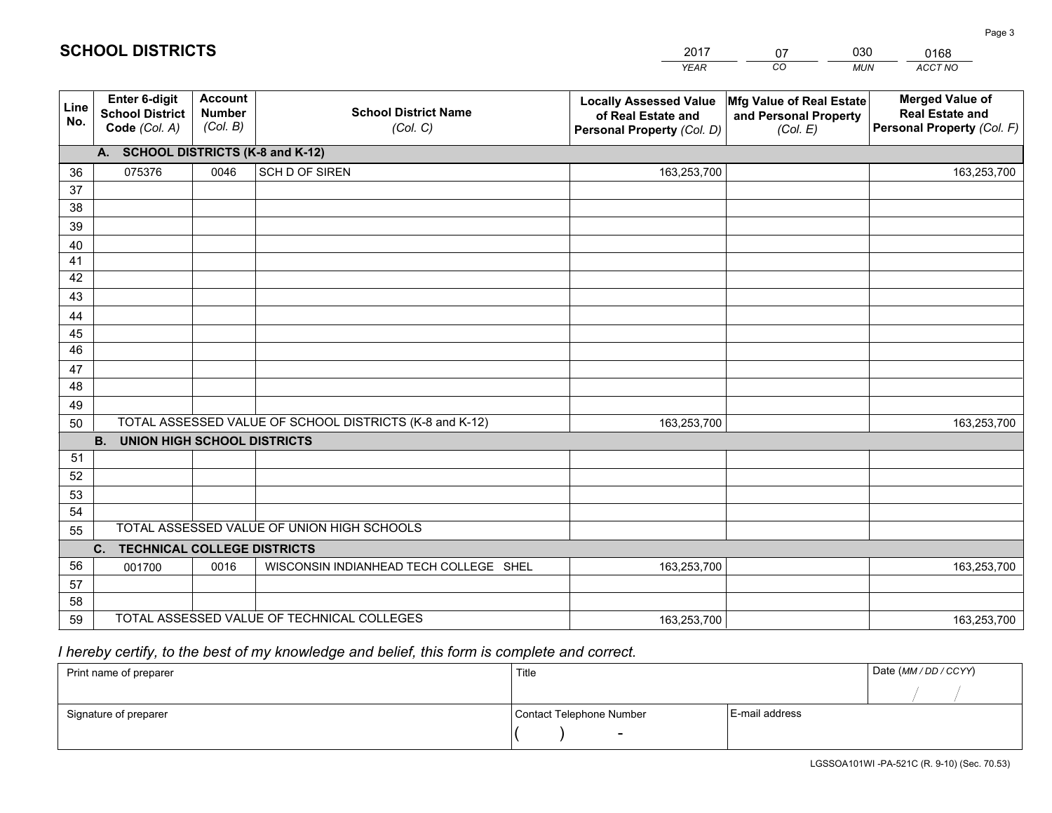|                                                                                                                        |                                                         | <b>YEAR</b>                                                                       | CO<br><b>MUN</b>                                              | ACCT NO                                                                        |
|------------------------------------------------------------------------------------------------------------------------|---------------------------------------------------------|-----------------------------------------------------------------------------------|---------------------------------------------------------------|--------------------------------------------------------------------------------|
| <b>Account</b><br>Enter 6-digit<br>Line<br><b>School District</b><br><b>Number</b><br>No.<br>(Col. B)<br>Code (Col. A) | <b>School District Name</b><br>(Col. C)                 | <b>Locally Assessed Value</b><br>of Real Estate and<br>Personal Property (Col. D) | Mfg Value of Real Estate<br>and Personal Property<br>(Col. E) | <b>Merged Value of</b><br><b>Real Estate and</b><br>Personal Property (Col. F) |
| A. SCHOOL DISTRICTS (K-8 and K-12)                                                                                     |                                                         |                                                                                   |                                                               |                                                                                |
| 075376<br>0046<br>36                                                                                                   | SCH D OF SIREN                                          | 163,253,700                                                                       |                                                               | 163,253,700                                                                    |
| 37                                                                                                                     |                                                         |                                                                                   |                                                               |                                                                                |
| 38                                                                                                                     |                                                         |                                                                                   |                                                               |                                                                                |
| 39                                                                                                                     |                                                         |                                                                                   |                                                               |                                                                                |
| 40                                                                                                                     |                                                         |                                                                                   |                                                               |                                                                                |
| 41                                                                                                                     |                                                         |                                                                                   |                                                               |                                                                                |
| 42<br>43                                                                                                               |                                                         |                                                                                   |                                                               |                                                                                |
|                                                                                                                        |                                                         |                                                                                   |                                                               |                                                                                |
| 44<br>45                                                                                                               |                                                         |                                                                                   |                                                               |                                                                                |
| 46                                                                                                                     |                                                         |                                                                                   |                                                               |                                                                                |
| 47                                                                                                                     |                                                         |                                                                                   |                                                               |                                                                                |
| 48                                                                                                                     |                                                         |                                                                                   |                                                               |                                                                                |
| 49                                                                                                                     |                                                         |                                                                                   |                                                               |                                                                                |
| 50                                                                                                                     | TOTAL ASSESSED VALUE OF SCHOOL DISTRICTS (K-8 and K-12) | 163,253,700                                                                       |                                                               | 163,253,700                                                                    |
| <b>B.</b><br><b>UNION HIGH SCHOOL DISTRICTS</b>                                                                        |                                                         |                                                                                   |                                                               |                                                                                |
| 51                                                                                                                     |                                                         |                                                                                   |                                                               |                                                                                |
| 52                                                                                                                     |                                                         |                                                                                   |                                                               |                                                                                |
| 53                                                                                                                     |                                                         |                                                                                   |                                                               |                                                                                |
| 54                                                                                                                     |                                                         |                                                                                   |                                                               |                                                                                |
| TOTAL ASSESSED VALUE OF UNION HIGH SCHOOLS<br>55                                                                       |                                                         |                                                                                   |                                                               |                                                                                |
| C. TECHNICAL COLLEGE DISTRICTS                                                                                         |                                                         |                                                                                   |                                                               |                                                                                |
| 56<br>001700<br>0016                                                                                                   | WISCONSIN INDIANHEAD TECH COLLEGE SHEL                  | 163,253,700                                                                       |                                                               | 163,253,700                                                                    |
| 57<br>58                                                                                                               |                                                         |                                                                                   |                                                               |                                                                                |
| TOTAL ASSESSED VALUE OF TECHNICAL COLLEGES<br>59                                                                       |                                                         | 163,253,700                                                                       |                                                               | 163,253,700                                                                    |

07

030

0168

# *I hereby certify, to the best of my knowledge and belief, this form is complete and correct.*

**SCHOOL DISTRICTS**

| Print name of preparer | Title                    |                | Date (MM / DD / CCYY) |
|------------------------|--------------------------|----------------|-----------------------|
|                        |                          |                |                       |
| Signature of preparer  | Contact Telephone Number | E-mail address |                       |
|                        | $\sim$                   |                |                       |

Page 3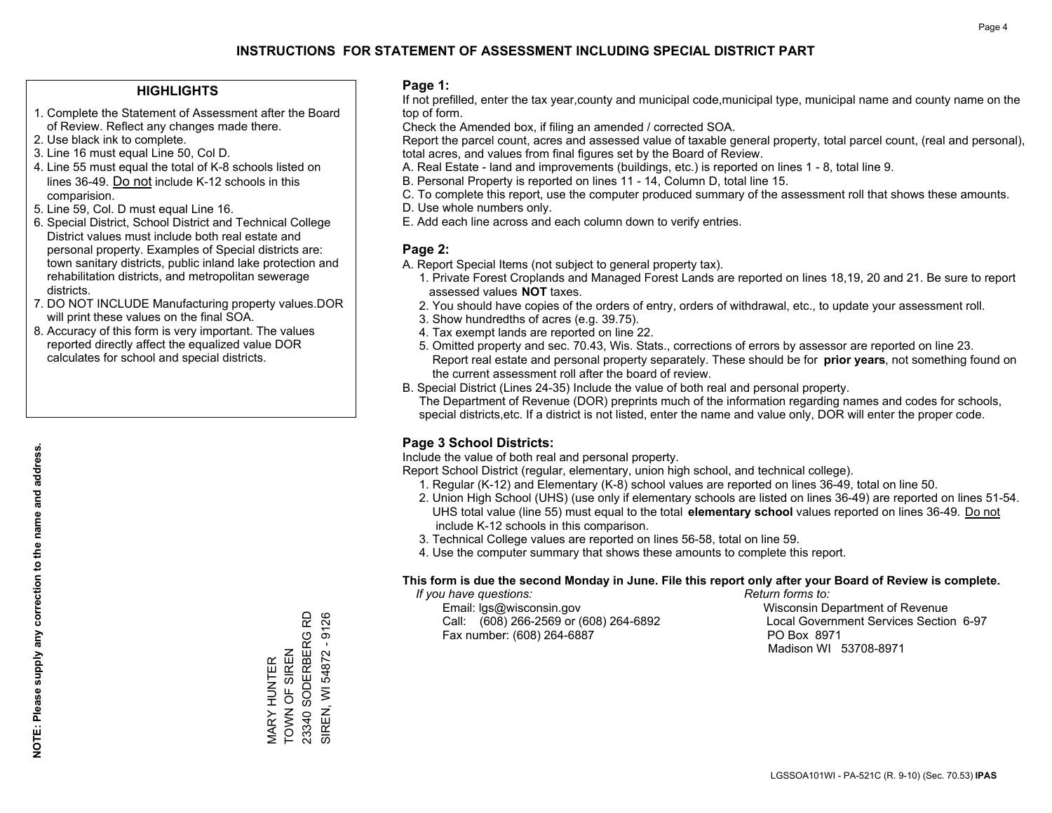## **HIGHLIGHTS**

- 1. Complete the Statement of Assessment after the Board of Review. Reflect any changes made there.
- 2. Use black ink to complete.
- 3. Line 16 must equal Line 50, Col D.
- 4. Line 55 must equal the total of K-8 schools listed on lines 36-49. Do not include K-12 schools in this comparision.
- 5. Line 59, Col. D must equal Line 16.
- 6. Special District, School District and Technical College District values must include both real estate and personal property. Examples of Special districts are: town sanitary districts, public inland lake protection and rehabilitation districts, and metropolitan sewerage districts.
- 7. DO NOT INCLUDE Manufacturing property values.DOR will print these values on the final SOA.

MARY HUNTER TOWN OF SIREN 23340 SODERBERG RD SIREN, WI 54872 - 9126

MARY HUNTER<br>TOWN OF SIREN

23340 SODERBERG RD SIREN, WI 54872 - 9126

 8. Accuracy of this form is very important. The values reported directly affect the equalized value DOR calculates for school and special districts.

### **Page 1:**

 If not prefilled, enter the tax year,county and municipal code,municipal type, municipal name and county name on the top of form.

Check the Amended box, if filing an amended / corrected SOA.

 Report the parcel count, acres and assessed value of taxable general property, total parcel count, (real and personal), total acres, and values from final figures set by the Board of Review.

- A. Real Estate land and improvements (buildings, etc.) is reported on lines 1 8, total line 9.
- B. Personal Property is reported on lines 11 14, Column D, total line 15.
- C. To complete this report, use the computer produced summary of the assessment roll that shows these amounts.
- D. Use whole numbers only.
- E. Add each line across and each column down to verify entries.

## **Page 2:**

- A. Report Special Items (not subject to general property tax).
- 1. Private Forest Croplands and Managed Forest Lands are reported on lines 18,19, 20 and 21. Be sure to report assessed values **NOT** taxes.
- 2. You should have copies of the orders of entry, orders of withdrawal, etc., to update your assessment roll.
	- 3. Show hundredths of acres (e.g. 39.75).
- 4. Tax exempt lands are reported on line 22.
- 5. Omitted property and sec. 70.43, Wis. Stats., corrections of errors by assessor are reported on line 23. Report real estate and personal property separately. These should be for **prior years**, not something found on the current assessment roll after the board of review.
- B. Special District (Lines 24-35) Include the value of both real and personal property.

 The Department of Revenue (DOR) preprints much of the information regarding names and codes for schools, special districts,etc. If a district is not listed, enter the name and value only, DOR will enter the proper code.

## **Page 3 School Districts:**

Include the value of both real and personal property.

Report School District (regular, elementary, union high school, and technical college).

- 1. Regular (K-12) and Elementary (K-8) school values are reported on lines 36-49, total on line 50.
- 2. Union High School (UHS) (use only if elementary schools are listed on lines 36-49) are reported on lines 51-54. UHS total value (line 55) must equal to the total **elementary school** values reported on lines 36-49. Do notinclude K-12 schools in this comparison.
- 3. Technical College values are reported on lines 56-58, total on line 59.
- 4. Use the computer summary that shows these amounts to complete this report.

### **This form is due the second Monday in June. File this report only after your Board of Review is complete.**

 *If you have questions: Return forms to:*

 Email: lgs@wisconsin.gov Wisconsin Department of RevenueCall:  $(608)$  266-2569 or  $(608)$  264-6892 Fax number: (608) 264-6887 PO Box 8971

Local Government Services Section 6-97 Madison WI 53708-8971

**NOTE: Please supply any correction to the name and address.** NOTE: Please supply any correction to the name and address.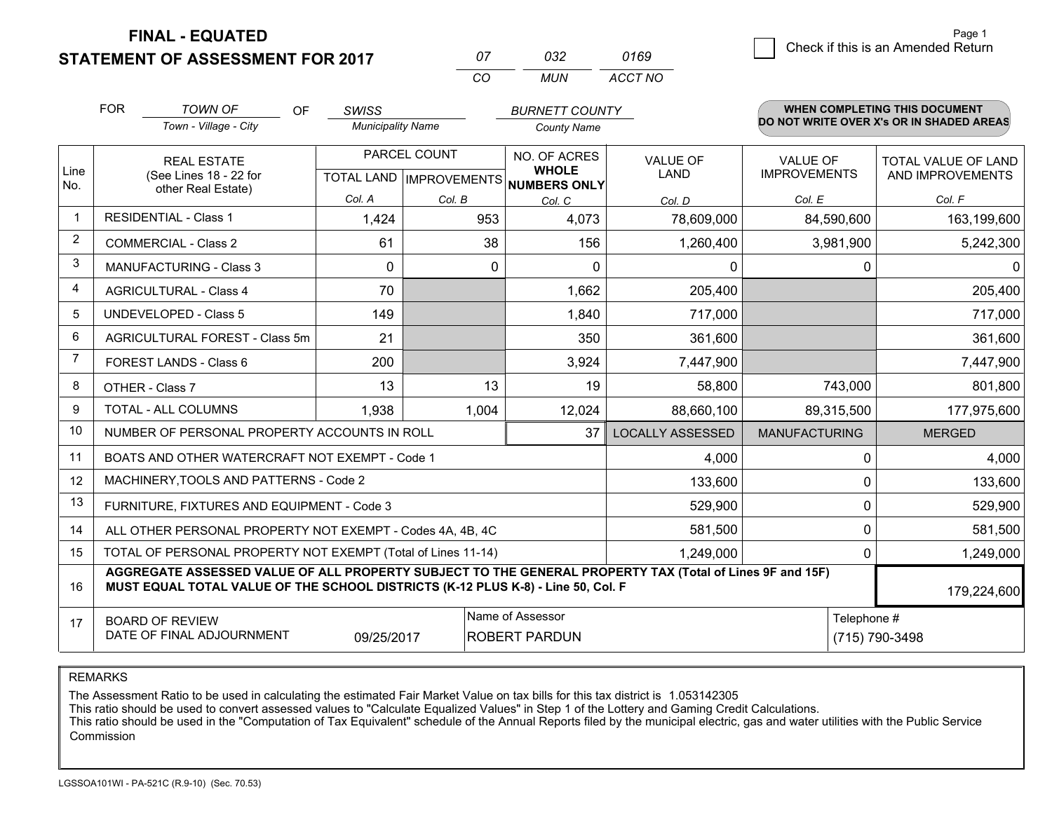**STATEMENT OF ASSESSMENT FOR 2017** 

| $^{\prime\prime}$ | กจว | 0169    |
|-------------------|-----|---------|
| $\cdots$          | MUN | ACCT NO |

|                | <b>FOR</b><br><b>TOWN OF</b><br>Town - Village - City                                                                                                                                        | OF | <b>SWISS</b><br><b>Municipality Name</b>                      |               | <b>BURNETT COUNTY</b><br><b>County Name</b> |                         |                                                  |             | <b>WHEN COMPLETING THIS DOCUMENT</b><br>DO NOT WRITE OVER X's OR IN SHADED AREAS |
|----------------|----------------------------------------------------------------------------------------------------------------------------------------------------------------------------------------------|----|---------------------------------------------------------------|---------------|---------------------------------------------|-------------------------|--------------------------------------------------|-------------|----------------------------------------------------------------------------------|
| Line<br>No.    | <b>REAL ESTATE</b><br>(See Lines 18 - 22 for<br>other Real Estate)                                                                                                                           |    | PARCEL COUNT<br>TOTAL LAND MPROVEMENTS NUMBERS ONLY<br>Col. A |               | NO. OF ACRES<br><b>WHOLE</b>                | <b>VALUE OF</b><br>LAND | <b>VALUE OF</b><br><b>IMPROVEMENTS</b><br>Col. E |             | <b>TOTAL VALUE OF LAND</b><br>AND IMPROVEMENTS                                   |
| -1             | <b>RESIDENTIAL - Class 1</b>                                                                                                                                                                 |    | 1,424                                                         | Col. B<br>953 | Col. C<br>4,073                             | Col. D<br>78,609,000    | 84,590,600                                       |             | Col. F<br>163,199,600                                                            |
| 2              | <b>COMMERCIAL - Class 2</b>                                                                                                                                                                  |    | 61                                                            | 38            | 156                                         | 1,260,400               | 3,981,900                                        |             | 5,242,300                                                                        |
| 3              | MANUFACTURING - Class 3                                                                                                                                                                      |    | $\Omega$                                                      |               | 0<br>$\Omega$                               | 0                       |                                                  | 0           | $\mathbf{0}$                                                                     |
| 4              | <b>AGRICULTURAL - Class 4</b>                                                                                                                                                                |    | 70                                                            |               | 1,662                                       | 205,400                 |                                                  |             | 205,400                                                                          |
| 5              | UNDEVELOPED - Class 5                                                                                                                                                                        |    | 149                                                           |               | 1,840                                       | 717,000                 |                                                  |             | 717,000                                                                          |
| 6              | AGRICULTURAL FOREST - Class 5m                                                                                                                                                               |    | 21                                                            |               | 350                                         | 361,600                 |                                                  |             | 361,600                                                                          |
| $\overline{7}$ | FOREST LANDS - Class 6                                                                                                                                                                       |    | 200                                                           |               | 3,924                                       | 7,447,900               |                                                  |             | 7,447,900                                                                        |
| 8              | OTHER - Class 7                                                                                                                                                                              |    | 13                                                            | 13            | 19                                          | 58,800                  |                                                  | 743,000     | 801,800                                                                          |
| 9              | TOTAL - ALL COLUMNS                                                                                                                                                                          |    | 1,938                                                         | 1,004         | 12,024                                      | 88,660,100              | 89,315,500                                       |             | 177,975,600                                                                      |
| 10             | NUMBER OF PERSONAL PROPERTY ACCOUNTS IN ROLL                                                                                                                                                 |    |                                                               |               | 37                                          | <b>LOCALLY ASSESSED</b> | <b>MANUFACTURING</b>                             |             | <b>MERGED</b>                                                                    |
| 11             | BOATS AND OTHER WATERCRAFT NOT EXEMPT - Code 1                                                                                                                                               |    |                                                               |               |                                             | 4,000                   |                                                  | 0           | 4,000                                                                            |
| 12             | MACHINERY, TOOLS AND PATTERNS - Code 2                                                                                                                                                       |    |                                                               |               |                                             | 133,600                 |                                                  | 0           | 133,600                                                                          |
| 13             | FURNITURE, FIXTURES AND EQUIPMENT - Code 3                                                                                                                                                   |    |                                                               |               |                                             | 529,900                 |                                                  | 0           | 529,900                                                                          |
| 14             | ALL OTHER PERSONAL PROPERTY NOT EXEMPT - Codes 4A, 4B, 4C                                                                                                                                    |    |                                                               | 581,500       |                                             | 0                       | 581,500                                          |             |                                                                                  |
| 15             | TOTAL OF PERSONAL PROPERTY NOT EXEMPT (Total of Lines 11-14)<br>1,249,000                                                                                                                    |    |                                                               |               |                                             |                         |                                                  | 0           | 1,249,000                                                                        |
| 16             | AGGREGATE ASSESSED VALUE OF ALL PROPERTY SUBJECT TO THE GENERAL PROPERTY TAX (Total of Lines 9F and 15F)<br>MUST EQUAL TOTAL VALUE OF THE SCHOOL DISTRICTS (K-12 PLUS K-8) - Line 50, Col. F |    |                                                               |               |                                             |                         |                                                  | 179,224,600 |                                                                                  |
| 17             | Name of Assessor<br><b>BOARD OF REVIEW</b><br>DATE OF FINAL ADJOURNMENT<br><b>ROBERT PARDUN</b><br>09/25/2017                                                                                |    |                                                               |               |                                             | Telephone #             | (715) 790-3498                                   |             |                                                                                  |

REMARKS

The Assessment Ratio to be used in calculating the estimated Fair Market Value on tax bills for this tax district is 1.053142305

This ratio should be used to convert assessed values to "Calculate Equalized Values" in Step 1 of the Lottery and Gaming Credit Calculations.<br>This ratio should be used in the "Computation of Tax Equivalent" schedule of the Commission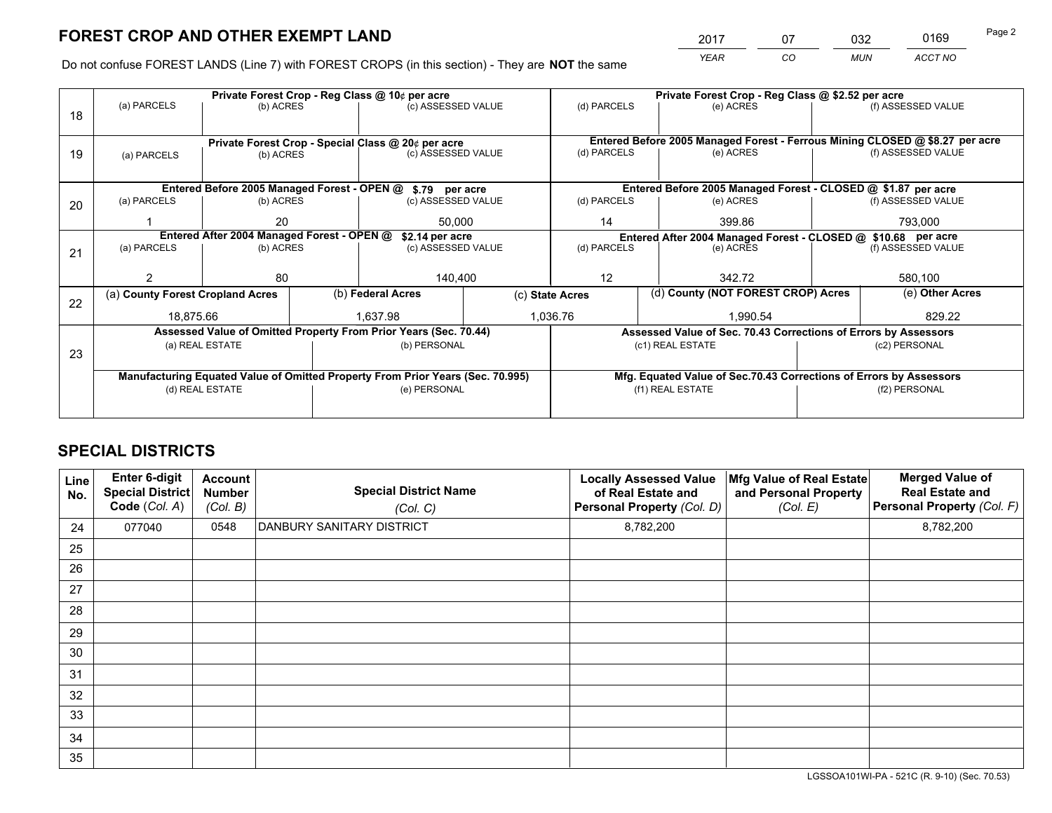*YEAR CO MUN ACCT NO* <sup>2017</sup> <sup>07</sup> <sup>032</sup> <sup>0169</sup>

Do not confuse FOREST LANDS (Line 7) with FOREST CROPS (in this section) - They are **NOT** the same

|    |                                                               |                                             |  | Private Forest Crop - Reg Class @ 10¢ per acre                                 |                                                                              | Private Forest Crop - Reg Class @ \$2.52 per acre             |                                                       |                                                                    |               |                    |
|----|---------------------------------------------------------------|---------------------------------------------|--|--------------------------------------------------------------------------------|------------------------------------------------------------------------------|---------------------------------------------------------------|-------------------------------------------------------|--------------------------------------------------------------------|---------------|--------------------|
| 18 | (a) PARCELS                                                   | (b) ACRES                                   |  | (c) ASSESSED VALUE                                                             |                                                                              | (d) PARCELS                                                   |                                                       | (e) ACRES                                                          |               | (f) ASSESSED VALUE |
|    |                                                               |                                             |  |                                                                                |                                                                              |                                                               |                                                       |                                                                    |               |                    |
|    | Private Forest Crop - Special Class @ 20¢ per acre            |                                             |  |                                                                                | Entered Before 2005 Managed Forest - Ferrous Mining CLOSED @ \$8.27 per acre |                                                               |                                                       |                                                                    |               |                    |
| 19 | (a) PARCELS                                                   | (b) ACRES                                   |  | (c) ASSESSED VALUE                                                             |                                                                              | (d) PARCELS                                                   |                                                       | (e) ACRES                                                          |               | (f) ASSESSED VALUE |
|    |                                                               |                                             |  |                                                                                |                                                                              |                                                               |                                                       |                                                                    |               |                    |
|    |                                                               | Entered Before 2005 Managed Forest - OPEN @ |  | \$.79 per acre                                                                 |                                                                              |                                                               |                                                       | Entered Before 2005 Managed Forest - CLOSED @ \$1.87 per acre      |               |                    |
| 20 | (a) PARCELS                                                   | (b) ACRES                                   |  | (c) ASSESSED VALUE                                                             |                                                                              | (d) PARCELS                                                   |                                                       | (e) ACRES                                                          |               | (f) ASSESSED VALUE |
|    |                                                               | 20                                          |  | 50.000                                                                         |                                                                              | 14<br>399.86                                                  |                                                       |                                                                    | 793.000       |                    |
|    | Entered After 2004 Managed Forest - OPEN @<br>\$2.14 per acre |                                             |  |                                                                                |                                                                              | Entered After 2004 Managed Forest - CLOSED @ \$10.68 per acre |                                                       |                                                                    |               |                    |
| 21 | (a) PARCELS                                                   | (b) ACRES                                   |  |                                                                                | (c) ASSESSED VALUE<br>(d) PARCELS                                            |                                                               |                                                       | (e) ACRES                                                          |               | (f) ASSESSED VALUE |
|    |                                                               |                                             |  |                                                                                |                                                                              |                                                               |                                                       |                                                                    |               |                    |
|    |                                                               | 80                                          |  | 140,400                                                                        |                                                                              | 12                                                            |                                                       | 342.72                                                             |               | 580,100            |
| 22 |                                                               | (a) County Forest Cropland Acres            |  |                                                                                | (b) Federal Acres                                                            |                                                               | (d) County (NOT FOREST CROP) Acres<br>(c) State Acres |                                                                    |               | (e) Other Acres    |
|    | 18,875.66                                                     |                                             |  | 1,637.98                                                                       |                                                                              | 1,036.76<br>1,990.54                                          |                                                       |                                                                    |               | 829.22             |
|    |                                                               |                                             |  | Assessed Value of Omitted Property From Prior Years (Sec. 70.44)               |                                                                              |                                                               |                                                       | Assessed Value of Sec. 70.43 Corrections of Errors by Assessors    |               |                    |
| 23 |                                                               | (a) REAL ESTATE                             |  | (b) PERSONAL                                                                   |                                                                              |                                                               | (c1) REAL ESTATE                                      |                                                                    | (c2) PERSONAL |                    |
|    |                                                               |                                             |  |                                                                                |                                                                              |                                                               |                                                       |                                                                    |               |                    |
|    |                                                               |                                             |  | Manufacturing Equated Value of Omitted Property From Prior Years (Sec. 70.995) |                                                                              |                                                               |                                                       | Mfg. Equated Value of Sec.70.43 Corrections of Errors by Assessors |               |                    |
|    |                                                               | (d) REAL ESTATE<br>(e) PERSONAL             |  |                                                                                | (f1) REAL ESTATE                                                             |                                                               |                                                       | (f2) PERSONAL                                                      |               |                    |
|    |                                                               |                                             |  |                                                                                |                                                                              |                                                               |                                                       |                                                                    |               |                    |

# **SPECIAL DISTRICTS**

| Line<br>No. | Enter 6-digit<br><b>Special District</b><br>Code (Col. A) | <b>Account</b><br><b>Number</b><br>(Col. B) | <b>Special District Name</b><br>(Col. C) | <b>Locally Assessed Value</b><br>of Real Estate and<br>Personal Property (Col. D) | Mfg Value of Real Estate<br>and Personal Property<br>(Col. E) | <b>Merged Value of</b><br><b>Real Estate and</b><br>Personal Property (Col. F) |
|-------------|-----------------------------------------------------------|---------------------------------------------|------------------------------------------|-----------------------------------------------------------------------------------|---------------------------------------------------------------|--------------------------------------------------------------------------------|
| 24          | 077040                                                    | 0548                                        | DANBURY SANITARY DISTRICT                | 8,782,200                                                                         |                                                               | 8,782,200                                                                      |
| 25          |                                                           |                                             |                                          |                                                                                   |                                                               |                                                                                |
| 26          |                                                           |                                             |                                          |                                                                                   |                                                               |                                                                                |
| 27          |                                                           |                                             |                                          |                                                                                   |                                                               |                                                                                |
| 28          |                                                           |                                             |                                          |                                                                                   |                                                               |                                                                                |
| 29          |                                                           |                                             |                                          |                                                                                   |                                                               |                                                                                |
| 30          |                                                           |                                             |                                          |                                                                                   |                                                               |                                                                                |
| 31          |                                                           |                                             |                                          |                                                                                   |                                                               |                                                                                |
| 32          |                                                           |                                             |                                          |                                                                                   |                                                               |                                                                                |
| 33          |                                                           |                                             |                                          |                                                                                   |                                                               |                                                                                |
| 34          |                                                           |                                             |                                          |                                                                                   |                                                               |                                                                                |
| 35          |                                                           |                                             |                                          |                                                                                   |                                                               |                                                                                |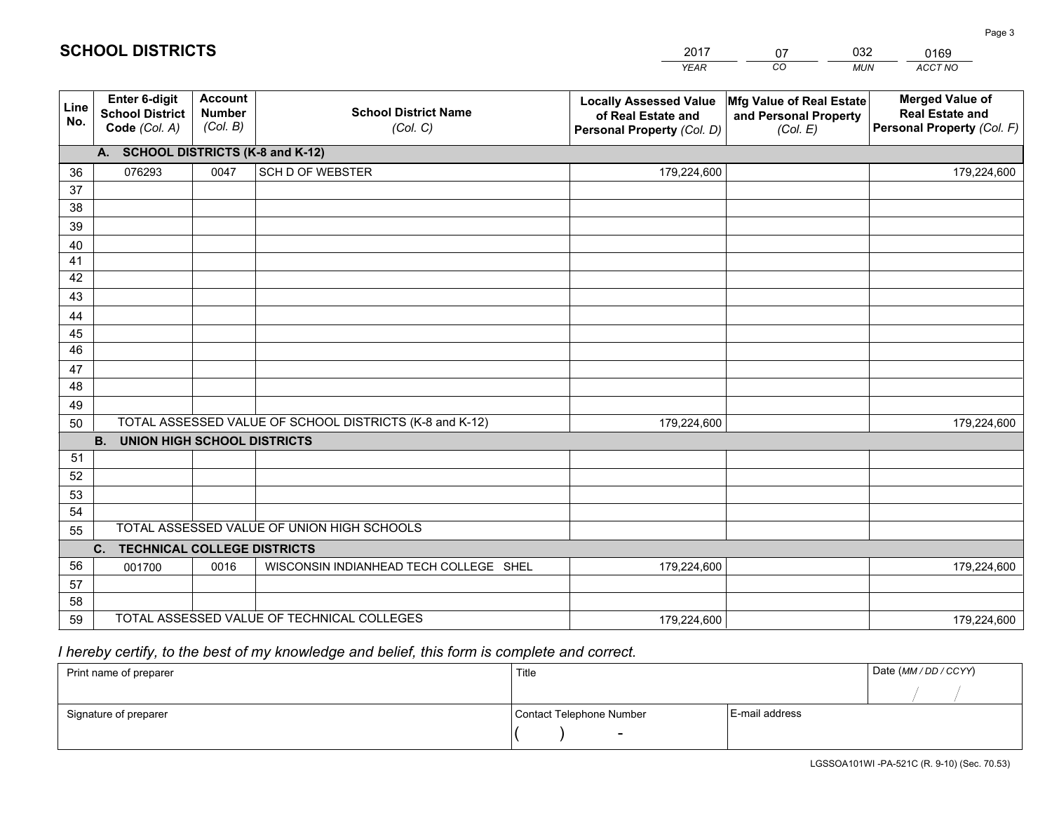|                 |                                                          |                                             |                                                         | <b>YEAR</b>                                                                       | CO<br><b>MUN</b>                                              | ACCT NO                                                                        |
|-----------------|----------------------------------------------------------|---------------------------------------------|---------------------------------------------------------|-----------------------------------------------------------------------------------|---------------------------------------------------------------|--------------------------------------------------------------------------------|
| Line<br>No.     | Enter 6-digit<br><b>School District</b><br>Code (Col. A) | <b>Account</b><br><b>Number</b><br>(Col. B) | <b>School District Name</b><br>(Col. C)                 | <b>Locally Assessed Value</b><br>of Real Estate and<br>Personal Property (Col. D) | Mfg Value of Real Estate<br>and Personal Property<br>(Col. E) | <b>Merged Value of</b><br><b>Real Estate and</b><br>Personal Property (Col. F) |
|                 | A. SCHOOL DISTRICTS (K-8 and K-12)                       |                                             |                                                         |                                                                                   |                                                               |                                                                                |
| 36              | 076293                                                   | 0047                                        | <b>SCH D OF WEBSTER</b>                                 | 179,224,600                                                                       |                                                               | 179,224,600                                                                    |
| 37              |                                                          |                                             |                                                         |                                                                                   |                                                               |                                                                                |
| 38              |                                                          |                                             |                                                         |                                                                                   |                                                               |                                                                                |
| 39              |                                                          |                                             |                                                         |                                                                                   |                                                               |                                                                                |
| 40              |                                                          |                                             |                                                         |                                                                                   |                                                               |                                                                                |
| 41<br>42        |                                                          |                                             |                                                         |                                                                                   |                                                               |                                                                                |
| 43              |                                                          |                                             |                                                         |                                                                                   |                                                               |                                                                                |
| 44              |                                                          |                                             |                                                         |                                                                                   |                                                               |                                                                                |
| 45              |                                                          |                                             |                                                         |                                                                                   |                                                               |                                                                                |
| $\overline{46}$ |                                                          |                                             |                                                         |                                                                                   |                                                               |                                                                                |
| 47              |                                                          |                                             |                                                         |                                                                                   |                                                               |                                                                                |
| 48              |                                                          |                                             |                                                         |                                                                                   |                                                               |                                                                                |
| 49              |                                                          |                                             |                                                         |                                                                                   |                                                               |                                                                                |
| 50              |                                                          |                                             | TOTAL ASSESSED VALUE OF SCHOOL DISTRICTS (K-8 and K-12) | 179,224,600                                                                       |                                                               | 179,224,600                                                                    |
|                 | <b>B.</b><br><b>UNION HIGH SCHOOL DISTRICTS</b>          |                                             |                                                         |                                                                                   |                                                               |                                                                                |
| 51              |                                                          |                                             |                                                         |                                                                                   |                                                               |                                                                                |
| 52              |                                                          |                                             |                                                         |                                                                                   |                                                               |                                                                                |
| 53              |                                                          |                                             |                                                         |                                                                                   |                                                               |                                                                                |
| 54              |                                                          |                                             |                                                         |                                                                                   |                                                               |                                                                                |
| 55              |                                                          |                                             | TOTAL ASSESSED VALUE OF UNION HIGH SCHOOLS              |                                                                                   |                                                               |                                                                                |
|                 | C. TECHNICAL COLLEGE DISTRICTS                           |                                             |                                                         |                                                                                   |                                                               |                                                                                |
| 56              | 001700                                                   | 0016                                        | WISCONSIN INDIANHEAD TECH COLLEGE SHEL                  | 179,224,600                                                                       |                                                               | 179,224,600                                                                    |
| 57<br>58        |                                                          |                                             |                                                         |                                                                                   |                                                               |                                                                                |
| 59              |                                                          |                                             | TOTAL ASSESSED VALUE OF TECHNICAL COLLEGES              | 179,224,600                                                                       |                                                               | 179,224,600                                                                    |
|                 |                                                          |                                             |                                                         |                                                                                   |                                                               |                                                                                |

07

032

# *I hereby certify, to the best of my knowledge and belief, this form is complete and correct.*

**SCHOOL DISTRICTS**

| Print name of preparer | Title                    |                | Date (MM / DD / CCYY) |
|------------------------|--------------------------|----------------|-----------------------|
|                        |                          |                |                       |
| Signature of preparer  | Contact Telephone Number | E-mail address |                       |
|                        | $\sim$                   |                |                       |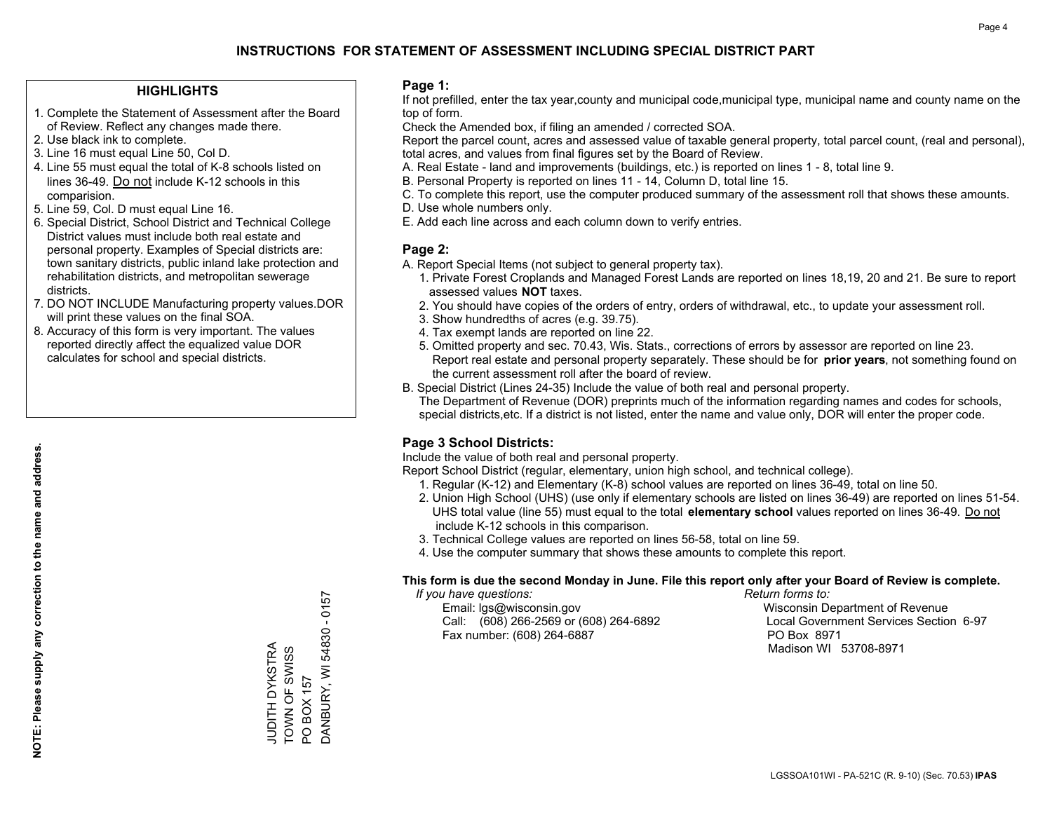## **HIGHLIGHTS**

- 1. Complete the Statement of Assessment after the Board of Review. Reflect any changes made there.
- 2. Use black ink to complete.
- 3. Line 16 must equal Line 50, Col D.
- 4. Line 55 must equal the total of K-8 schools listed on lines 36-49. Do not include K-12 schools in this comparision.
- 5. Line 59, Col. D must equal Line 16.
- 6. Special District, School District and Technical College District values must include both real estate and personal property. Examples of Special districts are: town sanitary districts, public inland lake protection and rehabilitation districts, and metropolitan sewerage districts.
- 7. DO NOT INCLUDE Manufacturing property values.DOR will print these values on the final SOA.
- 8. Accuracy of this form is very important. The values reported directly affect the equalized value DOR calculates for school and special districts.

### **Page 1:**

 If not prefilled, enter the tax year,county and municipal code,municipal type, municipal name and county name on the top of form.

Check the Amended box, if filing an amended / corrected SOA.

 Report the parcel count, acres and assessed value of taxable general property, total parcel count, (real and personal), total acres, and values from final figures set by the Board of Review.

- A. Real Estate land and improvements (buildings, etc.) is reported on lines 1 8, total line 9.
- B. Personal Property is reported on lines 11 14, Column D, total line 15.
- C. To complete this report, use the computer produced summary of the assessment roll that shows these amounts.
- D. Use whole numbers only.
- E. Add each line across and each column down to verify entries.

### **Page 2:**

- A. Report Special Items (not subject to general property tax).
- 1. Private Forest Croplands and Managed Forest Lands are reported on lines 18,19, 20 and 21. Be sure to report assessed values **NOT** taxes.
- 2. You should have copies of the orders of entry, orders of withdrawal, etc., to update your assessment roll.
	- 3. Show hundredths of acres (e.g. 39.75).
- 4. Tax exempt lands are reported on line 22.
- 5. Omitted property and sec. 70.43, Wis. Stats., corrections of errors by assessor are reported on line 23. Report real estate and personal property separately. These should be for **prior years**, not something found on the current assessment roll after the board of review.
- B. Special District (Lines 24-35) Include the value of both real and personal property.
- The Department of Revenue (DOR) preprints much of the information regarding names and codes for schools, special districts,etc. If a district is not listed, enter the name and value only, DOR will enter the proper code.

## **Page 3 School Districts:**

Include the value of both real and personal property.

Report School District (regular, elementary, union high school, and technical college).

- 1. Regular (K-12) and Elementary (K-8) school values are reported on lines 36-49, total on line 50.
- 2. Union High School (UHS) (use only if elementary schools are listed on lines 36-49) are reported on lines 51-54. UHS total value (line 55) must equal to the total **elementary school** values reported on lines 36-49. Do notinclude K-12 schools in this comparison.
- 3. Technical College values are reported on lines 56-58, total on line 59.
- 4. Use the computer summary that shows these amounts to complete this report.

### **This form is due the second Monday in June. File this report only after your Board of Review is complete.**

 *If you have questions: Return forms to:*

 Email: lgs@wisconsin.gov Wisconsin Department of RevenueCall:  $(608)$  266-2569 or  $(608)$  264-6892 Fax number: (608) 264-6887 PO Box 8971

Local Government Services Section 6-97 Madison WI 53708-8971

**NOTE: Please supply any correction to the name and address.**

NOTE: Please supply any correction to the name and address.

 $-0157$ DANBURY, WI 54830 - 0157 DANBURY, WI 54830 JUDITH DYKSTRA<br>TOWN OF SWISS JUDITH DYKSTRA TOWN OF SWISS PO BOX 157 PO BOX 157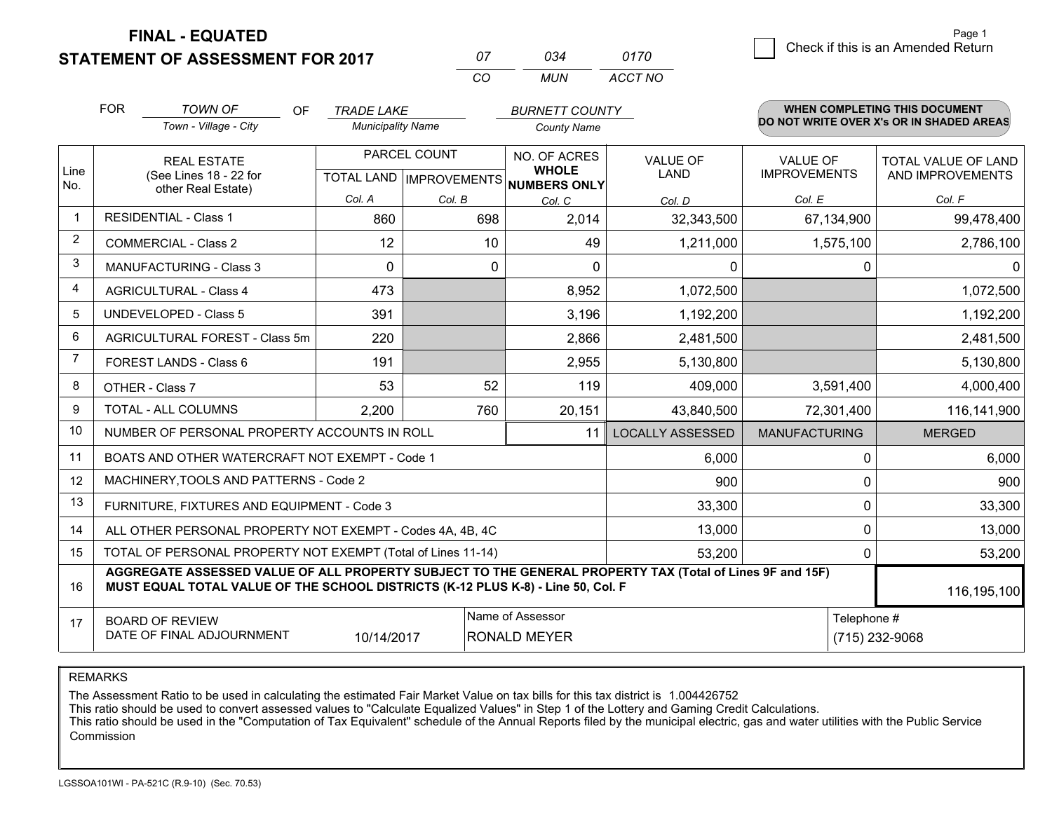**STATEMENT OF ASSESSMENT FOR 2017** 

| 07 | กว⊿   | 0170    |
|----|-------|---------|
| rη | MI IN | ACCT NO |

|              | <b>FOR</b>                                                                                                                                                                                   | <b>TOWN OF</b><br>OF                           | <b>TRADE LAKE</b>                                    |              | <b>BURNETT COUNTY</b>        |                         |                                        | <b>WHEN COMPLETING THIS DOCUMENT</b>     |
|--------------|----------------------------------------------------------------------------------------------------------------------------------------------------------------------------------------------|------------------------------------------------|------------------------------------------------------|--------------|------------------------------|-------------------------|----------------------------------------|------------------------------------------|
|              |                                                                                                                                                                                              | Town - Village - City                          | <b>Municipality Name</b>                             |              | <b>County Name</b>           |                         |                                        | DO NOT WRITE OVER X's OR IN SHADED AREAS |
| Line<br>No.  |                                                                                                                                                                                              | <b>REAL ESTATE</b><br>(See Lines 18 - 22 for   | PARCEL COUNT<br>TOTAL LAND IMPROVEMENTS NUMBERS ONLY |              | NO. OF ACRES<br><b>WHOLE</b> | VALUE OF<br><b>LAND</b> | <b>VALUE OF</b><br><b>IMPROVEMENTS</b> | TOTAL VALUE OF LAND<br>AND IMPROVEMENTS  |
|              |                                                                                                                                                                                              | other Real Estate)                             | Col. A                                               | Col. B       | Col. C                       | Col. D                  | Col. E                                 | Col. F                                   |
| $\mathbf{1}$ |                                                                                                                                                                                              | <b>RESIDENTIAL - Class 1</b>                   | 860                                                  | 698          | 2,014                        | 32,343,500              | 67,134,900                             | 99,478,400                               |
| 2            |                                                                                                                                                                                              | <b>COMMERCIAL - Class 2</b>                    | 12                                                   | 10           | 49                           | 1,211,000               | 1,575,100                              | 2,786,100                                |
| 3            |                                                                                                                                                                                              | <b>MANUFACTURING - Class 3</b>                 | 0                                                    | $\mathbf{0}$ | 0                            | 0                       |                                        | 0<br>$\mathbf{0}$                        |
| 4            |                                                                                                                                                                                              | <b>AGRICULTURAL - Class 4</b>                  | 473                                                  |              | 8,952                        | 1,072,500               |                                        | 1,072,500                                |
| 5            |                                                                                                                                                                                              | <b>UNDEVELOPED - Class 5</b>                   | 391                                                  |              | 3,196                        | 1,192,200               |                                        | 1,192,200                                |
| 6            |                                                                                                                                                                                              | AGRICULTURAL FOREST - Class 5m                 | 220                                                  |              | 2,866                        | 2,481,500               |                                        | 2,481,500                                |
| 7            |                                                                                                                                                                                              | FOREST LANDS - Class 6                         | 191                                                  |              | 2,955                        | 5,130,800               |                                        | 5,130,800                                |
| 8            |                                                                                                                                                                                              | OTHER - Class 7                                | 53                                                   | 52           | 119                          | 409,000                 | 3,591,400                              | 4,000,400                                |
| 9            |                                                                                                                                                                                              | TOTAL - ALL COLUMNS                            | 2,200                                                | 760          | 20,151                       | 43,840,500              | 72,301,400                             | 116,141,900                              |
| 10           |                                                                                                                                                                                              | NUMBER OF PERSONAL PROPERTY ACCOUNTS IN ROLL   |                                                      |              | 11                           | <b>LOCALLY ASSESSED</b> | <b>MANUFACTURING</b>                   | <b>MERGED</b>                            |
| 11           |                                                                                                                                                                                              | BOATS AND OTHER WATERCRAFT NOT EXEMPT - Code 1 |                                                      |              |                              | 6,000                   |                                        | 6,000<br>0                               |
| 12           |                                                                                                                                                                                              | MACHINERY, TOOLS AND PATTERNS - Code 2         |                                                      |              |                              | 900                     |                                        | 900<br>0                                 |
| 13           |                                                                                                                                                                                              | FURNITURE, FIXTURES AND EQUIPMENT - Code 3     |                                                      |              |                              | 33,300                  |                                        | 0<br>33,300                              |
| 14           | ALL OTHER PERSONAL PROPERTY NOT EXEMPT - Codes 4A, 4B, 4C                                                                                                                                    |                                                | 0<br>13,000                                          |              |                              |                         |                                        |                                          |
| 15           | TOTAL OF PERSONAL PROPERTY NOT EXEMPT (Total of Lines 11-14)<br>53,200                                                                                                                       |                                                |                                                      |              |                              |                         |                                        | 53,200<br>0                              |
| 16           | AGGREGATE ASSESSED VALUE OF ALL PROPERTY SUBJECT TO THE GENERAL PROPERTY TAX (Total of Lines 9F and 15F)<br>MUST EQUAL TOTAL VALUE OF THE SCHOOL DISTRICTS (K-12 PLUS K-8) - Line 50, Col. F |                                                |                                                      |              |                              |                         |                                        | 116,195,100                              |
| 17           | Name of Assessor<br>Telephone #<br><b>BOARD OF REVIEW</b><br>DATE OF FINAL ADJOURNMENT<br>10/14/2017<br><b>RONALD MEYER</b><br>(715) 232-9068                                                |                                                |                                                      |              |                              |                         |                                        |                                          |

REMARKS

The Assessment Ratio to be used in calculating the estimated Fair Market Value on tax bills for this tax district is 1.004426752<br>This ratio should be used to convert assessed values to "Calculate Equalized Values" in Step Commission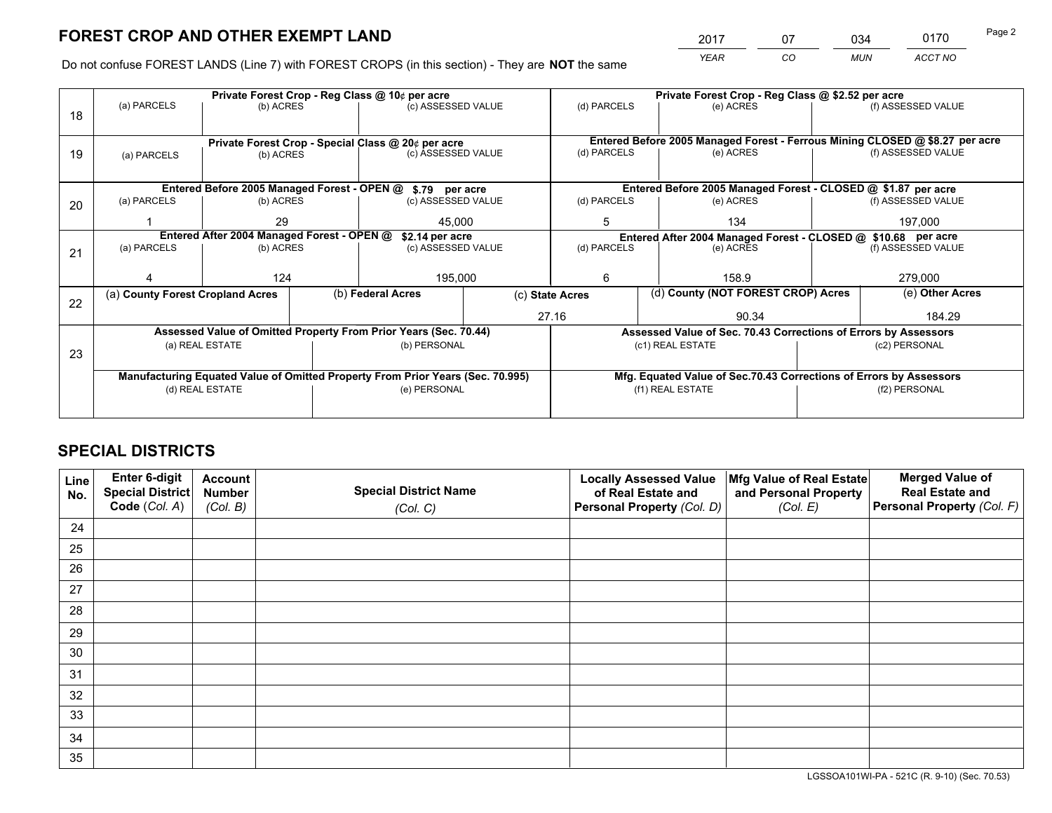*YEAR CO MUN ACCT NO* <sup>2017</sup> <sup>07</sup> <sup>034</sup> <sup>0170</sup>

Do not confuse FOREST LANDS (Line 7) with FOREST CROPS (in this section) - They are **NOT** the same

|    |                                            |                                             |                                                                                | Private Forest Crop - Reg Class @ 10¢ per acre                   |                    | Private Forest Crop - Reg Class @ \$2.52 per acre                  |                                                                 |  |                                                                              |  |
|----|--------------------------------------------|---------------------------------------------|--------------------------------------------------------------------------------|------------------------------------------------------------------|--------------------|--------------------------------------------------------------------|-----------------------------------------------------------------|--|------------------------------------------------------------------------------|--|
| 18 | (a) PARCELS                                | (b) ACRES                                   |                                                                                | (c) ASSESSED VALUE                                               |                    | (d) PARCELS                                                        | (e) ACRES                                                       |  | (f) ASSESSED VALUE                                                           |  |
|    |                                            |                                             |                                                                                |                                                                  |                    |                                                                    |                                                                 |  |                                                                              |  |
|    |                                            |                                             |                                                                                | Private Forest Crop - Special Class @ 20¢ per acre               |                    |                                                                    |                                                                 |  | Entered Before 2005 Managed Forest - Ferrous Mining CLOSED @ \$8.27 per acre |  |
| 19 | (a) PARCELS                                | (b) ACRES                                   |                                                                                | (c) ASSESSED VALUE                                               |                    | (d) PARCELS                                                        | (e) ACRES                                                       |  | (f) ASSESSED VALUE                                                           |  |
|    |                                            |                                             |                                                                                |                                                                  |                    |                                                                    |                                                                 |  |                                                                              |  |
|    |                                            | Entered Before 2005 Managed Forest - OPEN @ |                                                                                | \$.79 per acre                                                   |                    |                                                                    | Entered Before 2005 Managed Forest - CLOSED @ \$1.87 per acre   |  |                                                                              |  |
| 20 | (a) PARCELS                                | (b) ACRES                                   |                                                                                | (c) ASSESSED VALUE                                               |                    | (d) PARCELS                                                        | (e) ACRES                                                       |  | (f) ASSESSED VALUE                                                           |  |
|    |                                            | 29                                          |                                                                                | 45.000                                                           |                    | 5                                                                  | 134                                                             |  | 197.000                                                                      |  |
|    | Entered After 2004 Managed Forest - OPEN @ |                                             |                                                                                |                                                                  | \$2.14 per acre    |                                                                    | Entered After 2004 Managed Forest - CLOSED @ \$10.68 per acre   |  |                                                                              |  |
| 21 | (a) PARCELS                                | (b) ACRES                                   |                                                                                |                                                                  | (c) ASSESSED VALUE |                                                                    | (d) PARCELS<br>(e) ACRES                                        |  | (f) ASSESSED VALUE                                                           |  |
|    |                                            |                                             |                                                                                |                                                                  |                    |                                                                    |                                                                 |  |                                                                              |  |
|    |                                            | 124                                         |                                                                                | 195,000                                                          |                    | 6<br>158.9                                                         |                                                                 |  | 279,000                                                                      |  |
| 22 | (a) County Forest Cropland Acres           |                                             |                                                                                | (b) Federal Acres                                                | (c) State Acres    |                                                                    | (d) County (NOT FOREST CROP) Acres                              |  | (e) Other Acres                                                              |  |
|    |                                            |                                             |                                                                                |                                                                  |                    | 27.16<br>90.34                                                     |                                                                 |  | 184.29                                                                       |  |
|    |                                            |                                             |                                                                                | Assessed Value of Omitted Property From Prior Years (Sec. 70.44) |                    |                                                                    | Assessed Value of Sec. 70.43 Corrections of Errors by Assessors |  |                                                                              |  |
| 23 |                                            | (a) REAL ESTATE                             |                                                                                | (b) PERSONAL                                                     |                    |                                                                    | (c1) REAL ESTATE                                                |  | (c2) PERSONAL                                                                |  |
|    |                                            |                                             |                                                                                |                                                                  |                    |                                                                    |                                                                 |  |                                                                              |  |
|    |                                            |                                             | Manufacturing Equated Value of Omitted Property From Prior Years (Sec. 70.995) |                                                                  |                    | Mfg. Equated Value of Sec.70.43 Corrections of Errors by Assessors |                                                                 |  |                                                                              |  |
|    | (d) REAL ESTATE                            |                                             |                                                                                | (e) PERSONAL                                                     |                    |                                                                    | (f1) REAL ESTATE                                                |  | (f2) PERSONAL                                                                |  |
|    |                                            |                                             |                                                                                |                                                                  |                    |                                                                    |                                                                 |  |                                                                              |  |

# **SPECIAL DISTRICTS**

| Line<br>No. | Enter 6-digit<br><b>Special District</b> | <b>Account</b><br><b>Number</b> | <b>Special District Name</b> | <b>Locally Assessed Value</b><br>of Real Estate and | Mfg Value of Real Estate<br>and Personal Property | <b>Merged Value of</b><br><b>Real Estate and</b> |
|-------------|------------------------------------------|---------------------------------|------------------------------|-----------------------------------------------------|---------------------------------------------------|--------------------------------------------------|
|             | Code (Col. A)                            | (Col. B)                        | (Col. C)                     | Personal Property (Col. D)                          | (Col. E)                                          | Personal Property (Col. F)                       |
| 24          |                                          |                                 |                              |                                                     |                                                   |                                                  |
| 25          |                                          |                                 |                              |                                                     |                                                   |                                                  |
| 26          |                                          |                                 |                              |                                                     |                                                   |                                                  |
| 27          |                                          |                                 |                              |                                                     |                                                   |                                                  |
| 28          |                                          |                                 |                              |                                                     |                                                   |                                                  |
| 29          |                                          |                                 |                              |                                                     |                                                   |                                                  |
| 30          |                                          |                                 |                              |                                                     |                                                   |                                                  |
| 31          |                                          |                                 |                              |                                                     |                                                   |                                                  |
| 32          |                                          |                                 |                              |                                                     |                                                   |                                                  |
| 33          |                                          |                                 |                              |                                                     |                                                   |                                                  |
| 34          |                                          |                                 |                              |                                                     |                                                   |                                                  |
| 35          |                                          |                                 |                              |                                                     |                                                   |                                                  |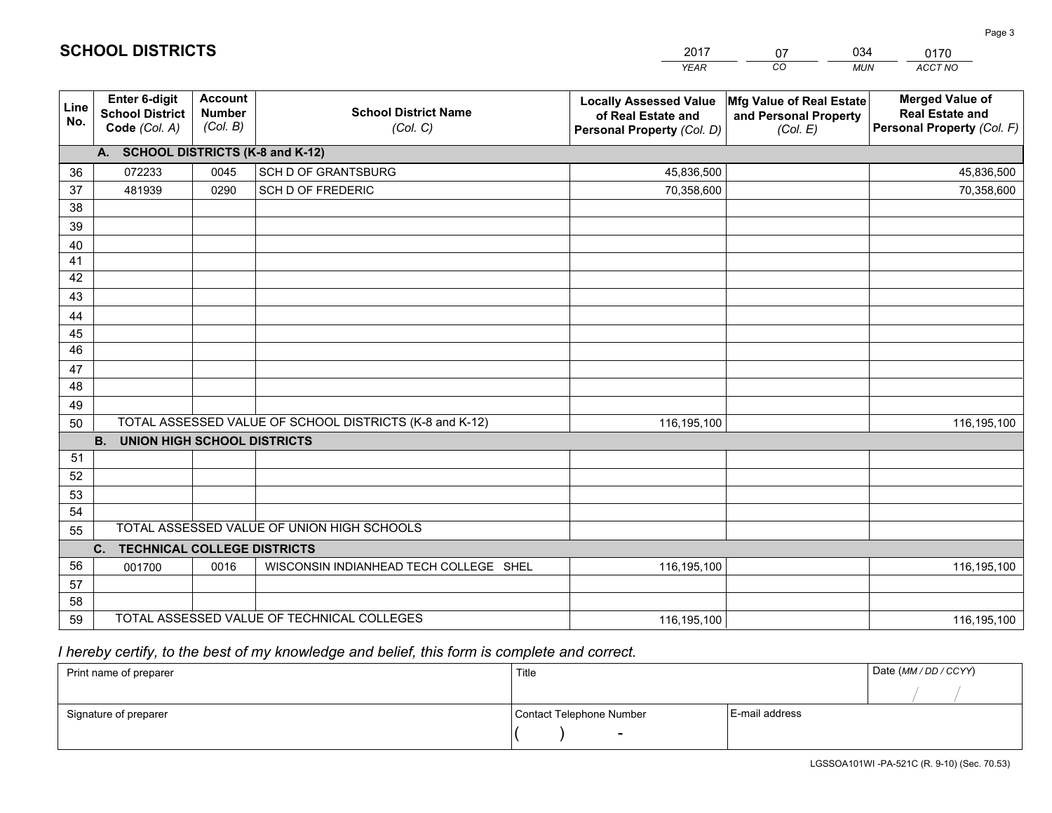|                 |                                                          |                                             |                                                         | <b>YEAR</b>                                                                       | CO<br><b>MUN</b>                                              | ACCT NO                                                                        |
|-----------------|----------------------------------------------------------|---------------------------------------------|---------------------------------------------------------|-----------------------------------------------------------------------------------|---------------------------------------------------------------|--------------------------------------------------------------------------------|
| Line<br>No.     | Enter 6-digit<br><b>School District</b><br>Code (Col. A) | <b>Account</b><br><b>Number</b><br>(Col. B) | <b>School District Name</b><br>(Col. C)                 | <b>Locally Assessed Value</b><br>of Real Estate and<br>Personal Property (Col. D) | Mfg Value of Real Estate<br>and Personal Property<br>(Col. E) | <b>Merged Value of</b><br><b>Real Estate and</b><br>Personal Property (Col. F) |
|                 | A. SCHOOL DISTRICTS (K-8 and K-12)                       |                                             |                                                         |                                                                                   |                                                               |                                                                                |
| 36              | 072233                                                   | 0045                                        | SCH D OF GRANTSBURG                                     | 45,836,500                                                                        |                                                               | 45,836,500                                                                     |
| 37              | 481939                                                   | 0290                                        | SCH D OF FREDERIC                                       | 70,358,600                                                                        |                                                               | 70,358,600                                                                     |
| 38              |                                                          |                                             |                                                         |                                                                                   |                                                               |                                                                                |
| 39              |                                                          |                                             |                                                         |                                                                                   |                                                               |                                                                                |
| 40              |                                                          |                                             |                                                         |                                                                                   |                                                               |                                                                                |
| 41              |                                                          |                                             |                                                         |                                                                                   |                                                               |                                                                                |
| 42              |                                                          |                                             |                                                         |                                                                                   |                                                               |                                                                                |
| 43              |                                                          |                                             |                                                         |                                                                                   |                                                               |                                                                                |
| 44              |                                                          |                                             |                                                         |                                                                                   |                                                               |                                                                                |
| 45              |                                                          |                                             |                                                         |                                                                                   |                                                               |                                                                                |
| $\overline{46}$ |                                                          |                                             |                                                         |                                                                                   |                                                               |                                                                                |
| 47<br>48        |                                                          |                                             |                                                         |                                                                                   |                                                               |                                                                                |
|                 |                                                          |                                             |                                                         |                                                                                   |                                                               |                                                                                |
| 49              |                                                          |                                             | TOTAL ASSESSED VALUE OF SCHOOL DISTRICTS (K-8 and K-12) | 116,195,100                                                                       |                                                               |                                                                                |
| 50              | <b>B.</b><br><b>UNION HIGH SCHOOL DISTRICTS</b>          |                                             |                                                         |                                                                                   |                                                               | 116,195,100                                                                    |
| 51              |                                                          |                                             |                                                         |                                                                                   |                                                               |                                                                                |
| 52              |                                                          |                                             |                                                         |                                                                                   |                                                               |                                                                                |
| 53              |                                                          |                                             |                                                         |                                                                                   |                                                               |                                                                                |
| 54              |                                                          |                                             |                                                         |                                                                                   |                                                               |                                                                                |
| 55              |                                                          |                                             | TOTAL ASSESSED VALUE OF UNION HIGH SCHOOLS              |                                                                                   |                                                               |                                                                                |
|                 | C.<br><b>TECHNICAL COLLEGE DISTRICTS</b>                 |                                             |                                                         |                                                                                   |                                                               |                                                                                |
| 56              | 001700                                                   | 0016                                        | WISCONSIN INDIANHEAD TECH COLLEGE SHEL                  | 116,195,100                                                                       |                                                               | 116,195,100                                                                    |
| 57              |                                                          |                                             |                                                         |                                                                                   |                                                               |                                                                                |
| 58              |                                                          |                                             |                                                         |                                                                                   |                                                               |                                                                                |
| 59              |                                                          |                                             | TOTAL ASSESSED VALUE OF TECHNICAL COLLEGES              | 116,195,100                                                                       |                                                               | 116,195,100                                                                    |

 *I hereby certify, to the best of my knowledge and belief, this form is complete and correct.*

| Print name of preparer | Title                    |                | Date (MM / DD / CCYY) |
|------------------------|--------------------------|----------------|-----------------------|
|                        |                          |                |                       |
| Signature of preparer  | Contact Telephone Number | E-mail address |                       |
|                        | $\sim$                   |                |                       |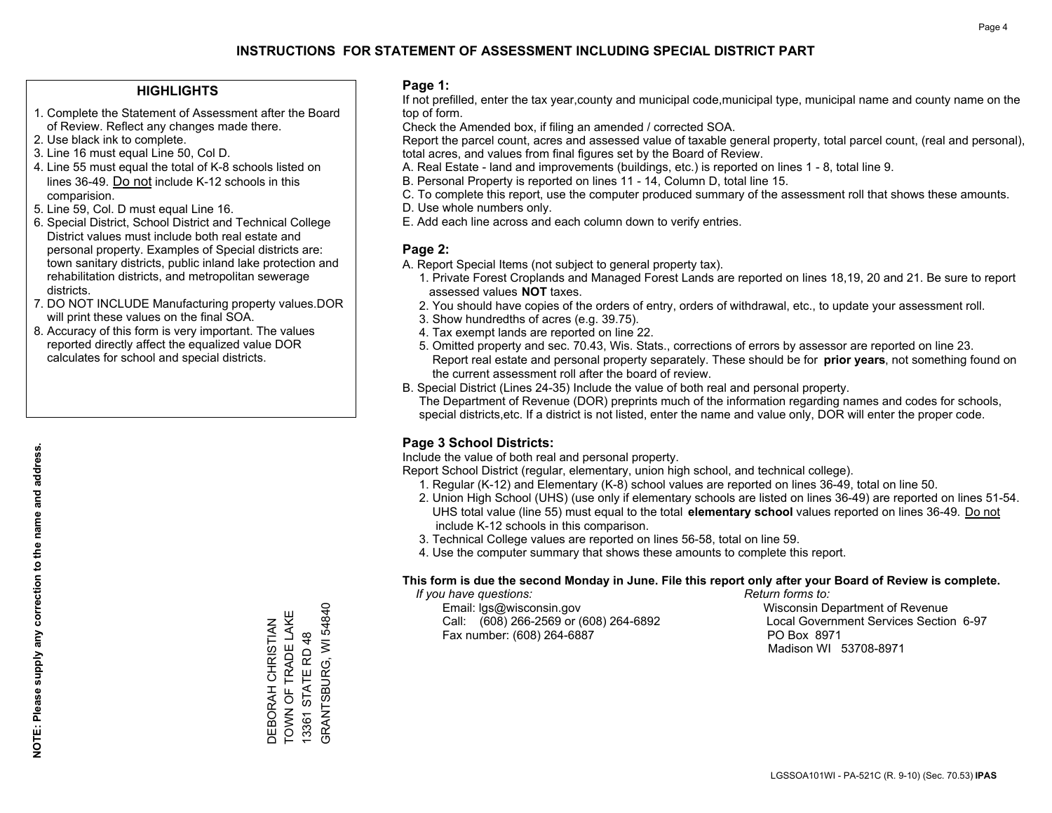## **HIGHLIGHTS**

- 1. Complete the Statement of Assessment after the Board of Review. Reflect any changes made there.
- 2. Use black ink to complete.
- 3. Line 16 must equal Line 50, Col D.
- 4. Line 55 must equal the total of K-8 schools listed on lines 36-49. Do not include K-12 schools in this comparision.
- 5. Line 59, Col. D must equal Line 16.
- 6. Special District, School District and Technical College District values must include both real estate and personal property. Examples of Special districts are: town sanitary districts, public inland lake protection and rehabilitation districts, and metropolitan sewerage districts.
- 7. DO NOT INCLUDE Manufacturing property values.DOR will print these values on the final SOA.
- 8. Accuracy of this form is very important. The values reported directly affect the equalized value DOR calculates for school and special districts.

### **Page 1:**

 If not prefilled, enter the tax year,county and municipal code,municipal type, municipal name and county name on the top of form.

Check the Amended box, if filing an amended / corrected SOA.

 Report the parcel count, acres and assessed value of taxable general property, total parcel count, (real and personal), total acres, and values from final figures set by the Board of Review.

- A. Real Estate land and improvements (buildings, etc.) is reported on lines 1 8, total line 9.
- B. Personal Property is reported on lines 11 14, Column D, total line 15.
- C. To complete this report, use the computer produced summary of the assessment roll that shows these amounts.
- D. Use whole numbers only.
- E. Add each line across and each column down to verify entries.

## **Page 2:**

- A. Report Special Items (not subject to general property tax).
- 1. Private Forest Croplands and Managed Forest Lands are reported on lines 18,19, 20 and 21. Be sure to report assessed values **NOT** taxes.
- 2. You should have copies of the orders of entry, orders of withdrawal, etc., to update your assessment roll.
	- 3. Show hundredths of acres (e.g. 39.75).
- 4. Tax exempt lands are reported on line 22.
- 5. Omitted property and sec. 70.43, Wis. Stats., corrections of errors by assessor are reported on line 23. Report real estate and personal property separately. These should be for **prior years**, not something found on the current assessment roll after the board of review.
- B. Special District (Lines 24-35) Include the value of both real and personal property.

 The Department of Revenue (DOR) preprints much of the information regarding names and codes for schools, special districts,etc. If a district is not listed, enter the name and value only, DOR will enter the proper code.

## **Page 3 School Districts:**

Include the value of both real and personal property.

Report School District (regular, elementary, union high school, and technical college).

- 1. Regular (K-12) and Elementary (K-8) school values are reported on lines 36-49, total on line 50.
- 2. Union High School (UHS) (use only if elementary schools are listed on lines 36-49) are reported on lines 51-54. UHS total value (line 55) must equal to the total **elementary school** values reported on lines 36-49. Do notinclude K-12 schools in this comparison.
- 3. Technical College values are reported on lines 56-58, total on line 59.
- 4. Use the computer summary that shows these amounts to complete this report.

### **This form is due the second Monday in June. File this report only after your Board of Review is complete.**

 *If you have questions: Return forms to:*

 Email: lgs@wisconsin.gov Wisconsin Department of RevenueCall:  $(608)$  266-2569 or  $(608)$  264-6892 Fax number: (608) 264-6887 PO Box 8971

Local Government Services Section 6-97 Madison WI 53708-8971

GRANTSBURG, WI 54840 GRANTSBURG, WI 54840 TOWN OF TRADE LAKE TOWN OF TRADE LAKE DEBORAH CHRISTIAN DEBORAH CHRISTIAN 13361 STATE RD 48 13361 STATE RD 48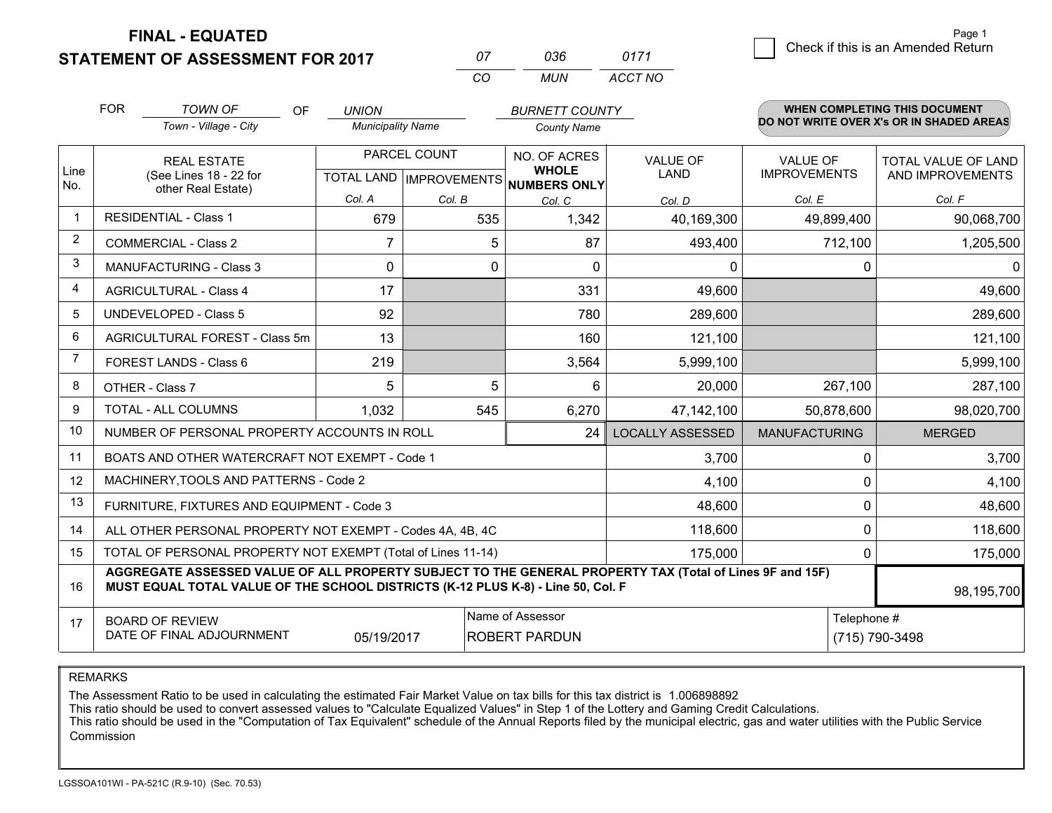**STATEMENT OF ASSESSMENT FOR 2017** 

| Ω7       | การค | 0171    |
|----------|------|---------|
| $\alpha$ | MUN  | ACCT NO |

|             | <b>FOR</b>                                                                                                                                                                                                 | <b>TOWN OF</b><br><b>OF</b>                    | <b>UNION</b>                                             |        | <b>BURNETT COUNTY</b>        |                         |                                        | <b>WHEN COMPLETING THIS DOCUMENT</b>     |
|-------------|------------------------------------------------------------------------------------------------------------------------------------------------------------------------------------------------------------|------------------------------------------------|----------------------------------------------------------|--------|------------------------------|-------------------------|----------------------------------------|------------------------------------------|
|             |                                                                                                                                                                                                            | Town - Village - City                          | <b>Municipality Name</b>                                 |        | <b>County Name</b>           |                         |                                        | DO NOT WRITE OVER X's OR IN SHADED AREAS |
| Line<br>No. | <b>REAL ESTATE</b><br>(See Lines 18 - 22 for<br>other Real Estate)                                                                                                                                         |                                                | PARCEL COUNT<br>TOTAL LAND   IMPROVEMENTS   NUMBERS ONLY |        | NO. OF ACRES<br><b>WHOLE</b> | VALUE OF<br><b>LAND</b> | <b>VALUE OF</b><br><b>IMPROVEMENTS</b> | TOTAL VALUE OF LAND<br>AND IMPROVEMENTS  |
|             |                                                                                                                                                                                                            |                                                | Col. A                                                   | Col. B | Col. C                       | Col. D                  | Col. E                                 | Col. F                                   |
| $\mathbf 1$ |                                                                                                                                                                                                            | <b>RESIDENTIAL - Class 1</b>                   | 679                                                      | 535    | 1,342                        | 40,169,300              | 49,899,400                             | 90,068,700                               |
| 2           |                                                                                                                                                                                                            | <b>COMMERCIAL - Class 2</b>                    | 7                                                        | 5      | 87                           | 493,400                 | 712,100                                | 1,205,500                                |
| 3           |                                                                                                                                                                                                            | <b>MANUFACTURING - Class 3</b>                 | 0                                                        | 0      | $\Omega$                     | 0                       |                                        | 0<br>0                                   |
| 4           |                                                                                                                                                                                                            | <b>AGRICULTURAL - Class 4</b>                  | 17                                                       |        | 331                          | 49,600                  |                                        | 49,600                                   |
| 5           |                                                                                                                                                                                                            | <b>UNDEVELOPED - Class 5</b>                   | 92                                                       |        | 780                          | 289,600                 |                                        | 289,600                                  |
| 6           |                                                                                                                                                                                                            | AGRICULTURAL FOREST - Class 5m                 | 13                                                       |        | 160                          | 121,100                 |                                        | 121,100                                  |
| 7           |                                                                                                                                                                                                            | FOREST LANDS - Class 6                         | 219                                                      |        | 3,564                        | 5,999,100               |                                        | 5,999,100                                |
| 8           |                                                                                                                                                                                                            | OTHER - Class 7                                | 5                                                        | 5      | 6                            | 20,000                  | 267,100                                | 287,100                                  |
| 9           |                                                                                                                                                                                                            | TOTAL - ALL COLUMNS                            | 1,032                                                    | 545    | 6,270                        | 47,142,100              | 50,878,600                             | 98,020,700                               |
| 10          | NUMBER OF PERSONAL PROPERTY ACCOUNTS IN ROLL<br>24                                                                                                                                                         |                                                |                                                          |        |                              | <b>LOCALLY ASSESSED</b> | <b>MANUFACTURING</b>                   | <b>MERGED</b>                            |
| 11          |                                                                                                                                                                                                            | BOATS AND OTHER WATERCRAFT NOT EXEMPT - Code 1 |                                                          | 3,700  |                              | 3,700<br>0              |                                        |                                          |
| 12          |                                                                                                                                                                                                            | MACHINERY, TOOLS AND PATTERNS - Code 2         |                                                          | 4,100  |                              | 4,100<br>0              |                                        |                                          |
| 13          | FURNITURE, FIXTURES AND EQUIPMENT - Code 3                                                                                                                                                                 |                                                |                                                          |        |                              |                         |                                        | 0<br>48,600                              |
| 14          | 118,600<br>ALL OTHER PERSONAL PROPERTY NOT EXEMPT - Codes 4A, 4B, 4C                                                                                                                                       |                                                |                                                          |        |                              |                         |                                        | $\Omega$<br>118,600                      |
| 15          | TOTAL OF PERSONAL PROPERTY NOT EXEMPT (Total of Lines 11-14)<br>175,000                                                                                                                                    |                                                |                                                          |        |                              |                         | 175,000<br>0                           |                                          |
| 16          | AGGREGATE ASSESSED VALUE OF ALL PROPERTY SUBJECT TO THE GENERAL PROPERTY TAX (Total of Lines 9F and 15F)<br>MUST EQUAL TOTAL VALUE OF THE SCHOOL DISTRICTS (K-12 PLUS K-8) - Line 50, Col. F<br>98,195,700 |                                                |                                                          |        |                              |                         |                                        |                                          |
| 17          | Name of Assessor<br>Telephone #<br><b>BOARD OF REVIEW</b><br>DATE OF FINAL ADJOURNMENT<br><b>ROBERT PARDUN</b><br>05/19/2017                                                                               |                                                |                                                          |        |                              | (715) 790-3498          |                                        |                                          |

REMARKS

The Assessment Ratio to be used in calculating the estimated Fair Market Value on tax bills for this tax district is 1.006898892<br>This ratio should be used to convert assessed values to "Calculate Equalized Values" in Step Commission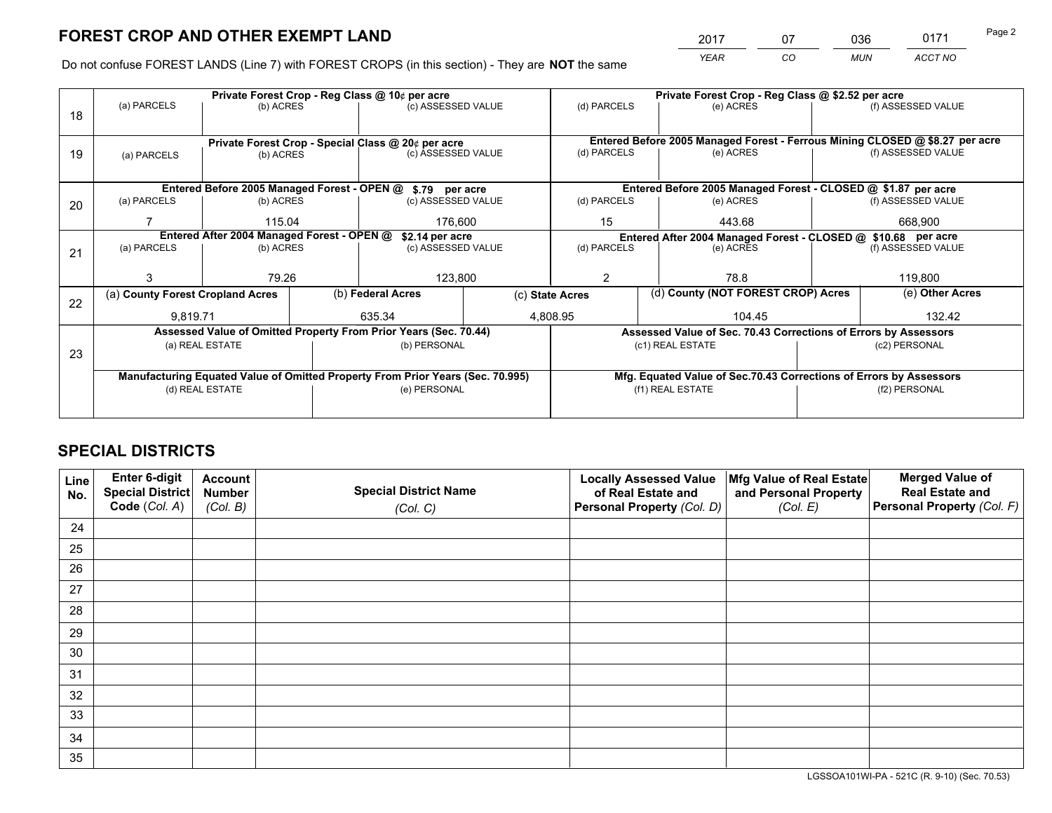*YEAR CO MUN ACCT NO* <sup>2017</sup> <sup>07</sup> <sup>036</sup> <sup>0171</sup> Page 2

Do not confuse FOREST LANDS (Line 7) with FOREST CROPS (in this section) - They are **NOT** the same

|    | Private Forest Crop - Reg Class @ 10¢ per acre                                 |           |  |                                                            |                                                               | Private Forest Crop - Reg Class @ \$2.52 per acre                  |                                                                              |  |                    |  |
|----|--------------------------------------------------------------------------------|-----------|--|------------------------------------------------------------|---------------------------------------------------------------|--------------------------------------------------------------------|------------------------------------------------------------------------------|--|--------------------|--|
| 18 | (a) PARCELS                                                                    | (b) ACRES |  | (c) ASSESSED VALUE                                         |                                                               | (d) PARCELS                                                        | (e) ACRES                                                                    |  | (f) ASSESSED VALUE |  |
|    |                                                                                |           |  |                                                            |                                                               |                                                                    |                                                                              |  |                    |  |
|    |                                                                                |           |  | Private Forest Crop - Special Class @ 20¢ per acre         |                                                               |                                                                    | Entered Before 2005 Managed Forest - Ferrous Mining CLOSED @ \$8.27 per acre |  |                    |  |
| 19 | (a) PARCELS                                                                    | (b) ACRES |  | (c) ASSESSED VALUE                                         |                                                               | (d) PARCELS                                                        | (e) ACRES                                                                    |  | (f) ASSESSED VALUE |  |
|    |                                                                                |           |  |                                                            |                                                               |                                                                    |                                                                              |  |                    |  |
|    |                                                                                |           |  | Entered Before 2005 Managed Forest - OPEN @ \$.79 per acre |                                                               |                                                                    | Entered Before 2005 Managed Forest - CLOSED @ \$1.87 per acre                |  |                    |  |
| 20 | (a) PARCELS                                                                    | (b) ACRES |  | (c) ASSESSED VALUE                                         |                                                               | (d) PARCELS                                                        | (e) ACRES                                                                    |  | (f) ASSESSED VALUE |  |
|    |                                                                                | 115.04    |  | 176.600                                                    |                                                               | 15                                                                 | 443.68                                                                       |  | 668,900            |  |
|    | Entered After 2004 Managed Forest - OPEN @<br>\$2.14 per acre                  |           |  |                                                            | Entered After 2004 Managed Forest - CLOSED @ \$10.68 per acre |                                                                    |                                                                              |  |                    |  |
| 21 | (a) PARCELS                                                                    | (b) ACRES |  | (c) ASSESSED VALUE                                         | (d) PARCELS                                                   |                                                                    | (e) ACRES                                                                    |  | (f) ASSESSED VALUE |  |
|    |                                                                                |           |  |                                                            |                                                               |                                                                    |                                                                              |  |                    |  |
|    |                                                                                | 79.26     |  | 123,800                                                    |                                                               | 2<br>78.8                                                          |                                                                              |  | 119,800            |  |
| 22 | (a) County Forest Cropland Acres                                               |           |  | (b) Federal Acres                                          | (c) State Acres                                               |                                                                    | (d) County (NOT FOREST CROP) Acres                                           |  | (e) Other Acres    |  |
|    | 9,819.71                                                                       |           |  | 635.34                                                     |                                                               | 4,808.95<br>104.45                                                 |                                                                              |  | 132.42             |  |
|    | Assessed Value of Omitted Property From Prior Years (Sec. 70.44)               |           |  |                                                            |                                                               | Assessed Value of Sec. 70.43 Corrections of Errors by Assessors    |                                                                              |  |                    |  |
| 23 | (a) REAL ESTATE                                                                |           |  | (b) PERSONAL                                               |                                                               | (c1) REAL ESTATE                                                   |                                                                              |  | (c2) PERSONAL      |  |
|    |                                                                                |           |  |                                                            |                                                               |                                                                    |                                                                              |  |                    |  |
|    | Manufacturing Equated Value of Omitted Property From Prior Years (Sec. 70.995) |           |  |                                                            |                                                               | Mfg. Equated Value of Sec.70.43 Corrections of Errors by Assessors |                                                                              |  |                    |  |
|    | (d) REAL ESTATE                                                                |           |  | (e) PERSONAL                                               |                                                               | (f1) REAL ESTATE                                                   |                                                                              |  | (f2) PERSONAL      |  |
|    |                                                                                |           |  |                                                            |                                                               |                                                                    |                                                                              |  |                    |  |

# **SPECIAL DISTRICTS**

| Line<br>No. | Enter 6-digit<br><b>Special District</b><br>Code (Col. A) | <b>Account</b><br><b>Number</b><br>(Col. B) | <b>Special District Name</b><br>(Col. C) | <b>Locally Assessed Value</b><br>of Real Estate and<br>Personal Property (Col. D) | Mfg Value of Real Estate<br>and Personal Property<br>(Col. E) | <b>Merged Value of</b><br><b>Real Estate and</b><br>Personal Property (Col. F) |
|-------------|-----------------------------------------------------------|---------------------------------------------|------------------------------------------|-----------------------------------------------------------------------------------|---------------------------------------------------------------|--------------------------------------------------------------------------------|
| 24          |                                                           |                                             |                                          |                                                                                   |                                                               |                                                                                |
| 25          |                                                           |                                             |                                          |                                                                                   |                                                               |                                                                                |
| 26          |                                                           |                                             |                                          |                                                                                   |                                                               |                                                                                |
| 27          |                                                           |                                             |                                          |                                                                                   |                                                               |                                                                                |
| 28          |                                                           |                                             |                                          |                                                                                   |                                                               |                                                                                |
| 29          |                                                           |                                             |                                          |                                                                                   |                                                               |                                                                                |
| 30          |                                                           |                                             |                                          |                                                                                   |                                                               |                                                                                |
| 31          |                                                           |                                             |                                          |                                                                                   |                                                               |                                                                                |
| 32          |                                                           |                                             |                                          |                                                                                   |                                                               |                                                                                |
| 33          |                                                           |                                             |                                          |                                                                                   |                                                               |                                                                                |
| 34          |                                                           |                                             |                                          |                                                                                   |                                                               |                                                                                |
| 35          |                                                           |                                             |                                          |                                                                                   |                                                               |                                                                                |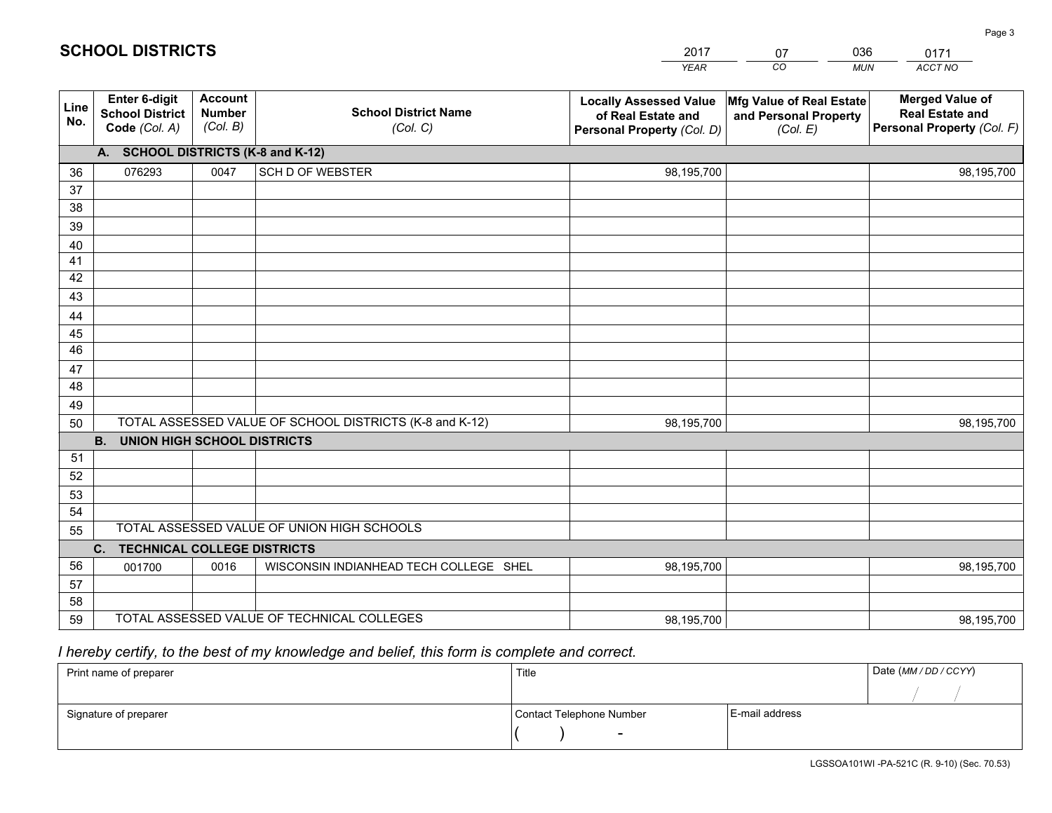|             |                                                          |                                             |                                                         | <b>YEAR</b>                                                                       | CO<br><b>MUN</b>                                              | ACCT NO                                                                        |
|-------------|----------------------------------------------------------|---------------------------------------------|---------------------------------------------------------|-----------------------------------------------------------------------------------|---------------------------------------------------------------|--------------------------------------------------------------------------------|
| Line<br>No. | Enter 6-digit<br><b>School District</b><br>Code (Col. A) | <b>Account</b><br><b>Number</b><br>(Col. B) | <b>School District Name</b><br>(Col. C)                 | <b>Locally Assessed Value</b><br>of Real Estate and<br>Personal Property (Col. D) | Mfg Value of Real Estate<br>and Personal Property<br>(Col. E) | <b>Merged Value of</b><br><b>Real Estate and</b><br>Personal Property (Col. F) |
|             | A. SCHOOL DISTRICTS (K-8 and K-12)                       |                                             |                                                         |                                                                                   |                                                               |                                                                                |
| 36          | 076293                                                   | 0047                                        | <b>SCH D OF WEBSTER</b>                                 | 98,195,700                                                                        |                                                               | 98,195,700                                                                     |
| 37          |                                                          |                                             |                                                         |                                                                                   |                                                               |                                                                                |
| 38          |                                                          |                                             |                                                         |                                                                                   |                                                               |                                                                                |
| 39          |                                                          |                                             |                                                         |                                                                                   |                                                               |                                                                                |
| 40          |                                                          |                                             |                                                         |                                                                                   |                                                               |                                                                                |
| 41          |                                                          |                                             |                                                         |                                                                                   |                                                               |                                                                                |
| 42          |                                                          |                                             |                                                         |                                                                                   |                                                               |                                                                                |
| 43          |                                                          |                                             |                                                         |                                                                                   |                                                               |                                                                                |
| 44<br>45    |                                                          |                                             |                                                         |                                                                                   |                                                               |                                                                                |
| 46          |                                                          |                                             |                                                         |                                                                                   |                                                               |                                                                                |
| 47          |                                                          |                                             |                                                         |                                                                                   |                                                               |                                                                                |
| 48          |                                                          |                                             |                                                         |                                                                                   |                                                               |                                                                                |
| 49          |                                                          |                                             |                                                         |                                                                                   |                                                               |                                                                                |
| 50          |                                                          |                                             | TOTAL ASSESSED VALUE OF SCHOOL DISTRICTS (K-8 and K-12) | 98,195,700                                                                        |                                                               | 98,195,700                                                                     |
|             | <b>B.</b><br><b>UNION HIGH SCHOOL DISTRICTS</b>          |                                             |                                                         |                                                                                   |                                                               |                                                                                |
| 51          |                                                          |                                             |                                                         |                                                                                   |                                                               |                                                                                |
| 52          |                                                          |                                             |                                                         |                                                                                   |                                                               |                                                                                |
| 53          |                                                          |                                             |                                                         |                                                                                   |                                                               |                                                                                |
| 54          |                                                          |                                             |                                                         |                                                                                   |                                                               |                                                                                |
| 55          |                                                          |                                             | TOTAL ASSESSED VALUE OF UNION HIGH SCHOOLS              |                                                                                   |                                                               |                                                                                |
|             | C.<br><b>TECHNICAL COLLEGE DISTRICTS</b>                 |                                             |                                                         |                                                                                   |                                                               |                                                                                |
| 56          | 001700                                                   | 0016                                        | WISCONSIN INDIANHEAD TECH COLLEGE SHEL                  | 98,195,700                                                                        |                                                               | 98,195,700                                                                     |
| 57          |                                                          |                                             |                                                         |                                                                                   |                                                               |                                                                                |
| 58          |                                                          |                                             |                                                         |                                                                                   |                                                               |                                                                                |
| 59          |                                                          |                                             | TOTAL ASSESSED VALUE OF TECHNICAL COLLEGES              | 98,195,700                                                                        |                                                               | 98,195,700                                                                     |

07

036

 *I hereby certify, to the best of my knowledge and belief, this form is complete and correct.*

**SCHOOL DISTRICTS**

| Print name of preparer | Title                    |                | Date (MM / DD / CCYY) |
|------------------------|--------------------------|----------------|-----------------------|
|                        |                          |                |                       |
| Signature of preparer  | Contact Telephone Number | E-mail address |                       |
|                        | $\overline{\phantom{0}}$ |                |                       |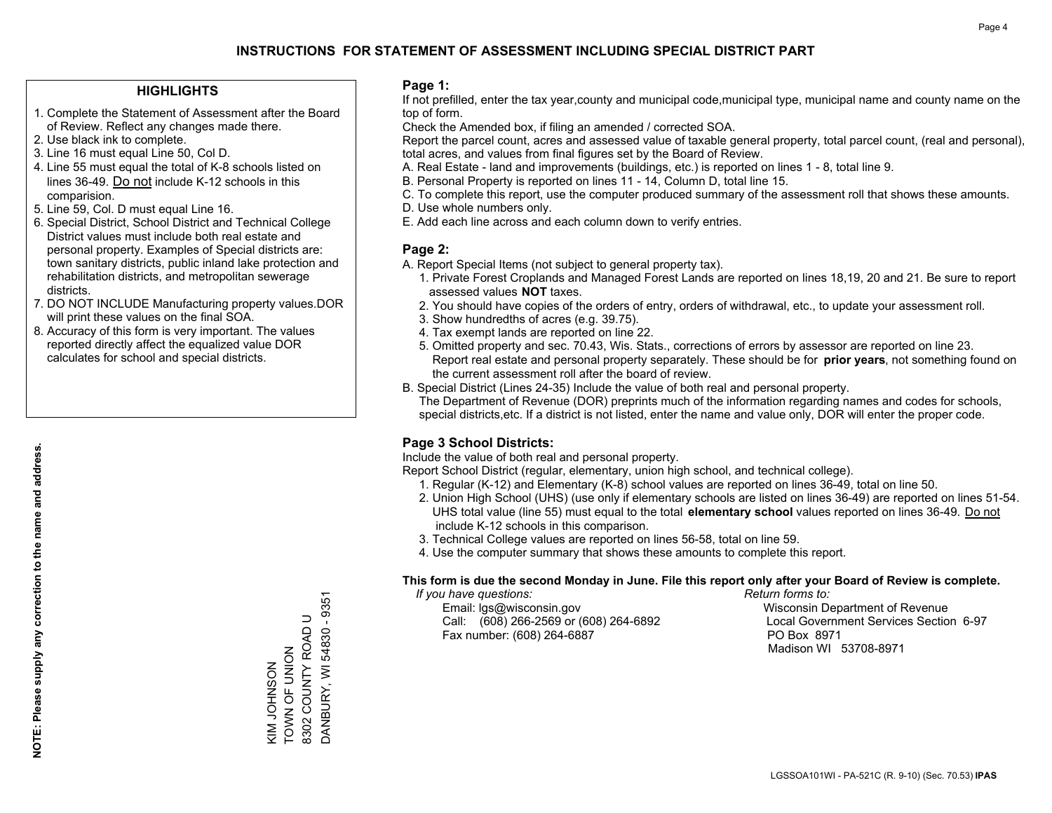## **HIGHLIGHTS**

- 1. Complete the Statement of Assessment after the Board of Review. Reflect any changes made there.
- 2. Use black ink to complete.
- 3. Line 16 must equal Line 50, Col D.
- 4. Line 55 must equal the total of K-8 schools listed on lines 36-49. Do not include K-12 schools in this comparision.
- 5. Line 59, Col. D must equal Line 16.
- 6. Special District, School District and Technical College District values must include both real estate and personal property. Examples of Special districts are: town sanitary districts, public inland lake protection and rehabilitation districts, and metropolitan sewerage districts.
- 7. DO NOT INCLUDE Manufacturing property values.DOR will print these values on the final SOA.

KIM JOHNSON TOWN OF UNION 8302 COUNTY ROAD U DANBURY, WI 54830 - 9351

KIM JOHNSON<br>TOWN OF UNION

DANBURY, WI 54830 - 9351 8302 COUNTY ROAD U

 8. Accuracy of this form is very important. The values reported directly affect the equalized value DOR calculates for school and special districts.

### **Page 1:**

 If not prefilled, enter the tax year,county and municipal code,municipal type, municipal name and county name on the top of form.

Check the Amended box, if filing an amended / corrected SOA.

 Report the parcel count, acres and assessed value of taxable general property, total parcel count, (real and personal), total acres, and values from final figures set by the Board of Review.

- A. Real Estate land and improvements (buildings, etc.) is reported on lines 1 8, total line 9.
- B. Personal Property is reported on lines 11 14, Column D, total line 15.
- C. To complete this report, use the computer produced summary of the assessment roll that shows these amounts.
- D. Use whole numbers only.
- E. Add each line across and each column down to verify entries.

## **Page 2:**

- A. Report Special Items (not subject to general property tax).
- 1. Private Forest Croplands and Managed Forest Lands are reported on lines 18,19, 20 and 21. Be sure to report assessed values **NOT** taxes.
- 2. You should have copies of the orders of entry, orders of withdrawal, etc., to update your assessment roll.
	- 3. Show hundredths of acres (e.g. 39.75).
- 4. Tax exempt lands are reported on line 22.
- 5. Omitted property and sec. 70.43, Wis. Stats., corrections of errors by assessor are reported on line 23. Report real estate and personal property separately. These should be for **prior years**, not something found on the current assessment roll after the board of review.
- B. Special District (Lines 24-35) Include the value of both real and personal property.

 The Department of Revenue (DOR) preprints much of the information regarding names and codes for schools, special districts,etc. If a district is not listed, enter the name and value only, DOR will enter the proper code.

## **Page 3 School Districts:**

Include the value of both real and personal property.

Report School District (regular, elementary, union high school, and technical college).

- 1. Regular (K-12) and Elementary (K-8) school values are reported on lines 36-49, total on line 50.
- 2. Union High School (UHS) (use only if elementary schools are listed on lines 36-49) are reported on lines 51-54. UHS total value (line 55) must equal to the total **elementary school** values reported on lines 36-49. Do notinclude K-12 schools in this comparison.
- 3. Technical College values are reported on lines 56-58, total on line 59.
- 4. Use the computer summary that shows these amounts to complete this report.

### **This form is due the second Monday in June. File this report only after your Board of Review is complete.**

 *If you have questions: Return forms to:*

 Email: lgs@wisconsin.gov Wisconsin Department of RevenueCall:  $(608)$  266-2569 or  $(608)$  264-6892 Fax number: (608) 264-6887 PO Box 8971

Local Government Services Section 6-97 Madison WI 53708-8971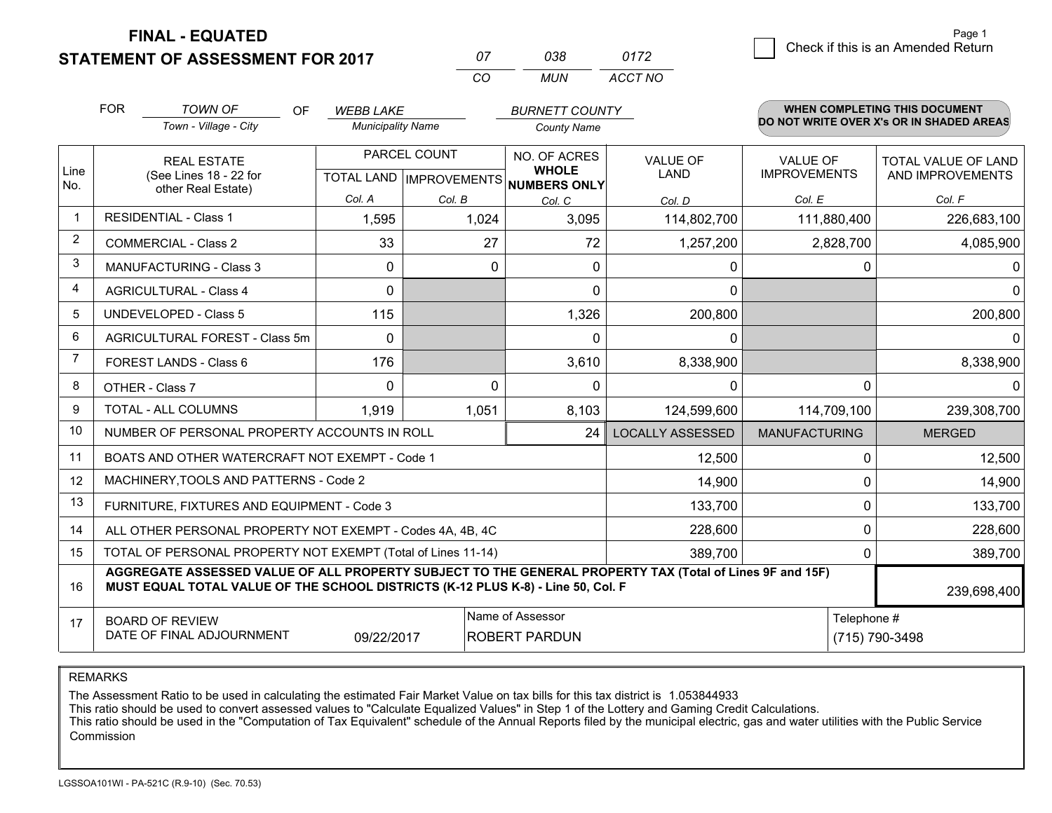**FINAL - EQUATED**

**STATEMENT OF ASSESSMENT FOR 2017** 

| $\mathcal{L}$ | กวล | 0172    |
|---------------|-----|---------|
| $\cdots$      | MUN | ACCT NO |

|                | <b>FOR</b>                                                                                                                                                                                   | <b>TOWN OF</b><br>OF                                                                                                                           | <b>WEBB LAKE</b>                          |          | <b>BURNETT COUNTY</b>        |                                |                                 | <b>WHEN COMPLETING THIS DOCUMENT</b>     |
|----------------|----------------------------------------------------------------------------------------------------------------------------------------------------------------------------------------------|------------------------------------------------------------------------------------------------------------------------------------------------|-------------------------------------------|----------|------------------------------|--------------------------------|---------------------------------|------------------------------------------|
|                |                                                                                                                                                                                              | Town - Village - City                                                                                                                          | <b>Municipality Name</b>                  |          | <b>County Name</b>           |                                |                                 | DO NOT WRITE OVER X's OR IN SHADED AREAS |
| Line           |                                                                                                                                                                                              | <b>REAL ESTATE</b><br>(See Lines 18 - 22 for                                                                                                   | PARCEL COUNT<br>TOTAL LAND   IMPROVEMENTS |          | NO. OF ACRES<br><b>WHOLE</b> | <b>VALUE OF</b><br><b>LAND</b> | VALUE OF<br><b>IMPROVEMENTS</b> | TOTAL VALUE OF LAND<br>AND IMPROVEMENTS  |
| No.            |                                                                                                                                                                                              | other Real Estate)                                                                                                                             | Col. A                                    | Col. B   | NUMBERS ONLY<br>Col. C       | Col. D                         | Col. E                          | Col. F                                   |
| $\mathbf 1$    | <b>RESIDENTIAL - Class 1</b>                                                                                                                                                                 |                                                                                                                                                | 1,595                                     | 1,024    | 3,095                        | 114,802,700                    | 111,880,400                     | 226,683,100                              |
| $\overline{2}$ |                                                                                                                                                                                              | <b>COMMERCIAL - Class 2</b>                                                                                                                    | 33                                        | 27       | 72                           | 1,257,200                      | 2,828,700                       | 4,085,900                                |
| 3              |                                                                                                                                                                                              | MANUFACTURING - Class 3                                                                                                                        | $\Omega$                                  | $\Omega$ | $\Omega$                     | 0                              | 0                               | $\mathbf{0}$                             |
| 4              |                                                                                                                                                                                              | <b>AGRICULTURAL - Class 4</b>                                                                                                                  | 0                                         |          | $\Omega$                     | 0                              |                                 | $\Omega$                                 |
| 5              |                                                                                                                                                                                              | <b>UNDEVELOPED - Class 5</b>                                                                                                                   | 115                                       |          | 1,326                        | 200,800                        |                                 | 200,800                                  |
| 6              |                                                                                                                                                                                              | AGRICULTURAL FOREST - Class 5m                                                                                                                 | $\Omega$                                  |          | $\Omega$                     | 0                              |                                 | $\mathbf{0}$                             |
| 7              |                                                                                                                                                                                              | FOREST LANDS - Class 6                                                                                                                         | 176                                       |          | 3,610                        | 8,338,900                      |                                 | 8,338,900                                |
| 8              |                                                                                                                                                                                              | OTHER - Class 7                                                                                                                                | $\Omega$                                  | $\Omega$ | $\Omega$                     | $\Omega$                       | $\Omega$                        | $\Omega$                                 |
| 9              |                                                                                                                                                                                              | TOTAL - ALL COLUMNS                                                                                                                            | 1,919                                     | 1,051    | 8,103                        | 124,599,600                    | 114,709,100                     | 239,308,700                              |
| 10             |                                                                                                                                                                                              | NUMBER OF PERSONAL PROPERTY ACCOUNTS IN ROLL                                                                                                   |                                           |          | 24                           | <b>LOCALLY ASSESSED</b>        | <b>MANUFACTURING</b>            | <b>MERGED</b>                            |
| 11             |                                                                                                                                                                                              | BOATS AND OTHER WATERCRAFT NOT EXEMPT - Code 1                                                                                                 |                                           |          |                              | 12,500                         | 0                               | 12,500                                   |
| 12             |                                                                                                                                                                                              | MACHINERY, TOOLS AND PATTERNS - Code 2                                                                                                         |                                           |          |                              | 14,900                         | 0                               | 14,900                                   |
| 13             |                                                                                                                                                                                              | FURNITURE, FIXTURES AND EQUIPMENT - Code 3                                                                                                     |                                           |          |                              | 133,700                        | $\mathbf 0$                     | 133,700                                  |
| 14             |                                                                                                                                                                                              | ALL OTHER PERSONAL PROPERTY NOT EXEMPT - Codes 4A, 4B, 4C                                                                                      |                                           |          |                              | 228,600                        | $\Omega$                        | 228,600                                  |
| 15             |                                                                                                                                                                                              | TOTAL OF PERSONAL PROPERTY NOT EXEMPT (Total of Lines 11-14)                                                                                   |                                           |          |                              | 389,700                        | $\Omega$                        | 389,700                                  |
| 16             | AGGREGATE ASSESSED VALUE OF ALL PROPERTY SUBJECT TO THE GENERAL PROPERTY TAX (Total of Lines 9F and 15F)<br>MUST EQUAL TOTAL VALUE OF THE SCHOOL DISTRICTS (K-12 PLUS K-8) - Line 50, Col. F |                                                                                                                                                |                                           |          |                              |                                | 239,698,400                     |                                          |
| 17             |                                                                                                                                                                                              | Name of Assessor<br>Telephone #<br><b>BOARD OF REVIEW</b><br>DATE OF FINAL ADJOURNMENT<br>09/22/2017<br><b>ROBERT PARDUN</b><br>(715) 790-3498 |                                           |          |                              |                                |                                 |                                          |

REMARKS

The Assessment Ratio to be used in calculating the estimated Fair Market Value on tax bills for this tax district is 1.053844933<br>This ratio should be used to convert assessed values to "Calculate Equalized Values" in Step Commission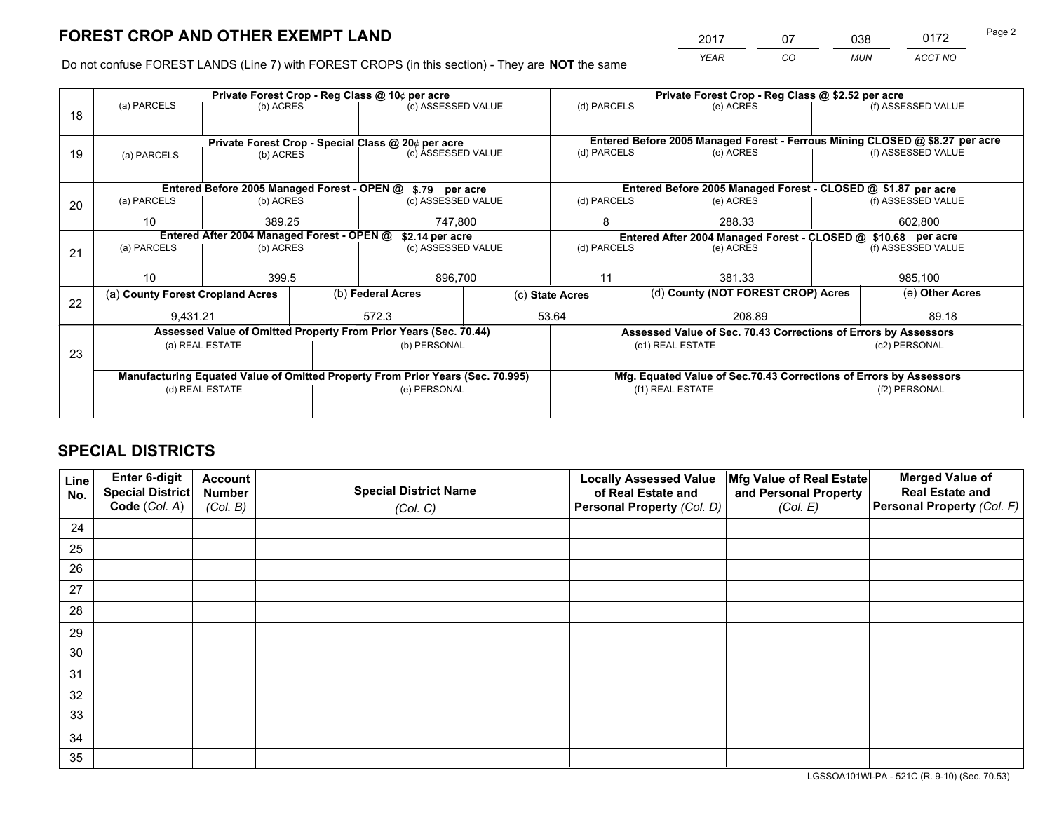*YEAR CO MUN ACCT NO* <sup>2017</sup> <sup>07</sup> <sup>038</sup> <sup>0172</sup> Page 2

Do not confuse FOREST LANDS (Line 7) with FOREST CROPS (in this section) - They are **NOT** the same

|                                            |                   |                                                                                    |                                                  |                                                               | Private Forest Crop - Reg Class @ \$2.52 per acre                                                                                                                                                                                                                                                                                                                                                                 |                          |                  |                                                                                                                                                                                                                                              |  |
|--------------------------------------------|-------------------|------------------------------------------------------------------------------------|--------------------------------------------------|---------------------------------------------------------------|-------------------------------------------------------------------------------------------------------------------------------------------------------------------------------------------------------------------------------------------------------------------------------------------------------------------------------------------------------------------------------------------------------------------|--------------------------|------------------|----------------------------------------------------------------------------------------------------------------------------------------------------------------------------------------------------------------------------------------------|--|
|                                            |                   |                                                                                    |                                                  |                                                               | (d) PARCELS                                                                                                                                                                                                                                                                                                                                                                                                       | (e) ACRES                |                  | (f) ASSESSED VALUE                                                                                                                                                                                                                           |  |
|                                            |                   |                                                                                    |                                                  |                                                               |                                                                                                                                                                                                                                                                                                                                                                                                                   |                          |                  |                                                                                                                                                                                                                                              |  |
|                                            |                   |                                                                                    |                                                  |                                                               | Entered Before 2005 Managed Forest - Ferrous Mining CLOSED @ \$8.27 per acre                                                                                                                                                                                                                                                                                                                                      |                          |                  |                                                                                                                                                                                                                                              |  |
| (a) PARCELS                                |                   |                                                                                    |                                                  |                                                               | (d) PARCELS                                                                                                                                                                                                                                                                                                                                                                                                       | (e) ACRES                |                  | (f) ASSESSED VALUE                                                                                                                                                                                                                           |  |
|                                            |                   |                                                                                    |                                                  |                                                               |                                                                                                                                                                                                                                                                                                                                                                                                                   |                          |                  |                                                                                                                                                                                                                                              |  |
|                                            |                   |                                                                                    |                                                  |                                                               |                                                                                                                                                                                                                                                                                                                                                                                                                   |                          |                  |                                                                                                                                                                                                                                              |  |
| (a) PARCELS                                |                   |                                                                                    |                                                  |                                                               | (d) PARCELS                                                                                                                                                                                                                                                                                                                                                                                                       | (e) ACRES                |                  | (f) ASSESSED VALUE                                                                                                                                                                                                                           |  |
| 10 <sup>1</sup>                            | 389.25<br>747,800 |                                                                                    |                                                  | 8                                                             | 288.33                                                                                                                                                                                                                                                                                                                                                                                                            |                          | 602,800          |                                                                                                                                                                                                                                              |  |
| Entered After 2004 Managed Forest - OPEN @ |                   |                                                                                    |                                                  | Entered After 2004 Managed Forest - CLOSED @ \$10.68 per acre |                                                                                                                                                                                                                                                                                                                                                                                                                   |                          |                  |                                                                                                                                                                                                                                              |  |
| (a) PARCELS                                |                   |                                                                                    |                                                  |                                                               | (d) PARCELS                                                                                                                                                                                                                                                                                                                                                                                                       | (e) ACRES                |                  | (f) ASSESSED VALUE                                                                                                                                                                                                                           |  |
|                                            |                   |                                                                                    |                                                  |                                                               |                                                                                                                                                                                                                                                                                                                                                                                                                   |                          |                  |                                                                                                                                                                                                                                              |  |
| 10 <sup>1</sup>                            | 399.5             |                                                                                    | 896,700                                          |                                                               | 11                                                                                                                                                                                                                                                                                                                                                                                                                | 381.33                   |                  | 985,100                                                                                                                                                                                                                                      |  |
|                                            |                   |                                                                                    | (b) Federal Acres                                |                                                               |                                                                                                                                                                                                                                                                                                                                                                                                                   |                          |                  | (e) Other Acres                                                                                                                                                                                                                              |  |
|                                            |                   |                                                                                    | 572.3                                            |                                                               | 208.89                                                                                                                                                                                                                                                                                                                                                                                                            |                          |                  | 89.18                                                                                                                                                                                                                                        |  |
|                                            |                   |                                                                                    |                                                  |                                                               |                                                                                                                                                                                                                                                                                                                                                                                                                   |                          |                  |                                                                                                                                                                                                                                              |  |
|                                            |                   |                                                                                    |                                                  |                                                               |                                                                                                                                                                                                                                                                                                                                                                                                                   |                          |                  | (c2) PERSONAL                                                                                                                                                                                                                                |  |
|                                            |                   |                                                                                    |                                                  |                                                               |                                                                                                                                                                                                                                                                                                                                                                                                                   |                          |                  |                                                                                                                                                                                                                                              |  |
|                                            |                   |                                                                                    |                                                  |                                                               |                                                                                                                                                                                                                                                                                                                                                                                                                   |                          |                  |                                                                                                                                                                                                                                              |  |
|                                            |                   |                                                                                    |                                                  |                                                               | (f1) REAL ESTATE                                                                                                                                                                                                                                                                                                                                                                                                  |                          |                  | (f2) PERSONAL                                                                                                                                                                                                                                |  |
|                                            |                   |                                                                                    |                                                  |                                                               |                                                                                                                                                                                                                                                                                                                                                                                                                   |                          |                  |                                                                                                                                                                                                                                              |  |
|                                            | (a) PARCELS       | (a) County Forest Cropland Acres<br>9.431.21<br>(a) REAL ESTATE<br>(d) REAL ESTATE | (b) ACRES<br>(b) ACRES<br>(b) ACRES<br>(b) ACRES | Private Forest Crop - Reg Class @ 10¢ per acre                | (c) ASSESSED VALUE<br>Private Forest Crop - Special Class @ 20¢ per acre<br>(c) ASSESSED VALUE<br>Entered Before 2005 Managed Forest - OPEN @ \$.79 per acre<br>(c) ASSESSED VALUE<br>\$2.14 per acre<br>(c) ASSESSED VALUE<br>Assessed Value of Omitted Property From Prior Years (Sec. 70.44)<br>(b) PERSONAL<br>Manufacturing Equated Value of Omitted Property From Prior Years (Sec. 70.995)<br>(e) PERSONAL | (c) State Acres<br>53.64 | (c1) REAL ESTATE | Entered Before 2005 Managed Forest - CLOSED @ \$1.87 per acre<br>(d) County (NOT FOREST CROP) Acres<br>Assessed Value of Sec. 70.43 Corrections of Errors by Assessors<br>Mfg. Equated Value of Sec.70.43 Corrections of Errors by Assessors |  |

## **SPECIAL DISTRICTS**

| Line<br>No. | Enter 6-digit<br>Special District<br>Code (Col. A) | <b>Account</b><br><b>Number</b><br>(Col. B) | <b>Special District Name</b><br>(Col. C) | <b>Locally Assessed Value</b><br>of Real Estate and<br>Personal Property (Col. D) | Mfg Value of Real Estate<br>and Personal Property<br>(Col. E) | <b>Merged Value of</b><br><b>Real Estate and</b><br>Personal Property (Col. F) |
|-------------|----------------------------------------------------|---------------------------------------------|------------------------------------------|-----------------------------------------------------------------------------------|---------------------------------------------------------------|--------------------------------------------------------------------------------|
| 24          |                                                    |                                             |                                          |                                                                                   |                                                               |                                                                                |
| 25          |                                                    |                                             |                                          |                                                                                   |                                                               |                                                                                |
| 26          |                                                    |                                             |                                          |                                                                                   |                                                               |                                                                                |
| 27          |                                                    |                                             |                                          |                                                                                   |                                                               |                                                                                |
| 28          |                                                    |                                             |                                          |                                                                                   |                                                               |                                                                                |
| 29          |                                                    |                                             |                                          |                                                                                   |                                                               |                                                                                |
| 30          |                                                    |                                             |                                          |                                                                                   |                                                               |                                                                                |
| 31          |                                                    |                                             |                                          |                                                                                   |                                                               |                                                                                |
| 32          |                                                    |                                             |                                          |                                                                                   |                                                               |                                                                                |
| 33          |                                                    |                                             |                                          |                                                                                   |                                                               |                                                                                |
| 34          |                                                    |                                             |                                          |                                                                                   |                                                               |                                                                                |
| 35          |                                                    |                                             |                                          |                                                                                   |                                                               |                                                                                |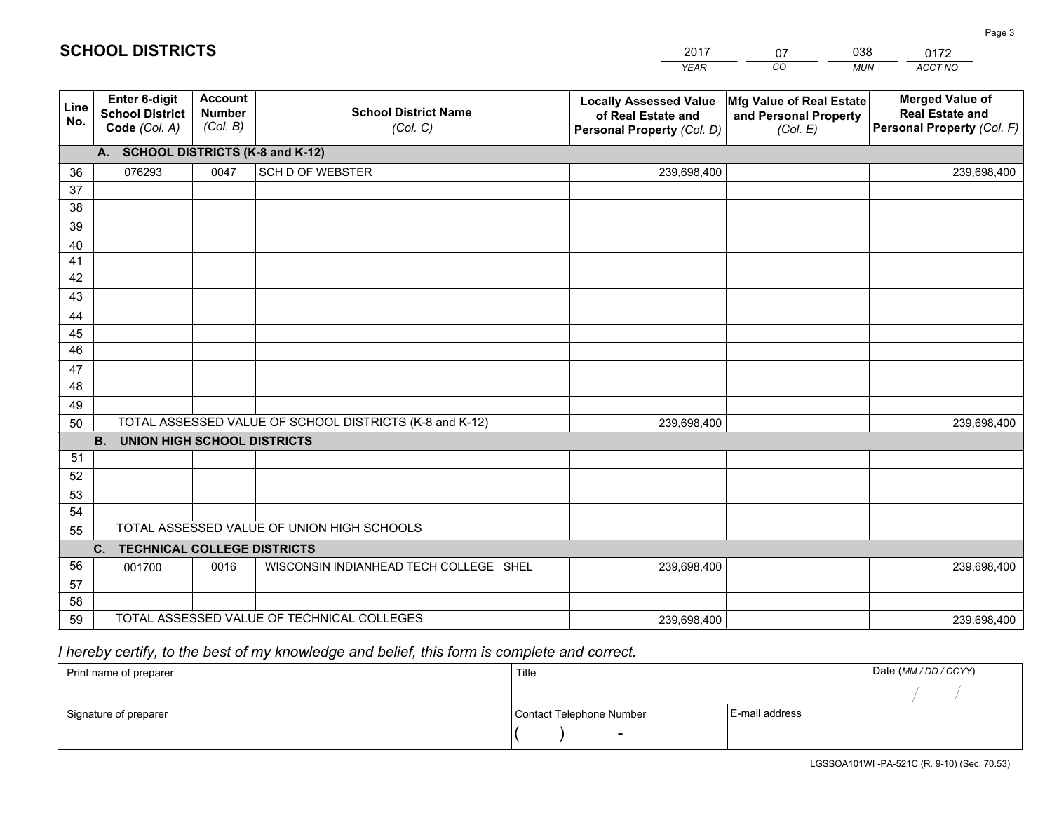|             |                                                                 |                                             |                                                         | <b>YEAR</b>                                                                       | CO<br><b>MUN</b>                                              | ACCT NO                                                                        |
|-------------|-----------------------------------------------------------------|---------------------------------------------|---------------------------------------------------------|-----------------------------------------------------------------------------------|---------------------------------------------------------------|--------------------------------------------------------------------------------|
| Line<br>No. | <b>Enter 6-digit</b><br><b>School District</b><br>Code (Col. A) | <b>Account</b><br><b>Number</b><br>(Col. B) | <b>School District Name</b><br>(Col. C)                 | <b>Locally Assessed Value</b><br>of Real Estate and<br>Personal Property (Col. D) | Mfg Value of Real Estate<br>and Personal Property<br>(Col. E) | <b>Merged Value of</b><br><b>Real Estate and</b><br>Personal Property (Col. F) |
|             | A. SCHOOL DISTRICTS (K-8 and K-12)                              |                                             |                                                         |                                                                                   |                                                               |                                                                                |
| 36          | 076293                                                          | 0047                                        | <b>SCH D OF WEBSTER</b>                                 | 239,698,400                                                                       |                                                               | 239,698,400                                                                    |
| 37          |                                                                 |                                             |                                                         |                                                                                   |                                                               |                                                                                |
| 38          |                                                                 |                                             |                                                         |                                                                                   |                                                               |                                                                                |
| 39          |                                                                 |                                             |                                                         |                                                                                   |                                                               |                                                                                |
| 40          |                                                                 |                                             |                                                         |                                                                                   |                                                               |                                                                                |
| 41          |                                                                 |                                             |                                                         |                                                                                   |                                                               |                                                                                |
| 42          |                                                                 |                                             |                                                         |                                                                                   |                                                               |                                                                                |
| 43          |                                                                 |                                             |                                                         |                                                                                   |                                                               |                                                                                |
| 44<br>45    |                                                                 |                                             |                                                         |                                                                                   |                                                               |                                                                                |
| 46          |                                                                 |                                             |                                                         |                                                                                   |                                                               |                                                                                |
| 47          |                                                                 |                                             |                                                         |                                                                                   |                                                               |                                                                                |
| 48          |                                                                 |                                             |                                                         |                                                                                   |                                                               |                                                                                |
| 49          |                                                                 |                                             |                                                         |                                                                                   |                                                               |                                                                                |
| 50          |                                                                 |                                             | TOTAL ASSESSED VALUE OF SCHOOL DISTRICTS (K-8 and K-12) | 239,698,400                                                                       |                                                               | 239,698,400                                                                    |
|             | <b>B.</b><br><b>UNION HIGH SCHOOL DISTRICTS</b>                 |                                             |                                                         |                                                                                   |                                                               |                                                                                |
| 51          |                                                                 |                                             |                                                         |                                                                                   |                                                               |                                                                                |
| 52          |                                                                 |                                             |                                                         |                                                                                   |                                                               |                                                                                |
| 53          |                                                                 |                                             |                                                         |                                                                                   |                                                               |                                                                                |
| 54          |                                                                 |                                             |                                                         |                                                                                   |                                                               |                                                                                |
| 55          |                                                                 |                                             | TOTAL ASSESSED VALUE OF UNION HIGH SCHOOLS              |                                                                                   |                                                               |                                                                                |
|             | C.<br><b>TECHNICAL COLLEGE DISTRICTS</b>                        |                                             |                                                         |                                                                                   |                                                               |                                                                                |
| 56          | 001700                                                          | 0016                                        | WISCONSIN INDIANHEAD TECH COLLEGE SHEL                  | 239,698,400                                                                       |                                                               | 239,698,400                                                                    |
| 57          |                                                                 |                                             |                                                         |                                                                                   |                                                               |                                                                                |
| 58          |                                                                 |                                             |                                                         |                                                                                   |                                                               |                                                                                |
| 59          |                                                                 |                                             | TOTAL ASSESSED VALUE OF TECHNICAL COLLEGES              | 239,698,400                                                                       |                                                               | 239,698,400                                                                    |

2017

07

038

# *I hereby certify, to the best of my knowledge and belief, this form is complete and correct.*

**SCHOOL DISTRICTS**

| Print name of preparer | Title                    | Date (MM / DD / CCYY) |  |
|------------------------|--------------------------|-----------------------|--|
|                        |                          |                       |  |
| Signature of preparer  | Contact Telephone Number | E-mail address        |  |
|                        | $\overline{\phantom{0}}$ |                       |  |

0172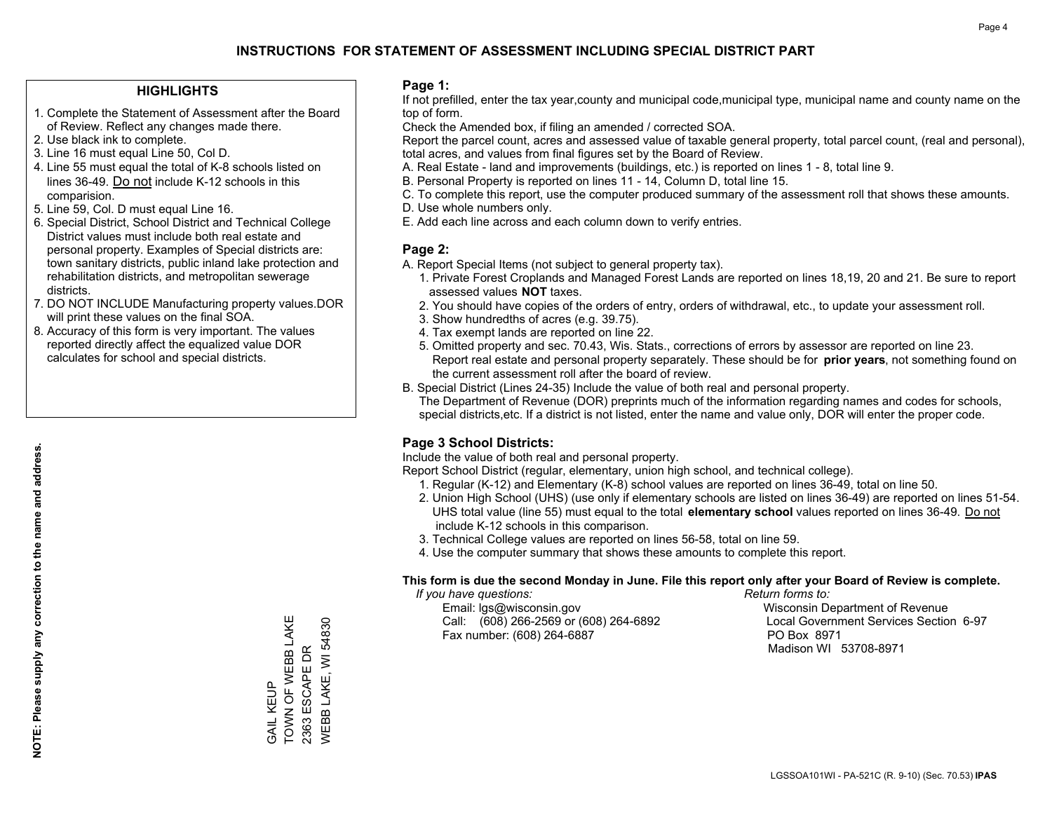### **HIGHLIGHTS**

- 1. Complete the Statement of Assessment after the Board of Review. Reflect any changes made there.
- 2. Use black ink to complete.
- 3. Line 16 must equal Line 50, Col D.
- 4. Line 55 must equal the total of K-8 schools listed on lines 36-49. Do not include K-12 schools in this comparision.
- 5. Line 59, Col. D must equal Line 16.
- 6. Special District, School District and Technical College District values must include both real estate and personal property. Examples of Special districts are: town sanitary districts, public inland lake protection and rehabilitation districts, and metropolitan sewerage districts.
- 7. DO NOT INCLUDE Manufacturing property values.DOR will print these values on the final SOA.
- 8. Accuracy of this form is very important. The values reported directly affect the equalized value DOR calculates for school and special districts.

### **Page 1:**

 If not prefilled, enter the tax year,county and municipal code,municipal type, municipal name and county name on the top of form.

Check the Amended box, if filing an amended / corrected SOA.

 Report the parcel count, acres and assessed value of taxable general property, total parcel count, (real and personal), total acres, and values from final figures set by the Board of Review.

- A. Real Estate land and improvements (buildings, etc.) is reported on lines 1 8, total line 9.
- B. Personal Property is reported on lines 11 14, Column D, total line 15.
- C. To complete this report, use the computer produced summary of the assessment roll that shows these amounts.
- D. Use whole numbers only.
- E. Add each line across and each column down to verify entries.

### **Page 2:**

- A. Report Special Items (not subject to general property tax).
- 1. Private Forest Croplands and Managed Forest Lands are reported on lines 18,19, 20 and 21. Be sure to report assessed values **NOT** taxes.
- 2. You should have copies of the orders of entry, orders of withdrawal, etc., to update your assessment roll.
	- 3. Show hundredths of acres (e.g. 39.75).
- 4. Tax exempt lands are reported on line 22.
- 5. Omitted property and sec. 70.43, Wis. Stats., corrections of errors by assessor are reported on line 23. Report real estate and personal property separately. These should be for **prior years**, not something found on the current assessment roll after the board of review.
- B. Special District (Lines 24-35) Include the value of both real and personal property.
- The Department of Revenue (DOR) preprints much of the information regarding names and codes for schools, special districts,etc. If a district is not listed, enter the name and value only, DOR will enter the proper code.

### **Page 3 School Districts:**

Include the value of both real and personal property.

Report School District (regular, elementary, union high school, and technical college).

- 1. Regular (K-12) and Elementary (K-8) school values are reported on lines 36-49, total on line 50.
- 2. Union High School (UHS) (use only if elementary schools are listed on lines 36-49) are reported on lines 51-54. UHS total value (line 55) must equal to the total **elementary school** values reported on lines 36-49. Do notinclude K-12 schools in this comparison.
- 3. Technical College values are reported on lines 56-58, total on line 59.
- 4. Use the computer summary that shows these amounts to complete this report.

### **This form is due the second Monday in June. File this report only after your Board of Review is complete.**

 *If you have questions: Return forms to:*

 Email: lgs@wisconsin.gov Wisconsin Department of RevenueCall:  $(608)$  266-2569 or  $(608)$  264-6892 Fax number: (608) 264-6887 PO Box 8971

Local Government Services Section 6-97 Madison WI 53708-8971

LGSSOA101WI - PA-521C (R. 9-10) (Sec. 70.53) **IPAS**

TOWN OF WEBB LAKE TOWN OF WEBB LAKE WEBB LAKE, WI 54830 WEBB LAKE, WI 54830 2363 ESCAPE DR 2363 ESCAPE DR GAIL KEUP GAIL KEUP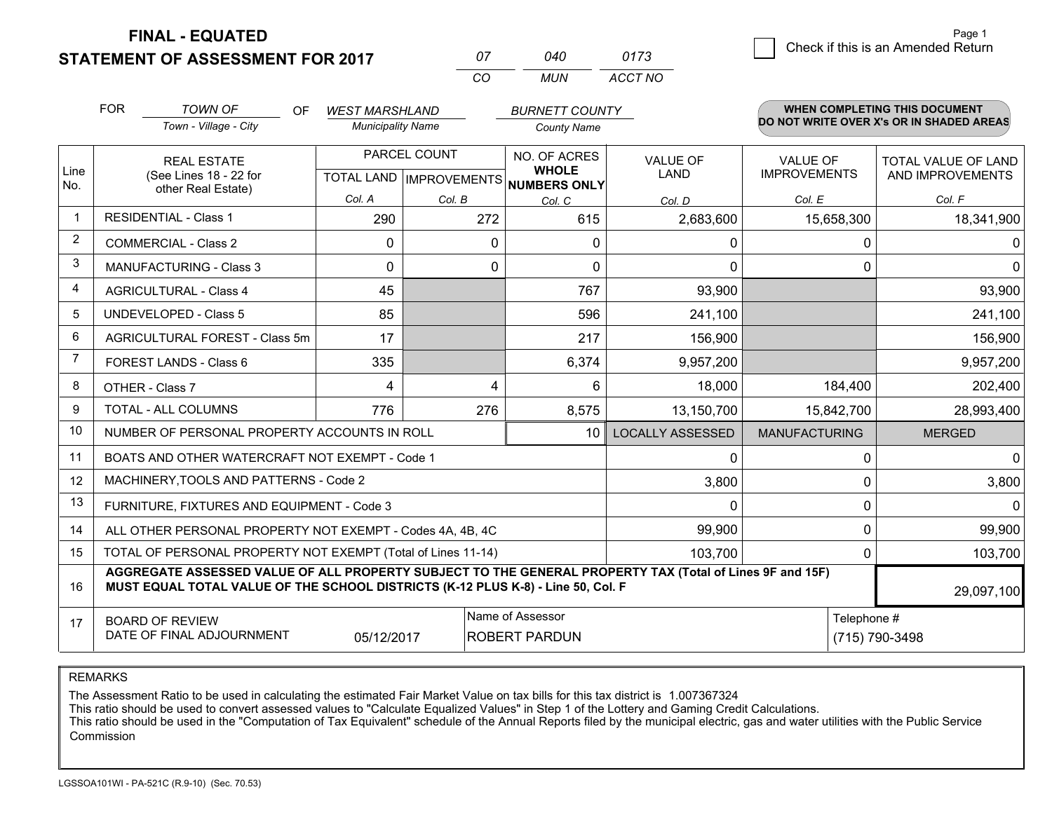**STATEMENT OF ASSESSMENT FOR 2017** 

**FINAL - EQUATED**

| Ω7 | 040  | 0173    |
|----|------|---------|
| rη | MUN. | ACCT NO |

|             | <b>FOR</b>                                                                                                                                                                                   | <b>TOWN OF</b><br><b>OF</b>                                                               | <b>WEST MARSHLAND</b>    |                                                     | <b>BURNETT COUNTY</b>          |                                        |                                         | <b>WHEN COMPLETING THIS DOCUMENT</b>     |
|-------------|----------------------------------------------------------------------------------------------------------------------------------------------------------------------------------------------|-------------------------------------------------------------------------------------------|--------------------------|-----------------------------------------------------|--------------------------------|----------------------------------------|-----------------------------------------|------------------------------------------|
|             |                                                                                                                                                                                              | Town - Village - City                                                                     | <b>Municipality Name</b> |                                                     | <b>County Name</b>             |                                        |                                         | DO NOT WRITE OVER X's OR IN SHADED AREAS |
| Line<br>No. |                                                                                                                                                                                              | PARCEL COUNT<br><b>REAL ESTATE</b><br>(See Lines 18 - 22 for<br>TOTAL LAND   IMPROVEMENTS |                          | NO. OF ACRES<br><b>WHOLE</b><br><b>NUMBERS ONLY</b> | <b>VALUE OF</b><br><b>LAND</b> | <b>VALUE OF</b><br><b>IMPROVEMENTS</b> | TOTAL VALUE OF LAND<br>AND IMPROVEMENTS |                                          |
|             |                                                                                                                                                                                              | other Real Estate)                                                                        | Col. A                   | Col. B                                              | Col. C                         | Col. D                                 | Col. E                                  | Col. F                                   |
| $\mathbf 1$ |                                                                                                                                                                                              | <b>RESIDENTIAL - Class 1</b>                                                              | 290                      | 272                                                 | 615                            | 2,683,600                              | 15,658,300                              | 18,341,900                               |
| 2           |                                                                                                                                                                                              | <b>COMMERCIAL - Class 2</b>                                                               | $\Omega$                 | $\Omega$                                            | $\Omega$                       | 0                                      | 0                                       | $\Omega$                                 |
| 3           |                                                                                                                                                                                              | MANUFACTURING - Class 3                                                                   | $\Omega$                 | $\Omega$                                            | $\Omega$                       | 0                                      | $\Omega$                                | $\overline{0}$                           |
| 4           |                                                                                                                                                                                              | <b>AGRICULTURAL - Class 4</b>                                                             | 45                       |                                                     | 767                            | 93,900                                 |                                         | 93,900                                   |
| 5           |                                                                                                                                                                                              | <b>UNDEVELOPED - Class 5</b>                                                              | 85                       |                                                     | 596                            | 241,100                                |                                         | 241,100                                  |
| 6           |                                                                                                                                                                                              | AGRICULTURAL FOREST - Class 5m                                                            | 17                       |                                                     | 217                            | 156,900                                |                                         | 156,900                                  |
| 7           |                                                                                                                                                                                              | FOREST LANDS - Class 6                                                                    | 335                      |                                                     | 6,374                          | 9,957,200                              |                                         | 9,957,200                                |
| 8           |                                                                                                                                                                                              | OTHER - Class 7                                                                           | 4                        | 4                                                   | 6                              | 18,000                                 | 184,400                                 | 202,400                                  |
| 9           |                                                                                                                                                                                              | TOTAL - ALL COLUMNS                                                                       | 776                      | 276                                                 | 8,575                          | 13,150,700                             | 15,842,700                              | 28,993,400                               |
| 10          |                                                                                                                                                                                              | NUMBER OF PERSONAL PROPERTY ACCOUNTS IN ROLL                                              |                          |                                                     | 10 <sup>1</sup>                | <b>LOCALLY ASSESSED</b>                | <b>MANUFACTURING</b>                    | <b>MERGED</b>                            |
| 11          |                                                                                                                                                                                              | BOATS AND OTHER WATERCRAFT NOT EXEMPT - Code 1                                            |                          |                                                     |                                | 0                                      | 0                                       | $\overline{0}$                           |
| 12          |                                                                                                                                                                                              | MACHINERY, TOOLS AND PATTERNS - Code 2                                                    |                          |                                                     |                                | 3,800                                  | 0                                       | 3,800                                    |
| 13          |                                                                                                                                                                                              | FURNITURE, FIXTURES AND EQUIPMENT - Code 3                                                |                          |                                                     |                                | 0                                      | 0                                       | $\Omega$                                 |
| 14          |                                                                                                                                                                                              | ALL OTHER PERSONAL PROPERTY NOT EXEMPT - Codes 4A, 4B, 4C                                 |                          |                                                     |                                | 99,900                                 | 0                                       | 99,900                                   |
| 15          | TOTAL OF PERSONAL PROPERTY NOT EXEMPT (Total of Lines 11-14)<br>103,700                                                                                                                      |                                                                                           |                          |                                                     |                                |                                        |                                         | 103,700                                  |
| 16          | AGGREGATE ASSESSED VALUE OF ALL PROPERTY SUBJECT TO THE GENERAL PROPERTY TAX (Total of Lines 9F and 15F)<br>MUST EQUAL TOTAL VALUE OF THE SCHOOL DISTRICTS (K-12 PLUS K-8) - Line 50, Col. F |                                                                                           |                          |                                                     |                                |                                        | 29,097,100                              |                                          |
| 17          | Name of Assessor<br>Telephone #<br><b>BOARD OF REVIEW</b><br>DATE OF FINAL ADJOURNMENT<br>05/12/2017<br><b>ROBERT PARDUN</b><br>(715) 790-3498                                               |                                                                                           |                          |                                                     |                                |                                        |                                         |                                          |

REMARKS

The Assessment Ratio to be used in calculating the estimated Fair Market Value on tax bills for this tax district is 1.007367324

This ratio should be used to convert assessed values to "Calculate Equalized Values" in Step 1 of the Lottery and Gaming Credit Calculations.<br>This ratio should be used in the "Computation of Tax Equivalent" schedule of the Commission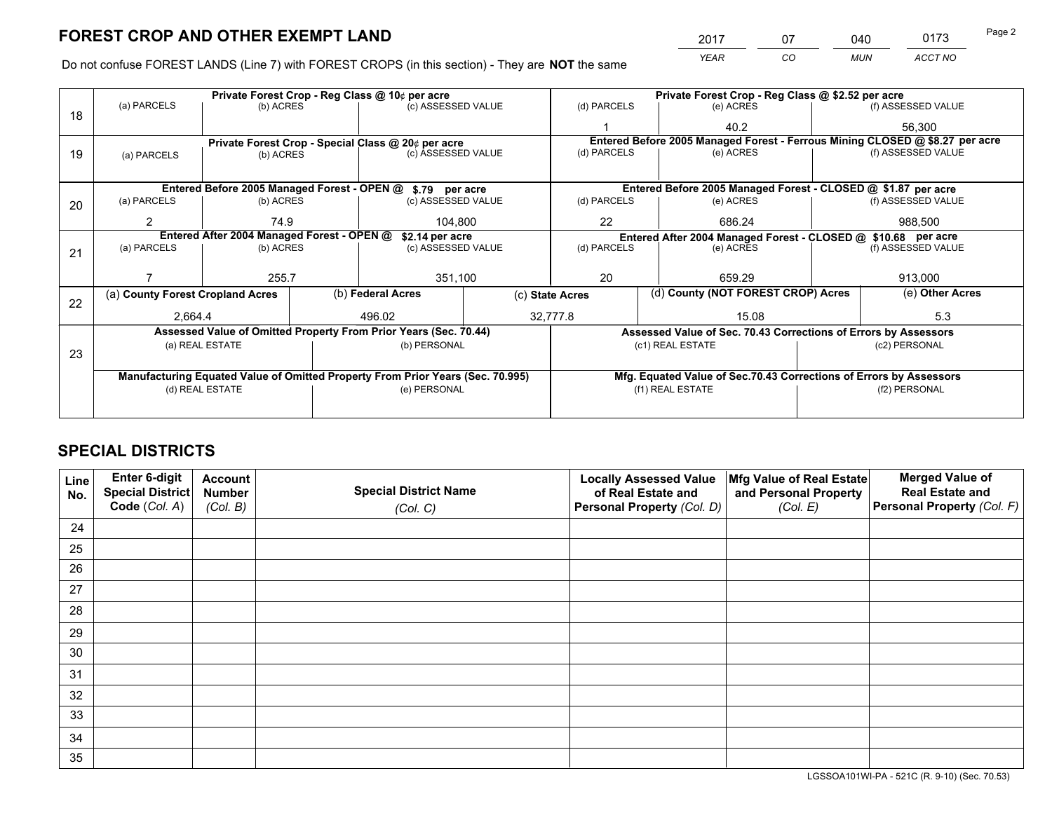*YEAR CO MUN ACCT NO* <sup>2017</sup> <sup>07</sup> <sup>040</sup> <sup>0173</sup>

Do not confuse FOREST LANDS (Line 7) with FOREST CROPS (in this section) - They are **NOT** the same

|    |                                                                                |                 |  | Private Forest Crop - Reg Class @ 10¢ per acre                   |                 | Private Forest Crop - Reg Class @ \$2.52 per acre             |                                                                              |                                                                    |               |                    |
|----|--------------------------------------------------------------------------------|-----------------|--|------------------------------------------------------------------|-----------------|---------------------------------------------------------------|------------------------------------------------------------------------------|--------------------------------------------------------------------|---------------|--------------------|
| 18 | (a) PARCELS                                                                    | (b) ACRES       |  | (c) ASSESSED VALUE                                               |                 | (d) PARCELS                                                   |                                                                              | (e) ACRES                                                          |               | (f) ASSESSED VALUE |
|    |                                                                                |                 |  |                                                                  |                 |                                                               |                                                                              | 40.2                                                               |               | 56,300             |
|    |                                                                                |                 |  | Private Forest Crop - Special Class @ 20¢ per acre               |                 |                                                               | Entered Before 2005 Managed Forest - Ferrous Mining CLOSED @ \$8.27 per acre |                                                                    |               |                    |
| 19 | (a) PARCELS                                                                    | (b) ACRES       |  | (c) ASSESSED VALUE                                               |                 | (d) PARCELS                                                   |                                                                              | (e) ACRES                                                          |               | (f) ASSESSED VALUE |
|    |                                                                                |                 |  |                                                                  |                 |                                                               |                                                                              |                                                                    |               |                    |
|    |                                                                                |                 |  | Entered Before 2005 Managed Forest - OPEN @ \$.79 per acre       |                 |                                                               |                                                                              | Entered Before 2005 Managed Forest - CLOSED @ \$1.87 per acre      |               |                    |
| 20 | (a) PARCELS                                                                    | (b) ACRES       |  | (c) ASSESSED VALUE                                               |                 | (d) PARCELS                                                   |                                                                              | (e) ACRES                                                          |               | (f) ASSESSED VALUE |
|    | 2                                                                              | 74.9            |  | 104.800                                                          |                 | 22                                                            | 686.24                                                                       |                                                                    | 988,500       |                    |
|    | Entered After 2004 Managed Forest - OPEN @<br>\$2.14 per acre                  |                 |  |                                                                  |                 | Entered After 2004 Managed Forest - CLOSED @ \$10.68 per acre |                                                                              |                                                                    |               |                    |
| 21 | (a) PARCELS                                                                    | (b) ACRES       |  | (c) ASSESSED VALUE                                               |                 | (d) PARCELS<br>(e) ACRES                                      |                                                                              | (f) ASSESSED VALUE                                                 |               |                    |
|    |                                                                                |                 |  |                                                                  |                 |                                                               |                                                                              |                                                                    |               |                    |
|    |                                                                                | 255.7           |  | 351,100                                                          |                 | 20                                                            |                                                                              | 659.29                                                             |               | 913,000            |
| 22 | (a) County Forest Cropland Acres                                               |                 |  | (b) Federal Acres                                                | (c) State Acres |                                                               |                                                                              | (d) County (NOT FOREST CROP) Acres                                 |               | (e) Other Acres    |
|    | 2,664.4                                                                        |                 |  | 496.02                                                           |                 | 32,777.8                                                      | 15.08                                                                        |                                                                    |               | 5.3                |
|    |                                                                                |                 |  | Assessed Value of Omitted Property From Prior Years (Sec. 70.44) |                 |                                                               |                                                                              | Assessed Value of Sec. 70.43 Corrections of Errors by Assessors    |               |                    |
|    |                                                                                | (a) REAL ESTATE |  | (b) PERSONAL                                                     |                 |                                                               |                                                                              | (c1) REAL ESTATE                                                   |               | (c2) PERSONAL      |
| 23 |                                                                                |                 |  |                                                                  |                 |                                                               |                                                                              |                                                                    |               |                    |
|    | Manufacturing Equated Value of Omitted Property From Prior Years (Sec. 70.995) |                 |  |                                                                  |                 |                                                               |                                                                              | Mfg. Equated Value of Sec.70.43 Corrections of Errors by Assessors |               |                    |
|    | (d) REAL ESTATE                                                                |                 |  | (e) PERSONAL                                                     |                 | (f1) REAL ESTATE                                              |                                                                              |                                                                    | (f2) PERSONAL |                    |
|    |                                                                                |                 |  |                                                                  |                 |                                                               |                                                                              |                                                                    |               |                    |

## **SPECIAL DISTRICTS**

| Line<br>No. | Enter 6-digit<br>Special District<br>Code (Col. A) | <b>Account</b><br><b>Number</b><br>(Col. B) | <b>Special District Name</b><br>(Col. C) | <b>Locally Assessed Value</b><br>of Real Estate and<br>Personal Property (Col. D) | Mfg Value of Real Estate<br>and Personal Property<br>(Col. E) | <b>Merged Value of</b><br><b>Real Estate and</b><br>Personal Property (Col. F) |
|-------------|----------------------------------------------------|---------------------------------------------|------------------------------------------|-----------------------------------------------------------------------------------|---------------------------------------------------------------|--------------------------------------------------------------------------------|
| 24          |                                                    |                                             |                                          |                                                                                   |                                                               |                                                                                |
| 25          |                                                    |                                             |                                          |                                                                                   |                                                               |                                                                                |
| 26          |                                                    |                                             |                                          |                                                                                   |                                                               |                                                                                |
| 27          |                                                    |                                             |                                          |                                                                                   |                                                               |                                                                                |
| 28          |                                                    |                                             |                                          |                                                                                   |                                                               |                                                                                |
| 29          |                                                    |                                             |                                          |                                                                                   |                                                               |                                                                                |
| 30          |                                                    |                                             |                                          |                                                                                   |                                                               |                                                                                |
| 31          |                                                    |                                             |                                          |                                                                                   |                                                               |                                                                                |
| 32          |                                                    |                                             |                                          |                                                                                   |                                                               |                                                                                |
| 33          |                                                    |                                             |                                          |                                                                                   |                                                               |                                                                                |
| 34          |                                                    |                                             |                                          |                                                                                   |                                                               |                                                                                |
| 35          |                                                    |                                             |                                          |                                                                                   |                                                               |                                                                                |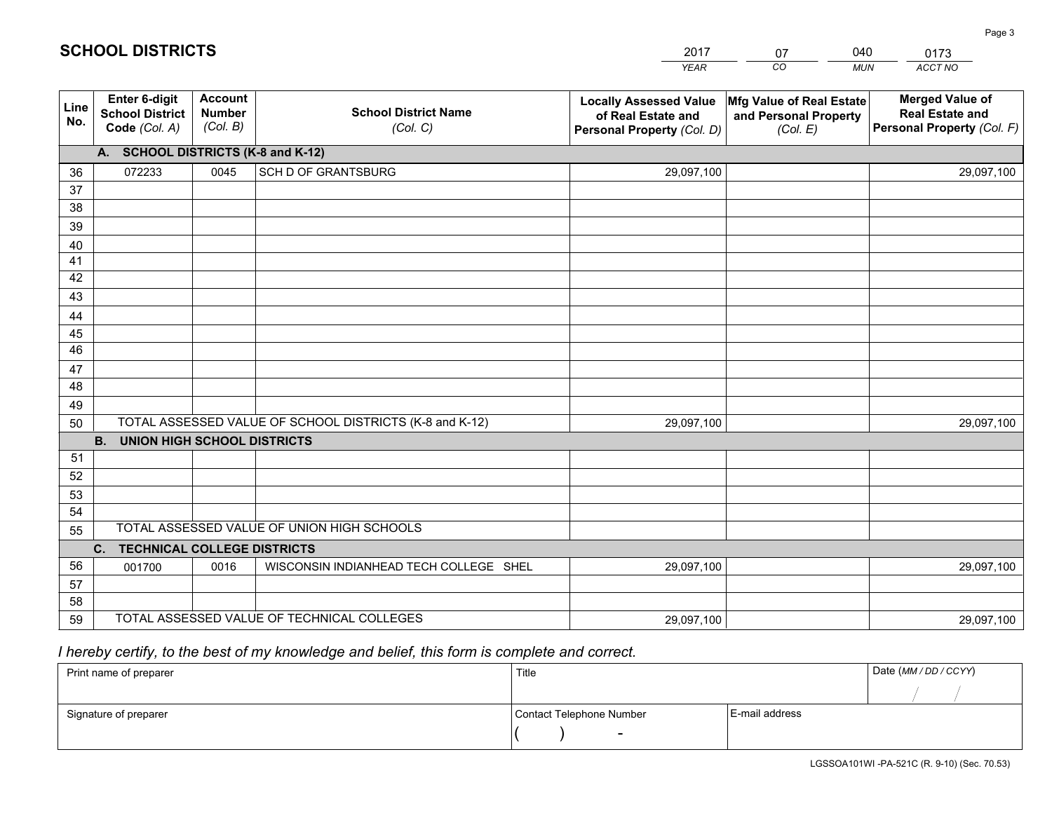|             |                                                          |                                             |                                                         | <b>YEAR</b>                                                                       | CO<br><b>MUN</b>                                              | ACCT NO                                                                        |
|-------------|----------------------------------------------------------|---------------------------------------------|---------------------------------------------------------|-----------------------------------------------------------------------------------|---------------------------------------------------------------|--------------------------------------------------------------------------------|
| Line<br>No. | Enter 6-digit<br><b>School District</b><br>Code (Col. A) | <b>Account</b><br><b>Number</b><br>(Col. B) | <b>School District Name</b><br>(Col. C)                 | <b>Locally Assessed Value</b><br>of Real Estate and<br>Personal Property (Col. D) | Mfg Value of Real Estate<br>and Personal Property<br>(Col. E) | <b>Merged Value of</b><br><b>Real Estate and</b><br>Personal Property (Col. F) |
|             | A. SCHOOL DISTRICTS (K-8 and K-12)                       |                                             |                                                         |                                                                                   |                                                               |                                                                                |
| 36          | 072233                                                   | 0045                                        | SCH D OF GRANTSBURG                                     | 29,097,100                                                                        |                                                               | 29,097,100                                                                     |
| 37          |                                                          |                                             |                                                         |                                                                                   |                                                               |                                                                                |
| 38          |                                                          |                                             |                                                         |                                                                                   |                                                               |                                                                                |
| 39          |                                                          |                                             |                                                         |                                                                                   |                                                               |                                                                                |
| 40          |                                                          |                                             |                                                         |                                                                                   |                                                               |                                                                                |
| 41          |                                                          |                                             |                                                         |                                                                                   |                                                               |                                                                                |
| 42          |                                                          |                                             |                                                         |                                                                                   |                                                               |                                                                                |
| 43          |                                                          |                                             |                                                         |                                                                                   |                                                               |                                                                                |
| 44<br>45    |                                                          |                                             |                                                         |                                                                                   |                                                               |                                                                                |
| 46          |                                                          |                                             |                                                         |                                                                                   |                                                               |                                                                                |
| 47          |                                                          |                                             |                                                         |                                                                                   |                                                               |                                                                                |
| 48          |                                                          |                                             |                                                         |                                                                                   |                                                               |                                                                                |
| 49          |                                                          |                                             |                                                         |                                                                                   |                                                               |                                                                                |
| 50          |                                                          |                                             | TOTAL ASSESSED VALUE OF SCHOOL DISTRICTS (K-8 and K-12) | 29,097,100                                                                        |                                                               | 29,097,100                                                                     |
|             | <b>B.</b><br><b>UNION HIGH SCHOOL DISTRICTS</b>          |                                             |                                                         |                                                                                   |                                                               |                                                                                |
| 51          |                                                          |                                             |                                                         |                                                                                   |                                                               |                                                                                |
| 52          |                                                          |                                             |                                                         |                                                                                   |                                                               |                                                                                |
| 53          |                                                          |                                             |                                                         |                                                                                   |                                                               |                                                                                |
| 54          |                                                          |                                             |                                                         |                                                                                   |                                                               |                                                                                |
| 55          |                                                          |                                             | TOTAL ASSESSED VALUE OF UNION HIGH SCHOOLS              |                                                                                   |                                                               |                                                                                |
|             | C. TECHNICAL COLLEGE DISTRICTS                           |                                             |                                                         |                                                                                   |                                                               |                                                                                |
| 56          | 001700                                                   | 0016                                        | WISCONSIN INDIANHEAD TECH COLLEGE SHEL                  | 29,097,100                                                                        |                                                               | 29,097,100                                                                     |
| 57          |                                                          |                                             |                                                         |                                                                                   |                                                               |                                                                                |
| 58          |                                                          |                                             |                                                         |                                                                                   |                                                               |                                                                                |
| 59          |                                                          |                                             | TOTAL ASSESSED VALUE OF TECHNICAL COLLEGES              | 29,097,100                                                                        |                                                               | 29,097,100                                                                     |

2017

07

040

# *I hereby certify, to the best of my knowledge and belief, this form is complete and correct.*

**SCHOOL DISTRICTS**

| Print name of preparer | Title                    |                | Date (MM / DD / CCYY) |
|------------------------|--------------------------|----------------|-----------------------|
|                        |                          |                |                       |
| Signature of preparer  | Contact Telephone Number | E-mail address |                       |
|                        | $\sim$                   |                |                       |

0173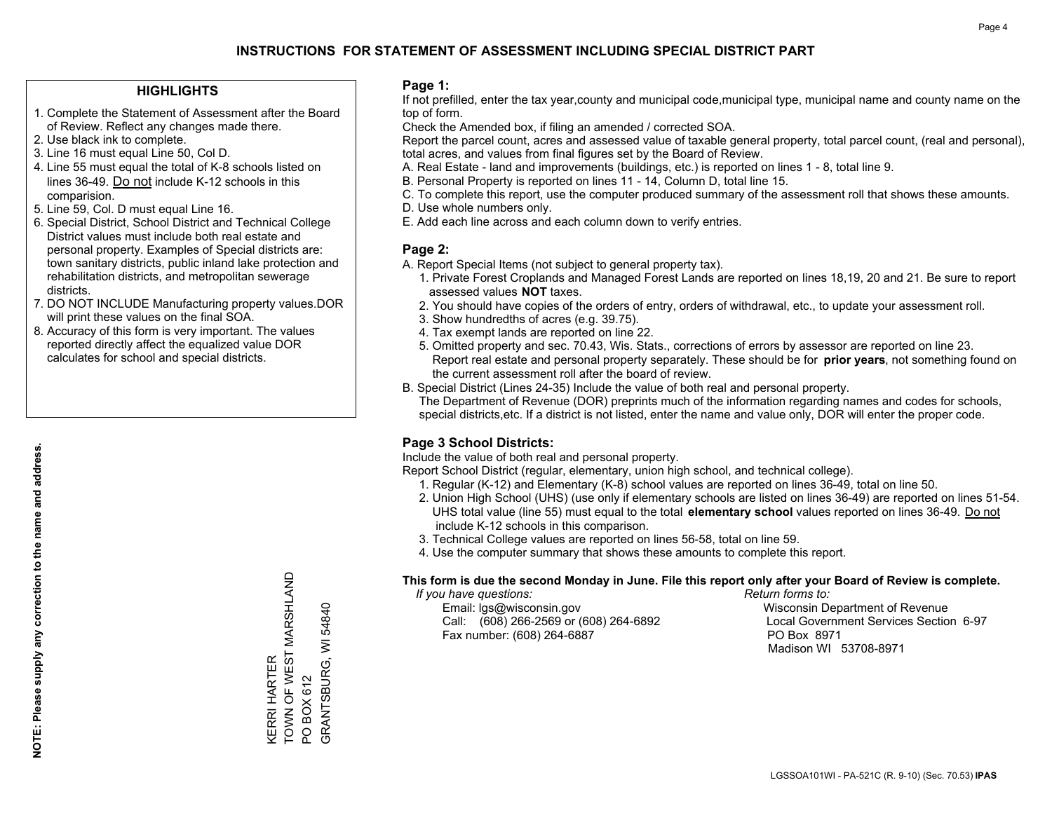### **HIGHLIGHTS**

- 1. Complete the Statement of Assessment after the Board of Review. Reflect any changes made there.
- 2. Use black ink to complete.
- 3. Line 16 must equal Line 50, Col D.
- 4. Line 55 must equal the total of K-8 schools listed on lines 36-49. Do not include K-12 schools in this comparision.
- 5. Line 59, Col. D must equal Line 16.
- 6. Special District, School District and Technical College District values must include both real estate and personal property. Examples of Special districts are: town sanitary districts, public inland lake protection and rehabilitation districts, and metropolitan sewerage districts.
- 7. DO NOT INCLUDE Manufacturing property values.DOR will print these values on the final SOA.
- 8. Accuracy of this form is very important. The values reported directly affect the equalized value DOR calculates for school and special districts.

### **Page 1:**

 If not prefilled, enter the tax year,county and municipal code,municipal type, municipal name and county name on the top of form.

Check the Amended box, if filing an amended / corrected SOA.

 Report the parcel count, acres and assessed value of taxable general property, total parcel count, (real and personal), total acres, and values from final figures set by the Board of Review.

- A. Real Estate land and improvements (buildings, etc.) is reported on lines 1 8, total line 9.
- B. Personal Property is reported on lines 11 14, Column D, total line 15.
- C. To complete this report, use the computer produced summary of the assessment roll that shows these amounts.
- D. Use whole numbers only.
- E. Add each line across and each column down to verify entries.

### **Page 2:**

- A. Report Special Items (not subject to general property tax).
- 1. Private Forest Croplands and Managed Forest Lands are reported on lines 18,19, 20 and 21. Be sure to report assessed values **NOT** taxes.
- 2. You should have copies of the orders of entry, orders of withdrawal, etc., to update your assessment roll.
	- 3. Show hundredths of acres (e.g. 39.75).
- 4. Tax exempt lands are reported on line 22.
- 5. Omitted property and sec. 70.43, Wis. Stats., corrections of errors by assessor are reported on line 23. Report real estate and personal property separately. These should be for **prior years**, not something found on the current assessment roll after the board of review.
- B. Special District (Lines 24-35) Include the value of both real and personal property.

 The Department of Revenue (DOR) preprints much of the information regarding names and codes for schools, special districts,etc. If a district is not listed, enter the name and value only, DOR will enter the proper code.

### **Page 3 School Districts:**

Include the value of both real and personal property.

Report School District (regular, elementary, union high school, and technical college).

- 1. Regular (K-12) and Elementary (K-8) school values are reported on lines 36-49, total on line 50.
- 2. Union High School (UHS) (use only if elementary schools are listed on lines 36-49) are reported on lines 51-54. UHS total value (line 55) must equal to the total **elementary school** values reported on lines 36-49. Do notinclude K-12 schools in this comparison.
- 3. Technical College values are reported on lines 56-58, total on line 59.
- 4. Use the computer summary that shows these amounts to complete this report.

### **This form is due the second Monday in June. File this report only after your Board of Review is complete.**

 *If you have questions: Return forms to:*

 Email: lgs@wisconsin.gov Wisconsin Department of RevenueCall:  $(608)$  266-2569 or  $(608)$  264-6892 Fax number: (608) 264-6887 PO Box 8971

Local Government Services Section 6-97 Madison WI 53708-8971

TOWN OF WEST MARSHLAND KERRI HARTER<br>TOWN OF WEST MARSHLAND GRANTSBURG, WI 54840 GRANTSBURG, WI 54840 KERRI HARTER PO BOX 612 PO BOX 612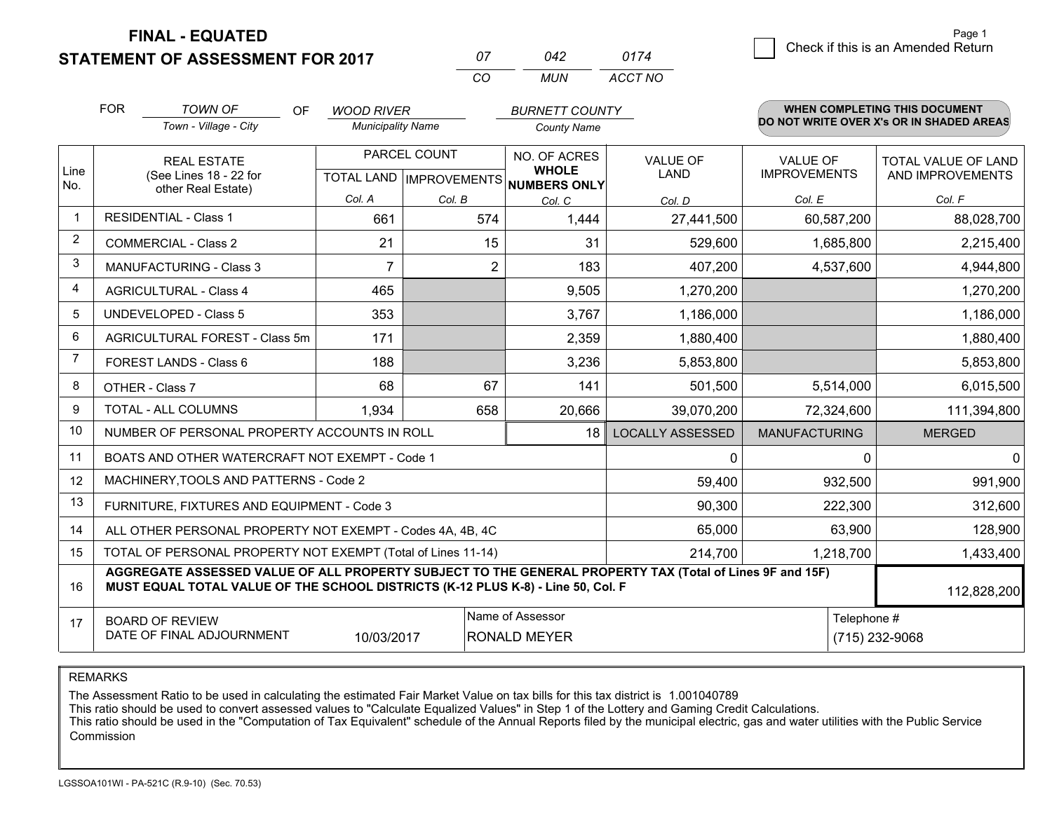**STATEMENT OF ASSESSMENT FOR 2017 FINAL - EQUATED**

| 07 | N42 | 0174    |
|----|-----|---------|
| Γn | MUN | ACCT NO |

|                | <b>FOR</b> | <b>TOWN OF</b><br>OF                                                                                                                                                                         | <b>WOOD RIVER</b>        |              | <b>BURNETT COUNTY</b>                    |                         |                      | WHEN COMPLETING THIS DOCUMENT<br>DO NOT WRITE OVER X's OR IN SHADED AREAS |
|----------------|------------|----------------------------------------------------------------------------------------------------------------------------------------------------------------------------------------------|--------------------------|--------------|------------------------------------------|-------------------------|----------------------|---------------------------------------------------------------------------|
|                |            | Town - Village - City                                                                                                                                                                        | <b>Municipality Name</b> |              | <b>County Name</b>                       |                         |                      |                                                                           |
| Line           |            | <b>REAL ESTATE</b>                                                                                                                                                                           |                          | PARCEL COUNT | NO. OF ACRES<br><b>WHOLE</b>             | <b>VALUE OF</b>         | <b>VALUE OF</b>      | TOTAL VALUE OF LAND                                                       |
| No.            |            | (See Lines 18 - 22 for<br>other Real Estate)                                                                                                                                                 |                          |              | TOTAL LAND   IMPROVEMENTS   NUMBERS ONLY | <b>LAND</b>             | <b>IMPROVEMENTS</b>  | AND IMPROVEMENTS                                                          |
|                |            |                                                                                                                                                                                              | Col. A                   | Col. B       | Col. C                                   | Col. D                  | Col. E               | Col. F                                                                    |
|                |            | <b>RESIDENTIAL - Class 1</b>                                                                                                                                                                 | 661                      | 574          | 1,444                                    | 27,441,500              | 60,587,200           | 88,028,700                                                                |
| 2              |            | <b>COMMERCIAL - Class 2</b>                                                                                                                                                                  | 21                       | 15           | 31                                       | 529,600                 | 1,685,800            | 2,215,400                                                                 |
| 3              |            | <b>MANUFACTURING - Class 3</b>                                                                                                                                                               | $\overline{7}$           | 2            | 183                                      | 407,200                 | 4,537,600            | 4,944,800                                                                 |
| 4              |            | <b>AGRICULTURAL - Class 4</b>                                                                                                                                                                | 465                      |              | 9,505                                    | 1,270,200               |                      | 1,270,200                                                                 |
| 5              |            | UNDEVELOPED - Class 5                                                                                                                                                                        | 353                      |              | 3,767                                    | 1,186,000               |                      | 1,186,000                                                                 |
| 6              |            | AGRICULTURAL FOREST - Class 5m                                                                                                                                                               | 171                      |              | 2,359                                    | 1,880,400               |                      | 1,880,400                                                                 |
| $\overline{7}$ |            | FOREST LANDS - Class 6                                                                                                                                                                       | 188                      |              | 3,236                                    | 5,853,800               |                      | 5,853,800                                                                 |
| 8              |            | OTHER - Class 7                                                                                                                                                                              | 68                       | 67           | 141                                      | 501,500                 | 5,514,000            | 6,015,500                                                                 |
| 9              |            | TOTAL - ALL COLUMNS                                                                                                                                                                          | 1,934                    | 658          | 20,666                                   | 39,070,200              | 72,324,600           | 111,394,800                                                               |
| 10             |            | NUMBER OF PERSONAL PROPERTY ACCOUNTS IN ROLL                                                                                                                                                 |                          |              | 18                                       | <b>LOCALLY ASSESSED</b> | <b>MANUFACTURING</b> | <b>MERGED</b>                                                             |
| 11             |            | BOATS AND OTHER WATERCRAFT NOT EXEMPT - Code 1                                                                                                                                               |                          |              |                                          | 0                       |                      | $\Omega$<br>$\mathbf{0}$                                                  |
| 12             |            | MACHINERY, TOOLS AND PATTERNS - Code 2                                                                                                                                                       |                          |              |                                          | 59,400                  | 932,500              | 991,900                                                                   |
| 13             |            | FURNITURE, FIXTURES AND EQUIPMENT - Code 3                                                                                                                                                   |                          |              |                                          | 90,300                  | 222,300              | 312,600                                                                   |
| 14             |            | ALL OTHER PERSONAL PROPERTY NOT EXEMPT - Codes 4A, 4B, 4C                                                                                                                                    |                          |              |                                          | 65,000                  | 63,900               | 128,900                                                                   |
| 15             |            | TOTAL OF PERSONAL PROPERTY NOT EXEMPT (Total of Lines 11-14)                                                                                                                                 |                          | 214,700      | 1,218,700                                | 1,433,400               |                      |                                                                           |
| 16             |            | AGGREGATE ASSESSED VALUE OF ALL PROPERTY SUBJECT TO THE GENERAL PROPERTY TAX (Total of Lines 9F and 15F)<br>MUST EQUAL TOTAL VALUE OF THE SCHOOL DISTRICTS (K-12 PLUS K-8) - Line 50, Col. F |                          |              |                                          |                         |                      | 112,828,200                                                               |
| 17             |            | <b>BOARD OF REVIEW</b>                                                                                                                                                                       |                          |              | Name of Assessor                         |                         |                      | Telephone #                                                               |
|                |            | DATE OF FINAL ADJOURNMENT                                                                                                                                                                    | 10/03/2017               |              | <b>RONALD MEYER</b>                      |                         |                      | (715) 232-9068                                                            |

REMARKS

The Assessment Ratio to be used in calculating the estimated Fair Market Value on tax bills for this tax district is 1.001040789

This ratio should be used to convert assessed values to "Calculate Equalized Values" in Step 1 of the Lottery and Gaming Credit Calculations.<br>This ratio should be used in the "Computation of Tax Equivalent" schedule of the Commission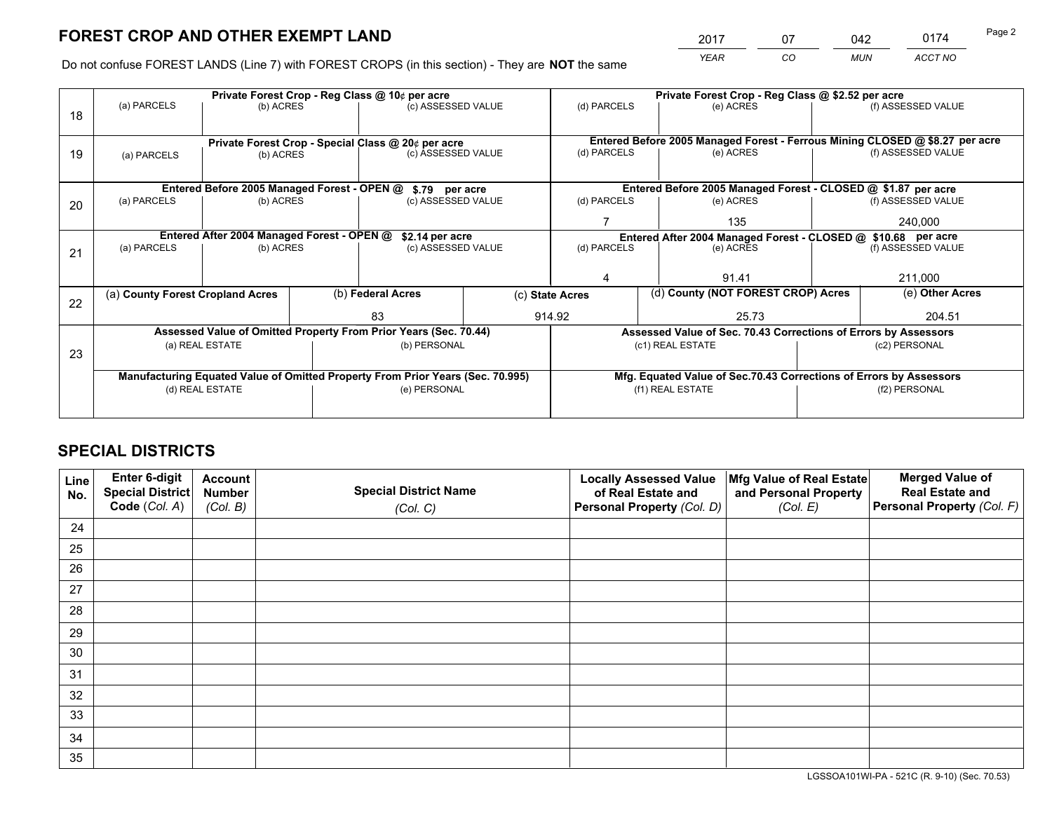*YEAR CO MUN ACCT NO* <sup>2017</sup> <sup>07</sup> <sup>042</sup> <sup>0174</sup>

Do not confuse FOREST LANDS (Line 7) with FOREST CROPS (in this section) - They are **NOT** the same

|    | Private Forest Crop - Reg Class @ 10¢ per acre                |                                             |  |                                                                                |  | Private Forest Crop - Reg Class @ \$2.52 per acre             |                                                                    |  |                                                                              |  |
|----|---------------------------------------------------------------|---------------------------------------------|--|--------------------------------------------------------------------------------|--|---------------------------------------------------------------|--------------------------------------------------------------------|--|------------------------------------------------------------------------------|--|
| 18 | (a) PARCELS                                                   | (b) ACRES                                   |  | (c) ASSESSED VALUE                                                             |  | (d) PARCELS                                                   | (e) ACRES                                                          |  | (f) ASSESSED VALUE                                                           |  |
|    |                                                               |                                             |  |                                                                                |  |                                                               |                                                                    |  |                                                                              |  |
|    |                                                               |                                             |  | Private Forest Crop - Special Class @ 20¢ per acre                             |  |                                                               |                                                                    |  | Entered Before 2005 Managed Forest - Ferrous Mining CLOSED @ \$8.27 per acre |  |
| 19 | (a) PARCELS                                                   | (b) ACRES                                   |  | (c) ASSESSED VALUE                                                             |  | (d) PARCELS                                                   | (e) ACRES                                                          |  | (f) ASSESSED VALUE                                                           |  |
|    |                                                               |                                             |  |                                                                                |  |                                                               |                                                                    |  |                                                                              |  |
|    |                                                               | Entered Before 2005 Managed Forest - OPEN @ |  | \$.79 per acre                                                                 |  |                                                               | Entered Before 2005 Managed Forest - CLOSED @ \$1.87 per acre      |  |                                                                              |  |
| 20 | (a) PARCELS                                                   | (b) ACRES                                   |  | (c) ASSESSED VALUE                                                             |  | (d) PARCELS                                                   | (e) ACRES                                                          |  | (f) ASSESSED VALUE                                                           |  |
|    |                                                               |                                             |  |                                                                                |  |                                                               | 135                                                                |  | 240,000                                                                      |  |
|    | Entered After 2004 Managed Forest - OPEN @<br>\$2.14 per acre |                                             |  |                                                                                |  | Entered After 2004 Managed Forest - CLOSED @ \$10.68 per acre |                                                                    |  |                                                                              |  |
| 21 | (a) PARCELS                                                   | (b) ACRES                                   |  | (c) ASSESSED VALUE                                                             |  | (d) PARCELS<br>(e) ACRES                                      |                                                                    |  | (f) ASSESSED VALUE                                                           |  |
|    |                                                               |                                             |  |                                                                                |  |                                                               |                                                                    |  |                                                                              |  |
|    |                                                               |                                             |  |                                                                                |  | 4                                                             | 91.41                                                              |  | 211,000                                                                      |  |
|    | (a) County Forest Cropland Acres                              |                                             |  | (b) Federal Acres                                                              |  | (c) State Acres                                               | (d) County (NOT FOREST CROP) Acres                                 |  | (e) Other Acres                                                              |  |
| 22 |                                                               |                                             |  | 83                                                                             |  | 914.92                                                        | 25.73                                                              |  | 204.51                                                                       |  |
|    |                                                               |                                             |  |                                                                                |  |                                                               |                                                                    |  |                                                                              |  |
|    |                                                               |                                             |  | Assessed Value of Omitted Property From Prior Years (Sec. 70.44)               |  |                                                               | Assessed Value of Sec. 70.43 Corrections of Errors by Assessors    |  |                                                                              |  |
| 23 |                                                               | (a) REAL ESTATE                             |  | (b) PERSONAL                                                                   |  |                                                               | (c1) REAL ESTATE                                                   |  | (c2) PERSONAL                                                                |  |
|    |                                                               |                                             |  |                                                                                |  |                                                               |                                                                    |  |                                                                              |  |
|    |                                                               |                                             |  | Manufacturing Equated Value of Omitted Property From Prior Years (Sec. 70.995) |  |                                                               | Mfg. Equated Value of Sec.70.43 Corrections of Errors by Assessors |  |                                                                              |  |
|    |                                                               | (d) REAL ESTATE                             |  | (e) PERSONAL                                                                   |  |                                                               | (f1) REAL ESTATE                                                   |  | (f2) PERSONAL                                                                |  |
|    |                                                               |                                             |  |                                                                                |  |                                                               |                                                                    |  |                                                                              |  |

## **SPECIAL DISTRICTS**

| Line<br>No. | Enter 6-digit<br><b>Special District</b> | <b>Account</b><br><b>Number</b> | <b>Special District Name</b> | <b>Locally Assessed Value</b><br>of Real Estate and | Mfg Value of Real Estate<br>and Personal Property | <b>Merged Value of</b><br><b>Real Estate and</b> |
|-------------|------------------------------------------|---------------------------------|------------------------------|-----------------------------------------------------|---------------------------------------------------|--------------------------------------------------|
|             | Code (Col. A)                            | (Col. B)                        | (Col. C)                     | Personal Property (Col. D)                          | (Col. E)                                          | Personal Property (Col. F)                       |
| 24          |                                          |                                 |                              |                                                     |                                                   |                                                  |
| 25          |                                          |                                 |                              |                                                     |                                                   |                                                  |
| 26          |                                          |                                 |                              |                                                     |                                                   |                                                  |
| 27          |                                          |                                 |                              |                                                     |                                                   |                                                  |
| 28          |                                          |                                 |                              |                                                     |                                                   |                                                  |
| 29          |                                          |                                 |                              |                                                     |                                                   |                                                  |
| 30          |                                          |                                 |                              |                                                     |                                                   |                                                  |
| 31          |                                          |                                 |                              |                                                     |                                                   |                                                  |
| 32          |                                          |                                 |                              |                                                     |                                                   |                                                  |
| 33          |                                          |                                 |                              |                                                     |                                                   |                                                  |
| 34          |                                          |                                 |                              |                                                     |                                                   |                                                  |
| 35          |                                          |                                 |                              |                                                     |                                                   |                                                  |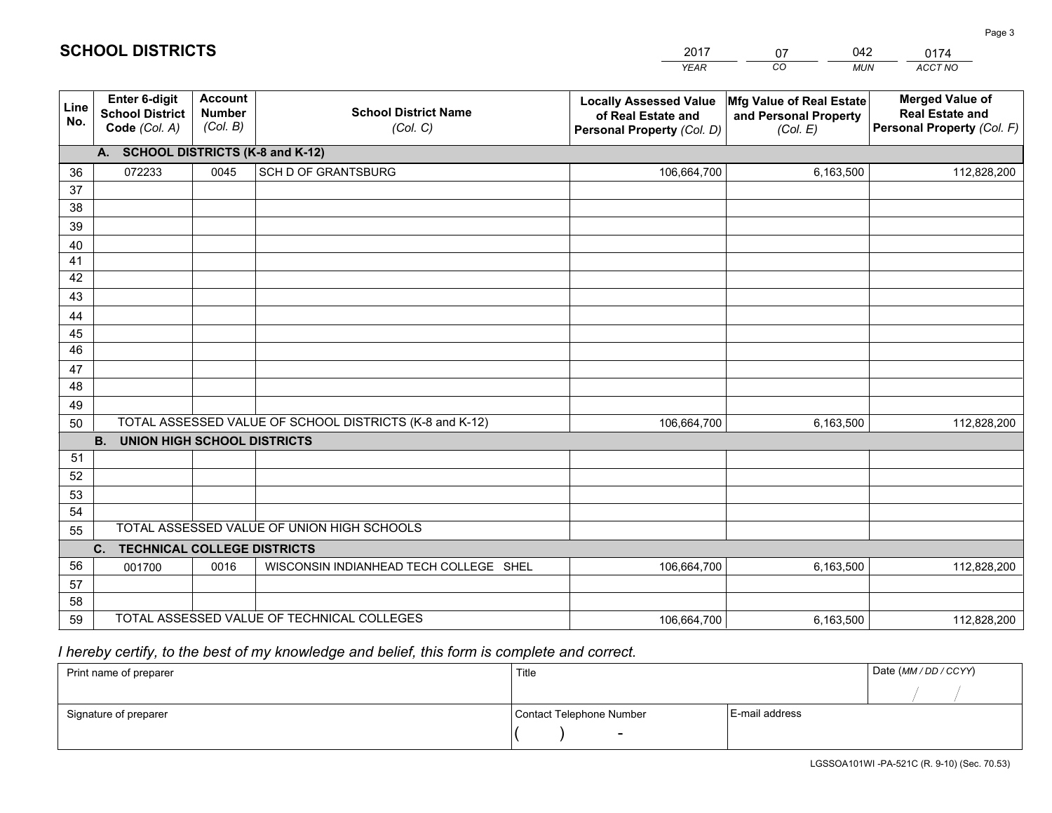#### *YEAR CO MUN ACCT NO*  **Line No.Enter 6-digit School District Code** *(Col. A)***Account Number** *(Col. B)***School District Name***(Col. C)***Locally Assessed Valueof Real Estate and Personal Property** *(Col. D)***Mfg Value of Real Estate and Personal Property***(Col. E)***Merged Value of Real Estate and Personal Property** *(Col. F)***A. SCHOOL DISTRICTS (K-8 and K-12)**36 37 3839 40 41 424344 45 4647 48 49 50 TOTAL ASSESSED VALUE OF SCHOOL DISTRICTS (K-8 and K-12) **B. UNION HIGH SCHOOL DISTRICTS**51 52 53 54 55**C. TECHNICAL COLLEGE DISTRICTS**0 0016 WISCONSIN INDIANHEAD TECH COLLEGE SHEL 106,664,700 5657 58 59 TOTAL ASSESSED VALUE OF TECHNICAL COLLEGESTOTAL ASSESSED VALUE OF UNION HIGH SCHOOLS072233 0045 SCH D OF GRANTSBURG 106,664,700 106,664,700001700 106,664,700 6,163,500 112,828,200 6,163,500 112,828,200 6,163,500 112,828,2006,163,500 112,828,200

2017

07

042

### *I hereby certify, to the best of my knowledge and belief, this form is complete and correct.*

**SCHOOL DISTRICTS**

| Print name of preparer | Title                    |                | Date (MM / DD / CCYY) |
|------------------------|--------------------------|----------------|-----------------------|
|                        |                          |                |                       |
| Signature of preparer  | Contact Telephone Number | E-mail address |                       |
|                        | $\sim$                   |                |                       |

0174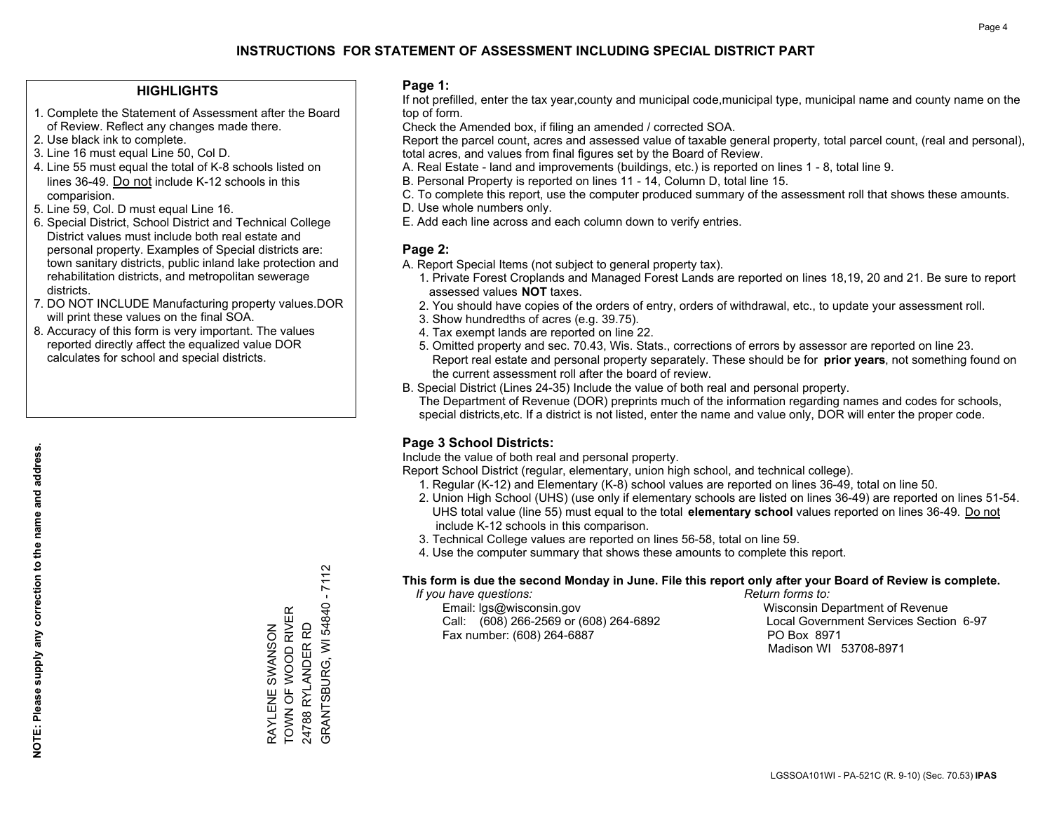### **HIGHLIGHTS**

- 1. Complete the Statement of Assessment after the Board of Review. Reflect any changes made there.
- 2. Use black ink to complete.
- 3. Line 16 must equal Line 50, Col D.
- 4. Line 55 must equal the total of K-8 schools listed on lines 36-49. Do not include K-12 schools in this comparision.
- 5. Line 59, Col. D must equal Line 16.
- 6. Special District, School District and Technical College District values must include both real estate and personal property. Examples of Special districts are: town sanitary districts, public inland lake protection and rehabilitation districts, and metropolitan sewerage districts.
- 7. DO NOT INCLUDE Manufacturing property values.DOR will print these values on the final SOA.
- 8. Accuracy of this form is very important. The values reported directly affect the equalized value DOR calculates for school and special districts.

### **Page 1:**

 If not prefilled, enter the tax year,county and municipal code,municipal type, municipal name and county name on the top of form.

Check the Amended box, if filing an amended / corrected SOA.

 Report the parcel count, acres and assessed value of taxable general property, total parcel count, (real and personal), total acres, and values from final figures set by the Board of Review.

- A. Real Estate land and improvements (buildings, etc.) is reported on lines 1 8, total line 9.
- B. Personal Property is reported on lines 11 14, Column D, total line 15.
- C. To complete this report, use the computer produced summary of the assessment roll that shows these amounts.
- D. Use whole numbers only.
- E. Add each line across and each column down to verify entries.

### **Page 2:**

- A. Report Special Items (not subject to general property tax).
- 1. Private Forest Croplands and Managed Forest Lands are reported on lines 18,19, 20 and 21. Be sure to report assessed values **NOT** taxes.
- 2. You should have copies of the orders of entry, orders of withdrawal, etc., to update your assessment roll.
	- 3. Show hundredths of acres (e.g. 39.75).
- 4. Tax exempt lands are reported on line 22.
- 5. Omitted property and sec. 70.43, Wis. Stats., corrections of errors by assessor are reported on line 23. Report real estate and personal property separately. These should be for **prior years**, not something found on the current assessment roll after the board of review.
- B. Special District (Lines 24-35) Include the value of both real and personal property.
- The Department of Revenue (DOR) preprints much of the information regarding names and codes for schools, special districts,etc. If a district is not listed, enter the name and value only, DOR will enter the proper code.

### **Page 3 School Districts:**

Include the value of both real and personal property.

Report School District (regular, elementary, union high school, and technical college).

- 1. Regular (K-12) and Elementary (K-8) school values are reported on lines 36-49, total on line 50.
- 2. Union High School (UHS) (use only if elementary schools are listed on lines 36-49) are reported on lines 51-54. UHS total value (line 55) must equal to the total **elementary school** values reported on lines 36-49. Do notinclude K-12 schools in this comparison.
- 3. Technical College values are reported on lines 56-58, total on line 59.
- 4. Use the computer summary that shows these amounts to complete this report.

### **This form is due the second Monday in June. File this report only after your Board of Review is complete.**

 *If you have questions: Return forms to:*

 Email: lgs@wisconsin.gov Wisconsin Department of RevenueCall:  $(608)$  266-2569 or  $(608)$  264-6892 Fax number: (608) 264-6887 PO Box 8971

Local Government Services Section 6-97 Madison WI 53708-8971

GRANTSBURG, WI 54840 - 7112 GRANTSBURG, WI 54840 - 7112 TOWN OF WOOD RIVER RAYLENE SWANSON<br>TOWN OF WOOD RIVER 24788 RYLANDER RD 24788 RYLANDER RD RAYLENE SWANSON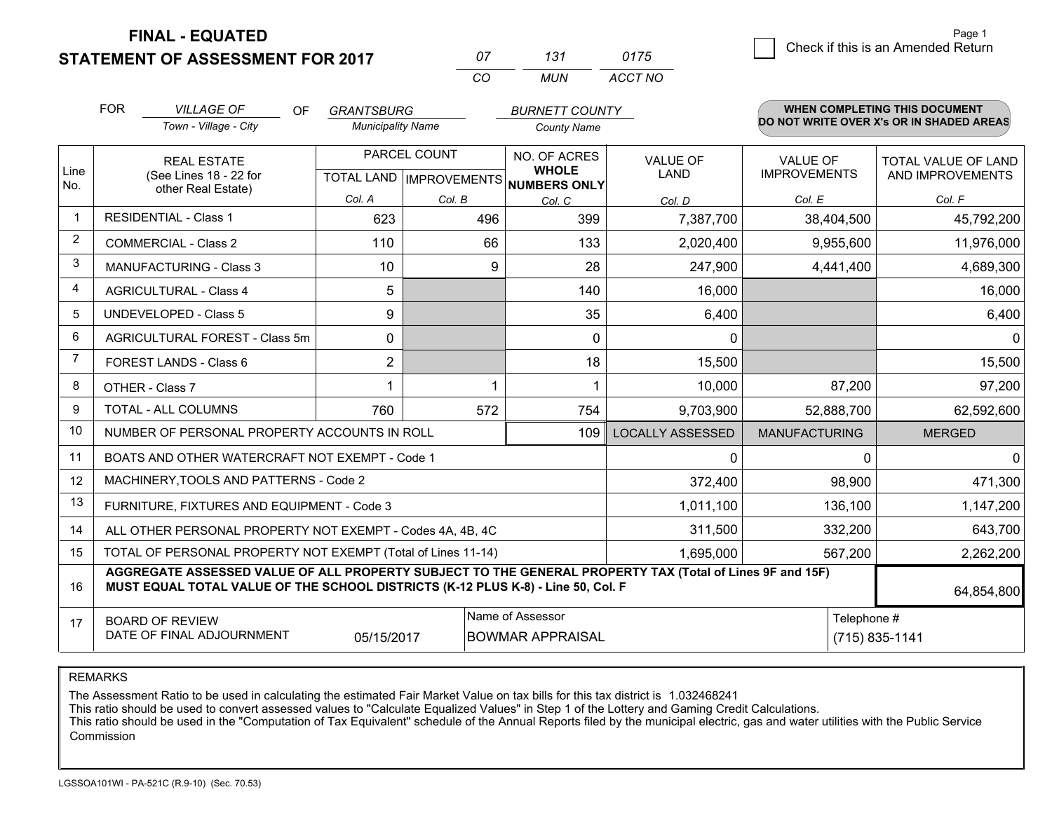**STATEMENT OF ASSESSMENT FOR 2017** 

**FINAL - EQUATED**

| $^{\prime\prime}$ | 131   | 0175    |
|-------------------|-------|---------|
| $\cdots$          | MI IN | ACCT NO |

|             | <b>FOR</b>                                                                                                                                                                                   | <b>VILLAGE OF</b><br><b>OF</b>                            | <b>GRANTSBURG</b>        |                                           | <b>BURNETT COUNTY</b>                        |                                |                                        | <b>WHEN COMPLETING THIS DOCUMENT</b>           |
|-------------|----------------------------------------------------------------------------------------------------------------------------------------------------------------------------------------------|-----------------------------------------------------------|--------------------------|-------------------------------------------|----------------------------------------------|--------------------------------|----------------------------------------|------------------------------------------------|
|             |                                                                                                                                                                                              | Town - Village - City                                     | <b>Municipality Name</b> |                                           | <b>County Name</b>                           |                                |                                        | DO NOT WRITE OVER X's OR IN SHADED AREAS       |
| Line<br>No. |                                                                                                                                                                                              | <b>REAL ESTATE</b><br>(See Lines 18 - 22 for              |                          | PARCEL COUNT<br>TOTAL LAND   IMPROVEMENTS | NO. OF ACRES<br><b>WHOLE</b><br>NUMBERS ONLY | <b>VALUE OF</b><br><b>LAND</b> | <b>VALUE OF</b><br><b>IMPROVEMENTS</b> | <b>TOTAL VALUE OF LAND</b><br>AND IMPROVEMENTS |
|             |                                                                                                                                                                                              | other Real Estate)                                        | Col. A                   | Col. B                                    | Col. C                                       | Col. D                         | Col. E                                 | Col. F                                         |
|             |                                                                                                                                                                                              | <b>RESIDENTIAL - Class 1</b>                              | 623                      | 496                                       | 399                                          | 7,387,700                      | 38,404,500                             | 45,792,200                                     |
| 2           |                                                                                                                                                                                              | <b>COMMERCIAL - Class 2</b>                               | 110                      | 66                                        | 133                                          | 2,020,400                      | 9,955,600                              | 11,976,000                                     |
| 3           |                                                                                                                                                                                              | MANUFACTURING - Class 3                                   | 10                       | 9                                         | 28                                           | 247,900                        | 4,441,400                              | 4,689,300                                      |
| 4           |                                                                                                                                                                                              | <b>AGRICULTURAL - Class 4</b>                             | 5                        |                                           | 140                                          | 16,000                         |                                        | 16,000                                         |
| 5           |                                                                                                                                                                                              | <b>UNDEVELOPED - Class 5</b>                              | 9                        |                                           | 35                                           | 6,400                          |                                        | 6,400                                          |
| 6           |                                                                                                                                                                                              | AGRICULTURAL FOREST - Class 5m                            | $\Omega$                 |                                           | $\Omega$                                     | $\mathbf{0}$                   |                                        | $\Omega$                                       |
| 7           |                                                                                                                                                                                              | FOREST LANDS - Class 6                                    | $\overline{2}$           |                                           | 18                                           | 15,500                         |                                        | 15,500                                         |
| 8           |                                                                                                                                                                                              | OTHER - Class 7                                           | 1                        | 1                                         |                                              | 10,000                         | 87,200                                 | 97,200                                         |
| 9           |                                                                                                                                                                                              | TOTAL - ALL COLUMNS                                       | 760                      | 572                                       | 754                                          | 9,703,900                      | 52,888,700                             | 62,592,600                                     |
| 10          |                                                                                                                                                                                              | NUMBER OF PERSONAL PROPERTY ACCOUNTS IN ROLL              |                          |                                           | 109                                          | <b>LOCALLY ASSESSED</b>        | <b>MANUFACTURING</b>                   | <b>MERGED</b>                                  |
| 11          |                                                                                                                                                                                              | BOATS AND OTHER WATERCRAFT NOT EXEMPT - Code 1            |                          |                                           |                                              | 0                              | 0                                      | $\mathbf{0}$                                   |
| 12          |                                                                                                                                                                                              | MACHINERY, TOOLS AND PATTERNS - Code 2                    |                          |                                           |                                              | 372,400                        | 98,900                                 | 471,300                                        |
| 13          |                                                                                                                                                                                              | FURNITURE, FIXTURES AND EQUIPMENT - Code 3                |                          |                                           |                                              | 1,011,100                      | 136,100                                | 1,147,200                                      |
| 14          |                                                                                                                                                                                              | ALL OTHER PERSONAL PROPERTY NOT EXEMPT - Codes 4A, 4B, 4C |                          |                                           |                                              | 311,500                        | 332,200                                | 643,700                                        |
| 15          | TOTAL OF PERSONAL PROPERTY NOT EXEMPT (Total of Lines 11-14)<br>1,695,000                                                                                                                    |                                                           |                          |                                           |                                              |                                | 567,200                                | 2,262,200                                      |
| 16          | AGGREGATE ASSESSED VALUE OF ALL PROPERTY SUBJECT TO THE GENERAL PROPERTY TAX (Total of Lines 9F and 15F)<br>MUST EQUAL TOTAL VALUE OF THE SCHOOL DISTRICTS (K-12 PLUS K-8) - Line 50, Col. F |                                                           |                          |                                           |                                              |                                | 64,854,800                             |                                                |
| 17          | Name of Assessor<br>Telephone #<br><b>BOARD OF REVIEW</b><br>DATE OF FINAL ADJOURNMENT<br>05/15/2017<br><b>BOWMAR APPRAISAL</b><br>(715) 835-1141                                            |                                                           |                          |                                           |                                              |                                |                                        |                                                |

REMARKS

The Assessment Ratio to be used in calculating the estimated Fair Market Value on tax bills for this tax district is 1.032468241<br>This ratio should be used to convert assessed values to "Calculate Equalized Values" in Step Commission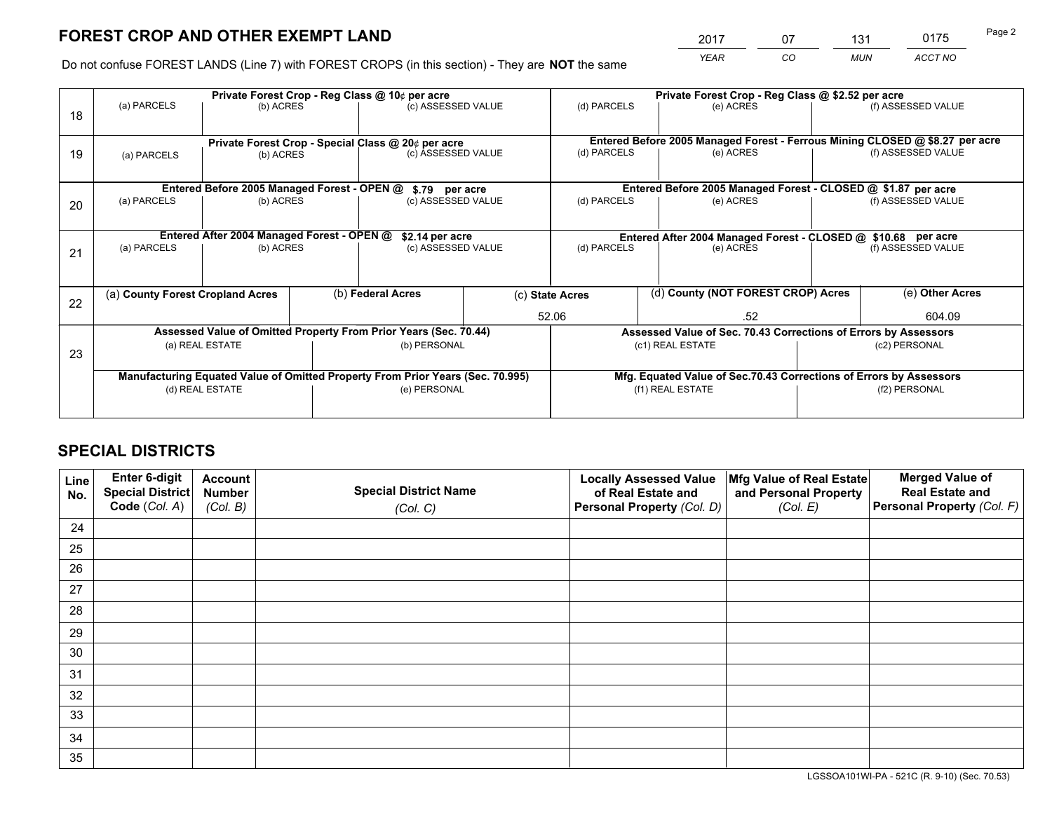*YEAR CO MUN ACCT NO* <sup>2017</sup> <sup>07</sup> <sup>131</sup> <sup>0175</sup>

Do not confuse FOREST LANDS (Line 7) with FOREST CROPS (in this section) - They are **NOT** the same

|    |                                                                                |                                             |  | Private Forest Crop - Reg Class @ 10¢ per acre                   |                                                                              | Private Forest Crop - Reg Class @ \$2.52 per acre             |                                                               |                                                                    |                                                                 |  |
|----|--------------------------------------------------------------------------------|---------------------------------------------|--|------------------------------------------------------------------|------------------------------------------------------------------------------|---------------------------------------------------------------|---------------------------------------------------------------|--------------------------------------------------------------------|-----------------------------------------------------------------|--|
| 18 | (a) PARCELS                                                                    | (b) ACRES                                   |  | (c) ASSESSED VALUE                                               |                                                                              | (d) PARCELS                                                   | (e) ACRES                                                     |                                                                    | (f) ASSESSED VALUE                                              |  |
|    | Private Forest Crop - Special Class @ 20¢ per acre                             |                                             |  |                                                                  | Entered Before 2005 Managed Forest - Ferrous Mining CLOSED @ \$8.27 per acre |                                                               |                                                               |                                                                    |                                                                 |  |
| 19 | (a) PARCELS                                                                    | (b) ACRES                                   |  | (c) ASSESSED VALUE                                               |                                                                              | (d) PARCELS                                                   | (e) ACRES                                                     |                                                                    | (f) ASSESSED VALUE                                              |  |
|    |                                                                                | Entered Before 2005 Managed Forest - OPEN @ |  | \$.79 per acre                                                   |                                                                              |                                                               | Entered Before 2005 Managed Forest - CLOSED @ \$1.87 per acre |                                                                    |                                                                 |  |
|    | (a) PARCELS                                                                    | (b) ACRES                                   |  | (c) ASSESSED VALUE                                               |                                                                              | (d) PARCELS                                                   | (e) ACRES                                                     |                                                                    | (f) ASSESSED VALUE                                              |  |
| 20 |                                                                                |                                             |  |                                                                  |                                                                              |                                                               |                                                               |                                                                    |                                                                 |  |
|    | Entered After 2004 Managed Forest - OPEN @                                     |                                             |  | \$2.14 per acre                                                  |                                                                              | Entered After 2004 Managed Forest - CLOSED @ \$10.68 per acre |                                                               |                                                                    |                                                                 |  |
| 21 | (a) PARCELS                                                                    | (b) ACRES                                   |  | (c) ASSESSED VALUE                                               |                                                                              | (d) PARCELS<br>(e) ACRES                                      |                                                               |                                                                    | (f) ASSESSED VALUE                                              |  |
|    |                                                                                |                                             |  |                                                                  |                                                                              |                                                               |                                                               |                                                                    |                                                                 |  |
| 22 | (a) County Forest Cropland Acres                                               |                                             |  | (b) Federal Acres                                                |                                                                              | (c) State Acres                                               | (d) County (NOT FOREST CROP) Acres                            |                                                                    | (e) Other Acres                                                 |  |
|    |                                                                                |                                             |  |                                                                  |                                                                              | 52.06<br>.52                                                  |                                                               | 604.09                                                             |                                                                 |  |
|    |                                                                                |                                             |  | Assessed Value of Omitted Property From Prior Years (Sec. 70.44) |                                                                              |                                                               |                                                               |                                                                    | Assessed Value of Sec. 70.43 Corrections of Errors by Assessors |  |
| 23 |                                                                                | (a) REAL ESTATE                             |  | (b) PERSONAL                                                     |                                                                              | (c1) REAL ESTATE                                              |                                                               | (c2) PERSONAL                                                      |                                                                 |  |
|    |                                                                                |                                             |  |                                                                  |                                                                              |                                                               |                                                               |                                                                    |                                                                 |  |
|    | Manufacturing Equated Value of Omitted Property From Prior Years (Sec. 70.995) |                                             |  |                                                                  |                                                                              |                                                               |                                                               | Mfg. Equated Value of Sec.70.43 Corrections of Errors by Assessors |                                                                 |  |
|    |                                                                                | (d) REAL ESTATE                             |  | (e) PERSONAL                                                     |                                                                              |                                                               | (f1) REAL ESTATE                                              |                                                                    | (f2) PERSONAL                                                   |  |
|    |                                                                                |                                             |  |                                                                  |                                                                              |                                                               |                                                               |                                                                    |                                                                 |  |

## **SPECIAL DISTRICTS**

| Line<br>No. | Enter 6-digit<br>Special District<br>Code (Col. A) | <b>Account</b><br><b>Number</b><br>(Col. B) | <b>Special District Name</b><br>(Col. C) | <b>Locally Assessed Value</b><br>of Real Estate and<br>Personal Property (Col. D) | Mfg Value of Real Estate<br>and Personal Property<br>(Col. E) | <b>Merged Value of</b><br><b>Real Estate and</b><br>Personal Property (Col. F) |
|-------------|----------------------------------------------------|---------------------------------------------|------------------------------------------|-----------------------------------------------------------------------------------|---------------------------------------------------------------|--------------------------------------------------------------------------------|
| 24          |                                                    |                                             |                                          |                                                                                   |                                                               |                                                                                |
| 25          |                                                    |                                             |                                          |                                                                                   |                                                               |                                                                                |
| 26          |                                                    |                                             |                                          |                                                                                   |                                                               |                                                                                |
| 27          |                                                    |                                             |                                          |                                                                                   |                                                               |                                                                                |
| 28          |                                                    |                                             |                                          |                                                                                   |                                                               |                                                                                |
| 29          |                                                    |                                             |                                          |                                                                                   |                                                               |                                                                                |
| 30          |                                                    |                                             |                                          |                                                                                   |                                                               |                                                                                |
| 31          |                                                    |                                             |                                          |                                                                                   |                                                               |                                                                                |
| 32          |                                                    |                                             |                                          |                                                                                   |                                                               |                                                                                |
| 33          |                                                    |                                             |                                          |                                                                                   |                                                               |                                                                                |
| 34          |                                                    |                                             |                                          |                                                                                   |                                                               |                                                                                |
| 35          |                                                    |                                             |                                          |                                                                                   |                                                               |                                                                                |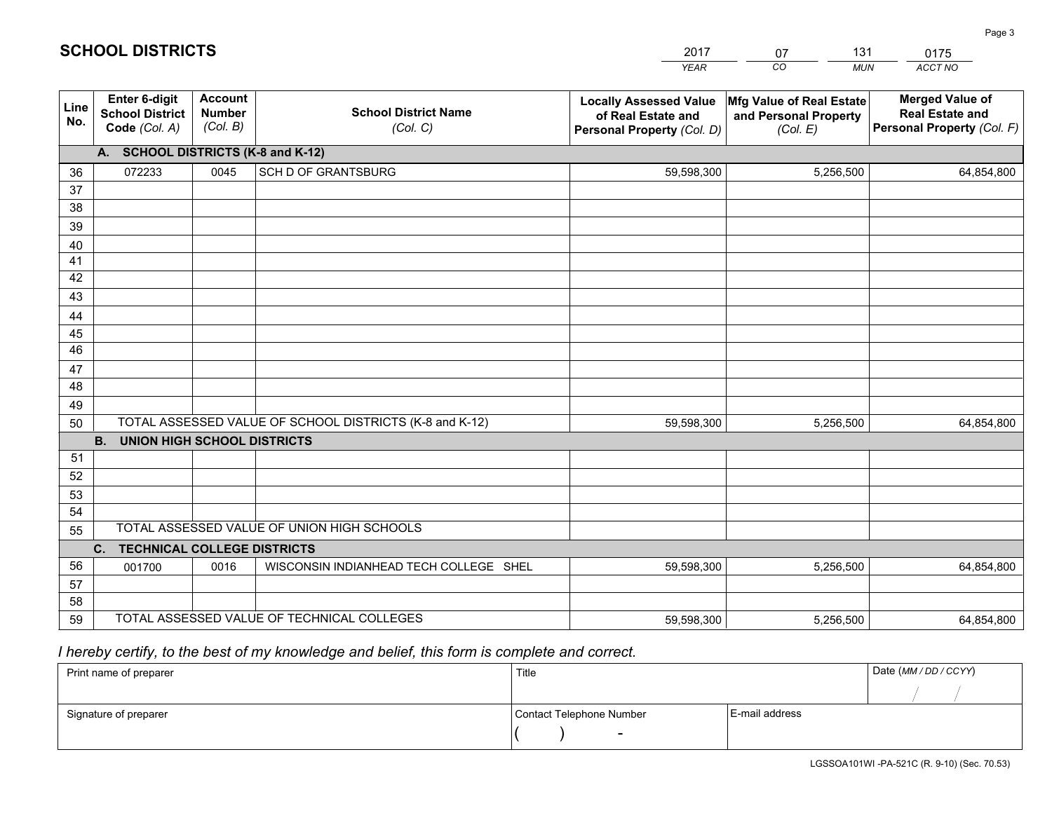|             |                                                                 |                                             |                                                         | <b>YEAR</b>                                                                       | CO<br><b>MUN</b>                                              | ACCT NO                                                                        |
|-------------|-----------------------------------------------------------------|---------------------------------------------|---------------------------------------------------------|-----------------------------------------------------------------------------------|---------------------------------------------------------------|--------------------------------------------------------------------------------|
| Line<br>No. | <b>Enter 6-digit</b><br><b>School District</b><br>Code (Col. A) | <b>Account</b><br><b>Number</b><br>(Col. B) | <b>School District Name</b><br>(Col. C)                 | <b>Locally Assessed Value</b><br>of Real Estate and<br>Personal Property (Col. D) | Mfg Value of Real Estate<br>and Personal Property<br>(Col. E) | <b>Merged Value of</b><br><b>Real Estate and</b><br>Personal Property (Col. F) |
|             | A. SCHOOL DISTRICTS (K-8 and K-12)                              |                                             |                                                         |                                                                                   |                                                               |                                                                                |
| 36          | 072233                                                          | 0045                                        | <b>SCH D OF GRANTSBURG</b>                              | 59,598,300                                                                        | 5,256,500                                                     | 64,854,800                                                                     |
| 37          |                                                                 |                                             |                                                         |                                                                                   |                                                               |                                                                                |
| 38          |                                                                 |                                             |                                                         |                                                                                   |                                                               |                                                                                |
| 39          |                                                                 |                                             |                                                         |                                                                                   |                                                               |                                                                                |
| 40          |                                                                 |                                             |                                                         |                                                                                   |                                                               |                                                                                |
| 41<br>42    |                                                                 |                                             |                                                         |                                                                                   |                                                               |                                                                                |
| 43          |                                                                 |                                             |                                                         |                                                                                   |                                                               |                                                                                |
|             |                                                                 |                                             |                                                         |                                                                                   |                                                               |                                                                                |
| 44<br>45    |                                                                 |                                             |                                                         |                                                                                   |                                                               |                                                                                |
| 46          |                                                                 |                                             |                                                         |                                                                                   |                                                               |                                                                                |
| 47          |                                                                 |                                             |                                                         |                                                                                   |                                                               |                                                                                |
| 48          |                                                                 |                                             |                                                         |                                                                                   |                                                               |                                                                                |
| 49          |                                                                 |                                             |                                                         |                                                                                   |                                                               |                                                                                |
| 50          |                                                                 |                                             | TOTAL ASSESSED VALUE OF SCHOOL DISTRICTS (K-8 and K-12) | 59,598,300                                                                        | 5,256,500                                                     | 64,854,800                                                                     |
|             | <b>B.</b><br>UNION HIGH SCHOOL DISTRICTS                        |                                             |                                                         |                                                                                   |                                                               |                                                                                |
| 51          |                                                                 |                                             |                                                         |                                                                                   |                                                               |                                                                                |
| 52          |                                                                 |                                             |                                                         |                                                                                   |                                                               |                                                                                |
| 53          |                                                                 |                                             |                                                         |                                                                                   |                                                               |                                                                                |
| 54          |                                                                 |                                             |                                                         |                                                                                   |                                                               |                                                                                |
| 55          |                                                                 |                                             | TOTAL ASSESSED VALUE OF UNION HIGH SCHOOLS              |                                                                                   |                                                               |                                                                                |
|             | C.<br><b>TECHNICAL COLLEGE DISTRICTS</b>                        |                                             |                                                         |                                                                                   |                                                               |                                                                                |
| 56          | 001700                                                          | 0016                                        | WISCONSIN INDIANHEAD TECH COLLEGE SHEL                  | 59,598,300                                                                        | 5,256,500                                                     | 64,854,800                                                                     |
| 57<br>58    |                                                                 |                                             |                                                         |                                                                                   |                                                               |                                                                                |
| 59          |                                                                 |                                             | TOTAL ASSESSED VALUE OF TECHNICAL COLLEGES              | 59,598,300                                                                        | 5,256,500                                                     | 64,854,800                                                                     |
|             |                                                                 |                                             |                                                         |                                                                                   |                                                               |                                                                                |

 *I hereby certify, to the best of my knowledge and belief, this form is complete and correct.*

| Print name of preparer | Title                    |                | Date (MM / DD / CCYY) |
|------------------------|--------------------------|----------------|-----------------------|
|                        |                          |                |                       |
| Signature of preparer  | Contact Telephone Number | E-mail address |                       |
|                        | $\sim$                   |                |                       |

| <b>SCHOOL DISTRICTS</b> |  |
|-------------------------|--|
|-------------------------|--|

| 2017        | 07 | 131        | 0175    |
|-------------|----|------------|---------|
| <b>YFAR</b> | cо | <b>MUN</b> | ACCT NO |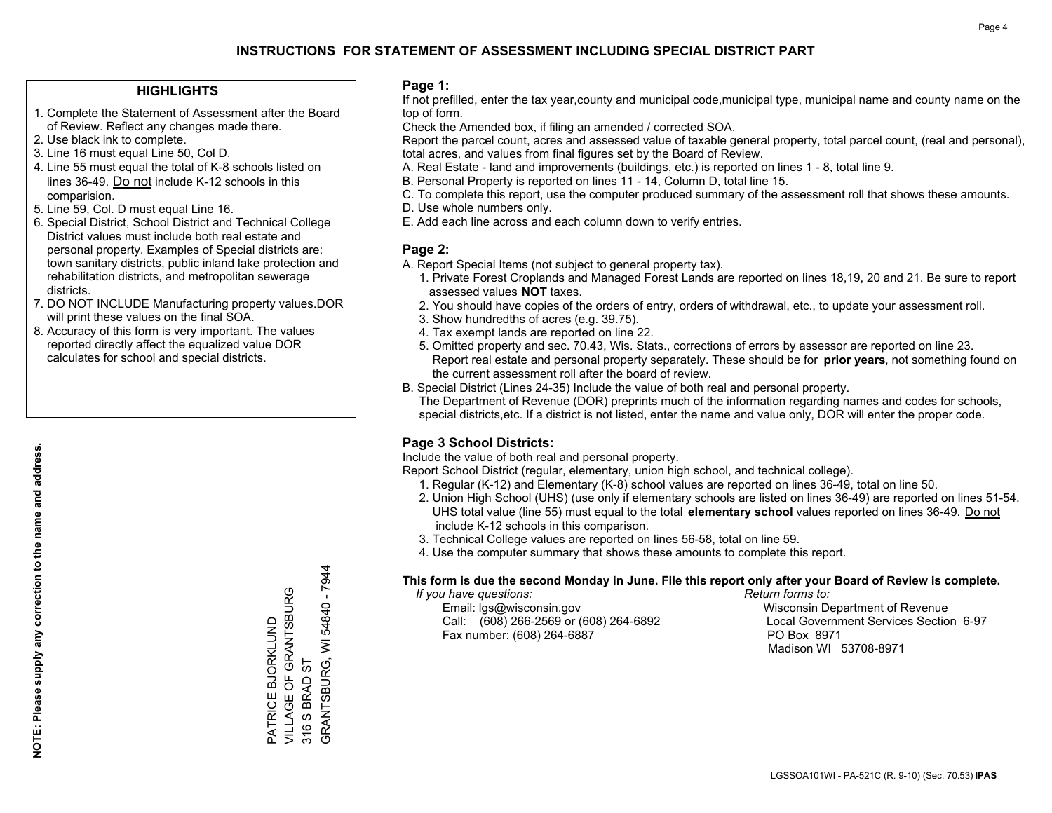### **HIGHLIGHTS**

- 1. Complete the Statement of Assessment after the Board of Review. Reflect any changes made there.
- 2. Use black ink to complete.
- 3. Line 16 must equal Line 50, Col D.
- 4. Line 55 must equal the total of K-8 schools listed on lines 36-49. Do not include K-12 schools in this comparision.
- 5. Line 59, Col. D must equal Line 16.
- 6. Special District, School District and Technical College District values must include both real estate and personal property. Examples of Special districts are: town sanitary districts, public inland lake protection and rehabilitation districts, and metropolitan sewerage districts.
- 7. DO NOT INCLUDE Manufacturing property values.DOR will print these values on the final SOA.
- 8. Accuracy of this form is very important. The values reported directly affect the equalized value DOR calculates for school and special districts.

### **Page 1:**

 If not prefilled, enter the tax year,county and municipal code,municipal type, municipal name and county name on the top of form.

Check the Amended box, if filing an amended / corrected SOA.

 Report the parcel count, acres and assessed value of taxable general property, total parcel count, (real and personal), total acres, and values from final figures set by the Board of Review.

- A. Real Estate land and improvements (buildings, etc.) is reported on lines 1 8, total line 9.
- B. Personal Property is reported on lines 11 14, Column D, total line 15.
- C. To complete this report, use the computer produced summary of the assessment roll that shows these amounts.
- D. Use whole numbers only.
- E. Add each line across and each column down to verify entries.

### **Page 2:**

- A. Report Special Items (not subject to general property tax).
- 1. Private Forest Croplands and Managed Forest Lands are reported on lines 18,19, 20 and 21. Be sure to report assessed values **NOT** taxes.
- 2. You should have copies of the orders of entry, orders of withdrawal, etc., to update your assessment roll.
	- 3. Show hundredths of acres (e.g. 39.75).
- 4. Tax exempt lands are reported on line 22.
- 5. Omitted property and sec. 70.43, Wis. Stats., corrections of errors by assessor are reported on line 23. Report real estate and personal property separately. These should be for **prior years**, not something found on the current assessment roll after the board of review.
- B. Special District (Lines 24-35) Include the value of both real and personal property.
- The Department of Revenue (DOR) preprints much of the information regarding names and codes for schools, special districts,etc. If a district is not listed, enter the name and value only, DOR will enter the proper code.

### **Page 3 School Districts:**

Include the value of both real and personal property.

Report School District (regular, elementary, union high school, and technical college).

- 1. Regular (K-12) and Elementary (K-8) school values are reported on lines 36-49, total on line 50.
- 2. Union High School (UHS) (use only if elementary schools are listed on lines 36-49) are reported on lines 51-54. UHS total value (line 55) must equal to the total **elementary school** values reported on lines 36-49. Do notinclude K-12 schools in this comparison.
- 3. Technical College values are reported on lines 56-58, total on line 59.
- 4. Use the computer summary that shows these amounts to complete this report.

### **This form is due the second Monday in June. File this report only after your Board of Review is complete.**

 *If you have questions: Return forms to:*

 Email: lgs@wisconsin.gov Wisconsin Department of RevenueCall:  $(608)$  266-2569 or  $(608)$  264-6892 Fax number: (608) 264-6887 PO Box 8971

Local Government Services Section 6-97 Madison WI 53708-8971

GRANTSBURG, WI 54840 - 7944 GRANTSBURG, WI 54840 - 7944 VILLAGE OF GRANTSBURG PATRICE BJORKLUND<br>VILLAGE OF GRANTSBURG PATRICE BJORKLUND 316 S BRAD ST 316 S BRAD ST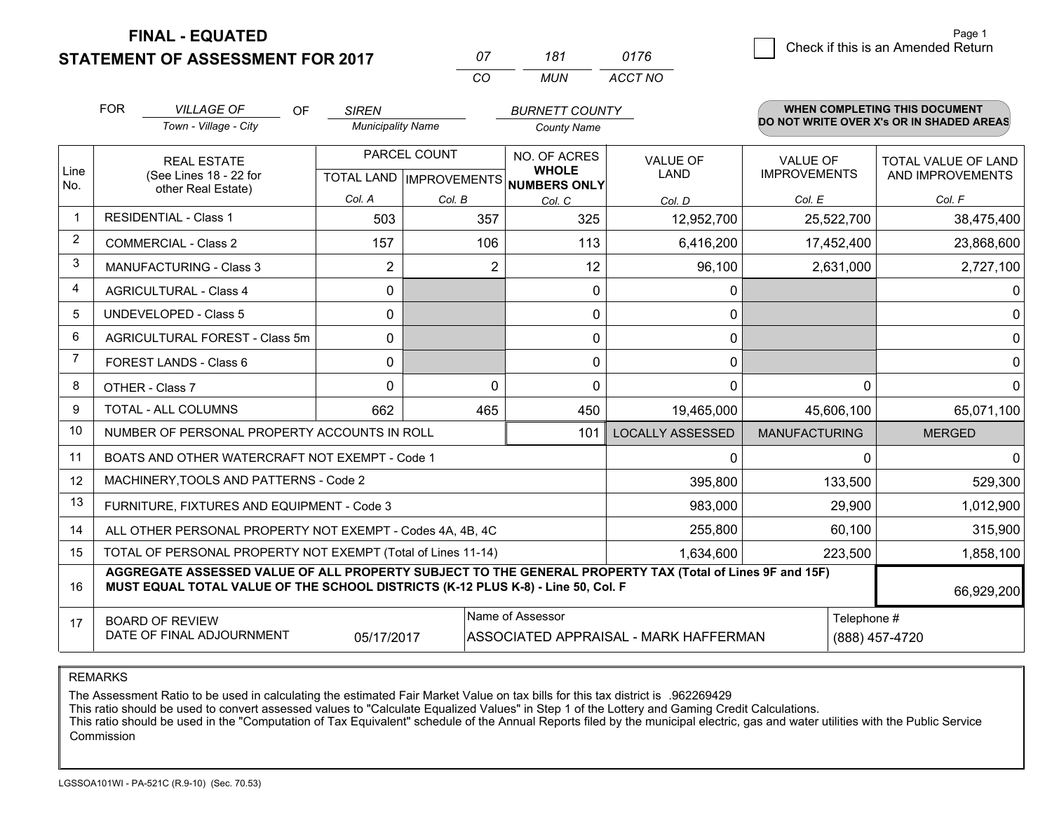**STATEMENT OF ASSESSMENT FOR 2017** 

**FINAL - EQUATED**

| 07 | 181 | 0176    |
|----|-----|---------|
| ΓO | MUN | ACCT NO |

|                | <b>FOR</b><br><b>VILLAGE OF</b><br>OF<br><b>SIREN</b>                                                                                                                                        |                                                              | <b>BURNETT COUNTY</b>                                |          |                              | <b>WHEN COMPLETING THIS DOCUMENT</b> |                                 |                                          |
|----------------|----------------------------------------------------------------------------------------------------------------------------------------------------------------------------------------------|--------------------------------------------------------------|------------------------------------------------------|----------|------------------------------|--------------------------------------|---------------------------------|------------------------------------------|
|                |                                                                                                                                                                                              | Town - Village - City                                        | <b>Municipality Name</b>                             |          | <b>County Name</b>           |                                      |                                 | DO NOT WRITE OVER X's OR IN SHADED AREAS |
| Line<br>No.    | <b>REAL ESTATE</b><br>(See Lines 18 - 22 for                                                                                                                                                 |                                                              | PARCEL COUNT<br>TOTAL LAND IMPROVEMENTS NUMBERS ONLY |          | NO. OF ACRES<br><b>WHOLE</b> | <b>VALUE OF</b><br><b>LAND</b>       | VALUE OF<br><b>IMPROVEMENTS</b> | TOTAL VALUE OF LAND<br>AND IMPROVEMENTS  |
|                |                                                                                                                                                                                              | other Real Estate)                                           | Col. A                                               | Col. B   | Col. C                       | Col. D                               | Col. E                          | Col. F                                   |
|                | <b>RESIDENTIAL - Class 1</b>                                                                                                                                                                 |                                                              | 503                                                  | 357      | 325                          | 12,952,700                           | 25,522,700                      | 38,475,400                               |
| $\overline{2}$ |                                                                                                                                                                                              | <b>COMMERCIAL - Class 2</b>                                  | 157                                                  | 106      | 113                          | 6,416,200                            | 17,452,400                      | 23,868,600                               |
| 3              |                                                                                                                                                                                              | <b>MANUFACTURING - Class 3</b>                               | $\overline{2}$                                       | 2        | 12                           | 96,100                               | 2,631,000                       | 2,727,100                                |
| 4              |                                                                                                                                                                                              | <b>AGRICULTURAL - Class 4</b>                                | 0                                                    |          | $\mathbf{0}$                 | 0                                    |                                 | $\Omega$                                 |
| 5              |                                                                                                                                                                                              | UNDEVELOPED - Class 5                                        | $\Omega$                                             |          | $\mathbf{0}$                 | 0                                    |                                 | $\mathbf 0$                              |
| 6              |                                                                                                                                                                                              | AGRICULTURAL FOREST - Class 5m                               | $\Omega$                                             |          | $\mathbf{0}$                 | $\mathbf{0}$                         |                                 | $\mathbf 0$                              |
| 7              |                                                                                                                                                                                              | FOREST LANDS - Class 6                                       | 0                                                    |          | $\mathbf 0$                  | 0                                    |                                 | $\mathbf 0$                              |
| 8              |                                                                                                                                                                                              | OTHER - Class 7                                              | $\Omega$                                             | $\Omega$ | $\Omega$                     | $\Omega$                             | $\Omega$                        | $\Omega$                                 |
| 9              |                                                                                                                                                                                              | TOTAL - ALL COLUMNS                                          | 662                                                  | 465      | 450                          | 19,465,000                           | 45,606,100                      | 65,071,100                               |
| 10             |                                                                                                                                                                                              | NUMBER OF PERSONAL PROPERTY ACCOUNTS IN ROLL                 |                                                      |          | 101                          | <b>LOCALLY ASSESSED</b>              | <b>MANUFACTURING</b>            | <b>MERGED</b>                            |
| 11             |                                                                                                                                                                                              | BOATS AND OTHER WATERCRAFT NOT EXEMPT - Code 1               |                                                      |          |                              | 0                                    | $\Omega$                        | $\Omega$                                 |
| 12             |                                                                                                                                                                                              | MACHINERY, TOOLS AND PATTERNS - Code 2                       |                                                      |          |                              | 395,800                              | 133,500                         | 529,300                                  |
| 13             |                                                                                                                                                                                              | FURNITURE, FIXTURES AND EQUIPMENT - Code 3                   |                                                      |          |                              | 983,000                              | 29,900                          | 1,012,900                                |
| 14             |                                                                                                                                                                                              | ALL OTHER PERSONAL PROPERTY NOT EXEMPT - Codes 4A, 4B, 4C    |                                                      |          |                              | 255,800                              | 60,100                          | 315,900                                  |
| 15             |                                                                                                                                                                                              | TOTAL OF PERSONAL PROPERTY NOT EXEMPT (Total of Lines 11-14) |                                                      |          | 1,634,600                    | 223,500                              | 1,858,100                       |                                          |
| 16             | AGGREGATE ASSESSED VALUE OF ALL PROPERTY SUBJECT TO THE GENERAL PROPERTY TAX (Total of Lines 9F and 15F)<br>MUST EQUAL TOTAL VALUE OF THE SCHOOL DISTRICTS (K-12 PLUS K-8) - Line 50, Col. F |                                                              |                                                      |          |                              |                                      |                                 | 66,929,200                               |
| 17             | Name of Assessor<br><b>BOARD OF REVIEW</b><br>DATE OF FINAL ADJOURNMENT<br>05/17/2017<br>ASSOCIATED APPRAISAL - MARK HAFFERMAN                                                               |                                                              |                                                      |          |                              |                                      | Telephone #                     | (888) 457-4720                           |

REMARKS

The Assessment Ratio to be used in calculating the estimated Fair Market Value on tax bills for this tax district is .962269429

This ratio should be used to convert assessed values to "Calculate Equalized Values" in Step 1 of the Lottery and Gaming Credit Calculations.<br>This ratio should be used in the "Computation of Tax Equivalent" schedule of the Commission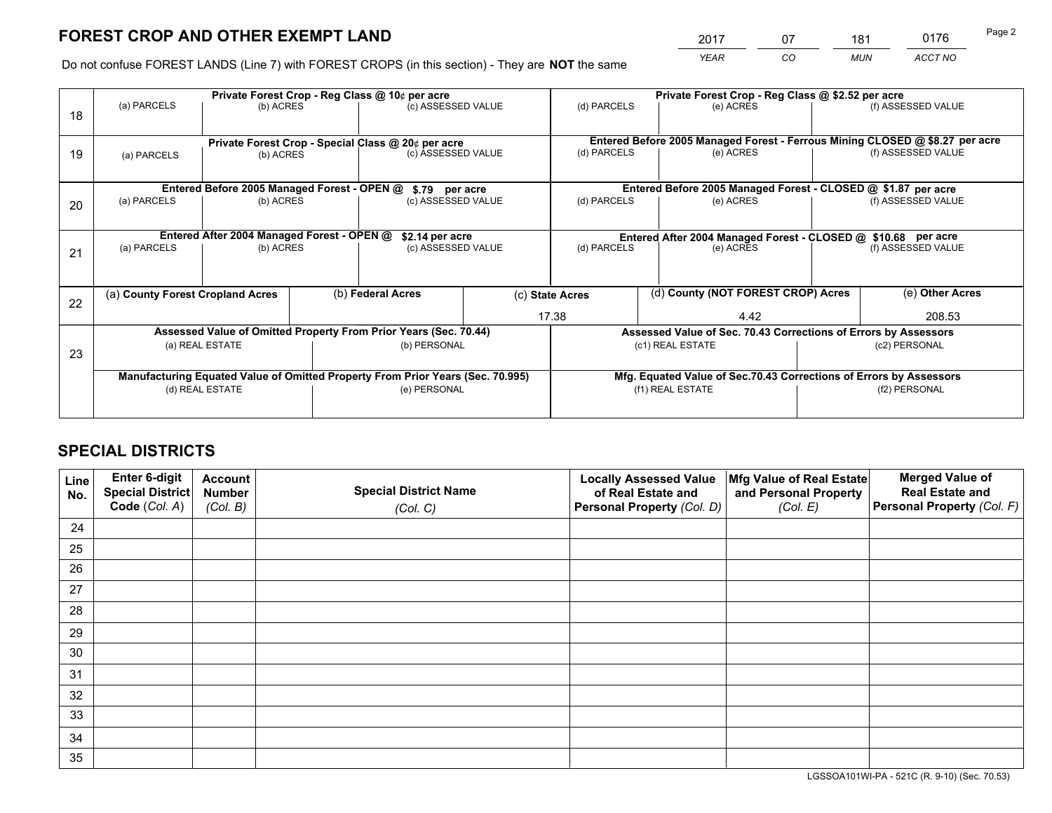*YEAR CO MUN ACCT NO* <sup>2017</sup> <sup>07</sup> <sup>181</sup> <sup>0176</sup>

Do not confuse FOREST LANDS (Line 7) with FOREST CROPS (in this section) - They are **NOT** the same

|    |                                                                                |                                             |  | Private Forest Crop - Reg Class @ 10¢ per acre                   |  |                                                                              | Private Forest Crop - Reg Class @ \$2.52 per acre                  |                    |                    |  |
|----|--------------------------------------------------------------------------------|---------------------------------------------|--|------------------------------------------------------------------|--|------------------------------------------------------------------------------|--------------------------------------------------------------------|--------------------|--------------------|--|
| 18 | (a) PARCELS                                                                    | (b) ACRES                                   |  | (c) ASSESSED VALUE                                               |  | (d) PARCELS                                                                  | (e) ACRES                                                          |                    | (f) ASSESSED VALUE |  |
|    |                                                                                |                                             |  |                                                                  |  |                                                                              |                                                                    |                    |                    |  |
|    | Private Forest Crop - Special Class @ 20¢ per acre                             |                                             |  |                                                                  |  | Entered Before 2005 Managed Forest - Ferrous Mining CLOSED @ \$8.27 per acre |                                                                    |                    |                    |  |
| 19 | (a) PARCELS                                                                    | (b) ACRES                                   |  | (c) ASSESSED VALUE                                               |  | (d) PARCELS                                                                  | (e) ACRES                                                          |                    | (f) ASSESSED VALUE |  |
|    |                                                                                |                                             |  |                                                                  |  |                                                                              |                                                                    |                    |                    |  |
|    |                                                                                | Entered Before 2005 Managed Forest - OPEN @ |  | \$.79 per acre                                                   |  |                                                                              | Entered Before 2005 Managed Forest - CLOSED @ \$1.87 per acre      |                    |                    |  |
| 20 | (a) PARCELS                                                                    | (b) ACRES                                   |  | (c) ASSESSED VALUE                                               |  | (d) PARCELS                                                                  | (e) ACRES                                                          |                    | (f) ASSESSED VALUE |  |
|    |                                                                                |                                             |  |                                                                  |  |                                                                              |                                                                    |                    |                    |  |
|    |                                                                                | Entered After 2004 Managed Forest - OPEN @  |  | \$2.14 per acre                                                  |  |                                                                              | Entered After 2004 Managed Forest - CLOSED @ \$10.68 per acre      |                    |                    |  |
| 21 | (a) PARCELS                                                                    | (b) ACRES                                   |  | (c) ASSESSED VALUE                                               |  | (d) PARCELS<br>(e) ACRES                                                     |                                                                    | (f) ASSESSED VALUE |                    |  |
|    |                                                                                |                                             |  |                                                                  |  |                                                                              |                                                                    |                    |                    |  |
|    |                                                                                |                                             |  |                                                                  |  |                                                                              |                                                                    |                    |                    |  |
| 22 | (a) County Forest Cropland Acres                                               |                                             |  | (b) Federal Acres                                                |  | (c) State Acres                                                              | (d) County (NOT FOREST CROP) Acres                                 |                    | (e) Other Acres    |  |
|    |                                                                                |                                             |  |                                                                  |  | 17.38                                                                        | 4.42                                                               |                    | 208.53             |  |
|    |                                                                                |                                             |  | Assessed Value of Omitted Property From Prior Years (Sec. 70.44) |  |                                                                              | Assessed Value of Sec. 70.43 Corrections of Errors by Assessors    |                    |                    |  |
| 23 |                                                                                | (a) REAL ESTATE                             |  | (b) PERSONAL                                                     |  |                                                                              | (c1) REAL ESTATE                                                   |                    | (c2) PERSONAL      |  |
|    |                                                                                |                                             |  |                                                                  |  |                                                                              |                                                                    |                    |                    |  |
|    | Manufacturing Equated Value of Omitted Property From Prior Years (Sec. 70.995) |                                             |  |                                                                  |  |                                                                              | Mfg. Equated Value of Sec.70.43 Corrections of Errors by Assessors |                    |                    |  |
|    | (d) REAL ESTATE                                                                |                                             |  | (e) PERSONAL                                                     |  |                                                                              | (f1) REAL ESTATE                                                   |                    | (f2) PERSONAL      |  |
|    |                                                                                |                                             |  |                                                                  |  |                                                                              |                                                                    |                    |                    |  |

## **SPECIAL DISTRICTS**

| Line<br>No. | Enter 6-digit<br>Special District<br>Code (Col. A) | <b>Account</b><br><b>Number</b> | <b>Special District Name</b> | <b>Locally Assessed Value</b><br>of Real Estate and | Mfg Value of Real Estate<br>and Personal Property | <b>Merged Value of</b><br><b>Real Estate and</b><br>Personal Property (Col. F) |
|-------------|----------------------------------------------------|---------------------------------|------------------------------|-----------------------------------------------------|---------------------------------------------------|--------------------------------------------------------------------------------|
|             |                                                    | (Col. B)                        | (Col. C)                     | Personal Property (Col. D)                          | (Col. E)                                          |                                                                                |
| 24          |                                                    |                                 |                              |                                                     |                                                   |                                                                                |
| 25          |                                                    |                                 |                              |                                                     |                                                   |                                                                                |
| 26          |                                                    |                                 |                              |                                                     |                                                   |                                                                                |
| 27          |                                                    |                                 |                              |                                                     |                                                   |                                                                                |
| 28          |                                                    |                                 |                              |                                                     |                                                   |                                                                                |
| 29          |                                                    |                                 |                              |                                                     |                                                   |                                                                                |
| 30          |                                                    |                                 |                              |                                                     |                                                   |                                                                                |
| 31          |                                                    |                                 |                              |                                                     |                                                   |                                                                                |
| 32          |                                                    |                                 |                              |                                                     |                                                   |                                                                                |
| 33          |                                                    |                                 |                              |                                                     |                                                   |                                                                                |
| 34          |                                                    |                                 |                              |                                                     |                                                   |                                                                                |
| 35          |                                                    |                                 |                              |                                                     |                                                   |                                                                                |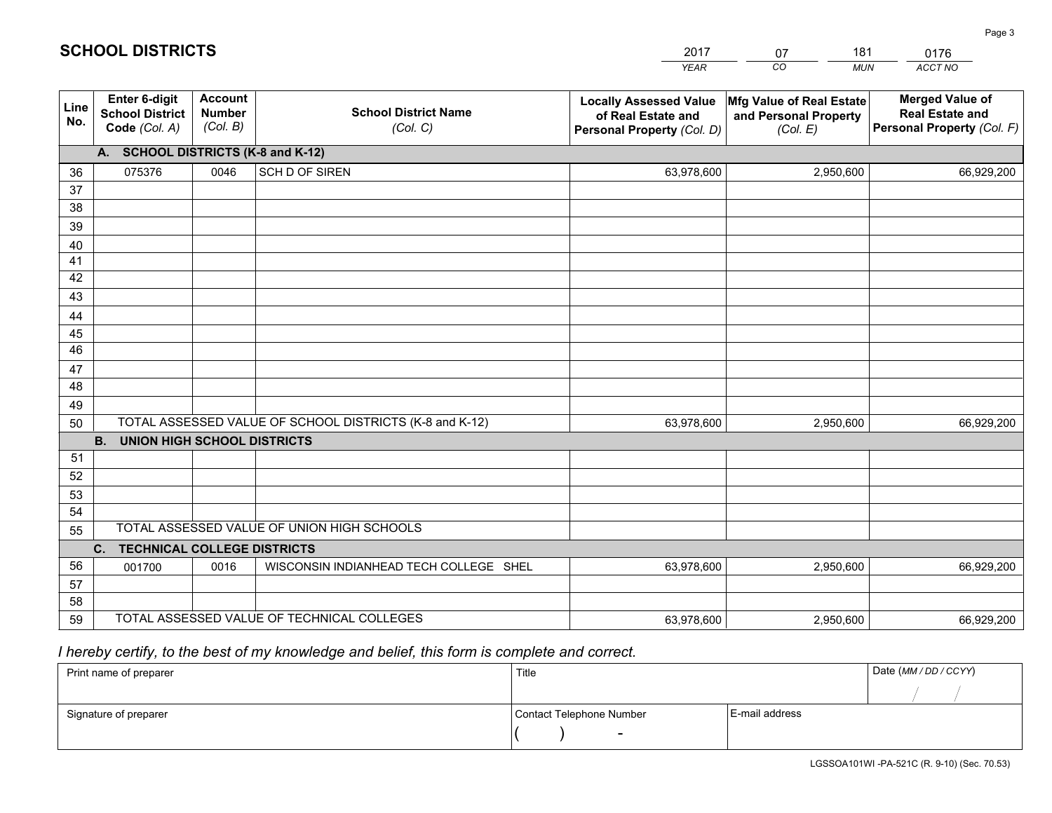|             |                                                          |                                             |                                                         | <b>YEAR</b>                                                                       | CO<br><b>MUN</b>                                              | ACCT NO                                                                        |
|-------------|----------------------------------------------------------|---------------------------------------------|---------------------------------------------------------|-----------------------------------------------------------------------------------|---------------------------------------------------------------|--------------------------------------------------------------------------------|
| Line<br>No. | Enter 6-digit<br><b>School District</b><br>Code (Col. A) | <b>Account</b><br><b>Number</b><br>(Col. B) | <b>School District Name</b><br>(Col. C)                 | <b>Locally Assessed Value</b><br>of Real Estate and<br>Personal Property (Col. D) | Mfg Value of Real Estate<br>and Personal Property<br>(Col. E) | <b>Merged Value of</b><br><b>Real Estate and</b><br>Personal Property (Col. F) |
|             | A. SCHOOL DISTRICTS (K-8 and K-12)                       |                                             |                                                         |                                                                                   |                                                               |                                                                                |
| 36          | 075376                                                   | 0046                                        | SCH D OF SIREN                                          | 63,978,600                                                                        | 2,950,600                                                     | 66,929,200                                                                     |
| 37          |                                                          |                                             |                                                         |                                                                                   |                                                               |                                                                                |
| 38          |                                                          |                                             |                                                         |                                                                                   |                                                               |                                                                                |
| 39          |                                                          |                                             |                                                         |                                                                                   |                                                               |                                                                                |
| 40          |                                                          |                                             |                                                         |                                                                                   |                                                               |                                                                                |
| 41<br>42    |                                                          |                                             |                                                         |                                                                                   |                                                               |                                                                                |
| 43          |                                                          |                                             |                                                         |                                                                                   |                                                               |                                                                                |
| 44          |                                                          |                                             |                                                         |                                                                                   |                                                               |                                                                                |
| 45          |                                                          |                                             |                                                         |                                                                                   |                                                               |                                                                                |
| 46          |                                                          |                                             |                                                         |                                                                                   |                                                               |                                                                                |
| 47          |                                                          |                                             |                                                         |                                                                                   |                                                               |                                                                                |
| 48          |                                                          |                                             |                                                         |                                                                                   |                                                               |                                                                                |
| 49          |                                                          |                                             |                                                         |                                                                                   |                                                               |                                                                                |
| 50          |                                                          |                                             | TOTAL ASSESSED VALUE OF SCHOOL DISTRICTS (K-8 and K-12) | 63,978,600                                                                        | 2,950,600                                                     | 66,929,200                                                                     |
|             | <b>B.</b><br><b>UNION HIGH SCHOOL DISTRICTS</b>          |                                             |                                                         |                                                                                   |                                                               |                                                                                |
| 51          |                                                          |                                             |                                                         |                                                                                   |                                                               |                                                                                |
| 52          |                                                          |                                             |                                                         |                                                                                   |                                                               |                                                                                |
| 53<br>54    |                                                          |                                             |                                                         |                                                                                   |                                                               |                                                                                |
| 55          |                                                          |                                             | TOTAL ASSESSED VALUE OF UNION HIGH SCHOOLS              |                                                                                   |                                                               |                                                                                |
|             | C.<br><b>TECHNICAL COLLEGE DISTRICTS</b>                 |                                             |                                                         |                                                                                   |                                                               |                                                                                |
| 56          | 001700                                                   | 0016                                        | WISCONSIN INDIANHEAD TECH COLLEGE SHEL                  | 63,978,600                                                                        | 2,950,600                                                     | 66,929,200                                                                     |
| 57          |                                                          |                                             |                                                         |                                                                                   |                                                               |                                                                                |
| 58          |                                                          |                                             |                                                         |                                                                                   |                                                               |                                                                                |
| 59          |                                                          |                                             | TOTAL ASSESSED VALUE OF TECHNICAL COLLEGES              | 63,978,600                                                                        | 2,950,600                                                     | 66,929,200                                                                     |

2017

07

181

0176

Page 3

 *I hereby certify, to the best of my knowledge and belief, this form is complete and correct.*

**SCHOOL DISTRICTS**

| Print name of preparer | Title                    |                | Date (MM / DD / CCYY) |
|------------------------|--------------------------|----------------|-----------------------|
|                        |                          |                |                       |
| Signature of preparer  | Contact Telephone Number | E-mail address |                       |
|                        |                          |                |                       |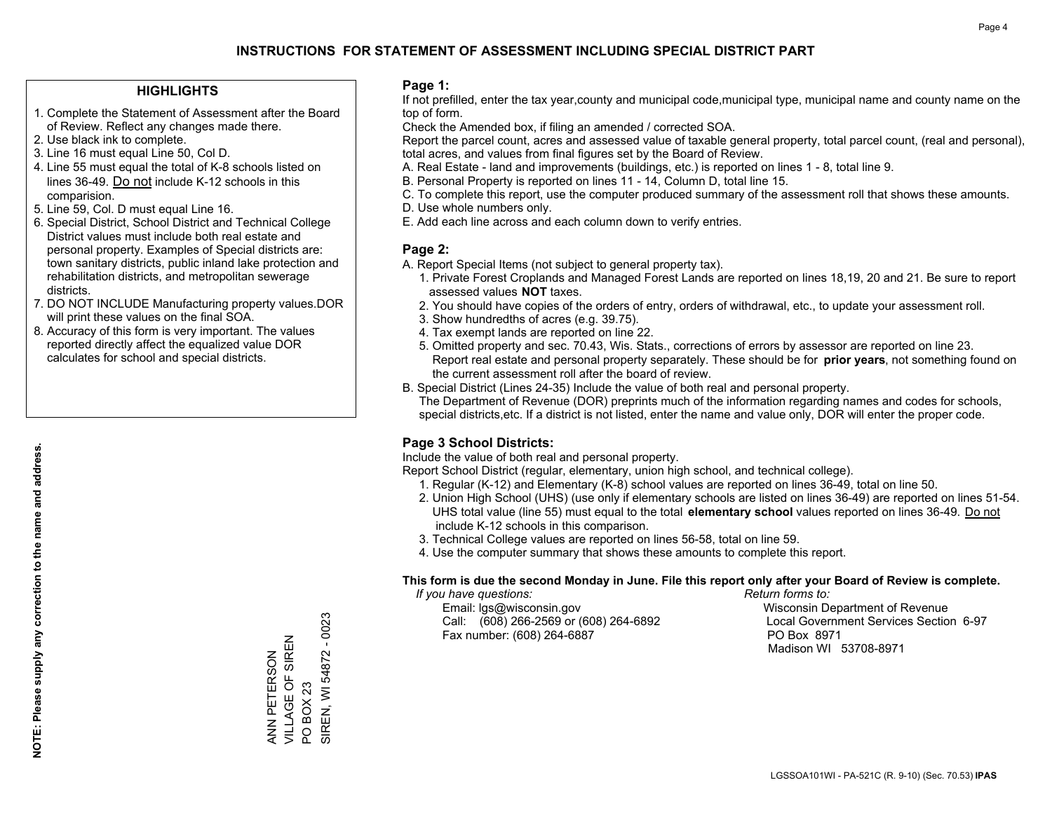### **HIGHLIGHTS**

- 1. Complete the Statement of Assessment after the Board of Review. Reflect any changes made there.
- 2. Use black ink to complete.
- 3. Line 16 must equal Line 50, Col D.
- 4. Line 55 must equal the total of K-8 schools listed on lines 36-49. Do not include K-12 schools in this comparision.
- 5. Line 59, Col. D must equal Line 16.
- 6. Special District, School District and Technical College District values must include both real estate and personal property. Examples of Special districts are: town sanitary districts, public inland lake protection and rehabilitation districts, and metropolitan sewerage districts.
- 7. DO NOT INCLUDE Manufacturing property values.DOR will print these values on the final SOA.
- 8. Accuracy of this form is very important. The values reported directly affect the equalized value DOR calculates for school and special districts.

### **Page 1:**

 If not prefilled, enter the tax year,county and municipal code,municipal type, municipal name and county name on the top of form.

Check the Amended box, if filing an amended / corrected SOA.

 Report the parcel count, acres and assessed value of taxable general property, total parcel count, (real and personal), total acres, and values from final figures set by the Board of Review.

- A. Real Estate land and improvements (buildings, etc.) is reported on lines 1 8, total line 9.
- B. Personal Property is reported on lines 11 14, Column D, total line 15.
- C. To complete this report, use the computer produced summary of the assessment roll that shows these amounts.
- D. Use whole numbers only.
- E. Add each line across and each column down to verify entries.

### **Page 2:**

- A. Report Special Items (not subject to general property tax).
- 1. Private Forest Croplands and Managed Forest Lands are reported on lines 18,19, 20 and 21. Be sure to report assessed values **NOT** taxes.
- 2. You should have copies of the orders of entry, orders of withdrawal, etc., to update your assessment roll.
	- 3. Show hundredths of acres (e.g. 39.75).
- 4. Tax exempt lands are reported on line 22.
- 5. Omitted property and sec. 70.43, Wis. Stats., corrections of errors by assessor are reported on line 23. Report real estate and personal property separately. These should be for **prior years**, not something found on the current assessment roll after the board of review.
- B. Special District (Lines 24-35) Include the value of both real and personal property.
- The Department of Revenue (DOR) preprints much of the information regarding names and codes for schools, special districts,etc. If a district is not listed, enter the name and value only, DOR will enter the proper code.

### **Page 3 School Districts:**

Include the value of both real and personal property.

Report School District (regular, elementary, union high school, and technical college).

- 1. Regular (K-12) and Elementary (K-8) school values are reported on lines 36-49, total on line 50.
- 2. Union High School (UHS) (use only if elementary schools are listed on lines 36-49) are reported on lines 51-54. UHS total value (line 55) must equal to the total **elementary school** values reported on lines 36-49. Do notinclude K-12 schools in this comparison.
- 3. Technical College values are reported on lines 56-58, total on line 59.
- 4. Use the computer summary that shows these amounts to complete this report.

### **This form is due the second Monday in June. File this report only after your Board of Review is complete.**

 *If you have questions: Return forms to:*

 Email: lgs@wisconsin.gov Wisconsin Department of RevenueCall:  $(608)$  266-2569 or  $(608)$  264-6892 Fax number: (608) 264-6887 PO Box 8971

Local Government Services Section 6-97 Madison WI 53708-8971

 $-0023$ SIREN, WI 54872 - 0023 VILLAGE OF SIREN VILLAGE OF SIREN SIREN, WI 54872 ANN PETERSON ANN PETERSON **BOX 23** PO BOX 23  $\overline{S}$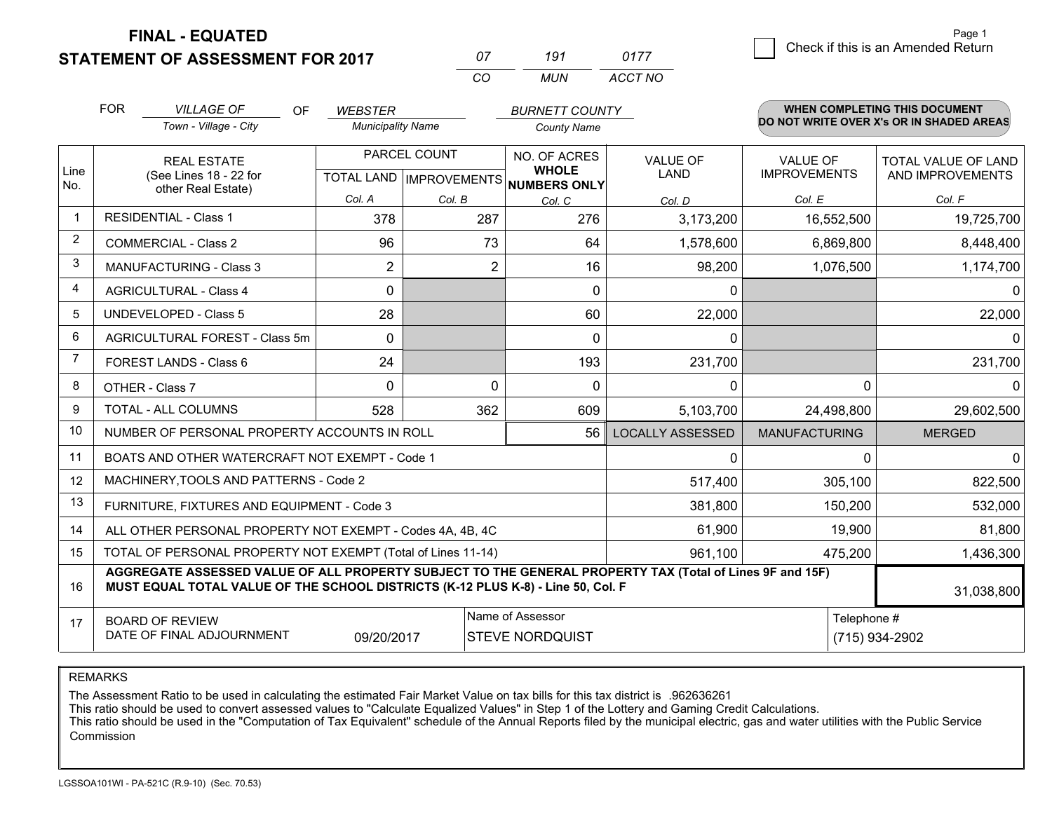**STATEMENT OF ASSESSMENT FOR 2017** 

**FINAL - EQUATED**

| 07 | 191  | 0177    |
|----|------|---------|
| Γn | MUN. | ACCT NO |

|             | <b>FOR</b><br><b>VILLAGE OF</b><br>OF<br><b>WEBSTER</b>                                                                                                                                      |                                                              | <b>BURNETT COUNTY</b>    |                                                      |                    | WHEN COMPLETING THIS DOCUMENT  |                                 |                                          |
|-------------|----------------------------------------------------------------------------------------------------------------------------------------------------------------------------------------------|--------------------------------------------------------------|--------------------------|------------------------------------------------------|--------------------|--------------------------------|---------------------------------|------------------------------------------|
|             |                                                                                                                                                                                              | Town - Village - City                                        | <b>Municipality Name</b> |                                                      | <b>County Name</b> |                                |                                 | DO NOT WRITE OVER X's OR IN SHADED AREAS |
| Line<br>No. | <b>REAL ESTATE</b><br>(See Lines 18 - 22 for<br>other Real Estate)                                                                                                                           |                                                              |                          | PARCEL COUNT<br>TOTAL LAND IMPROVEMENTS NUMBERS ONLY |                    | <b>VALUE OF</b><br><b>LAND</b> | VALUE OF<br><b>IMPROVEMENTS</b> | TOTAL VALUE OF LAND<br>AND IMPROVEMENTS  |
|             |                                                                                                                                                                                              |                                                              | Col. A                   | Col. B                                               | Col. C             | Col. D                         | Col. E                          | Col. F                                   |
|             | <b>RESIDENTIAL - Class 1</b>                                                                                                                                                                 |                                                              | 378                      | 287                                                  | 276                | 3,173,200                      | 16,552,500                      | 19,725,700                               |
| 2           |                                                                                                                                                                                              | <b>COMMERCIAL - Class 2</b>                                  | 96                       | 73                                                   | 64                 | 1,578,600                      | 6,869,800                       | 8,448,400                                |
| 3           |                                                                                                                                                                                              | <b>MANUFACTURING - Class 3</b>                               | $\overline{2}$           | 2                                                    | 16                 | 98,200                         | 1,076,500                       | 1,174,700                                |
| 4           |                                                                                                                                                                                              | <b>AGRICULTURAL - Class 4</b>                                | 0                        |                                                      | $\mathbf{0}$       | $\mathbf{0}$                   |                                 | $\Omega$                                 |
| 5           |                                                                                                                                                                                              | UNDEVELOPED - Class 5                                        | 28                       |                                                      | 60                 | 22,000                         |                                 | 22,000                                   |
| 6           |                                                                                                                                                                                              | AGRICULTURAL FOREST - Class 5m                               | $\Omega$                 |                                                      | $\Omega$           | $\mathbf{0}$                   |                                 | $\Omega$                                 |
| 7           |                                                                                                                                                                                              | FOREST LANDS - Class 6                                       | 24                       |                                                      | 193                | 231,700                        |                                 | 231,700                                  |
| 8           |                                                                                                                                                                                              | OTHER - Class 7                                              | $\Omega$                 | $\Omega$                                             | $\Omega$           | $\Omega$                       | $\Omega$                        | $\Omega$                                 |
| 9           |                                                                                                                                                                                              | TOTAL - ALL COLUMNS                                          | 528                      | 362                                                  | 609                | 5,103,700                      | 24,498,800                      | 29,602,500                               |
| 10          |                                                                                                                                                                                              | NUMBER OF PERSONAL PROPERTY ACCOUNTS IN ROLL                 |                          |                                                      | 56                 | <b>LOCALLY ASSESSED</b>        | <b>MANUFACTURING</b>            | <b>MERGED</b>                            |
| 11          |                                                                                                                                                                                              | BOATS AND OTHER WATERCRAFT NOT EXEMPT - Code 1               |                          |                                                      |                    | 0                              | $\Omega$                        | $\mathbf 0$                              |
| 12          |                                                                                                                                                                                              | MACHINERY, TOOLS AND PATTERNS - Code 2                       |                          |                                                      |                    | 517,400                        | 305,100                         | 822,500                                  |
| 13          |                                                                                                                                                                                              | FURNITURE, FIXTURES AND EQUIPMENT - Code 3                   |                          |                                                      |                    | 381,800                        | 150,200                         | 532,000                                  |
| 14          |                                                                                                                                                                                              | ALL OTHER PERSONAL PROPERTY NOT EXEMPT - Codes 4A, 4B, 4C    |                          |                                                      |                    | 61,900                         | 19,900                          | 81,800                                   |
| 15          |                                                                                                                                                                                              | TOTAL OF PERSONAL PROPERTY NOT EXEMPT (Total of Lines 11-14) |                          |                                                      | 961,100            | 475,200                        | 1,436,300                       |                                          |
| 16          | AGGREGATE ASSESSED VALUE OF ALL PROPERTY SUBJECT TO THE GENERAL PROPERTY TAX (Total of Lines 9F and 15F)<br>MUST EQUAL TOTAL VALUE OF THE SCHOOL DISTRICTS (K-12 PLUS K-8) - Line 50, Col. F |                                                              |                          |                                                      |                    |                                |                                 | 31,038,800                               |
| 17          | Name of Assessor<br><b>BOARD OF REVIEW</b><br>DATE OF FINAL ADJOURNMENT<br><b>STEVE NORDQUIST</b><br>09/20/2017                                                                              |                                                              |                          |                                                      |                    | Telephone #                    | (715) 934-2902                  |                                          |

REMARKS

The Assessment Ratio to be used in calculating the estimated Fair Market Value on tax bills for this tax district is .962636261

This ratio should be used to convert assessed values to "Calculate Equalized Values" in Step 1 of the Lottery and Gaming Credit Calculations.<br>This ratio should be used in the "Computation of Tax Equivalent" schedule of the Commission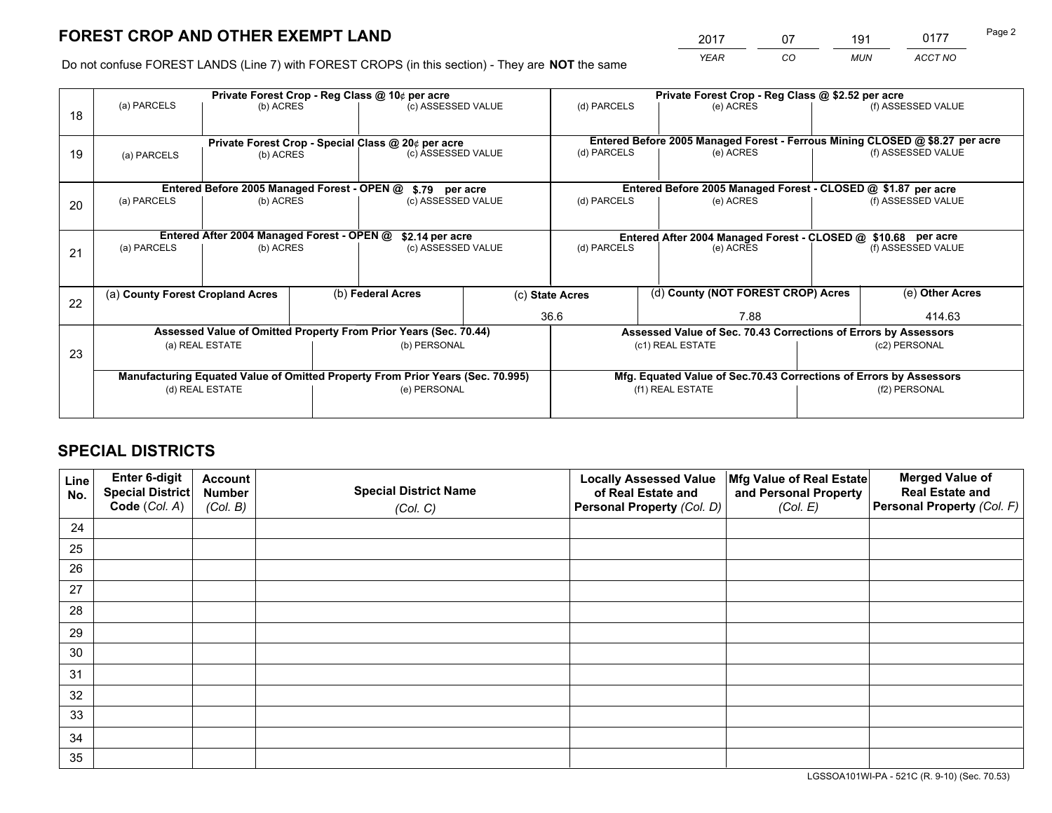*YEAR CO MUN ACCT NO* <sup>2017</sup> <sup>07</sup> <sup>191</sup> <sup>0177</sup>

Do not confuse FOREST LANDS (Line 7) with FOREST CROPS (in this section) - They are **NOT** the same

|    |                                                                                |                                             |  | Private Forest Crop - Reg Class @ 10¢ per acre                   |                                                                                  |                          | Private Forest Crop - Reg Class @ \$2.52 per acre                            |                    |                    |  |
|----|--------------------------------------------------------------------------------|---------------------------------------------|--|------------------------------------------------------------------|----------------------------------------------------------------------------------|--------------------------|------------------------------------------------------------------------------|--------------------|--------------------|--|
| 18 | (a) PARCELS                                                                    | (b) ACRES                                   |  | (c) ASSESSED VALUE                                               |                                                                                  | (d) PARCELS              | (e) ACRES                                                                    |                    | (f) ASSESSED VALUE |  |
|    |                                                                                |                                             |  |                                                                  |                                                                                  |                          |                                                                              |                    |                    |  |
|    |                                                                                |                                             |  | Private Forest Crop - Special Class @ 20¢ per acre               |                                                                                  |                          | Entered Before 2005 Managed Forest - Ferrous Mining CLOSED @ \$8.27 per acre |                    |                    |  |
| 19 | (a) PARCELS                                                                    | (b) ACRES                                   |  | (c) ASSESSED VALUE                                               |                                                                                  | (d) PARCELS              | (e) ACRES                                                                    |                    | (f) ASSESSED VALUE |  |
|    |                                                                                |                                             |  |                                                                  |                                                                                  |                          |                                                                              |                    |                    |  |
|    |                                                                                | Entered Before 2005 Managed Forest - OPEN @ |  | \$.79 per acre                                                   |                                                                                  |                          | Entered Before 2005 Managed Forest - CLOSED @ \$1.87 per acre                |                    |                    |  |
| 20 | (a) PARCELS                                                                    | (b) ACRES                                   |  | (c) ASSESSED VALUE                                               |                                                                                  | (d) PARCELS              | (e) ACRES                                                                    |                    | (f) ASSESSED VALUE |  |
|    |                                                                                |                                             |  |                                                                  |                                                                                  |                          |                                                                              |                    |                    |  |
|    |                                                                                | Entered After 2004 Managed Forest - OPEN @  |  |                                                                  | \$2.14 per acre<br>Entered After 2004 Managed Forest - CLOSED @ \$10.68 per acre |                          |                                                                              |                    |                    |  |
| 21 | (a) PARCELS                                                                    | (b) ACRES                                   |  | (c) ASSESSED VALUE                                               |                                                                                  | (d) PARCELS<br>(e) ACRES |                                                                              | (f) ASSESSED VALUE |                    |  |
|    |                                                                                |                                             |  |                                                                  |                                                                                  |                          |                                                                              |                    |                    |  |
|    |                                                                                |                                             |  |                                                                  |                                                                                  |                          |                                                                              |                    |                    |  |
| 22 | (a) County Forest Cropland Acres                                               |                                             |  | (b) Federal Acres                                                |                                                                                  | (c) State Acres          | (d) County (NOT FOREST CROP) Acres                                           |                    | (e) Other Acres    |  |
|    |                                                                                |                                             |  |                                                                  |                                                                                  | 36.6                     | 7.88                                                                         |                    | 414.63             |  |
|    |                                                                                |                                             |  | Assessed Value of Omitted Property From Prior Years (Sec. 70.44) |                                                                                  |                          | Assessed Value of Sec. 70.43 Corrections of Errors by Assessors              |                    |                    |  |
| 23 |                                                                                | (a) REAL ESTATE                             |  | (b) PERSONAL                                                     |                                                                                  |                          | (c1) REAL ESTATE                                                             |                    | (c2) PERSONAL      |  |
|    |                                                                                |                                             |  |                                                                  |                                                                                  |                          |                                                                              |                    |                    |  |
|    | Manufacturing Equated Value of Omitted Property From Prior Years (Sec. 70.995) |                                             |  |                                                                  |                                                                                  |                          | Mfg. Equated Value of Sec.70.43 Corrections of Errors by Assessors           |                    |                    |  |
|    | (d) REAL ESTATE                                                                |                                             |  | (e) PERSONAL                                                     |                                                                                  | (f1) REAL ESTATE         |                                                                              |                    | (f2) PERSONAL      |  |
|    |                                                                                |                                             |  |                                                                  |                                                                                  |                          |                                                                              |                    |                    |  |

## **SPECIAL DISTRICTS**

| Line<br>No. | Enter 6-digit<br>Special District<br>Code (Col. A) | <b>Account</b><br><b>Number</b> | <b>Special District Name</b> | <b>Locally Assessed Value</b><br>of Real Estate and | Mfg Value of Real Estate<br>and Personal Property | <b>Merged Value of</b><br><b>Real Estate and</b><br>Personal Property (Col. F) |
|-------------|----------------------------------------------------|---------------------------------|------------------------------|-----------------------------------------------------|---------------------------------------------------|--------------------------------------------------------------------------------|
|             |                                                    | (Col. B)                        | (Col. C)                     | Personal Property (Col. D)                          | (Col. E)                                          |                                                                                |
| 24          |                                                    |                                 |                              |                                                     |                                                   |                                                                                |
| 25          |                                                    |                                 |                              |                                                     |                                                   |                                                                                |
| 26          |                                                    |                                 |                              |                                                     |                                                   |                                                                                |
| 27          |                                                    |                                 |                              |                                                     |                                                   |                                                                                |
| 28          |                                                    |                                 |                              |                                                     |                                                   |                                                                                |
| 29          |                                                    |                                 |                              |                                                     |                                                   |                                                                                |
| 30          |                                                    |                                 |                              |                                                     |                                                   |                                                                                |
| 31          |                                                    |                                 |                              |                                                     |                                                   |                                                                                |
| 32          |                                                    |                                 |                              |                                                     |                                                   |                                                                                |
| 33          |                                                    |                                 |                              |                                                     |                                                   |                                                                                |
| 34          |                                                    |                                 |                              |                                                     |                                                   |                                                                                |
| 35          |                                                    |                                 |                              |                                                     |                                                   |                                                                                |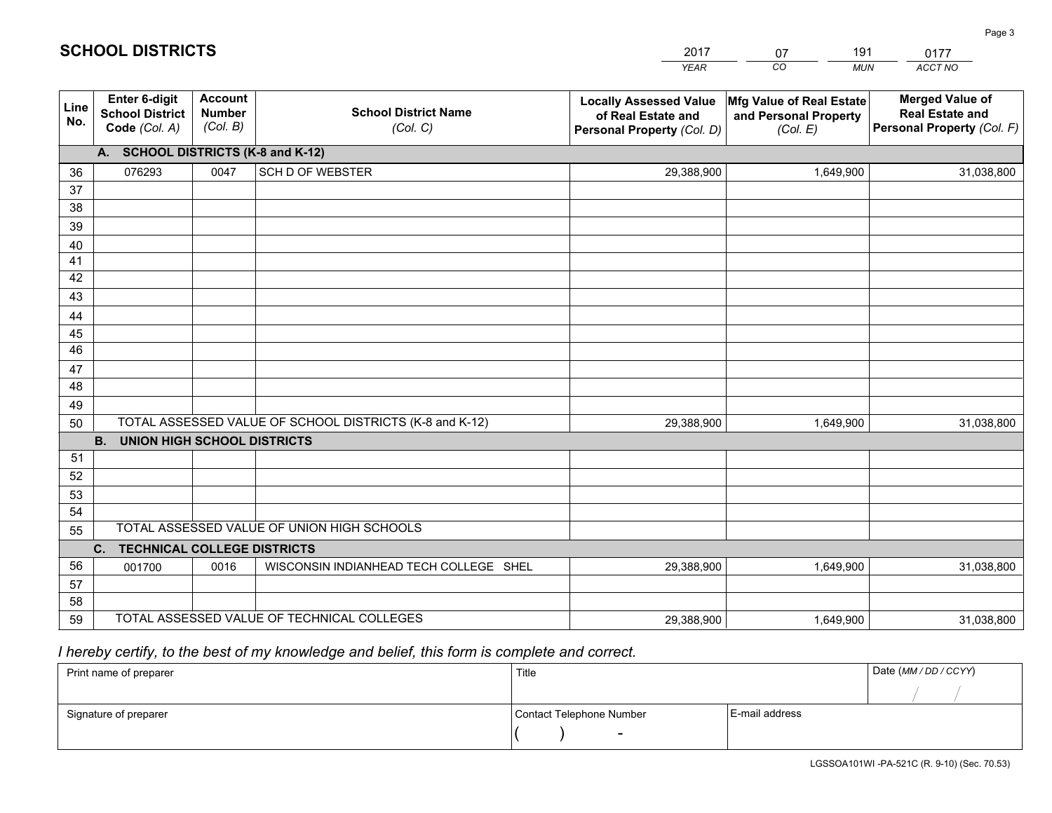| <b>Account</b><br><b>Merged Value of</b><br>Enter 6-digit<br><b>Locally Assessed Value</b><br>Mfg Value of Real Estate<br>Line<br><b>School District Name</b><br><b>Number</b><br><b>School District</b><br><b>Real Estate and</b><br>of Real Estate and<br>and Personal Property<br>No.<br>(Col. B)<br>Personal Property (Col. F)<br>Code (Col. A)<br>(Col. C)<br>Personal Property (Col. D)<br>(Col. E)<br>A. SCHOOL DISTRICTS (K-8 and K-12)<br><b>SCH D OF WEBSTER</b><br>076293<br>0047<br>29,388,900<br>1,649,900<br>36<br>31,038,800<br>37<br>38<br>39<br>40<br>41<br>42<br>43<br>44<br>45<br>46<br>47<br>48<br>49<br>TOTAL ASSESSED VALUE OF SCHOOL DISTRICTS (K-8 and K-12)<br>50<br>29,388,900<br>1,649,900<br>31,038,800<br><b>B.</b><br>UNION HIGH SCHOOL DISTRICTS<br>51<br>52<br>53<br>54<br>TOTAL ASSESSED VALUE OF UNION HIGH SCHOOLS<br>55<br>C.<br><b>TECHNICAL COLLEGE DISTRICTS</b><br>56<br>WISCONSIN INDIANHEAD TECH COLLEGE SHEL<br>0016<br>29,388,900<br>1,649,900<br>001700<br>31,038,800<br>57<br>58<br>TOTAL ASSESSED VALUE OF TECHNICAL COLLEGES<br>59<br>29,388,900<br>1,649,900<br>31,038,800 |  |  |  | YEAR | CO.<br><b>MUN</b> | ACCT NO |  |  |
|-----------------------------------------------------------------------------------------------------------------------------------------------------------------------------------------------------------------------------------------------------------------------------------------------------------------------------------------------------------------------------------------------------------------------------------------------------------------------------------------------------------------------------------------------------------------------------------------------------------------------------------------------------------------------------------------------------------------------------------------------------------------------------------------------------------------------------------------------------------------------------------------------------------------------------------------------------------------------------------------------------------------------------------------------------------------------------------------------------------------------------|--|--|--|------|-------------------|---------|--|--|
|                                                                                                                                                                                                                                                                                                                                                                                                                                                                                                                                                                                                                                                                                                                                                                                                                                                                                                                                                                                                                                                                                                                             |  |  |  |      |                   |         |  |  |
|                                                                                                                                                                                                                                                                                                                                                                                                                                                                                                                                                                                                                                                                                                                                                                                                                                                                                                                                                                                                                                                                                                                             |  |  |  |      |                   |         |  |  |
|                                                                                                                                                                                                                                                                                                                                                                                                                                                                                                                                                                                                                                                                                                                                                                                                                                                                                                                                                                                                                                                                                                                             |  |  |  |      |                   |         |  |  |
|                                                                                                                                                                                                                                                                                                                                                                                                                                                                                                                                                                                                                                                                                                                                                                                                                                                                                                                                                                                                                                                                                                                             |  |  |  |      |                   |         |  |  |
|                                                                                                                                                                                                                                                                                                                                                                                                                                                                                                                                                                                                                                                                                                                                                                                                                                                                                                                                                                                                                                                                                                                             |  |  |  |      |                   |         |  |  |
|                                                                                                                                                                                                                                                                                                                                                                                                                                                                                                                                                                                                                                                                                                                                                                                                                                                                                                                                                                                                                                                                                                                             |  |  |  |      |                   |         |  |  |
|                                                                                                                                                                                                                                                                                                                                                                                                                                                                                                                                                                                                                                                                                                                                                                                                                                                                                                                                                                                                                                                                                                                             |  |  |  |      |                   |         |  |  |
|                                                                                                                                                                                                                                                                                                                                                                                                                                                                                                                                                                                                                                                                                                                                                                                                                                                                                                                                                                                                                                                                                                                             |  |  |  |      |                   |         |  |  |
|                                                                                                                                                                                                                                                                                                                                                                                                                                                                                                                                                                                                                                                                                                                                                                                                                                                                                                                                                                                                                                                                                                                             |  |  |  |      |                   |         |  |  |
|                                                                                                                                                                                                                                                                                                                                                                                                                                                                                                                                                                                                                                                                                                                                                                                                                                                                                                                                                                                                                                                                                                                             |  |  |  |      |                   |         |  |  |
|                                                                                                                                                                                                                                                                                                                                                                                                                                                                                                                                                                                                                                                                                                                                                                                                                                                                                                                                                                                                                                                                                                                             |  |  |  |      |                   |         |  |  |
|                                                                                                                                                                                                                                                                                                                                                                                                                                                                                                                                                                                                                                                                                                                                                                                                                                                                                                                                                                                                                                                                                                                             |  |  |  |      |                   |         |  |  |
|                                                                                                                                                                                                                                                                                                                                                                                                                                                                                                                                                                                                                                                                                                                                                                                                                                                                                                                                                                                                                                                                                                                             |  |  |  |      |                   |         |  |  |
|                                                                                                                                                                                                                                                                                                                                                                                                                                                                                                                                                                                                                                                                                                                                                                                                                                                                                                                                                                                                                                                                                                                             |  |  |  |      |                   |         |  |  |
|                                                                                                                                                                                                                                                                                                                                                                                                                                                                                                                                                                                                                                                                                                                                                                                                                                                                                                                                                                                                                                                                                                                             |  |  |  |      |                   |         |  |  |
|                                                                                                                                                                                                                                                                                                                                                                                                                                                                                                                                                                                                                                                                                                                                                                                                                                                                                                                                                                                                                                                                                                                             |  |  |  |      |                   |         |  |  |
|                                                                                                                                                                                                                                                                                                                                                                                                                                                                                                                                                                                                                                                                                                                                                                                                                                                                                                                                                                                                                                                                                                                             |  |  |  |      |                   |         |  |  |
|                                                                                                                                                                                                                                                                                                                                                                                                                                                                                                                                                                                                                                                                                                                                                                                                                                                                                                                                                                                                                                                                                                                             |  |  |  |      |                   |         |  |  |
|                                                                                                                                                                                                                                                                                                                                                                                                                                                                                                                                                                                                                                                                                                                                                                                                                                                                                                                                                                                                                                                                                                                             |  |  |  |      |                   |         |  |  |
|                                                                                                                                                                                                                                                                                                                                                                                                                                                                                                                                                                                                                                                                                                                                                                                                                                                                                                                                                                                                                                                                                                                             |  |  |  |      |                   |         |  |  |
|                                                                                                                                                                                                                                                                                                                                                                                                                                                                                                                                                                                                                                                                                                                                                                                                                                                                                                                                                                                                                                                                                                                             |  |  |  |      |                   |         |  |  |
|                                                                                                                                                                                                                                                                                                                                                                                                                                                                                                                                                                                                                                                                                                                                                                                                                                                                                                                                                                                                                                                                                                                             |  |  |  |      |                   |         |  |  |
|                                                                                                                                                                                                                                                                                                                                                                                                                                                                                                                                                                                                                                                                                                                                                                                                                                                                                                                                                                                                                                                                                                                             |  |  |  |      |                   |         |  |  |
|                                                                                                                                                                                                                                                                                                                                                                                                                                                                                                                                                                                                                                                                                                                                                                                                                                                                                                                                                                                                                                                                                                                             |  |  |  |      |                   |         |  |  |
|                                                                                                                                                                                                                                                                                                                                                                                                                                                                                                                                                                                                                                                                                                                                                                                                                                                                                                                                                                                                                                                                                                                             |  |  |  |      |                   |         |  |  |
|                                                                                                                                                                                                                                                                                                                                                                                                                                                                                                                                                                                                                                                                                                                                                                                                                                                                                                                                                                                                                                                                                                                             |  |  |  |      |                   |         |  |  |

2017

07

191

 *I hereby certify, to the best of my knowledge and belief, this form is complete and correct.*

**SCHOOL DISTRICTS**

| Print name of preparer | Title                    |                | Date (MM / DD / CCYY) |
|------------------------|--------------------------|----------------|-----------------------|
|                        |                          |                |                       |
| Signature of preparer  | Contact Telephone Number | E-mail address |                       |
|                        | $\sim$                   |                |                       |

0177